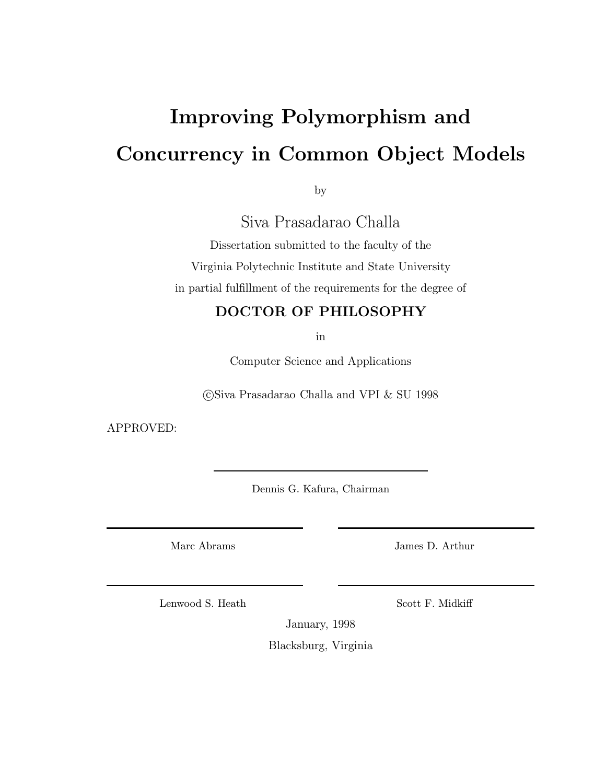# Improving Polymorphism and Concurrency in Common Object Models

by

Siva Prasadarao Challa

Dissertation submitted to the faculty of the Virginia Polytechnic Institute and State University in partial fulfillment of the requirements for the degree of

### DOCTOR OF PHILOSOPHY

in

Computer Science and Applications

c Siva Prasadarao Challa and VPI & SU 1998

APPROVED:

Dennis G. Kafura, Chairman

Marc Abrams

James D. Arthur

Lenwood S. Heath

Scott F. Midkiff

January, 1998

Blacksburg, Virginia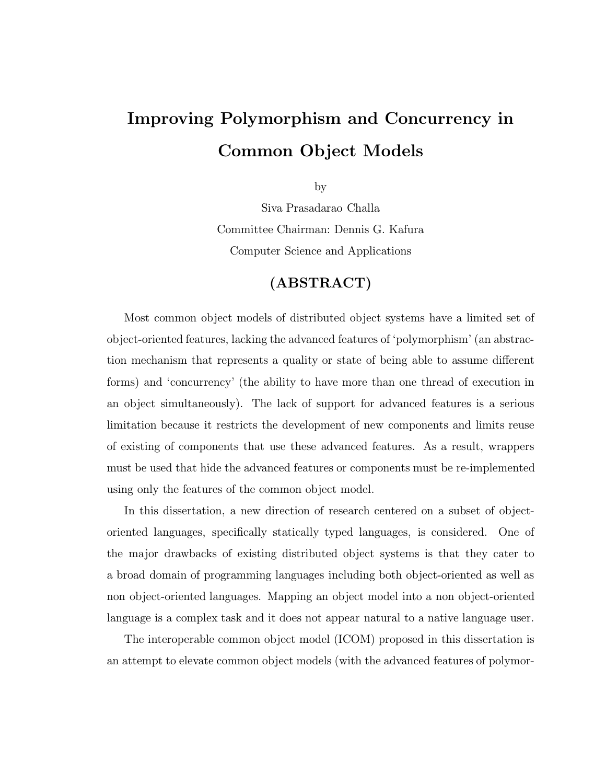## Improving Polymorphism and Concurrency in Common Object Models

by

Siva Prasadarao Challa Committee Chairman: Dennis G. Kafura Computer Science and Applications

## (ABSTRACT)

Most common object models of distributed object systems have a limited set of object-oriented features, lacking the advanced features of 'polymorphism' (an abstraction mechanism that represents a quality or state of being able to assume different forms) and 'concurrency' (the ability to have more than one thread of execution in an object simultaneously). The lack of support for advanced features is a serious limitation because it restricts the development of new components and limits reuse of existing of components that use these advanced features. As a result, wrappers must be used that hide the advanced features or components must be re-implemented using only the features of the common object model.

In this dissertation, a new direction of research centered on a subset of objectoriented languages, specifically statically typed languages, is considered. One of the major drawbacks of existing distributed object systems is that they cater to a broad domain of programming languages including both object-oriented as well as non object-oriented languages. Mapping an object model into a non object-oriented language is a complex task and it does not appear natural to a native language user.

The interoperable common object model (ICOM) proposed in this dissertation is an attempt to elevate common object models (with the advanced features of polymor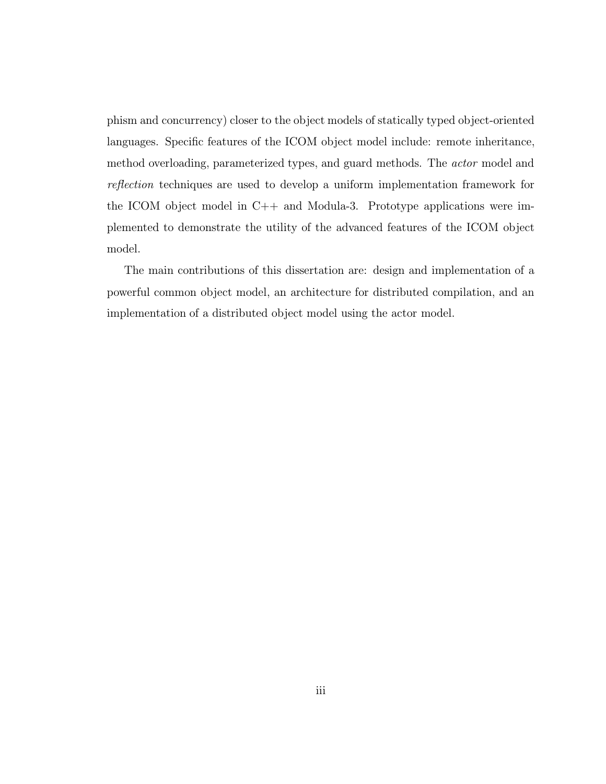phism and concurrency) closer to the object models of statically typed object-oriented languages. Specific features of the ICOM object model include: remote inheritance, method overloading, parameterized types, and guard methods. The actor model and reflection techniques are used to develop a uniform implementation framework for the ICOM object model in C++ and Modula-3. Prototype applications were implemented to demonstrate the utility of the advanced features of the ICOM object model.

The main contributions of this dissertation are: design and implementation of a powerful common object model, an architecture for distributed compilation, and an implementation of a distributed object model using the actor model.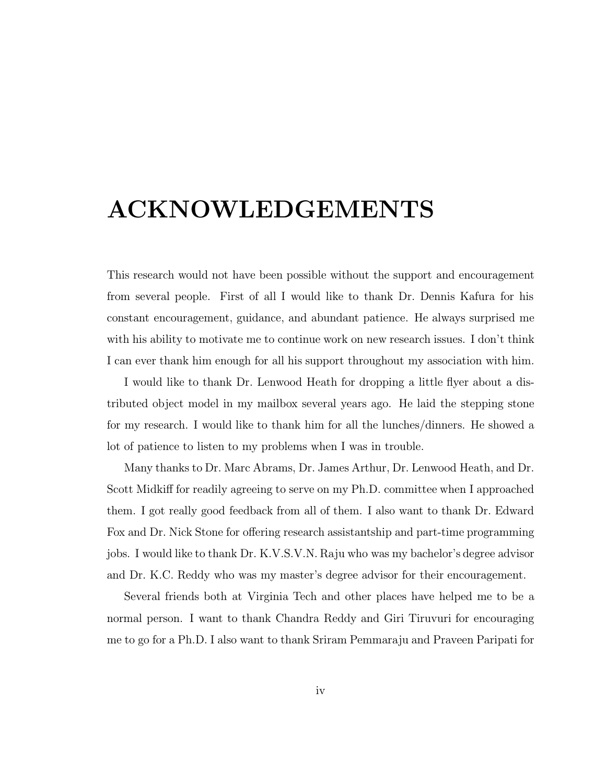## ACKNOWLEDGEMENTS

This research would not have been possible without the support and encouragement from several people. First of all I would like to thank Dr. Dennis Kafura for his constant encouragement, guidance, and abundant patience. He always surprised me with his ability to motivate me to continue work on new research issues. I don't think I can ever thank him enough for all his support throughout my association with him.

I would like to thank Dr. Lenwood Heath for dropping a little flyer about a distributed object model in my mailbox several years ago. He laid the stepping stone for my research. I would like to thank him for all the lunches/dinners. He showed a lot of patience to listen to my problems when I was in trouble.

Many thanks to Dr. Marc Abrams, Dr. James Arthur, Dr. Lenwood Heath, and Dr. Scott Midkiff for readily agreeing to serve on my Ph.D. committee when I approached them. I got really good feedback from all of them. I also want to thank Dr. Edward Fox and Dr. Nick Stone for offering research assistantship and part-time programming jobs. I would like to thank Dr. K.V.S.V.N. Raju who was my bachelor's degree advisor and Dr. K.C. Reddy who was my master's degree advisor for their encouragement.

Several friends both at Virginia Tech and other places have helped me to be a normal person. I want to thank Chandra Reddy and Giri Tiruvuri for encouraging me to go for a Ph.D. I also want to thank Sriram Pemmaraju and Praveen Paripati for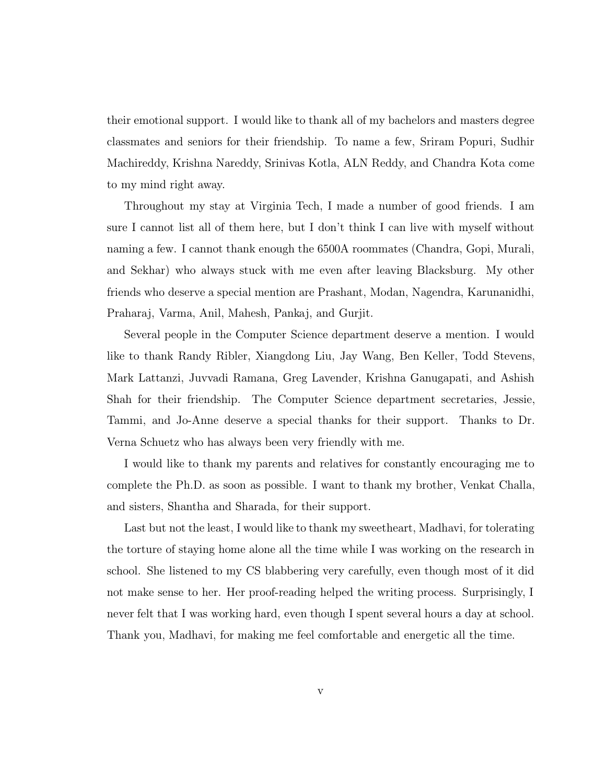their emotional support. I would like to thank all of my bachelors and masters degree classmates and seniors for their friendship. To name a few, Sriram Popuri, Sudhir Machireddy, Krishna Nareddy, Srinivas Kotla, ALN Reddy, and Chandra Kota come to my mind right away.

Throughout my stay at Virginia Tech, I made a number of good friends. I am sure I cannot list all of them here, but I don't think I can live with myself without naming a few. I cannot thank enough the 6500A roommates (Chandra, Gopi, Murali, and Sekhar) who always stuck with me even after leaving Blacksburg. My other friends who deserve a special mention are Prashant, Modan, Nagendra, Karunanidhi, Praharaj, Varma, Anil, Mahesh, Pankaj, and Gurjit.

Several people in the Computer Science department deserve a mention. I would like to thank Randy Ribler, Xiangdong Liu, Jay Wang, Ben Keller, Todd Stevens, Mark Lattanzi, Juvvadi Ramana, Greg Lavender, Krishna Ganugapati, and Ashish Shah for their friendship. The Computer Science department secretaries, Jessie, Tammi, and Jo-Anne deserve a special thanks for their support. Thanks to Dr. Verna Schuetz who has always been very friendly with me.

I would like to thank my parents and relatives for constantly encouraging me to complete the Ph.D. as soon as possible. I want to thank my brother, Venkat Challa, and sisters, Shantha and Sharada, for their support.

Last but not the least, I would like to thank my sweetheart, Madhavi, for tolerating the torture of staying home alone all the time while I was working on the research in school. She listened to my CS blabbering very carefully, even though most of it did not make sense to her. Her proof-reading helped the writing process. Surprisingly, I never felt that I was working hard, even though I spent several hours a day at school. Thank you, Madhavi, for making me feel comfortable and energetic all the time.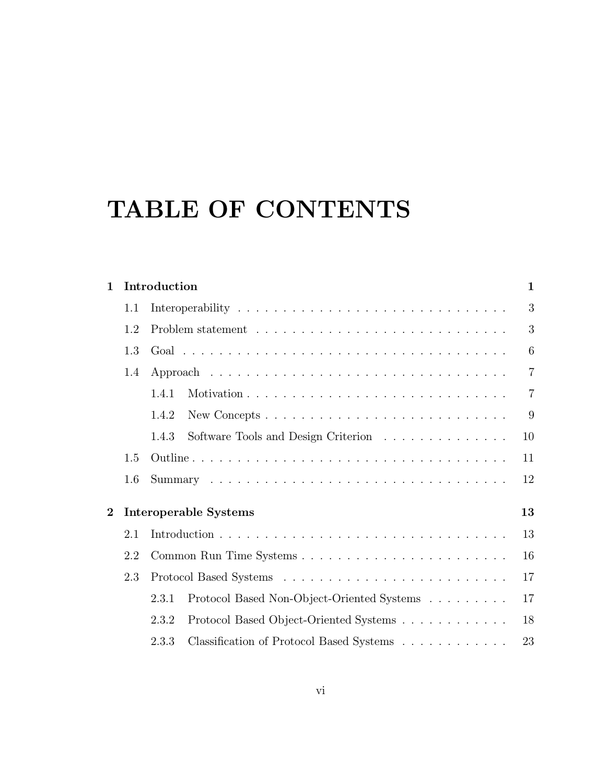# TABLE OF CONTENTS

|     | $\mathbf{1}$                                            |                                            |                                              |  |  |  |  |  |  |  |
|-----|---------------------------------------------------------|--------------------------------------------|----------------------------------------------|--|--|--|--|--|--|--|
| 1.1 |                                                         |                                            | 3                                            |  |  |  |  |  |  |  |
| 1.2 |                                                         |                                            | 3                                            |  |  |  |  |  |  |  |
| 1.3 |                                                         |                                            | 6                                            |  |  |  |  |  |  |  |
| 1.4 |                                                         |                                            | $\overline{7}$                               |  |  |  |  |  |  |  |
|     | 1.4.1                                                   |                                            | $\overline{7}$                               |  |  |  |  |  |  |  |
|     | 1.4.2                                                   |                                            | 9                                            |  |  |  |  |  |  |  |
|     | 1.4.3                                                   | Software Tools and Design Criterion        | 10                                           |  |  |  |  |  |  |  |
| 1.5 | 11                                                      |                                            |                                              |  |  |  |  |  |  |  |
| 1.6 | 12                                                      |                                            |                                              |  |  |  |  |  |  |  |
|     |                                                         |                                            | 13                                           |  |  |  |  |  |  |  |
| 2.1 |                                                         |                                            | 13                                           |  |  |  |  |  |  |  |
| 2.2 |                                                         |                                            | 16                                           |  |  |  |  |  |  |  |
| 2.3 |                                                         |                                            | 17                                           |  |  |  |  |  |  |  |
|     | 2.3.1                                                   | Protocol Based Non-Object-Oriented Systems | 17                                           |  |  |  |  |  |  |  |
|     | 2.3.2                                                   | Protocol Based Object-Oriented Systems     | 18                                           |  |  |  |  |  |  |  |
|     | Classification of Protocol Based Systems<br>23<br>2.3.3 |                                            |                                              |  |  |  |  |  |  |  |
|     |                                                         |                                            | Introduction<br><b>Interoperable Systems</b> |  |  |  |  |  |  |  |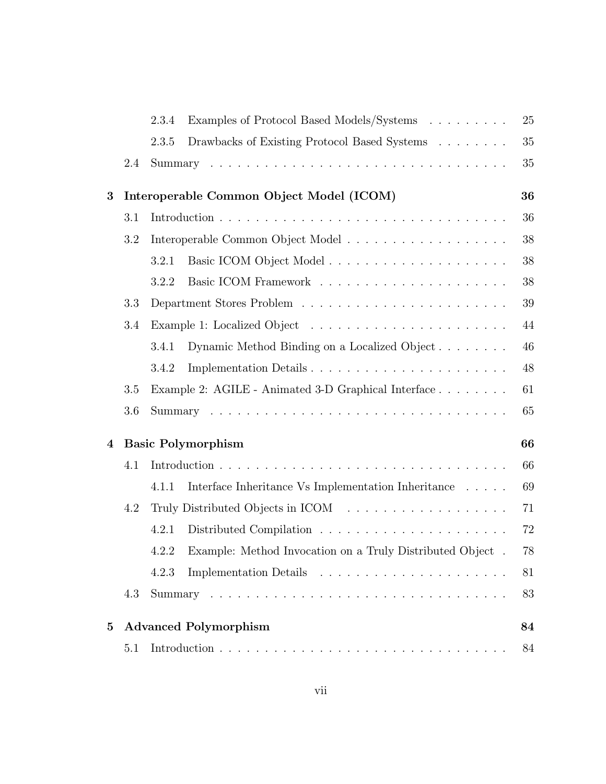|              |     | 2.3.4 | Examples of Protocol Based Models/Systems                 | 25 |
|--------------|-----|-------|-----------------------------------------------------------|----|
|              |     | 2.3.5 | Drawbacks of Existing Protocol Based Systems              | 35 |
|              | 2.4 |       |                                                           | 35 |
| 3            |     |       | Interoperable Common Object Model (ICOM)                  | 36 |
|              | 3.1 |       |                                                           | 36 |
|              | 3.2 |       |                                                           | 38 |
|              |     | 3.2.1 |                                                           | 38 |
|              |     | 3.2.2 |                                                           | 38 |
|              | 3.3 |       |                                                           | 39 |
|              | 3.4 |       |                                                           | 44 |
|              |     | 3.4.1 | Dynamic Method Binding on a Localized Object              | 46 |
|              |     | 3.4.2 | Implementation Details                                    | 48 |
|              | 3.5 |       | Example 2: AGILE - Animated 3-D Graphical Interface       | 61 |
|              | 3.6 |       |                                                           | 65 |
| 4            |     |       | <b>Basic Polymorphism</b>                                 | 66 |
|              | 4.1 |       |                                                           | 66 |
|              |     | 4.1.1 | Interface Inheritance Vs Implementation Inheritance       | 69 |
|              | 4.2 |       |                                                           | 71 |
|              |     | 4.2.1 |                                                           | 72 |
|              |     | 4.2.2 | Example: Method Invocation on a Truly Distributed Object. | 78 |
|              |     | 4.2.3 |                                                           | 81 |
|              | 4.3 |       |                                                           | 83 |
| $\mathbf{5}$ |     |       | <b>Advanced Polymorphism</b>                              | 84 |
|              | 5.1 |       |                                                           | 84 |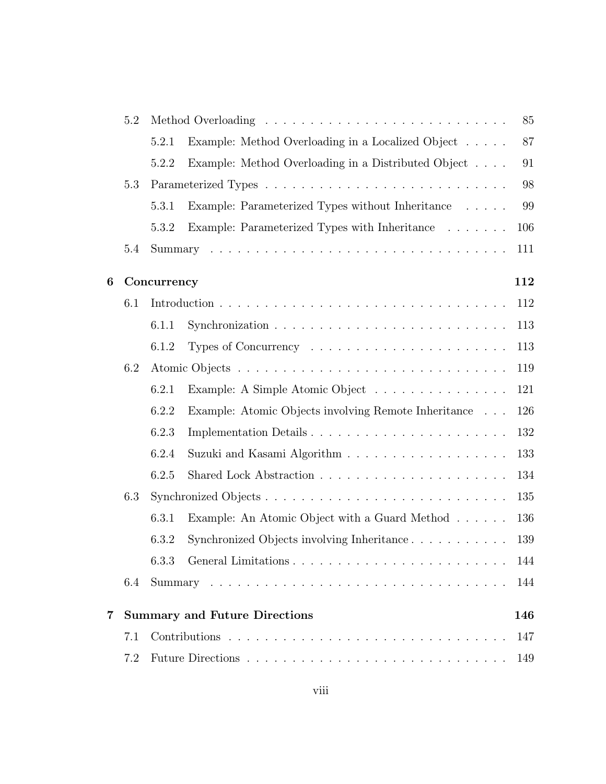|   | 5.2 |             | 85                                                                      |     |  |  |  |  |  |  |
|---|-----|-------------|-------------------------------------------------------------------------|-----|--|--|--|--|--|--|
|   |     | 5.2.1       | Example: Method Overloading in a Localized Object                       | 87  |  |  |  |  |  |  |
|   |     | 5.2.2       | Example: Method Overloading in a Distributed Object                     | 91  |  |  |  |  |  |  |
|   | 5.3 |             |                                                                         | 98  |  |  |  |  |  |  |
|   |     | 5.3.1       | Example: Parameterized Types without Inheritance                        | 99  |  |  |  |  |  |  |
|   |     | 5.3.2       | Example: Parameterized Types with Inheritance                           | 106 |  |  |  |  |  |  |
|   | 5.4 |             |                                                                         | 111 |  |  |  |  |  |  |
| 6 |     | Concurrency |                                                                         | 112 |  |  |  |  |  |  |
|   | 6.1 |             |                                                                         | 112 |  |  |  |  |  |  |
|   |     | 6.1.1       |                                                                         | 113 |  |  |  |  |  |  |
|   |     | 6.1.2       | Types of Concurrency $\ldots \ldots \ldots \ldots \ldots \ldots \ldots$ | 113 |  |  |  |  |  |  |
|   | 6.2 |             |                                                                         | 119 |  |  |  |  |  |  |
|   |     | 6.2.1       | Example: A Simple Atomic Object                                         | 121 |  |  |  |  |  |  |
|   |     | 6.2.2       | Example: Atomic Objects involving Remote Inheritance                    | 126 |  |  |  |  |  |  |
|   |     | 6.2.3       | Implementation Details                                                  | 132 |  |  |  |  |  |  |
|   |     | 6.2.4       |                                                                         | 133 |  |  |  |  |  |  |
|   |     | 6.2.5       |                                                                         | 134 |  |  |  |  |  |  |
|   | 6.3 |             |                                                                         | 135 |  |  |  |  |  |  |
|   |     | 6.3.1       | Example: An Atomic Object with a Guard Method                           | 136 |  |  |  |  |  |  |
|   |     | 6.3.2       | Synchronized Objects involving Inheritance                              | 139 |  |  |  |  |  |  |
|   |     |             | 6.3.3 General Limitations                                               | 144 |  |  |  |  |  |  |
|   | 6.4 |             |                                                                         | 144 |  |  |  |  |  |  |
| 7 |     |             | <b>Summary and Future Directions</b>                                    | 146 |  |  |  |  |  |  |
|   | 7.1 |             |                                                                         | 147 |  |  |  |  |  |  |
|   | 7.2 |             |                                                                         | 149 |  |  |  |  |  |  |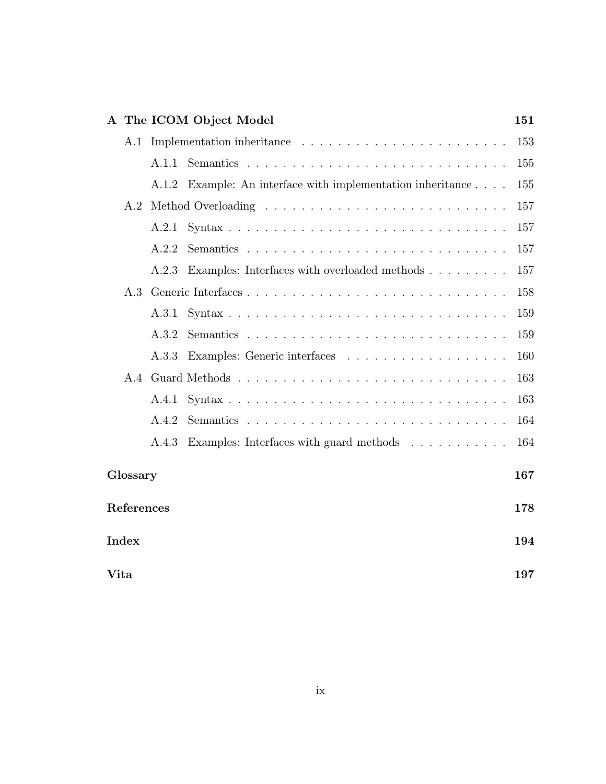|            |       | A The ICOM Object Model                                        | 151 |
|------------|-------|----------------------------------------------------------------|-----|
| A.1        |       |                                                                | 153 |
|            | A.1.1 |                                                                | 155 |
|            |       | A.1.2 Example: An interface with implementation inheritance    | 155 |
| A.2        |       |                                                                | 157 |
|            | A.2.1 |                                                                | 157 |
|            | A.2.2 |                                                                | 157 |
|            | A.2.3 | Examples: Interfaces with overloaded methods                   | 157 |
| A.3        |       |                                                                | 158 |
|            | A.3.1 |                                                                | 159 |
|            | A.3.2 |                                                                | 159 |
|            | A.3.3 |                                                                | 160 |
| A.4        |       |                                                                | 163 |
|            | A.4.1 |                                                                | 163 |
|            | A.4.2 |                                                                | 164 |
|            | A.4.3 | Examples: Interfaces with guard methods $\ldots \ldots \ldots$ | 164 |
| Glossary   |       |                                                                | 167 |
| References |       |                                                                | 178 |
| Index      |       |                                                                | 194 |
| Vita       |       |                                                                | 197 |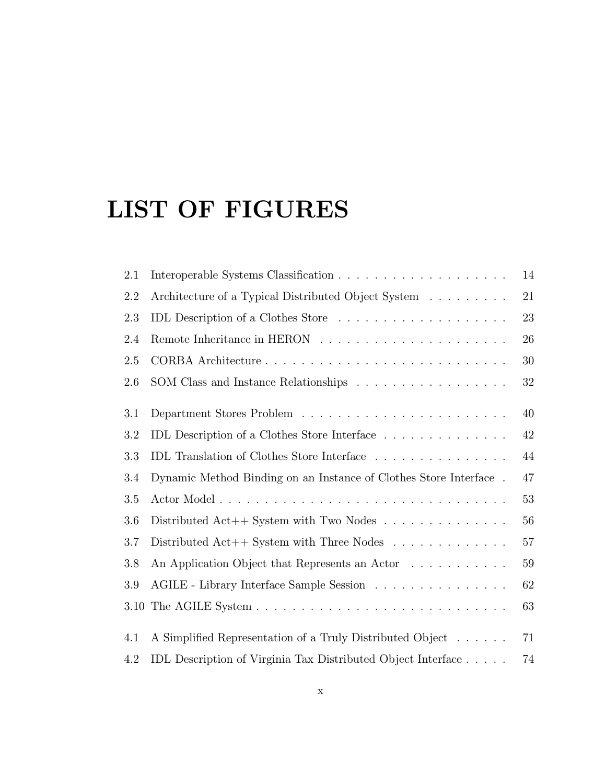# LIST OF FIGURES

| 2.1  |                                                                     | 14     |
|------|---------------------------------------------------------------------|--------|
| 2.2  | Architecture of a Typical Distributed Object System                 | $21\,$ |
| 2.3  | IDL Description of a Clothes Store                                  | 23     |
| 2.4  |                                                                     | 26     |
| 2.5  |                                                                     | 30     |
| 2.6  | SOM Class and Instance Relationships                                | $32\,$ |
| 3.1  |                                                                     | 40     |
| 3.2  | IDL Description of a Clothes Store Interface                        | 42     |
| 3.3  | IDL Translation of Clothes Store Interface                          | 44     |
| 3.4  | Dynamic Method Binding on an Instance of Clothes Store Interface.   | 47     |
| 3.5  |                                                                     | $53\,$ |
| 3.6  | Distributed Act++ System with Two Nodes $\dots \dots \dots \dots$   | 56     |
| 3.7  | Distributed Act++ System with Three Nodes $\dots \dots \dots \dots$ | $57\,$ |
| 3.8  | An Application Object that Represents an Actor                      | 59     |
| 3.9  | AGILE - Library Interface Sample Session                            | 62     |
| 3.10 |                                                                     | 63     |
| 4.1  | A Simplified Representation of a Truly Distributed Object           | 71     |
| 4.2  | IDL Description of Virginia Tax Distributed Object Interface        | 74     |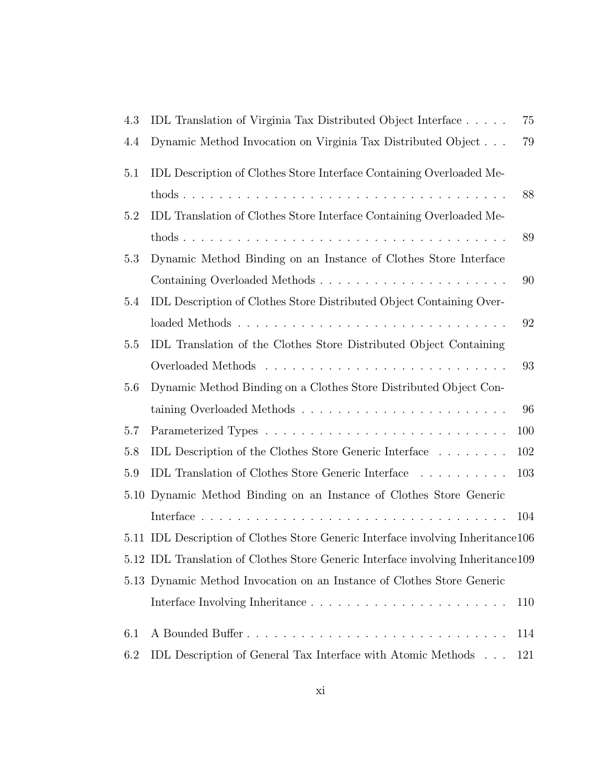| 4.3 | IDL Translation of Virginia Tax Distributed Object Interface                     | 75  |
|-----|----------------------------------------------------------------------------------|-----|
| 4.4 | Dynamic Method Invocation on Virginia Tax Distributed Object                     | 79  |
| 5.1 | IDL Description of Clothes Store Interface Containing Overloaded Me-             |     |
|     |                                                                                  | 88  |
| 5.2 | IDL Translation of Clothes Store Interface Containing Overloaded Me-             |     |
|     |                                                                                  | 89  |
| 5.3 | Dynamic Method Binding on an Instance of Clothes Store Interface                 |     |
|     |                                                                                  | 90  |
| 5.4 | IDL Description of Clothes Store Distributed Object Containing Over-             |     |
|     |                                                                                  | 92  |
| 5.5 | IDL Translation of the Clothes Store Distributed Object Containing               |     |
|     |                                                                                  | 93  |
| 5.6 | Dynamic Method Binding on a Clothes Store Distributed Object Con-                |     |
|     | taining Overloaded Methods                                                       | 96  |
| 5.7 |                                                                                  | 100 |
| 5.8 | IDL Description of the Clothes Store Generic Interface $\ldots \ldots \ldots$    | 102 |
| 5.9 | IDL Translation of Clothes Store Generic Interface                               | 103 |
|     | 5.10 Dynamic Method Binding on an Instance of Clothes Store Generic              |     |
|     |                                                                                  | 104 |
|     | 5.11 IDL Description of Clothes Store Generic Interface involving Inheritance106 |     |
|     | 5.12 IDL Translation of Clothes Store Generic Interface involving Inheritance109 |     |
|     | 5.13 Dynamic Method Invocation on an Instance of Clothes Store Generic           |     |
|     |                                                                                  | 110 |
| 6.1 |                                                                                  | 114 |
| 6.2 | IDL Description of General Tax Interface with Atomic Methods                     | 121 |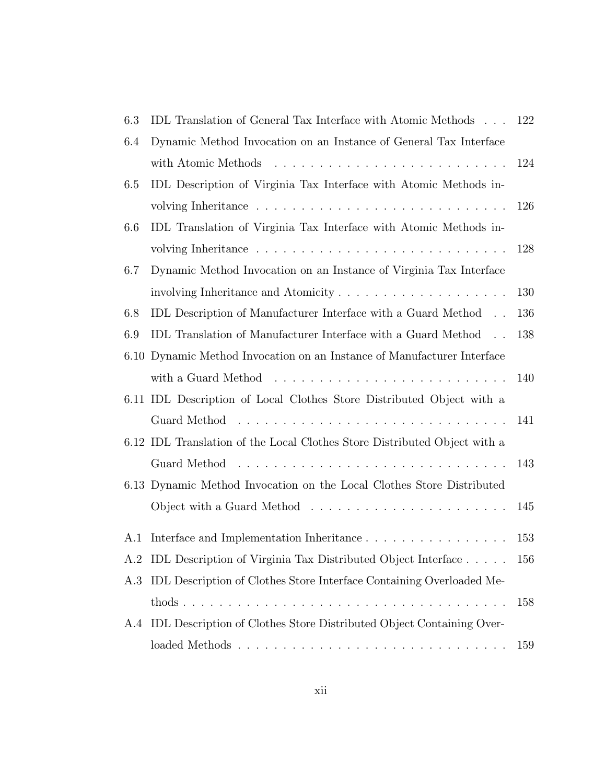| 6.3 | IDL Translation of General Tax Interface with Atomic Methods                 | 122 |
|-----|------------------------------------------------------------------------------|-----|
| 6.4 | Dynamic Method Invocation on an Instance of General Tax Interface            |     |
|     |                                                                              | 124 |
| 6.5 | IDL Description of Virginia Tax Interface with Atomic Methods in-            |     |
|     |                                                                              | 126 |
| 6.6 | IDL Translation of Virginia Tax Interface with Atomic Methods in-            |     |
|     |                                                                              | 128 |
| 6.7 | Dynamic Method Invocation on an Instance of Virginia Tax Interface           |     |
|     |                                                                              | 130 |
| 6.8 | IDL Description of Manufacturer Interface with a Guard Method                | 136 |
| 6.9 | IDL Translation of Manufacturer Interface with a Guard Method                | 138 |
|     | 6.10 Dynamic Method Invocation on an Instance of Manufacturer Interface      |     |
|     |                                                                              | 140 |
|     | 6.11 IDL Description of Local Clothes Store Distributed Object with a        |     |
|     | Guard Method                                                                 | 141 |
|     | 6.12 IDL Translation of the Local Clothes Store Distributed Object with a    |     |
|     |                                                                              | 143 |
|     | 6.13 Dynamic Method Invocation on the Local Clothes Store Distributed        |     |
|     | Object with a Guard Method $\dots \dots \dots \dots \dots \dots \dots \dots$ | 145 |
| A.1 |                                                                              | 153 |
|     | A.2 IDL Description of Virginia Tax Distributed Object Interface             | 156 |
| A.3 | IDL Description of Clothes Store Interface Containing Overloaded Me-         |     |
|     |                                                                              | 158 |
| A.4 | IDL Description of Clothes Store Distributed Object Containing Over-         |     |
|     |                                                                              | 159 |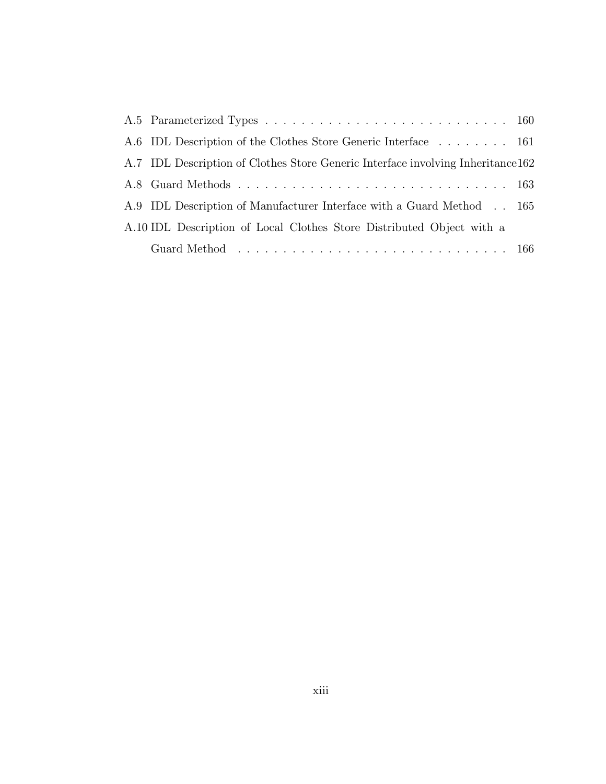| A.6 IDL Description of the Clothes Store Generic Interface 161                   |  |
|----------------------------------------------------------------------------------|--|
| A.7 IDL Description of Clothes Store Generic Interface involving Interitance 162 |  |
|                                                                                  |  |
| A.9 IDL Description of Manufacturer Interface with a Guard Method 165            |  |
| A.10 IDL Description of Local Clothes Store Distributed Object with a            |  |
|                                                                                  |  |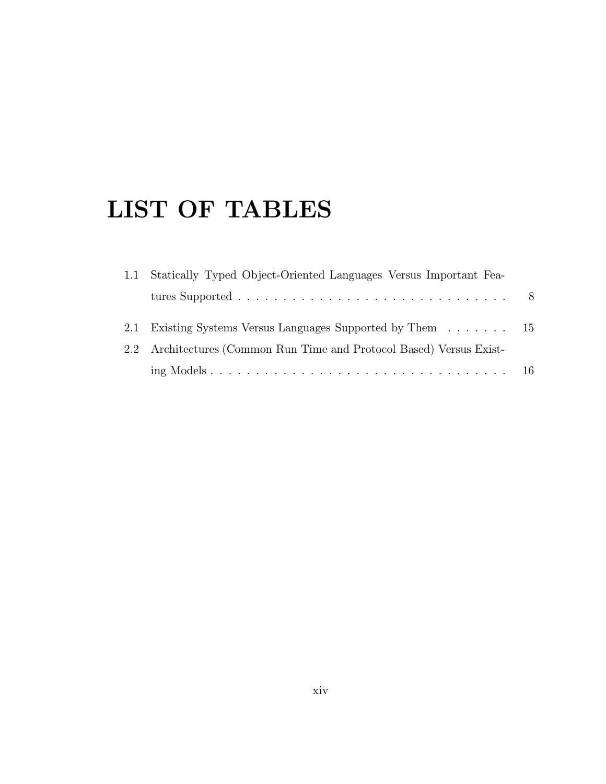# LIST OF TABLES

| 1.1 Statically Typed Object-Oriented Languages Versus Important Fea- |  |
|----------------------------------------------------------------------|--|
|                                                                      |  |
| 2.1 Existing Systems Versus Languages Supported by Them 15           |  |
| 2.2 Architectures (Common Run Time and Protocol Based) Versus Exist- |  |
|                                                                      |  |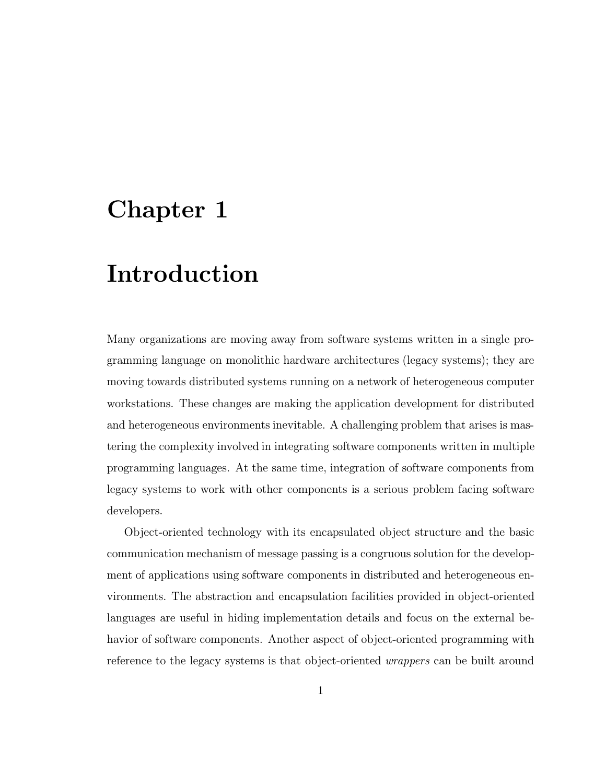## Chapter 1

## Introduction

Many organizations are moving away from software systems written in a single programming language on monolithic hardware architectures (legacy systems); they are moving towards distributed systems running on a network of heterogeneous computer workstations. These changes are making the application development for distributed and heterogeneous environments inevitable. A challenging problem that arises is mastering the complexity involved in integrating software components written in multiple programming languages. At the same time, integration of software components from legacy systems to work with other components is a serious problem facing software developers.

Object-oriented technology with its encapsulated object structure and the basic communication mechanism of message passing is a congruous solution for the development of applications using software components in distributed and heterogeneous environments. The abstraction and encapsulation facilities provided in object-oriented languages are useful in hiding implementation details and focus on the external behavior of software components. Another aspect of object-oriented programming with reference to the legacy systems is that object-oriented wrappers can be built around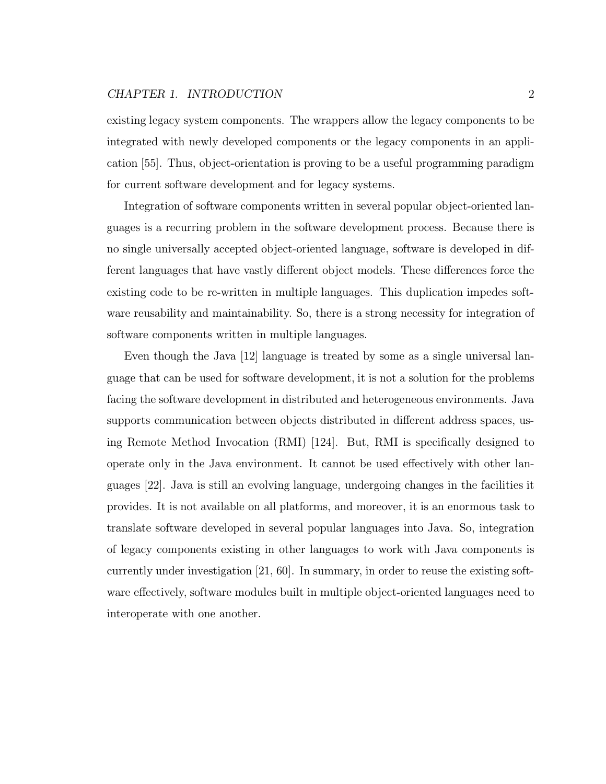existing legacy system components. The wrappers allow the legacy components to be integrated with newly developed components or the legacy components in an application [55]. Thus, object-orientation is proving to be a useful programming paradigm for current software development and for legacy systems.

Integration of software components written in several popular object-oriented languages is a recurring problem in the software development process. Because there is no single universally accepted object-oriented language, software is developed in different languages that have vastly different object models. These differences force the existing code to be re-written in multiple languages. This duplication impedes software reusability and maintainability. So, there is a strong necessity for integration of software components written in multiple languages.

Even though the Java [12] language is treated by some as a single universal language that can be used for software development, it is not a solution for the problems facing the software development in distributed and heterogeneous environments. Java supports communication between objects distributed in different address spaces, using Remote Method Invocation (RMI) [124]. But, RMI is specifically designed to operate only in the Java environment. It cannot be used effectively with other languages [22]. Java is still an evolving language, undergoing changes in the facilities it provides. It is not available on all platforms, and moreover, it is an enormous task to translate software developed in several popular languages into Java. So, integration of legacy components existing in other languages to work with Java components is currently under investigation [21, 60]. In summary, in order to reuse the existing software effectively, software modules built in multiple object-oriented languages need to interoperate with one another.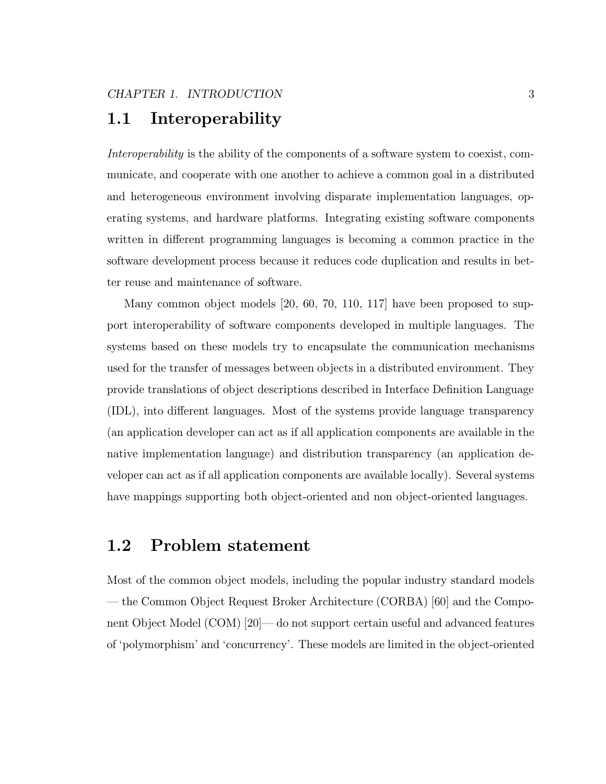## 1.1 Interoperability

Interoperability is the ability of the components of a software system to coexist, communicate, and cooperate with one another to achieve a common goal in a distributed and heterogeneous environment involving disparate implementation languages, operating systems, and hardware platforms. Integrating existing software components written in different programming languages is becoming a common practice in the software development process because it reduces code duplication and results in better reuse and maintenance of software.

Many common object models [20, 60, 70, 110, 117] have been proposed to support interoperability of software components developed in multiple languages. The systems based on these models try to encapsulate the communication mechanisms used for the transfer of messages between objects in a distributed environment. They provide translations of object descriptions described in Interface Definition Language (IDL), into different languages. Most of the systems provide language transparency (an application developer can act as if all application components are available in the native implementation language) and distribution transparency (an application developer can act as if all application components are available locally). Several systems have mappings supporting both object-oriented and non object-oriented languages.

## 1.2 Problem statement

Most of the common object models, including the popular industry standard models — the Common Object Request Broker Architecture (CORBA) [60] and the Component Object Model (COM) [20]— do not support certain useful and advanced features of 'polymorphism' and 'concurrency'. These models are limited in the object-oriented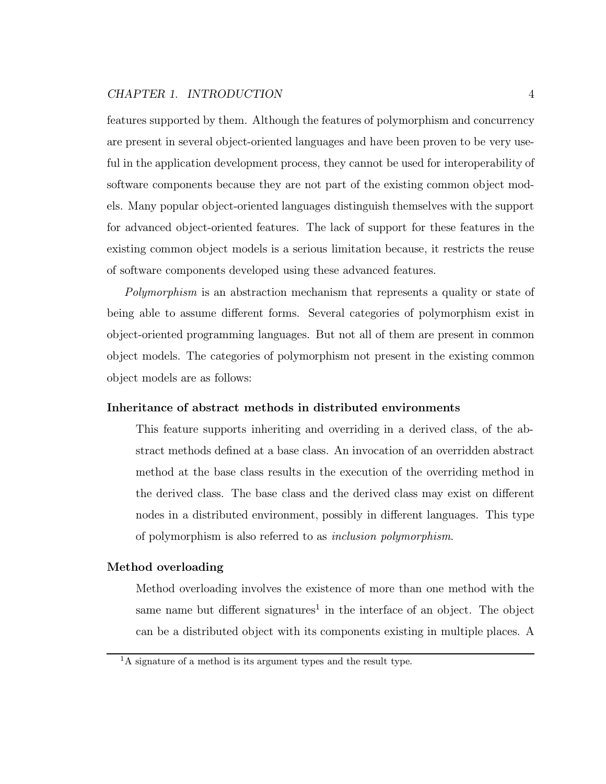features supported by them. Although the features of polymorphism and concurrency are present in several object-oriented languages and have been proven to be very useful in the application development process, they cannot be used for interoperability of software components because they are not part of the existing common object models. Many popular object-oriented languages distinguish themselves with the support for advanced object-oriented features. The lack of support for these features in the existing common object models is a serious limitation because, it restricts the reuse of software components developed using these advanced features.

Polymorphism is an abstraction mechanism that represents a quality or state of being able to assume different forms. Several categories of polymorphism exist in object-oriented programming languages. But not all of them are present in common object models. The categories of polymorphism not present in the existing common object models are as follows:

#### Inheritance of abstract methods in distributed environments

This feature supports inheriting and overriding in a derived class, of the abstract methods defined at a base class. An invocation of an overridden abstract method at the base class results in the execution of the overriding method in the derived class. The base class and the derived class may exist on different nodes in a distributed environment, possibly in different languages. This type of polymorphism is also referred to as inclusion polymorphism.

#### Method overloading

Method overloading involves the existence of more than one method with the same name but different signatures<sup>1</sup> in the interface of an object. The object can be a distributed object with its components existing in multiple places. A

<sup>&</sup>lt;sup>1</sup>A signature of a method is its argument types and the result type.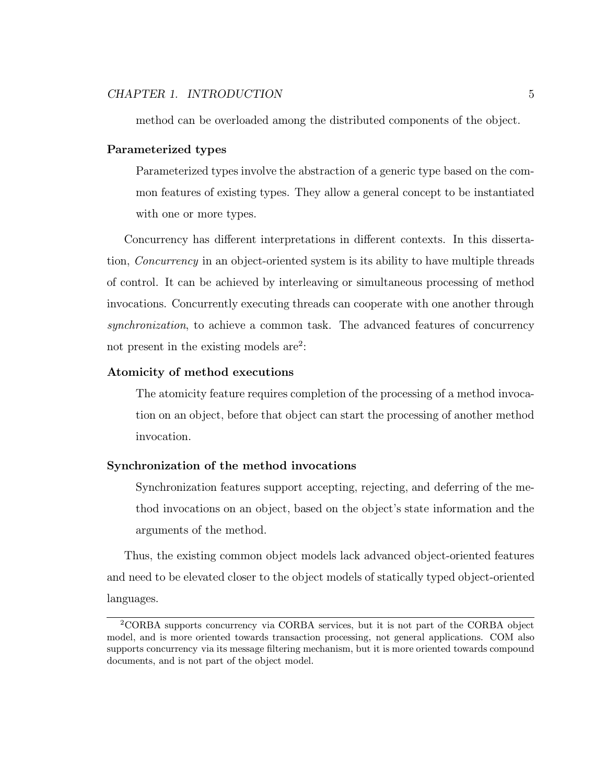method can be overloaded among the distributed components of the object.

#### Parameterized types

Parameterized types involve the abstraction of a generic type based on the common features of existing types. They allow a general concept to be instantiated with one or more types.

Concurrency has different interpretations in different contexts. In this dissertation, Concurrency in an object-oriented system is its ability to have multiple threads of control. It can be achieved by interleaving or simultaneous processing of method invocations. Concurrently executing threads can cooperate with one another through synchronization, to achieve a common task. The advanced features of concurrency not present in the existing models are<sup>2</sup>:

#### Atomicity of method executions

The atomicity feature requires completion of the processing of a method invocation on an object, before that object can start the processing of another method invocation.

#### Synchronization of the method invocations

Synchronization features support accepting, rejecting, and deferring of the method invocations on an object, based on the object's state information and the arguments of the method.

Thus, the existing common object models lack advanced object-oriented features and need to be elevated closer to the object models of statically typed object-oriented languages.

<sup>2</sup>CORBA supports concurrency via CORBA services, but it is not part of the CORBA object model, and is more oriented towards transaction processing, not general applications. COM also supports concurrency via its message filtering mechanism, but it is more oriented towards compound documents, and is not part of the object model.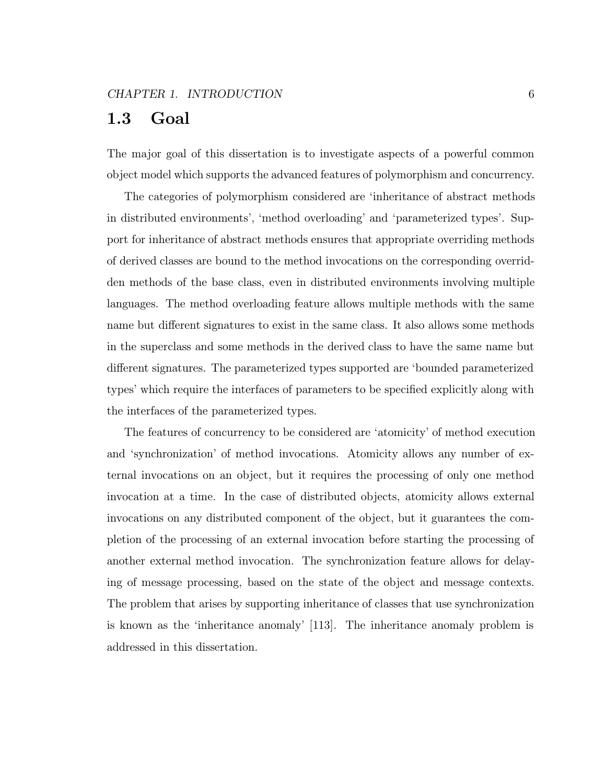## 1.3 Goal

The major goal of this dissertation is to investigate aspects of a powerful common object model which supports the advanced features of polymorphism and concurrency.

The categories of polymorphism considered are 'inheritance of abstract methods in distributed environments', 'method overloading' and 'parameterized types'. Support for inheritance of abstract methods ensures that appropriate overriding methods of derived classes are bound to the method invocations on the corresponding overridden methods of the base class, even in distributed environments involving multiple languages. The method overloading feature allows multiple methods with the same name but different signatures to exist in the same class. It also allows some methods in the superclass and some methods in the derived class to have the same name but different signatures. The parameterized types supported are 'bounded parameterized types' which require the interfaces of parameters to be specified explicitly along with the interfaces of the parameterized types.

The features of concurrency to be considered are 'atomicity' of method execution and 'synchronization' of method invocations. Atomicity allows any number of external invocations on an object, but it requires the processing of only one method invocation at a time. In the case of distributed objects, atomicity allows external invocations on any distributed component of the object, but it guarantees the completion of the processing of an external invocation before starting the processing of another external method invocation. The synchronization feature allows for delaying of message processing, based on the state of the object and message contexts. The problem that arises by supporting inheritance of classes that use synchronization is known as the 'inheritance anomaly' [113]. The inheritance anomaly problem is addressed in this dissertation.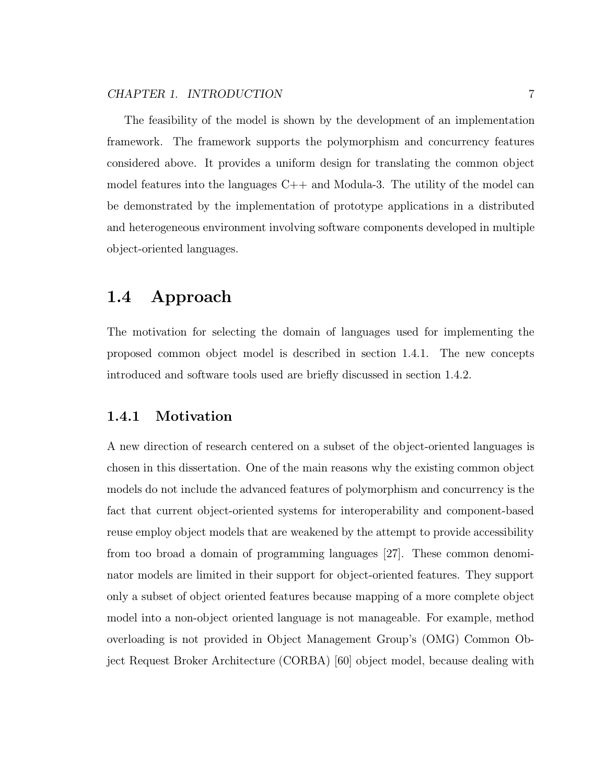The feasibility of the model is shown by the development of an implementation framework. The framework supports the polymorphism and concurrency features considered above. It provides a uniform design for translating the common object model features into the languages  $C_{++}$  and Modula-3. The utility of the model can be demonstrated by the implementation of prototype applications in a distributed and heterogeneous environment involving software components developed in multiple object-oriented languages.

## 1.4 Approach

The motivation for selecting the domain of languages used for implementing the proposed common object model is described in section 1.4.1. The new concepts introduced and software tools used are briefly discussed in section 1.4.2.

#### 1.4.1 Motivation

A new direction of research centered on a subset of the object-oriented languages is chosen in this dissertation. One of the main reasons why the existing common object models do not include the advanced features of polymorphism and concurrency is the fact that current object-oriented systems for interoperability and component-based reuse employ object models that are weakened by the attempt to provide accessibility from too broad a domain of programming languages [27]. These common denominator models are limited in their support for object-oriented features. They support only a subset of object oriented features because mapping of a more complete object model into a non-object oriented language is not manageable. For example, method overloading is not provided in Object Management Group's (OMG) Common Object Request Broker Architecture (CORBA) [60] object model, because dealing with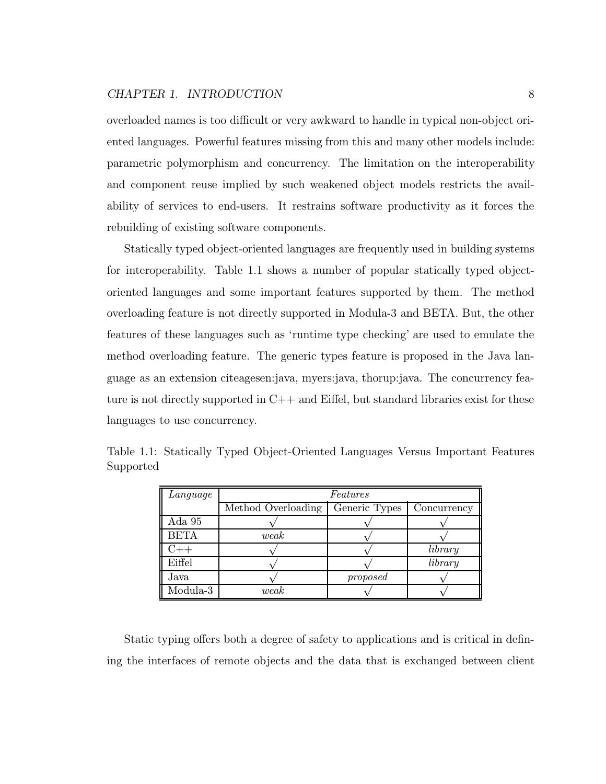overloaded names is too difficult or very awkward to handle in typical non-object oriented languages. Powerful features missing from this and many other models include: parametric polymorphism and concurrency. The limitation on the interoperability and component reuse implied by such weakened object models restricts the availability of services to end-users. It restrains software productivity as it forces the rebuilding of existing software components.

Statically typed object-oriented languages are frequently used in building systems for interoperability. Table 1.1 shows a number of popular statically typed objectoriented languages and some important features supported by them. The method overloading feature is not directly supported in Modula-3 and BETA. But, the other features of these languages such as 'runtime type checking' are used to emulate the method overloading feature. The generic types feature is proposed in the Java language as an extension citeagesen:java, myers:java, thorup:java. The concurrency feature is not directly supported in  $C_{++}$  and Eiffel, but standard libraries exist for these languages to use concurrency.

| Language             | Features           |               |             |  |  |  |  |  |  |
|----------------------|--------------------|---------------|-------------|--|--|--|--|--|--|
|                      | Method Overloading | Generic Types | Concurrency |  |  |  |  |  |  |
| $_{\rm Ada}$ $_{95}$ |                    |               |             |  |  |  |  |  |  |
| <b>BETA</b>          | weak               |               |             |  |  |  |  |  |  |
|                      |                    |               | library     |  |  |  |  |  |  |
| Eiffel               |                    |               | library     |  |  |  |  |  |  |
| Java                 |                    | proposed      |             |  |  |  |  |  |  |
| Modula-3             | weak               |               |             |  |  |  |  |  |  |

Table 1.1: Statically Typed Object-Oriented Languages Versus Important Features Supported

Static typing offers both a degree of safety to applications and is critical in defining the interfaces of remote objects and the data that is exchanged between client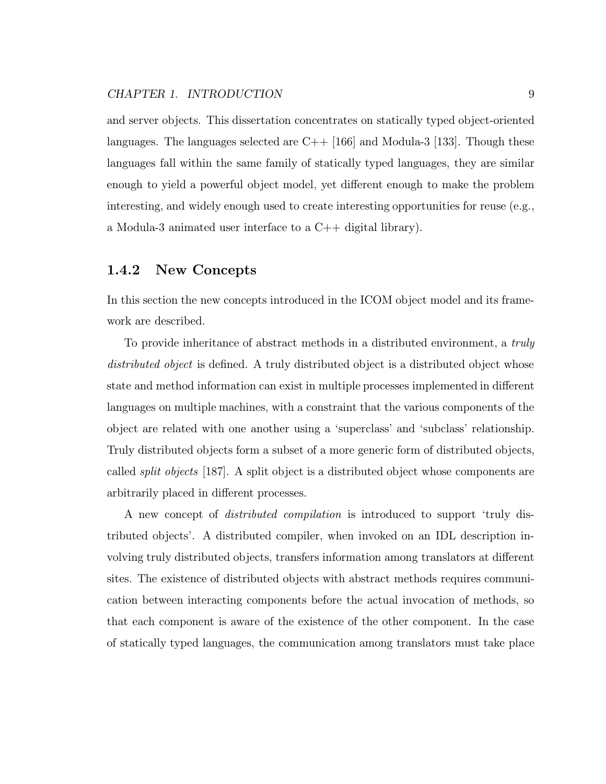and server objects. This dissertation concentrates on statically typed object-oriented languages. The languages selected are  $C_{++}$  [166] and Modula-3 [133]. Though these languages fall within the same family of statically typed languages, they are similar enough to yield a powerful object model, yet different enough to make the problem interesting, and widely enough used to create interesting opportunities for reuse (e.g., a Modula-3 animated user interface to a C++ digital library).

#### 1.4.2 New Concepts

In this section the new concepts introduced in the ICOM object model and its framework are described.

To provide inheritance of abstract methods in a distributed environment, a truly distributed object is defined. A truly distributed object is a distributed object whose state and method information can exist in multiple processes implemented in different languages on multiple machines, with a constraint that the various components of the object are related with one another using a 'superclass' and 'subclass' relationship. Truly distributed objects form a subset of a more generic form of distributed objects, called *split objects* [187]. A split object is a distributed object whose components are arbitrarily placed in different processes.

A new concept of distributed compilation is introduced to support 'truly distributed objects'. A distributed compiler, when invoked on an IDL description involving truly distributed objects, transfers information among translators at different sites. The existence of distributed objects with abstract methods requires communication between interacting components before the actual invocation of methods, so that each component is aware of the existence of the other component. In the case of statically typed languages, the communication among translators must take place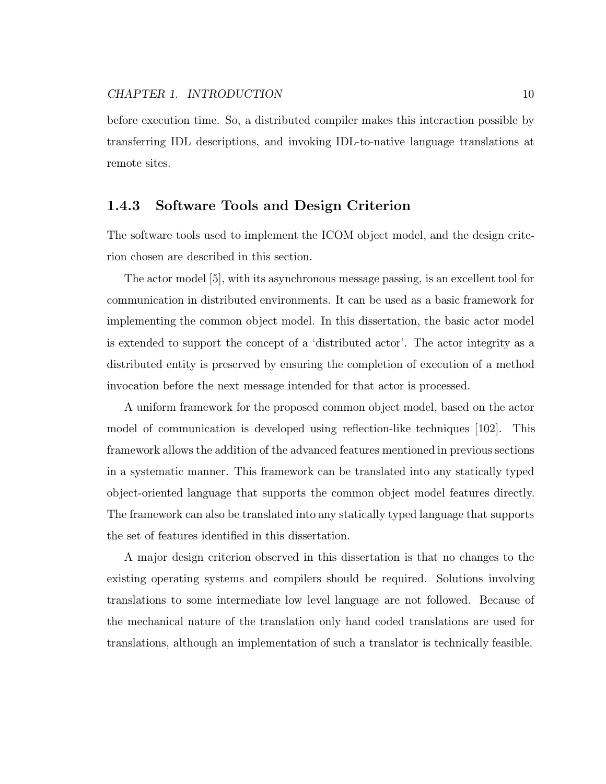before execution time. So, a distributed compiler makes this interaction possible by transferring IDL descriptions, and invoking IDL-to-native language translations at remote sites.

#### 1.4.3 Software Tools and Design Criterion

The software tools used to implement the ICOM object model, and the design criterion chosen are described in this section.

The actor model [5], with its asynchronous message passing, is an excellent tool for communication in distributed environments. It can be used as a basic framework for implementing the common object model. In this dissertation, the basic actor model is extended to support the concept of a 'distributed actor'. The actor integrity as a distributed entity is preserved by ensuring the completion of execution of a method invocation before the next message intended for that actor is processed.

A uniform framework for the proposed common object model, based on the actor model of communication is developed using reflection-like techniques [102]. This framework allows the addition of the advanced features mentioned in previous sections in a systematic manner. This framework can be translated into any statically typed object-oriented language that supports the common object model features directly. The framework can also be translated into any statically typed language that supports the set of features identified in this dissertation.

A major design criterion observed in this dissertation is that no changes to the existing operating systems and compilers should be required. Solutions involving translations to some intermediate low level language are not followed. Because of the mechanical nature of the translation only hand coded translations are used for translations, although an implementation of such a translator is technically feasible.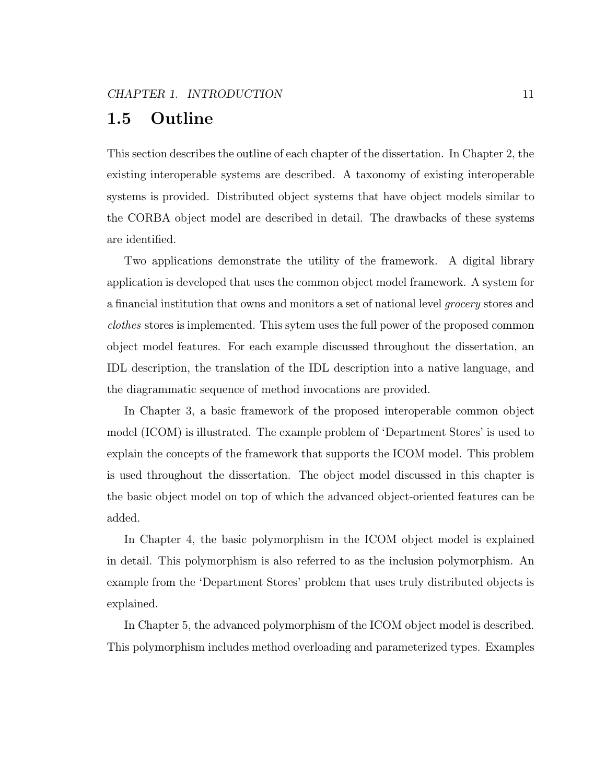## 1.5 Outline

This section describes the outline of each chapter of the dissertation. In Chapter 2, the existing interoperable systems are described. A taxonomy of existing interoperable systems is provided. Distributed object systems that have object models similar to the CORBA object model are described in detail. The drawbacks of these systems are identified.

Two applications demonstrate the utility of the framework. A digital library application is developed that uses the common object model framework. A system for a financial institution that owns and monitors a set of national level grocery stores and clothes stores is implemented. This sytem uses the full power of the proposed common object model features. For each example discussed throughout the dissertation, an IDL description, the translation of the IDL description into a native language, and the diagrammatic sequence of method invocations are provided.

In Chapter 3, a basic framework of the proposed interoperable common object model (ICOM) is illustrated. The example problem of 'Department Stores' is used to explain the concepts of the framework that supports the ICOM model. This problem is used throughout the dissertation. The object model discussed in this chapter is the basic object model on top of which the advanced object-oriented features can be added.

In Chapter 4, the basic polymorphism in the ICOM object model is explained in detail. This polymorphism is also referred to as the inclusion polymorphism. An example from the 'Department Stores' problem that uses truly distributed objects is explained.

In Chapter 5, the advanced polymorphism of the ICOM object model is described. This polymorphism includes method overloading and parameterized types. Examples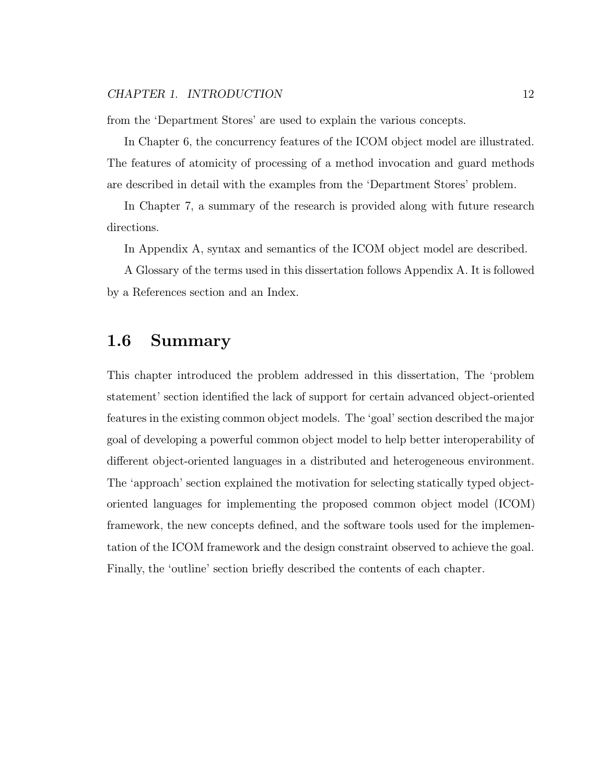from the 'Department Stores' are used to explain the various concepts.

In Chapter 6, the concurrency features of the ICOM object model are illustrated. The features of atomicity of processing of a method invocation and guard methods are described in detail with the examples from the 'Department Stores' problem.

In Chapter 7, a summary of the research is provided along with future research directions.

In Appendix A, syntax and semantics of the ICOM object model are described.

A Glossary of the terms used in this dissertation follows Appendix A. It is followed by a References section and an Index.

### 1.6 Summary

This chapter introduced the problem addressed in this dissertation, The 'problem statement' section identified the lack of support for certain advanced object-oriented features in the existing common object models. The 'goal' section described the major goal of developing a powerful common object model to help better interoperability of different object-oriented languages in a distributed and heterogeneous environment. The 'approach' section explained the motivation for selecting statically typed objectoriented languages for implementing the proposed common object model (ICOM) framework, the new concepts defined, and the software tools used for the implementation of the ICOM framework and the design constraint observed to achieve the goal. Finally, the 'outline' section briefly described the contents of each chapter.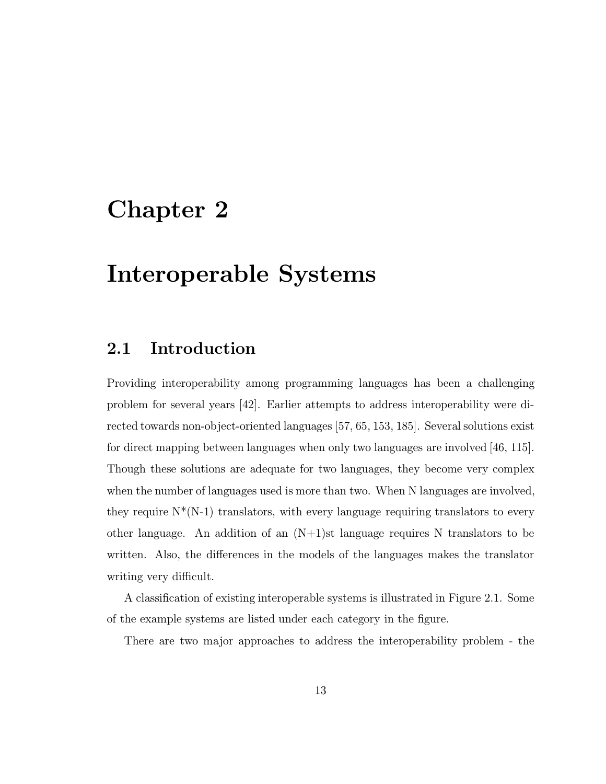## Chapter 2

## Interoperable Systems

## 2.1 Introduction

Providing interoperability among programming languages has been a challenging problem for several years [42]. Earlier attempts to address interoperability were directed towards non-object-oriented languages [57, 65, 153, 185]. Several solutions exist for direct mapping between languages when only two languages are involved [46, 115]. Though these solutions are adequate for two languages, they become very complex when the number of languages used is more than two. When N languages are involved, they require  $N^*(N-1)$  translators, with every language requiring translators to every other language. An addition of an  $(N+1)$ st language requires N translators to be written. Also, the differences in the models of the languages makes the translator writing very difficult.

A classification of existing interoperable systems is illustrated in Figure 2.1. Some of the example systems are listed under each category in the figure.

There are two major approaches to address the interoperability problem - the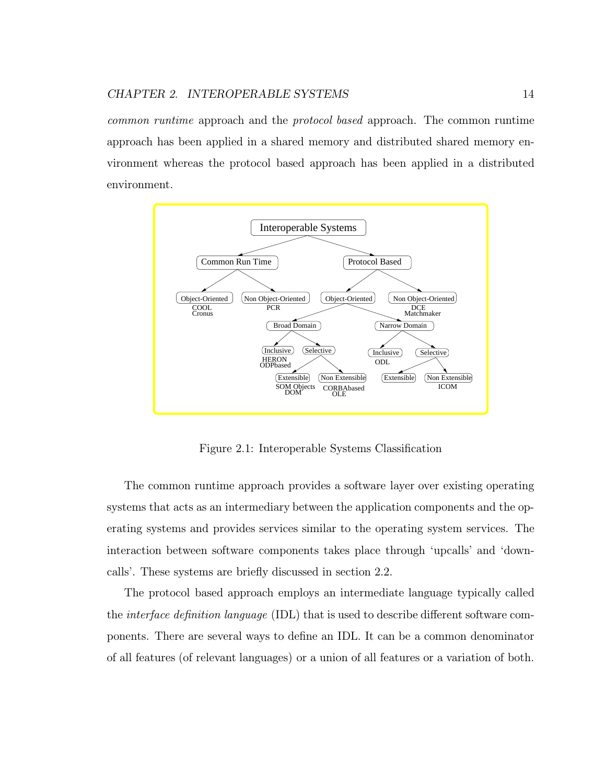common runtime approach and the protocol based approach. The common runtime approach has been applied in a shared memory and distributed shared memory environment whereas the protocol based approach has been applied in a distributed environment.



Figure 2.1: Interoperable Systems Classification

The common runtime approach provides a software layer over existing operating systems that acts as an intermediary between the application components and the operating systems and provides services similar to the operating system services. The interaction between software components takes place through 'upcalls' and 'downcalls'. These systems are briefly discussed in section 2.2.

The protocol based approach employs an intermediate language typically called the interface definition language (IDL) that is used to describe different software components. There are several ways to define an IDL. It can be a common denominator of all features (of relevant languages) or a union of all features or a variation of both.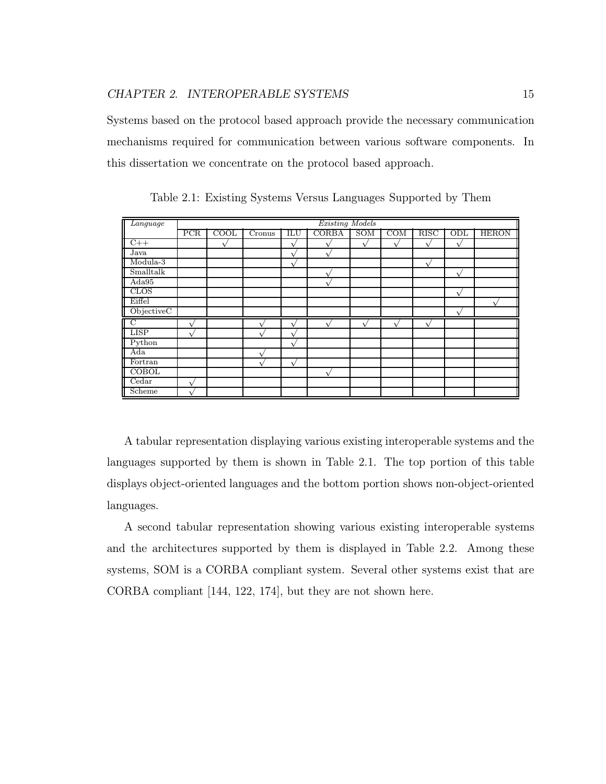Systems based on the protocol based approach provide the necessary communication mechanisms required for communication between various software components. In this dissertation we concentrate on the protocol based approach.

| Language                  |            | <b>Existing Models</b> |             |              |       |              |             |             |             |              |
|---------------------------|------------|------------------------|-------------|--------------|-------|--------------|-------------|-------------|-------------|--------------|
|                           | <b>PCR</b> | COOL                   | Cronus      | ILU          | CORBA | SOM          | <b>COM</b>  | <b>RISC</b> | ODL         | <b>HERON</b> |
| $C++$                     |            |                        |             | $\check{ }$  |       | $\mathbf{v}$ | $\mathbf v$ | $\sqrt{}$   | $\sqrt{}$   |              |
| Java                      |            |                        |             | $\check{v}$  |       |              |             |             |             |              |
| Modula-3                  |            |                        |             | $\sqrt{}$    |       |              |             | $\sqrt{ }$  |             |              |
| Smalltalk                 |            |                        |             |              |       |              |             |             | $\sqrt{}$   |              |
| Ada95                     |            |                        |             |              |       |              |             |             |             |              |
| CLOS                      |            |                        |             |              |       |              |             |             | $\sqrt{}$   |              |
| Eiffel                    |            |                        |             |              |       |              |             |             |             |              |
| ObjectiveC                |            |                        |             |              |       |              |             |             | $\mathbf v$ |              |
| $\mathbb{L}^{\mathbf{C}}$ |            |                        |             | $\mathbf{v}$ | ٦.    | ٦.           | $\mathbf v$ | $\sqrt{ }$  |             |              |
| <b>LISP</b>               | 1          |                        | $\mathbf v$ | $\mathbf{v}$ |       |              |             |             |             |              |
| Python                    |            |                        |             | $\mathbf{v}$ |       |              |             |             |             |              |
| Ada                       |            |                        |             |              |       |              |             |             |             |              |
| Fortran                   |            |                        | $\mathbf v$ | $\sqrt{ }$   |       |              |             |             |             |              |
| <b>COBOL</b>              |            |                        |             |              | A     |              |             |             |             |              |
| Cedar                     | $\sim$     |                        |             |              |       |              |             |             |             |              |
| Scheme                    |            |                        |             |              |       |              |             |             |             |              |

Table 2.1: Existing Systems Versus Languages Supported by Them

A tabular representation displaying various existing interoperable systems and the languages supported by them is shown in Table 2.1. The top portion of this table displays object-oriented languages and the bottom portion shows non-object-oriented languages.

A second tabular representation showing various existing interoperable systems and the architectures supported by them is displayed in Table 2.2. Among these systems, SOM is a CORBA compliant system. Several other systems exist that are CORBA compliant [144, 122, 174], but they are not shown here.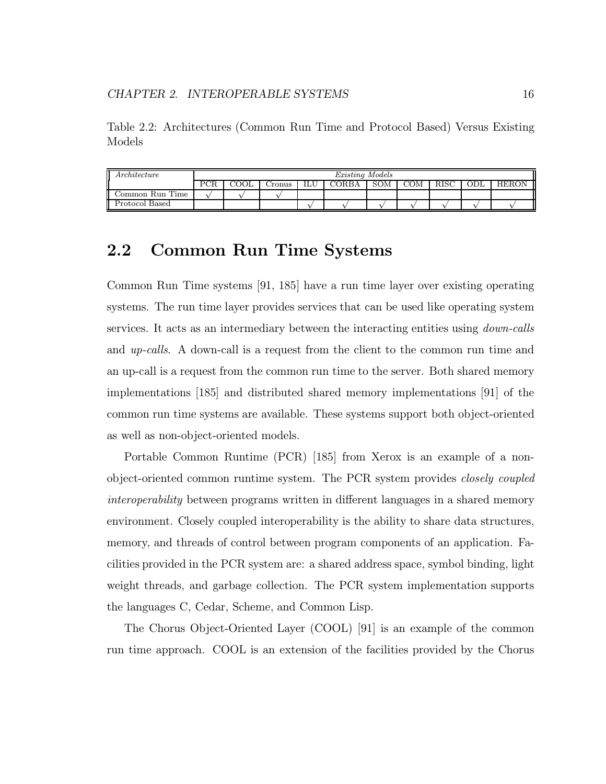Table 2.2: Architectures (Common Run Time and Protocol Based) Versus Existing Models

| Architecture    | Existing Models |        |     |       |     |     |  |  |       |
|-----------------|-----------------|--------|-----|-------|-----|-----|--|--|-------|
|                 |                 | -ronus | ILU | 'ORBA | SOM | COM |  |  | HERON |
| Common Run Time |                 |        |     |       |     |     |  |  |       |
| Protocol Based  |                 |        |     |       |     |     |  |  |       |

### 2.2 Common Run Time Systems

Common Run Time systems [91, 185] have a run time layer over existing operating systems. The run time layer provides services that can be used like operating system services. It acts as an intermediary between the interacting entities using down-calls and up-calls. A down-call is a request from the client to the common run time and an up-call is a request from the common run time to the server. Both shared memory implementations [185] and distributed shared memory implementations [91] of the common run time systems are available. These systems support both object-oriented as well as non-object-oriented models.

Portable Common Runtime (PCR) [185] from Xerox is an example of a nonobject-oriented common runtime system. The PCR system provides closely coupled interoperability between programs written in different languages in a shared memory environment. Closely coupled interoperability is the ability to share data structures, memory, and threads of control between program components of an application. Facilities provided in the PCR system are: a shared address space, symbol binding, light weight threads, and garbage collection. The PCR system implementation supports the languages C, Cedar, Scheme, and Common Lisp.

The Chorus Object-Oriented Layer (COOL) [91] is an example of the common run time approach. COOL is an extension of the facilities provided by the Chorus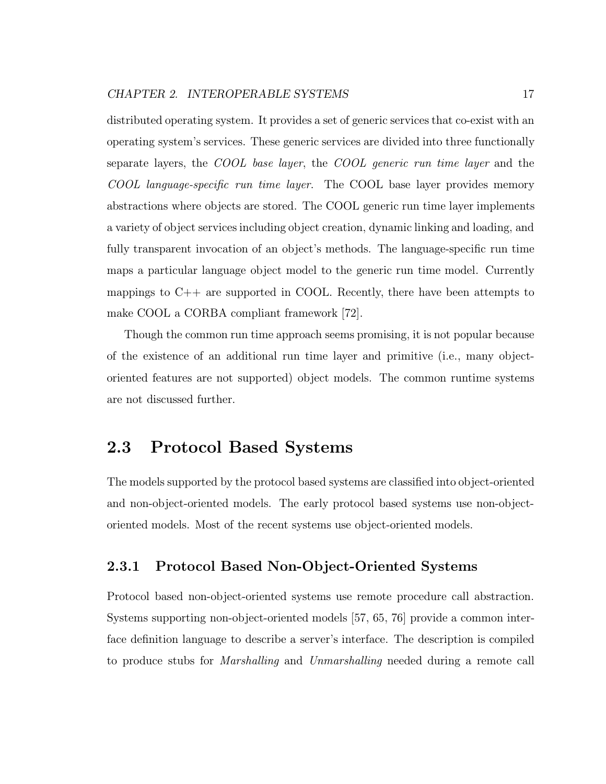distributed operating system. It provides a set of generic services that co-exist with an operating system's services. These generic services are divided into three functionally separate layers, the COOL base layer, the COOL generic run time layer and the COOL language-specific run time layer. The COOL base layer provides memory abstractions where objects are stored. The COOL generic run time layer implements a variety of object services including object creation, dynamic linking and loading, and fully transparent invocation of an object's methods. The language-specific run time maps a particular language object model to the generic run time model. Currently mappings to  $C_{++}$  are supported in COOL. Recently, there have been attempts to make COOL a CORBA compliant framework [72].

Though the common run time approach seems promising, it is not popular because of the existence of an additional run time layer and primitive (i.e., many objectoriented features are not supported) object models. The common runtime systems are not discussed further.

## 2.3 Protocol Based Systems

The models supported by the protocol based systems are classified into object-oriented and non-object-oriented models. The early protocol based systems use non-objectoriented models. Most of the recent systems use object-oriented models.

#### 2.3.1 Protocol Based Non-Object-Oriented Systems

Protocol based non-object-oriented systems use remote procedure call abstraction. Systems supporting non-object-oriented models [57, 65, 76] provide a common interface definition language to describe a server's interface. The description is compiled to produce stubs for Marshalling and Unmarshalling needed during a remote call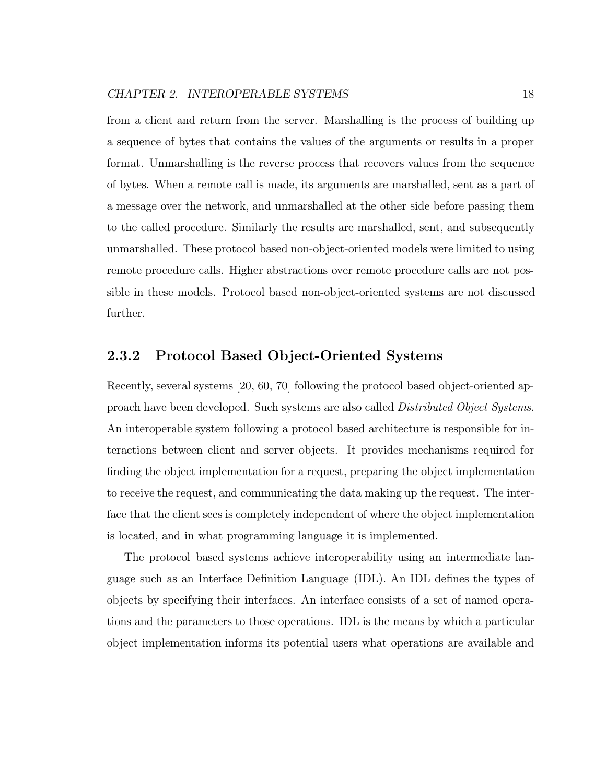from a client and return from the server. Marshalling is the process of building up a sequence of bytes that contains the values of the arguments or results in a proper format. Unmarshalling is the reverse process that recovers values from the sequence of bytes. When a remote call is made, its arguments are marshalled, sent as a part of a message over the network, and unmarshalled at the other side before passing them to the called procedure. Similarly the results are marshalled, sent, and subsequently unmarshalled. These protocol based non-object-oriented models were limited to using remote procedure calls. Higher abstractions over remote procedure calls are not possible in these models. Protocol based non-object-oriented systems are not discussed further.

#### 2.3.2 Protocol Based Object-Oriented Systems

Recently, several systems [20, 60, 70] following the protocol based object-oriented approach have been developed. Such systems are also called Distributed Object Systems. An interoperable system following a protocol based architecture is responsible for interactions between client and server objects. It provides mechanisms required for finding the object implementation for a request, preparing the object implementation to receive the request, and communicating the data making up the request. The interface that the client sees is completely independent of where the object implementation is located, and in what programming language it is implemented.

The protocol based systems achieve interoperability using an intermediate language such as an Interface Definition Language (IDL). An IDL defines the types of objects by specifying their interfaces. An interface consists of a set of named operations and the parameters to those operations. IDL is the means by which a particular object implementation informs its potential users what operations are available and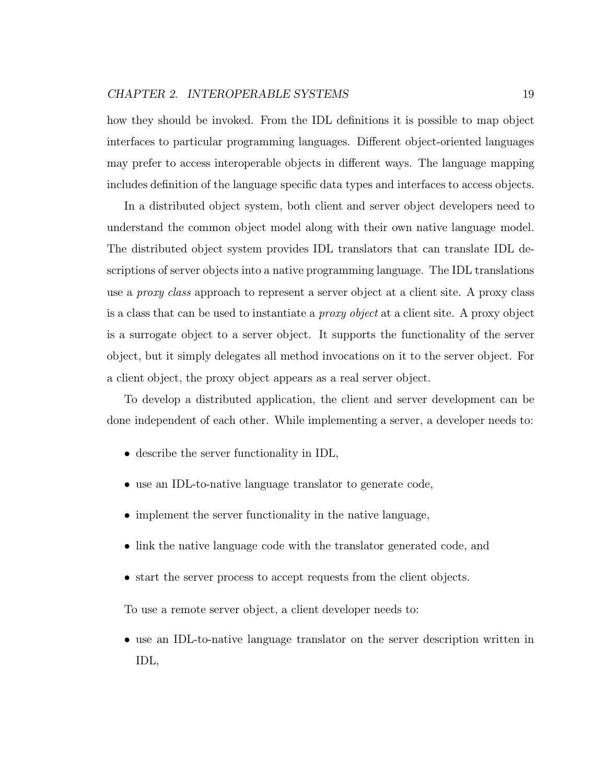how they should be invoked. From the IDL definitions it is possible to map object interfaces to particular programming languages. Different object-oriented languages may prefer to access interoperable objects in different ways. The language mapping includes definition of the language specific data types and interfaces to access objects.

In a distributed object system, both client and server object developers need to understand the common object model along with their own native language model. The distributed object system provides IDL translators that can translate IDL descriptions of server objects into a native programming language. The IDL translations use a *proxy class* approach to represent a server object at a client site. A proxy class is a class that can be used to instantiate a proxy object at a client site. A proxy object is a surrogate object to a server object. It supports the functionality of the server object, but it simply delegates all method invocations on it to the server object. For a client object, the proxy object appears as a real server object.

To develop a distributed application, the client and server development can be done independent of each other. While implementing a server, a developer needs to:

- describe the server functionality in IDL,
- use an IDL-to-native language translator to generate code,
- implement the server functionality in the native language,
- link the native language code with the translator generated code, and
- start the server process to accept requests from the client objects.

To use a remote server object, a client developer needs to:

• use an IDL-to-native language translator on the server description written in IDL,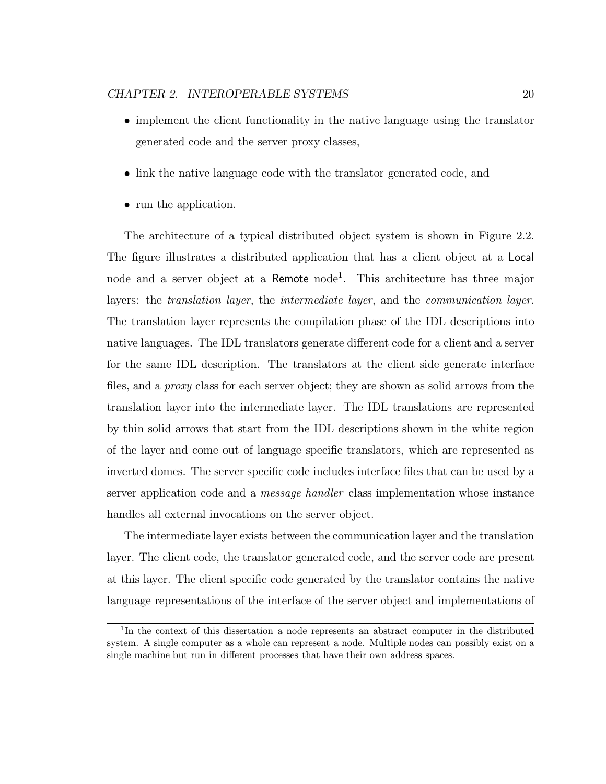- implement the client functionality in the native language using the translator generated code and the server proxy classes,
- link the native language code with the translator generated code, and
- run the application.

The architecture of a typical distributed object system is shown in Figure 2.2. The figure illustrates a distributed application that has a client object at a Local node and a server object at a Remote node<sup>1</sup>. This architecture has three major layers: the translation layer, the intermediate layer, and the communication layer. The translation layer represents the compilation phase of the IDL descriptions into native languages. The IDL translators generate different code for a client and a server for the same IDL description. The translators at the client side generate interface files, and a proxy class for each server object; they are shown as solid arrows from the translation layer into the intermediate layer. The IDL translations are represented by thin solid arrows that start from the IDL descriptions shown in the white region of the layer and come out of language specific translators, which are represented as inverted domes. The server specific code includes interface files that can be used by a server application code and a message handler class implementation whose instance handles all external invocations on the server object.

The intermediate layer exists between the communication layer and the translation layer. The client code, the translator generated code, and the server code are present at this layer. The client specific code generated by the translator contains the native language representations of the interface of the server object and implementations of

<sup>1</sup>In the context of this dissertation a node represents an abstract computer in the distributed system. A single computer as a whole can represent a node. Multiple nodes can possibly exist on a single machine but run in different processes that have their own address spaces.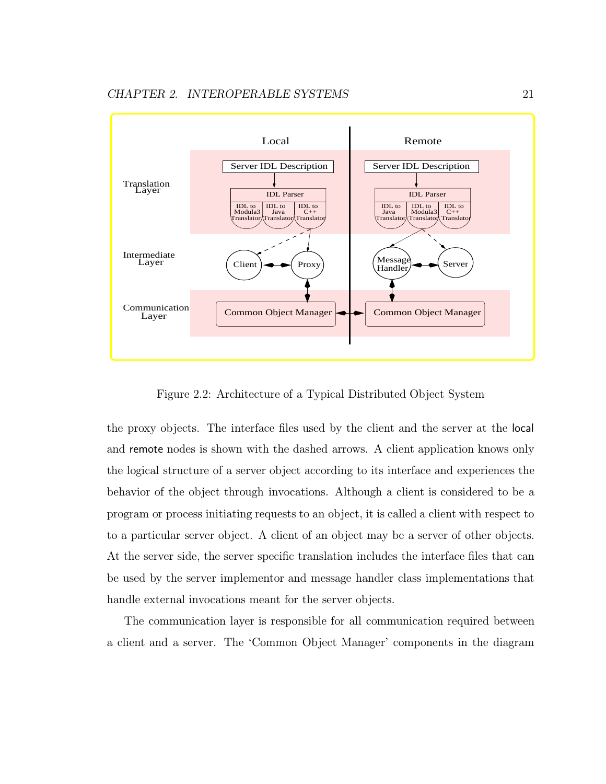

Figure 2.2: Architecture of a Typical Distributed Object System

the proxy objects. The interface files used by the client and the server at the local and remote nodes is shown with the dashed arrows. A client application knows only the logical structure of a server object according to its interface and experiences the behavior of the object through invocations. Although a client is considered to be a program or process initiating requests to an object, it is called a client with respect to to a particular server object. A client of an object may be a server of other objects. At the server side, the server specific translation includes the interface files that can be used by the server implementor and message handler class implementations that handle external invocations meant for the server objects.

The communication layer is responsible for all communication required between a client and a server. The 'Common Object Manager' components in the diagram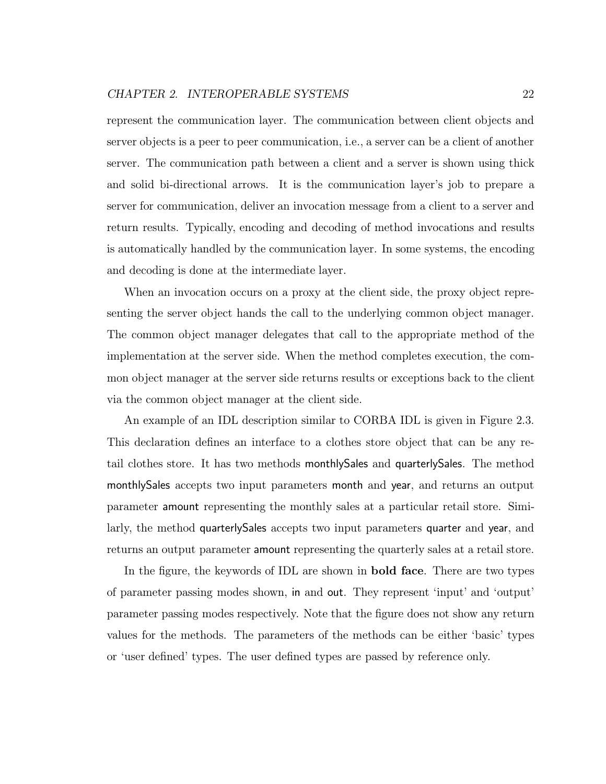represent the communication layer. The communication between client objects and server objects is a peer to peer communication, i.e., a server can be a client of another server. The communication path between a client and a server is shown using thick and solid bi-directional arrows. It is the communication layer's job to prepare a server for communication, deliver an invocation message from a client to a server and return results. Typically, encoding and decoding of method invocations and results is automatically handled by the communication layer. In some systems, the encoding and decoding is done at the intermediate layer.

When an invocation occurs on a proxy at the client side, the proxy object representing the server object hands the call to the underlying common object manager. The common object manager delegates that call to the appropriate method of the implementation at the server side. When the method completes execution, the common object manager at the server side returns results or exceptions back to the client via the common object manager at the client side.

An example of an IDL description similar to CORBA IDL is given in Figure 2.3. This declaration defines an interface to a clothes store object that can be any retail clothes store. It has two methods monthlySales and quarterlySales. The method monthlySales accepts two input parameters month and year, and returns an output parameter amount representing the monthly sales at a particular retail store. Similarly, the method quarterlySales accepts two input parameters quarter and year, and returns an output parameter amount representing the quarterly sales at a retail store.

In the figure, the keywords of IDL are shown in bold face. There are two types of parameter passing modes shown, in and out. They represent 'input' and 'output' parameter passing modes respectively. Note that the figure does not show any return values for the methods. The parameters of the methods can be either 'basic' types or 'user defined' types. The user defined types are passed by reference only.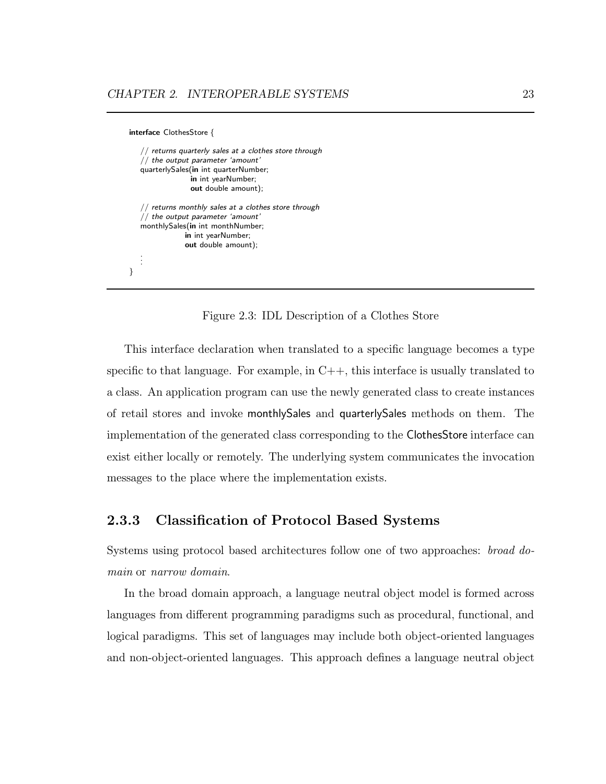```
interface ClothesStore {
   // returns quarterly sales at a clothes store through
   // the output parameter 'amount'
   quarterlySales(in int quarterNumber;
                 in int yearNumber;
                 out double amount);
   // returns monthly sales at a clothes store through
   // the output parameter 'amount'
   monthlySales(in int monthNumber;
               in int yearNumber;
               out double amount);
   .
   .
   .
}
```
Figure 2.3: IDL Description of a Clothes Store

This interface declaration when translated to a specific language becomes a type specific to that language. For example, in  $C_{++}$ , this interface is usually translated to a class. An application program can use the newly generated class to create instances of retail stores and invoke monthlySales and quarterlySales methods on them. The implementation of the generated class corresponding to the ClothesStore interface can exist either locally or remotely. The underlying system communicates the invocation messages to the place where the implementation exists.

#### 2.3.3 Classification of Protocol Based Systems

Systems using protocol based architectures follow one of two approaches: broad domain or narrow domain.

In the broad domain approach, a language neutral object model is formed across languages from different programming paradigms such as procedural, functional, and logical paradigms. This set of languages may include both object-oriented languages and non-object-oriented languages. This approach defines a language neutral object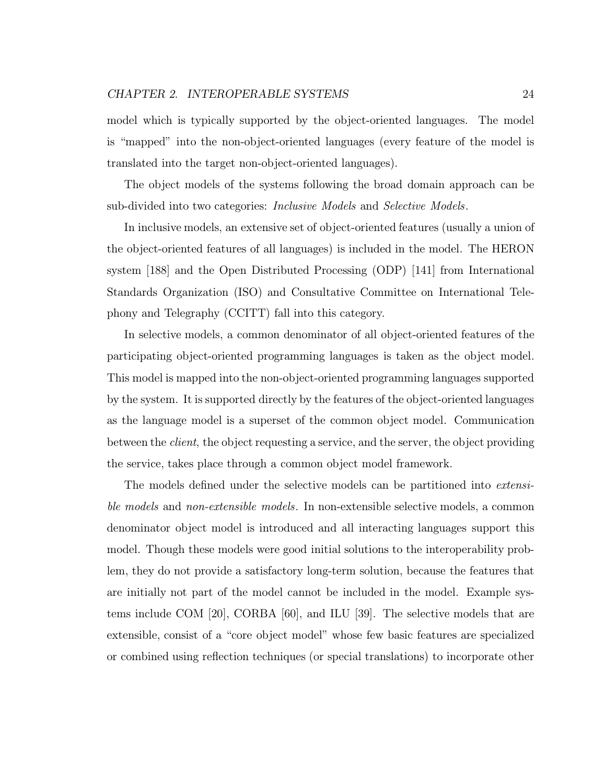model which is typically supported by the object-oriented languages. The model is "mapped" into the non-object-oriented languages (every feature of the model is translated into the target non-object-oriented languages).

The object models of the systems following the broad domain approach can be sub-divided into two categories: *Inclusive Models* and *Selective Models*.

In inclusive models, an extensive set of object-oriented features (usually a union of the object-oriented features of all languages) is included in the model. The HERON system [188] and the Open Distributed Processing (ODP) [141] from International Standards Organization (ISO) and Consultative Committee on International Telephony and Telegraphy (CCITT) fall into this category.

In selective models, a common denominator of all object-oriented features of the participating object-oriented programming languages is taken as the object model. This model is mapped into the non-object-oriented programming languages supported by the system. It is supported directly by the features of the object-oriented languages as the language model is a superset of the common object model. Communication between the *client*, the object requesting a service, and the server, the object providing the service, takes place through a common object model framework.

The models defined under the selective models can be partitioned into extensible models and non-extensible models. In non-extensible selective models, a common denominator object model is introduced and all interacting languages support this model. Though these models were good initial solutions to the interoperability problem, they do not provide a satisfactory long-term solution, because the features that are initially not part of the model cannot be included in the model. Example systems include COM [20], CORBA [60], and ILU [39]. The selective models that are extensible, consist of a "core object model" whose few basic features are specialized or combined using reflection techniques (or special translations) to incorporate other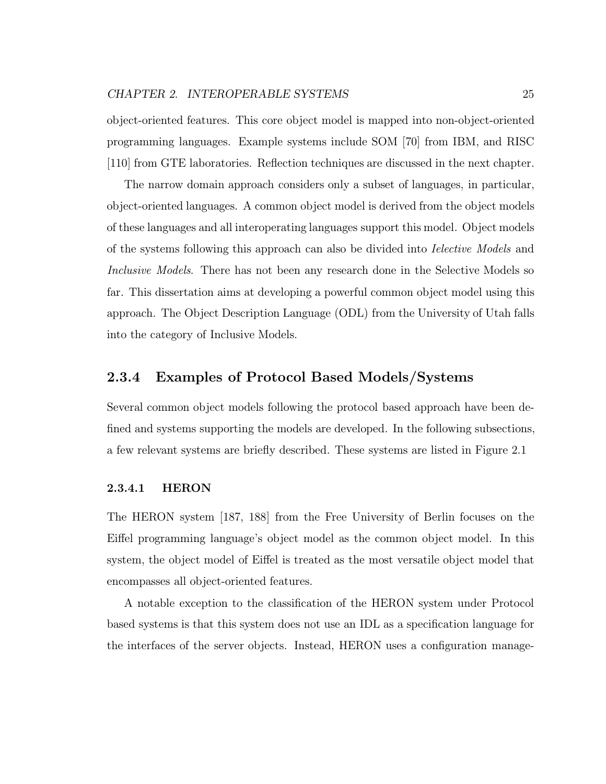object-oriented features. This core object model is mapped into non-object-oriented programming languages. Example systems include SOM [70] from IBM, and RISC [110] from GTE laboratories. Reflection techniques are discussed in the next chapter.

The narrow domain approach considers only a subset of languages, in particular, object-oriented languages. A common object model is derived from the object models of these languages and all interoperating languages support this model. Object models of the systems following this approach can also be divided into Ielective Models and Inclusive Models. There has not been any research done in the Selective Models so far. This dissertation aims at developing a powerful common object model using this approach. The Object Description Language (ODL) from the University of Utah falls into the category of Inclusive Models.

#### 2.3.4 Examples of Protocol Based Models/Systems

Several common object models following the protocol based approach have been defined and systems supporting the models are developed. In the following subsections, a few relevant systems are briefly described. These systems are listed in Figure 2.1

#### 2.3.4.1 HERON

The HERON system [187, 188] from the Free University of Berlin focuses on the Eiffel programming language's object model as the common object model. In this system, the object model of Eiffel is treated as the most versatile object model that encompasses all object-oriented features.

A notable exception to the classification of the HERON system under Protocol based systems is that this system does not use an IDL as a specification language for the interfaces of the server objects. Instead, HERON uses a configuration manage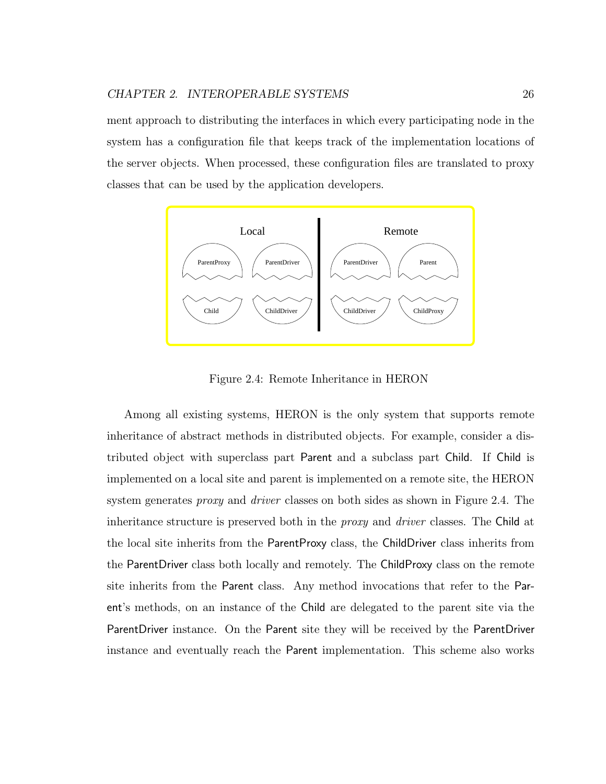ment approach to distributing the interfaces in which every participating node in the system has a configuration file that keeps track of the implementation locations of the server objects. When processed, these configuration files are translated to proxy classes that can be used by the application developers.



Figure 2.4: Remote Inheritance in HERON

Among all existing systems, HERON is the only system that supports remote inheritance of abstract methods in distributed objects. For example, consider a distributed object with superclass part Parent and a subclass part Child. If Child is implemented on a local site and parent is implemented on a remote site, the HERON system generates *proxy* and *driver* classes on both sides as shown in Figure 2.4. The inheritance structure is preserved both in the *proxy* and *driver* classes. The Child at the local site inherits from the ParentProxy class, the ChildDriver class inherits from the ParentDriver class both locally and remotely. The ChildProxy class on the remote site inherits from the Parent class. Any method invocations that refer to the Parent's methods, on an instance of the Child are delegated to the parent site via the ParentDriver instance. On the Parent site they will be received by the ParentDriver instance and eventually reach the Parent implementation. This scheme also works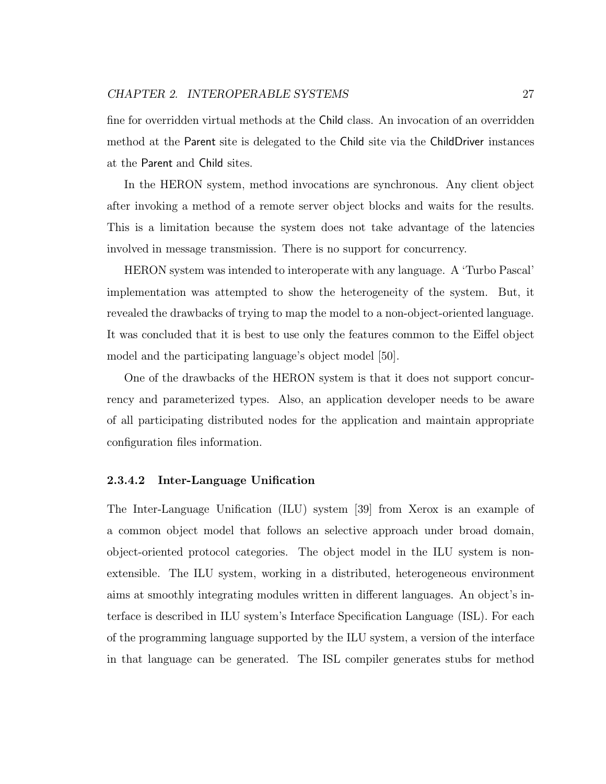fine for overridden virtual methods at the Child class. An invocation of an overridden method at the Parent site is delegated to the Child site via the ChildDriver instances at the Parent and Child sites.

In the HERON system, method invocations are synchronous. Any client object after invoking a method of a remote server object blocks and waits for the results. This is a limitation because the system does not take advantage of the latencies involved in message transmission. There is no support for concurrency.

HERON system was intended to interoperate with any language. A 'Turbo Pascal' implementation was attempted to show the heterogeneity of the system. But, it revealed the drawbacks of trying to map the model to a non-object-oriented language. It was concluded that it is best to use only the features common to the Eiffel object model and the participating language's object model [50].

One of the drawbacks of the HERON system is that it does not support concurrency and parameterized types. Also, an application developer needs to be aware of all participating distributed nodes for the application and maintain appropriate configuration files information.

#### 2.3.4.2 Inter-Language Unification

The Inter-Language Unification (ILU) system [39] from Xerox is an example of a common object model that follows an selective approach under broad domain, object-oriented protocol categories. The object model in the ILU system is nonextensible. The ILU system, working in a distributed, heterogeneous environment aims at smoothly integrating modules written in different languages. An object's interface is described in ILU system's Interface Specification Language (ISL). For each of the programming language supported by the ILU system, a version of the interface in that language can be generated. The ISL compiler generates stubs for method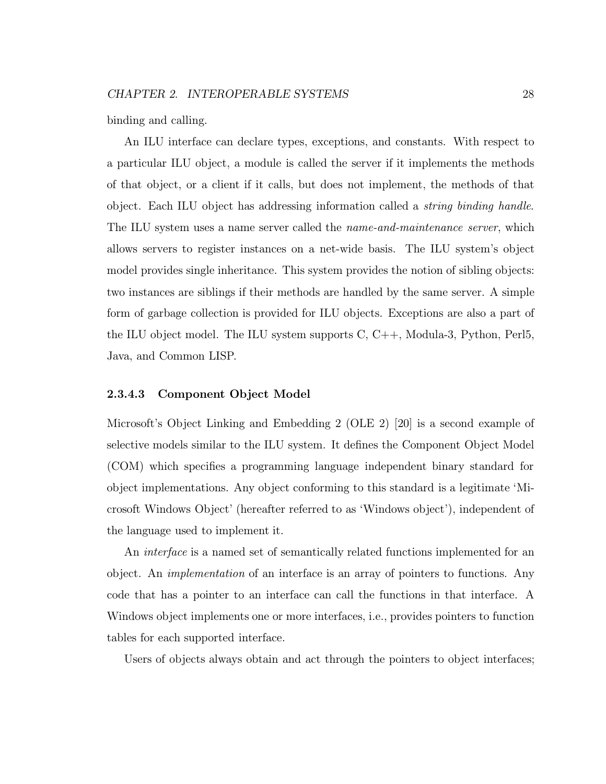binding and calling.

An ILU interface can declare types, exceptions, and constants. With respect to a particular ILU object, a module is called the server if it implements the methods of that object, or a client if it calls, but does not implement, the methods of that object. Each ILU object has addressing information called a *string binding handle*. The ILU system uses a name server called the *name-and-maintenance server*, which allows servers to register instances on a net-wide basis. The ILU system's object model provides single inheritance. This system provides the notion of sibling objects: two instances are siblings if their methods are handled by the same server. A simple form of garbage collection is provided for ILU objects. Exceptions are also a part of the ILU object model. The ILU system supports C, C++, Modula-3, Python, Perl5, Java, and Common LISP.

#### 2.3.4.3 Component Object Model

Microsoft's Object Linking and Embedding 2 (OLE 2) [20] is a second example of selective models similar to the ILU system. It defines the Component Object Model (COM) which specifies a programming language independent binary standard for object implementations. Any object conforming to this standard is a legitimate 'Microsoft Windows Object' (hereafter referred to as 'Windows object'), independent of the language used to implement it.

An interface is a named set of semantically related functions implemented for an object. An implementation of an interface is an array of pointers to functions. Any code that has a pointer to an interface can call the functions in that interface. A Windows object implements one or more interfaces, i.e., provides pointers to function tables for each supported interface.

Users of objects always obtain and act through the pointers to object interfaces;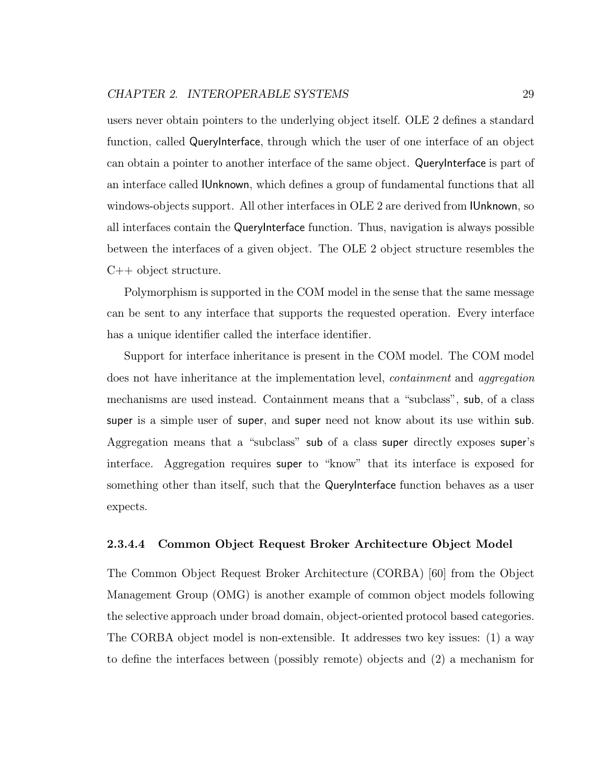users never obtain pointers to the underlying object itself. OLE 2 defines a standard function, called QueryInterface, through which the user of one interface of an object can obtain a pointer to another interface of the same object. QueryInterface is part of an interface called IUnknown, which defines a group of fundamental functions that all windows-objects support. All other interfaces in OLE 2 are derived from IUnknown, so all interfaces contain the QueryInterface function. Thus, navigation is always possible between the interfaces of a given object. The OLE 2 object structure resembles the C++ object structure.

Polymorphism is supported in the COM model in the sense that the same message can be sent to any interface that supports the requested operation. Every interface has a unique identifier called the interface identifier.

Support for interface inheritance is present in the COM model. The COM model does not have inheritance at the implementation level, *containment* and *aggregation* mechanisms are used instead. Containment means that a "subclass", sub, of a class super is a simple user of super, and super need not know about its use within sub. Aggregation means that a "subclass" sub of a class super directly exposes super's interface. Aggregation requires super to "know" that its interface is exposed for something other than itself, such that the QueryInterface function behaves as a user expects.

#### 2.3.4.4 Common Object Request Broker Architecture Object Model

The Common Object Request Broker Architecture (CORBA) [60] from the Object Management Group (OMG) is another example of common object models following the selective approach under broad domain, object-oriented protocol based categories. The CORBA object model is non-extensible. It addresses two key issues: (1) a way to define the interfaces between (possibly remote) objects and (2) a mechanism for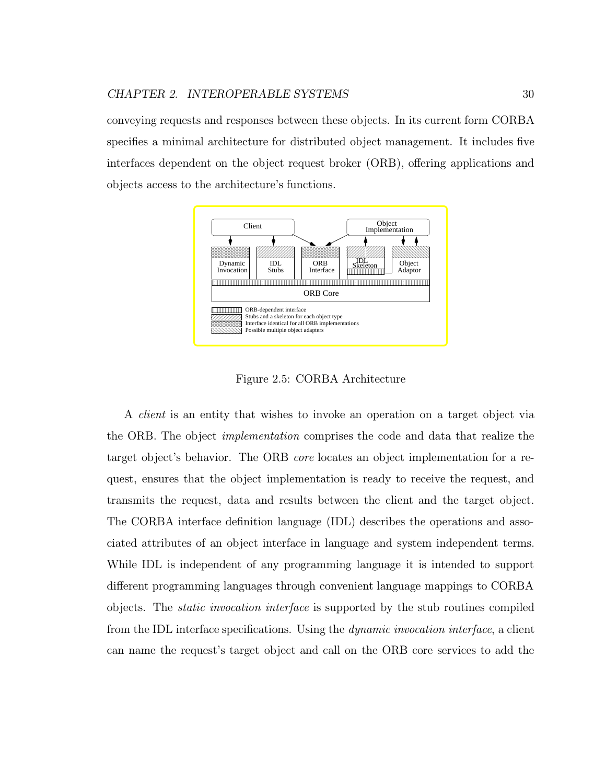conveying requests and responses between these objects. In its current form CORBA specifies a minimal architecture for distributed object management. It includes five interfaces dependent on the object request broker (ORB), offering applications and objects access to the architecture's functions.



Figure 2.5: CORBA Architecture

A client is an entity that wishes to invoke an operation on a target object via the ORB. The object implementation comprises the code and data that realize the target object's behavior. The ORB core locates an object implementation for a request, ensures that the object implementation is ready to receive the request, and transmits the request, data and results between the client and the target object. The CORBA interface definition language (IDL) describes the operations and associated attributes of an object interface in language and system independent terms. While IDL is independent of any programming language it is intended to support different programming languages through convenient language mappings to CORBA objects. The static invocation interface is supported by the stub routines compiled from the IDL interface specifications. Using the dynamic invocation interface, a client can name the request's target object and call on the ORB core services to add the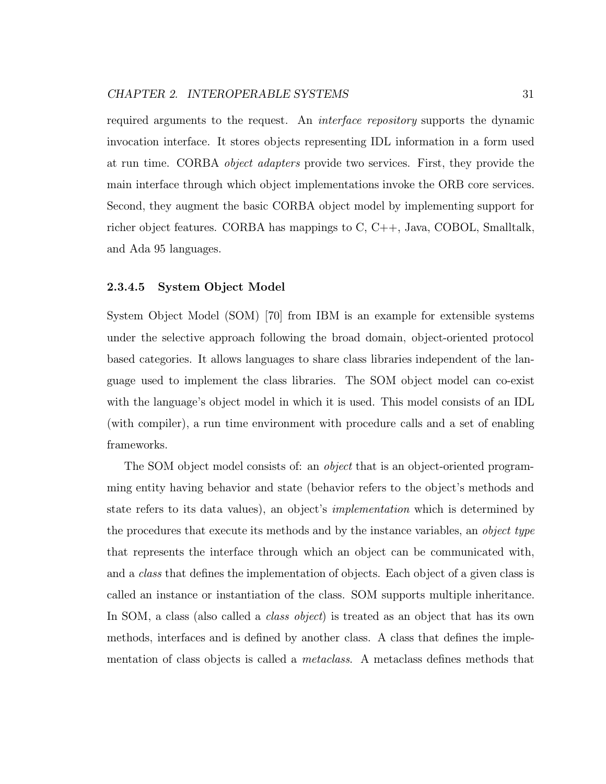required arguments to the request. An interface repository supports the dynamic invocation interface. It stores objects representing IDL information in a form used at run time. CORBA object adapters provide two services. First, they provide the main interface through which object implementations invoke the ORB core services. Second, they augment the basic CORBA object model by implementing support for richer object features. CORBA has mappings to C, C++, Java, COBOL, Smalltalk, and Ada 95 languages.

#### 2.3.4.5 System Object Model

System Object Model (SOM) [70] from IBM is an example for extensible systems under the selective approach following the broad domain, object-oriented protocol based categories. It allows languages to share class libraries independent of the language used to implement the class libraries. The SOM object model can co-exist with the language's object model in which it is used. This model consists of an IDL (with compiler), a run time environment with procedure calls and a set of enabling frameworks.

The SOM object model consists of: an *object* that is an object-oriented programming entity having behavior and state (behavior refers to the object's methods and state refers to its data values), an object's implementation which is determined by the procedures that execute its methods and by the instance variables, an object type that represents the interface through which an object can be communicated with, and a *class* that defines the implementation of objects. Each object of a given class is called an instance or instantiation of the class. SOM supports multiple inheritance. In SOM, a class (also called a *class object*) is treated as an object that has its own methods, interfaces and is defined by another class. A class that defines the implementation of class objects is called a metaclass. A metaclass defines methods that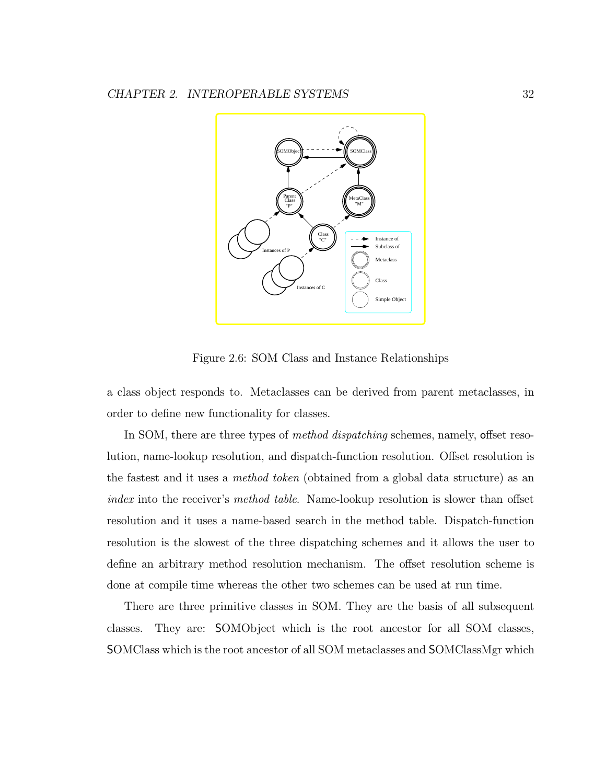

Figure 2.6: SOM Class and Instance Relationships

a class object responds to. Metaclasses can be derived from parent metaclasses, in order to define new functionality for classes.

In SOM, there are three types of *method dispatching* schemes, namely, offset resolution, name-lookup resolution, and dispatch-function resolution. Offset resolution is the fastest and it uses a method token (obtained from a global data structure) as an index into the receiver's method table. Name-lookup resolution is slower than offset resolution and it uses a name-based search in the method table. Dispatch-function resolution is the slowest of the three dispatching schemes and it allows the user to define an arbitrary method resolution mechanism. The offset resolution scheme is done at compile time whereas the other two schemes can be used at run time.

There are three primitive classes in SOM. They are the basis of all subsequent classes. They are: SOMObject which is the root ancestor for all SOM classes, SOMClass which is the root ancestor of all SOM metaclasses and SOMClassMgr which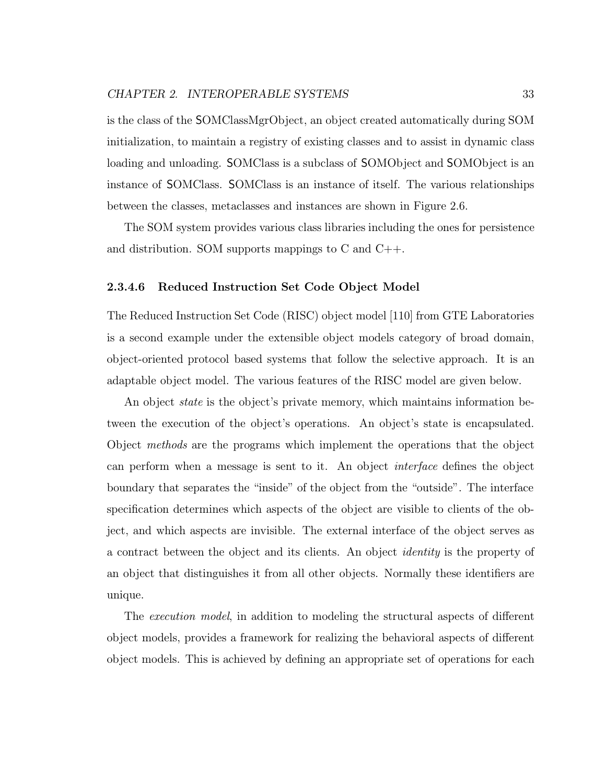is the class of the SOMClassMgrObject, an object created automatically during SOM initialization, to maintain a registry of existing classes and to assist in dynamic class loading and unloading. SOMClass is a subclass of SOMObject and SOMObject is an instance of SOMClass. SOMClass is an instance of itself. The various relationships between the classes, metaclasses and instances are shown in Figure 2.6.

The SOM system provides various class libraries including the ones for persistence and distribution. SOM supports mappings to C and C++.

#### 2.3.4.6 Reduced Instruction Set Code Object Model

The Reduced Instruction Set Code (RISC) object model [110] from GTE Laboratories is a second example under the extensible object models category of broad domain, object-oriented protocol based systems that follow the selective approach. It is an adaptable object model. The various features of the RISC model are given below.

An object state is the object's private memory, which maintains information between the execution of the object's operations. An object's state is encapsulated. Object methods are the programs which implement the operations that the object can perform when a message is sent to it. An object interface defines the object boundary that separates the "inside" of the object from the "outside". The interface specification determines which aspects of the object are visible to clients of the object, and which aspects are invisible. The external interface of the object serves as a contract between the object and its clients. An object identity is the property of an object that distinguishes it from all other objects. Normally these identifiers are unique.

The execution model, in addition to modeling the structural aspects of different object models, provides a framework for realizing the behavioral aspects of different object models. This is achieved by defining an appropriate set of operations for each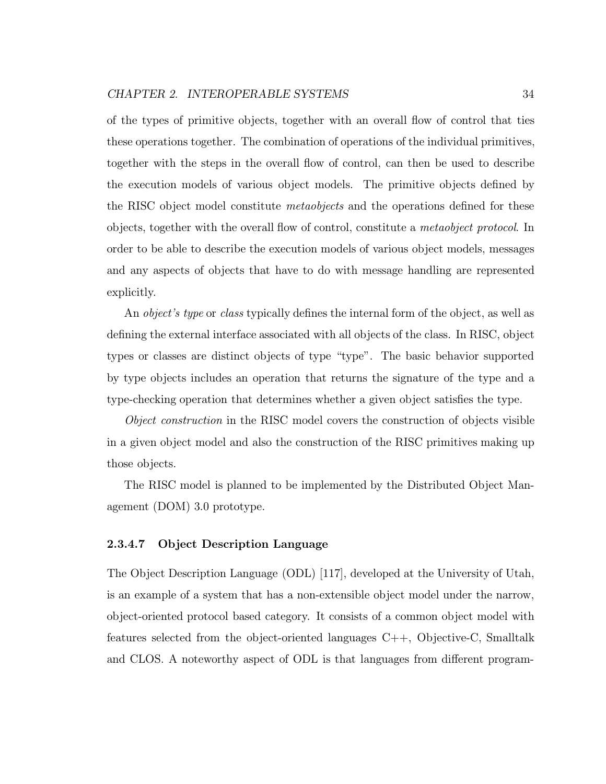of the types of primitive objects, together with an overall flow of control that ties these operations together. The combination of operations of the individual primitives, together with the steps in the overall flow of control, can then be used to describe the execution models of various object models. The primitive objects defined by the RISC object model constitute *metaobjects* and the operations defined for these objects, together with the overall flow of control, constitute a metaobject protocol. In order to be able to describe the execution models of various object models, messages and any aspects of objects that have to do with message handling are represented explicitly.

An *object's type* or *class* typically defines the internal form of the object, as well as defining the external interface associated with all objects of the class. In RISC, object types or classes are distinct objects of type "type". The basic behavior supported by type objects includes an operation that returns the signature of the type and a type-checking operation that determines whether a given object satisfies the type.

Object construction in the RISC model covers the construction of objects visible in a given object model and also the construction of the RISC primitives making up those objects.

The RISC model is planned to be implemented by the Distributed Object Management (DOM) 3.0 prototype.

#### 2.3.4.7 Object Description Language

The Object Description Language (ODL) [117], developed at the University of Utah, is an example of a system that has a non-extensible object model under the narrow, object-oriented protocol based category. It consists of a common object model with features selected from the object-oriented languages C++, Objective-C, Smalltalk and CLOS. A noteworthy aspect of ODL is that languages from different program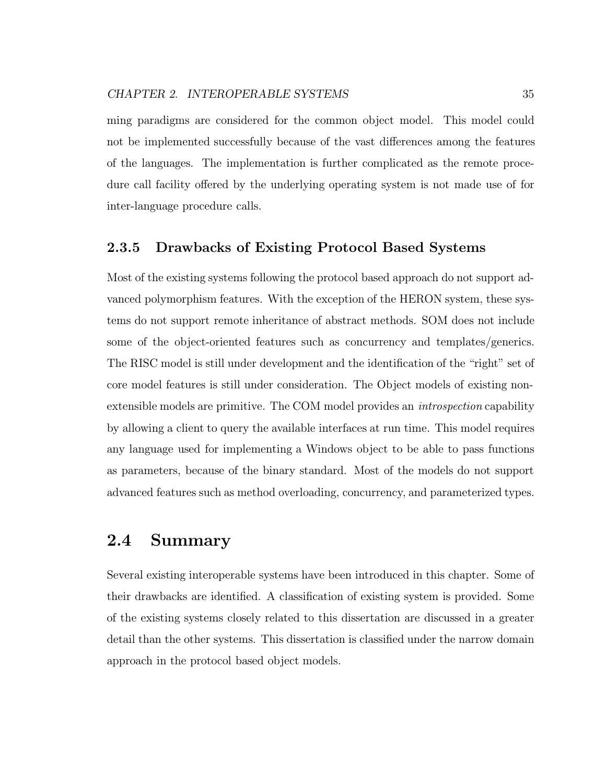ming paradigms are considered for the common object model. This model could not be implemented successfully because of the vast differences among the features of the languages. The implementation is further complicated as the remote procedure call facility offered by the underlying operating system is not made use of for inter-language procedure calls.

#### 2.3.5 Drawbacks of Existing Protocol Based Systems

Most of the existing systems following the protocol based approach do not support advanced polymorphism features. With the exception of the HERON system, these systems do not support remote inheritance of abstract methods. SOM does not include some of the object-oriented features such as concurrency and templates/generics. The RISC model is still under development and the identification of the "right" set of core model features is still under consideration. The Object models of existing nonextensible models are primitive. The COM model provides an introspection capability by allowing a client to query the available interfaces at run time. This model requires any language used for implementing a Windows object to be able to pass functions as parameters, because of the binary standard. Most of the models do not support advanced features such as method overloading, concurrency, and parameterized types.

# 2.4 Summary

Several existing interoperable systems have been introduced in this chapter. Some of their drawbacks are identified. A classification of existing system is provided. Some of the existing systems closely related to this dissertation are discussed in a greater detail than the other systems. This dissertation is classified under the narrow domain approach in the protocol based object models.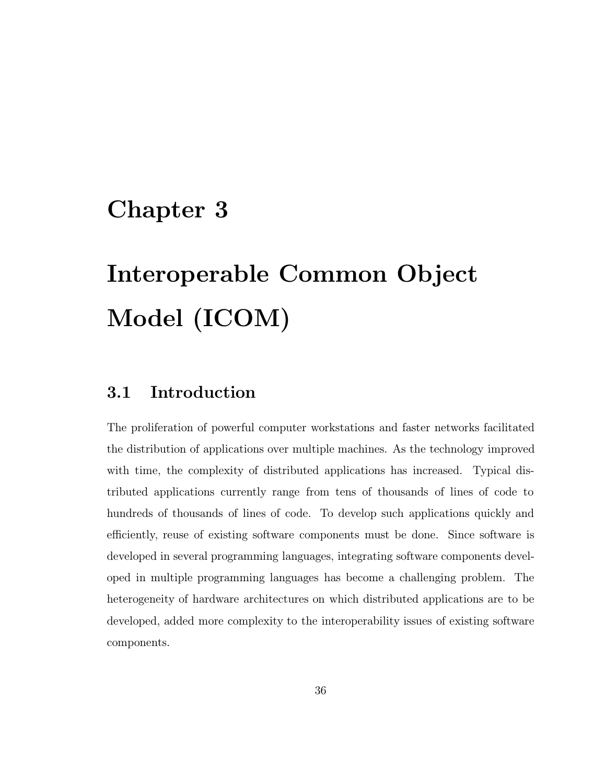# Chapter 3

# Interoperable Common Object Model (ICOM)

## 3.1 Introduction

The proliferation of powerful computer workstations and faster networks facilitated the distribution of applications over multiple machines. As the technology improved with time, the complexity of distributed applications has increased. Typical distributed applications currently range from tens of thousands of lines of code to hundreds of thousands of lines of code. To develop such applications quickly and efficiently, reuse of existing software components must be done. Since software is developed in several programming languages, integrating software components developed in multiple programming languages has become a challenging problem. The heterogeneity of hardware architectures on which distributed applications are to be developed, added more complexity to the interoperability issues of existing software components.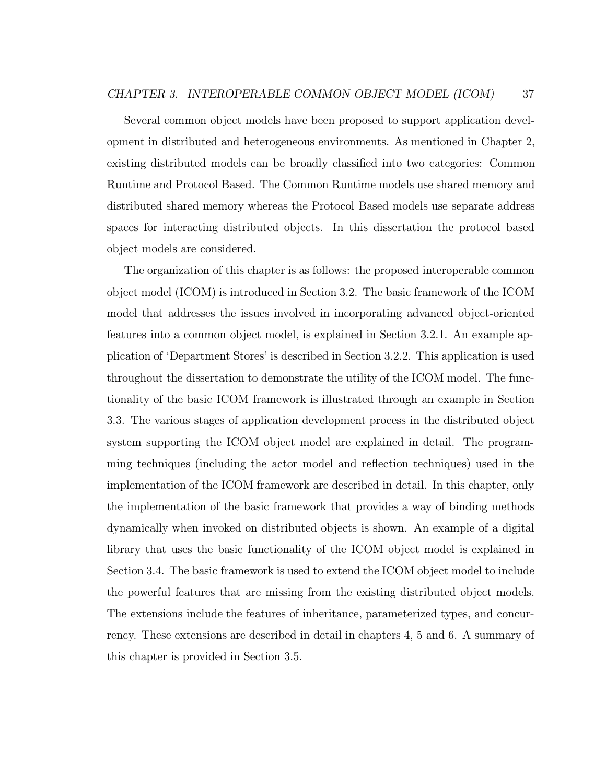Several common object models have been proposed to support application development in distributed and heterogeneous environments. As mentioned in Chapter 2, existing distributed models can be broadly classified into two categories: Common Runtime and Protocol Based. The Common Runtime models use shared memory and distributed shared memory whereas the Protocol Based models use separate address spaces for interacting distributed objects. In this dissertation the protocol based object models are considered.

The organization of this chapter is as follows: the proposed interoperable common object model (ICOM) is introduced in Section 3.2. The basic framework of the ICOM model that addresses the issues involved in incorporating advanced object-oriented features into a common object model, is explained in Section 3.2.1. An example application of 'Department Stores' is described in Section 3.2.2. This application is used throughout the dissertation to demonstrate the utility of the ICOM model. The functionality of the basic ICOM framework is illustrated through an example in Section 3.3. The various stages of application development process in the distributed object system supporting the ICOM object model are explained in detail. The programming techniques (including the actor model and reflection techniques) used in the implementation of the ICOM framework are described in detail. In this chapter, only the implementation of the basic framework that provides a way of binding methods dynamically when invoked on distributed objects is shown. An example of a digital library that uses the basic functionality of the ICOM object model is explained in Section 3.4. The basic framework is used to extend the ICOM object model to include the powerful features that are missing from the existing distributed object models. The extensions include the features of inheritance, parameterized types, and concurrency. These extensions are described in detail in chapters 4, 5 and 6. A summary of this chapter is provided in Section 3.5.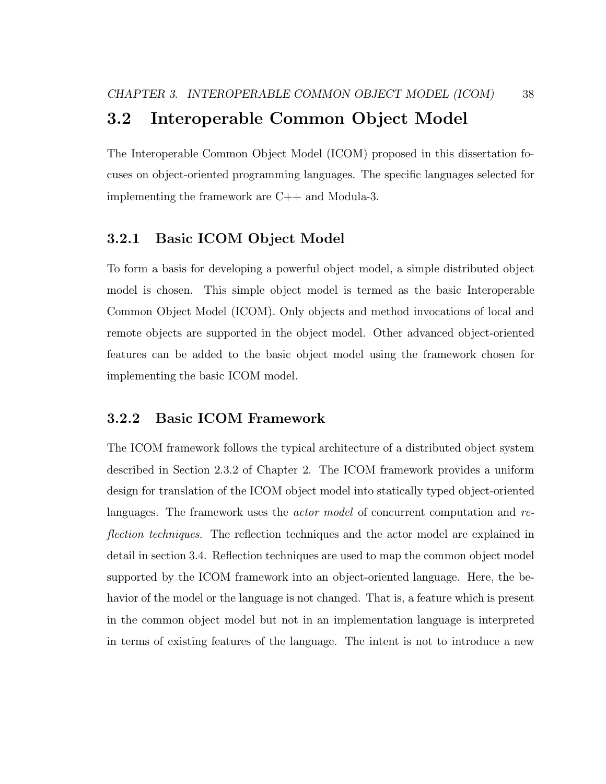# 3.2 Interoperable Common Object Model

The Interoperable Common Object Model (ICOM) proposed in this dissertation focuses on object-oriented programming languages. The specific languages selected for implementing the framework are C++ and Modula-3.

#### 3.2.1 Basic ICOM Object Model

To form a basis for developing a powerful object model, a simple distributed object model is chosen. This simple object model is termed as the basic Interoperable Common Object Model (ICOM). Only objects and method invocations of local and remote objects are supported in the object model. Other advanced object-oriented features can be added to the basic object model using the framework chosen for implementing the basic ICOM model.

#### 3.2.2 Basic ICOM Framework

The ICOM framework follows the typical architecture of a distributed object system described in Section 2.3.2 of Chapter 2. The ICOM framework provides a uniform design for translation of the ICOM object model into statically typed object-oriented languages. The framework uses the *actor model* of concurrent computation and reflection techniques. The reflection techniques and the actor model are explained in detail in section 3.4. Reflection techniques are used to map the common object model supported by the ICOM framework into an object-oriented language. Here, the behavior of the model or the language is not changed. That is, a feature which is present in the common object model but not in an implementation language is interpreted in terms of existing features of the language. The intent is not to introduce a new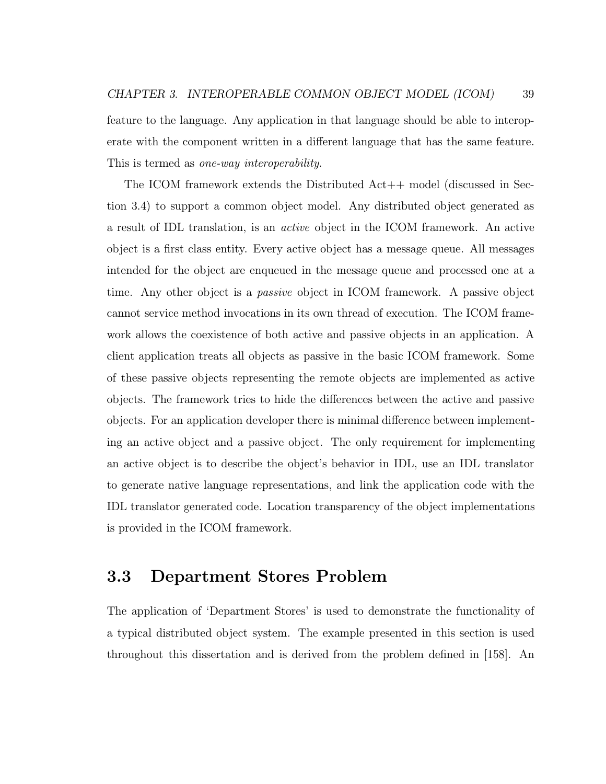feature to the language. Any application in that language should be able to interoperate with the component written in a different language that has the same feature. This is termed as one-way interoperability.

The ICOM framework extends the Distributed Act++ model (discussed in Section 3.4) to support a common object model. Any distributed object generated as a result of IDL translation, is an active object in the ICOM framework. An active object is a first class entity. Every active object has a message queue. All messages intended for the object are enqueued in the message queue and processed one at a time. Any other object is a passive object in ICOM framework. A passive object cannot service method invocations in its own thread of execution. The ICOM framework allows the coexistence of both active and passive objects in an application. A client application treats all objects as passive in the basic ICOM framework. Some of these passive objects representing the remote objects are implemented as active objects. The framework tries to hide the differences between the active and passive objects. For an application developer there is minimal difference between implementing an active object and a passive object. The only requirement for implementing an active object is to describe the object's behavior in IDL, use an IDL translator to generate native language representations, and link the application code with the IDL translator generated code. Location transparency of the object implementations is provided in the ICOM framework.

### 3.3 Department Stores Problem

The application of 'Department Stores' is used to demonstrate the functionality of a typical distributed object system. The example presented in this section is used throughout this dissertation and is derived from the problem defined in [158]. An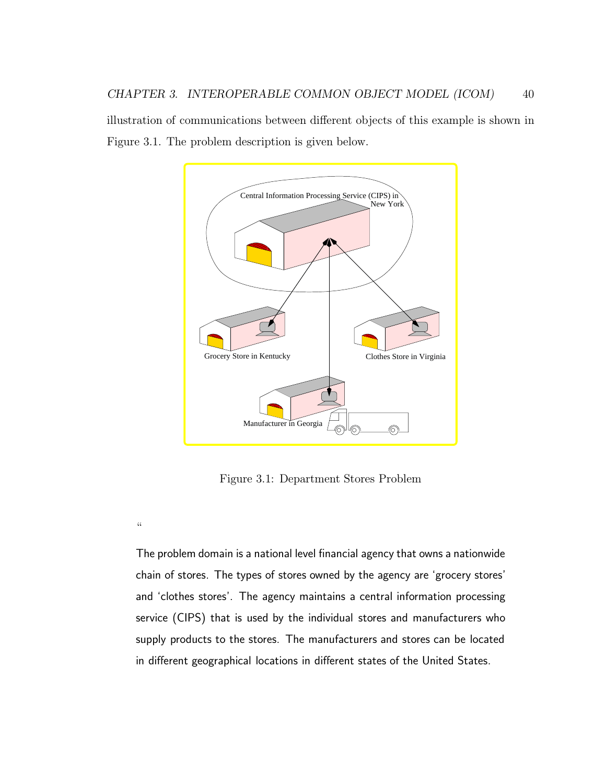illustration of communications between different objects of this example is shown in Figure 3.1. The problem description is given below.



Figure 3.1: Department Stores Problem

 $\zeta\zeta$ 

The problem domain is a national level financial agency that owns a nationwide chain of stores. The types of stores owned by the agency are 'grocery stores' and 'clothes stores'. The agency maintains a central information processing service (CIPS) that is used by the individual stores and manufacturers who supply products to the stores. The manufacturers and stores can be located in different geographical locations in different states of the United States.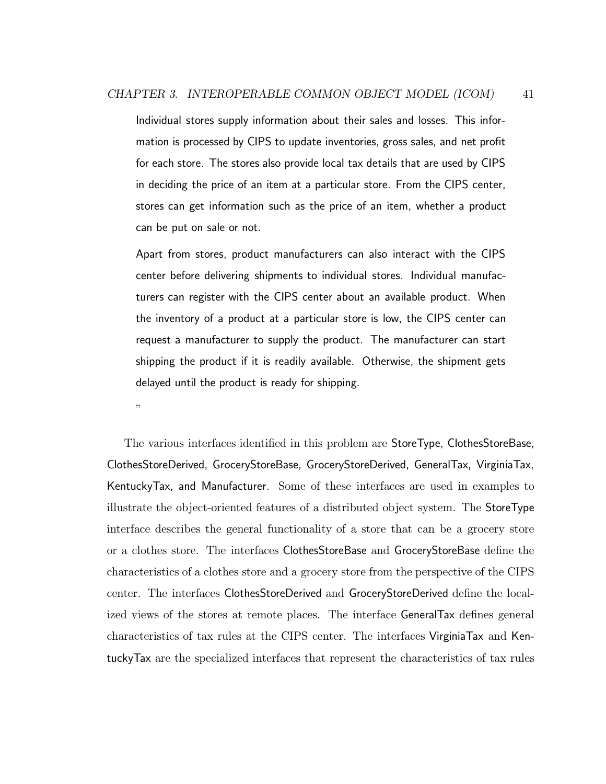Individual stores supply information about their sales and losses. This information is processed by CIPS to update inventories, gross sales, and net profit for each store. The stores also provide local tax details that are used by CIPS in deciding the price of an item at a particular store. From the CIPS center, stores can get information such as the price of an item, whether a product can be put on sale or not.

Apart from stores, product manufacturers can also interact with the CIPS center before delivering shipments to individual stores. Individual manufacturers can register with the CIPS center about an available product. When the inventory of a product at a particular store is low, the CIPS center can request a manufacturer to supply the product. The manufacturer can start shipping the product if it is readily available. Otherwise, the shipment gets delayed until the product is ready for shipping.

"

The various interfaces identified in this problem are StoreType, ClothesStoreBase, ClothesStoreDerived, GroceryStoreBase, GroceryStoreDerived, GeneralTax, VirginiaTax, KentuckyTax, and Manufacturer. Some of these interfaces are used in examples to illustrate the object-oriented features of a distributed object system. The StoreType interface describes the general functionality of a store that can be a grocery store or a clothes store. The interfaces ClothesStoreBase and GroceryStoreBase define the characteristics of a clothes store and a grocery store from the perspective of the CIPS center. The interfaces ClothesStoreDerived and GroceryStoreDerived define the localized views of the stores at remote places. The interface GeneralTax defines general characteristics of tax rules at the CIPS center. The interfaces VirginiaTax and KentuckyTax are the specialized interfaces that represent the characteristics of tax rules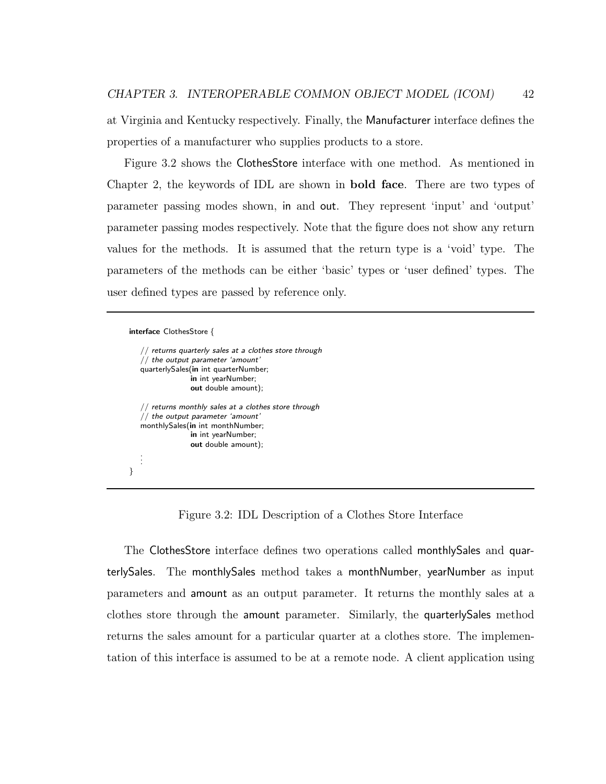at Virginia and Kentucky respectively. Finally, the Manufacturer interface defines the properties of a manufacturer who supplies products to a store.

Figure 3.2 shows the ClothesStore interface with one method. As mentioned in Chapter 2, the keywords of IDL are shown in bold face. There are two types of parameter passing modes shown, in and out. They represent 'input' and 'output' parameter passing modes respectively. Note that the figure does not show any return values for the methods. It is assumed that the return type is a 'void' type. The parameters of the methods can be either 'basic' types or 'user defined' types. The user defined types are passed by reference only.

```
interface ClothesStore {
```

```
// returns quarterly sales at a clothes store through
   // the output parameter 'amount'
   quarterlySales(in int quarterNumber;
                 in int yearNumber;
                 out double amount);
   // returns monthly sales at a clothes store through
   // the output parameter 'amount'
   monthlySales(in int monthNumber;
                 in int yearNumber;
                 out double amount);
   .
   .
   .
}
```
Figure 3.2: IDL Description of a Clothes Store Interface

The ClothesStore interface defines two operations called monthlySales and quarterlySales. The monthlySales method takes a monthNumber, yearNumber as input parameters and amount as an output parameter. It returns the monthly sales at a clothes store through the amount parameter. Similarly, the quarterlySales method returns the sales amount for a particular quarter at a clothes store. The implementation of this interface is assumed to be at a remote node. A client application using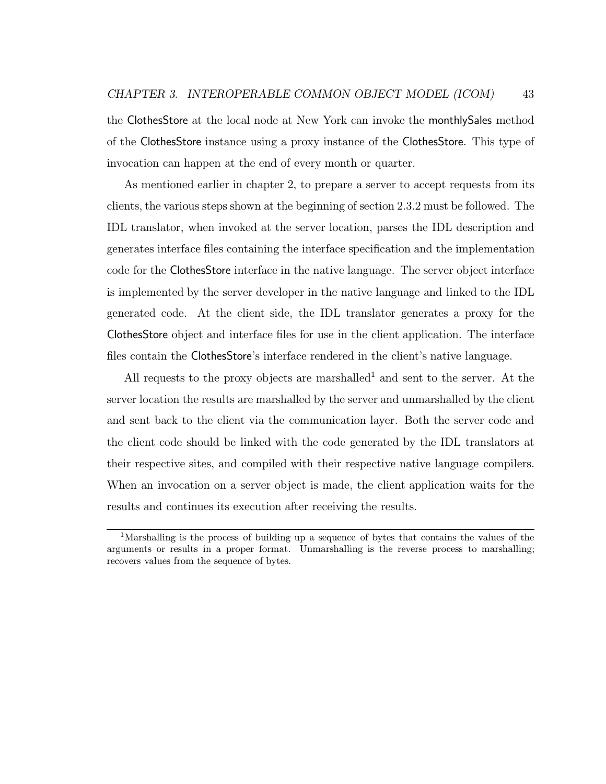the ClothesStore at the local node at New York can invoke the monthlySales method of the ClothesStore instance using a proxy instance of the ClothesStore. This type of invocation can happen at the end of every month or quarter.

As mentioned earlier in chapter 2, to prepare a server to accept requests from its clients, the various steps shown at the beginning of section 2.3.2 must be followed. The IDL translator, when invoked at the server location, parses the IDL description and generates interface files containing the interface specification and the implementation code for the ClothesStore interface in the native language. The server object interface is implemented by the server developer in the native language and linked to the IDL generated code. At the client side, the IDL translator generates a proxy for the ClothesStore object and interface files for use in the client application. The interface files contain the ClothesStore's interface rendered in the client's native language.

All requests to the proxy objects are marshalled<sup>1</sup> and sent to the server. At the server location the results are marshalled by the server and unmarshalled by the client and sent back to the client via the communication layer. Both the server code and the client code should be linked with the code generated by the IDL translators at their respective sites, and compiled with their respective native language compilers. When an invocation on a server object is made, the client application waits for the results and continues its execution after receiving the results.

<sup>1</sup>Marshalling is the process of building up a sequence of bytes that contains the values of the arguments or results in a proper format. Unmarshalling is the reverse process to marshalling; recovers values from the sequence of bytes.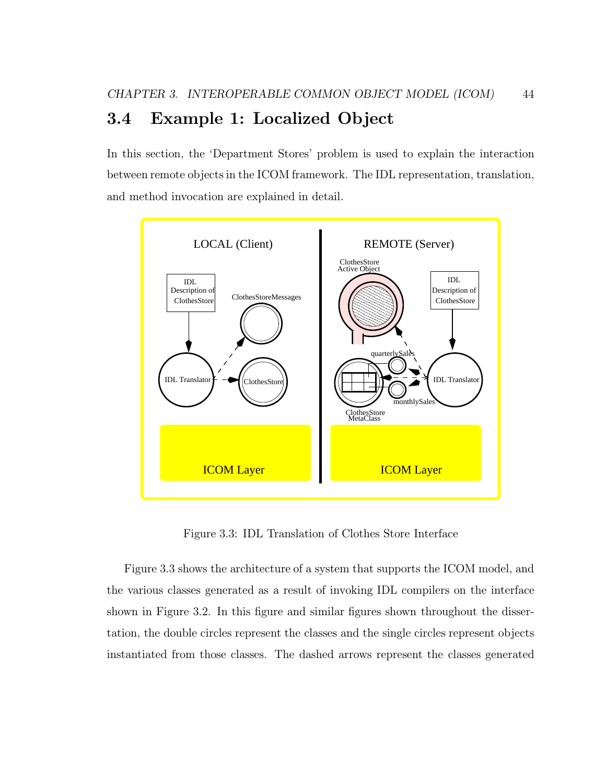# 3.4 Example 1: Localized Object

In this section, the 'Department Stores' problem is used to explain the interaction between remote objects in the ICOM framework. The IDL representation, translation, and method invocation are explained in detail.



Figure 3.3: IDL Translation of Clothes Store Interface

Figure 3.3 shows the architecture of a system that supports the ICOM model, and the various classes generated as a result of invoking IDL compilers on the interface shown in Figure 3.2. In this figure and similar figures shown throughout the dissertation, the double circles represent the classes and the single circles represent objects instantiated from those classes. The dashed arrows represent the classes generated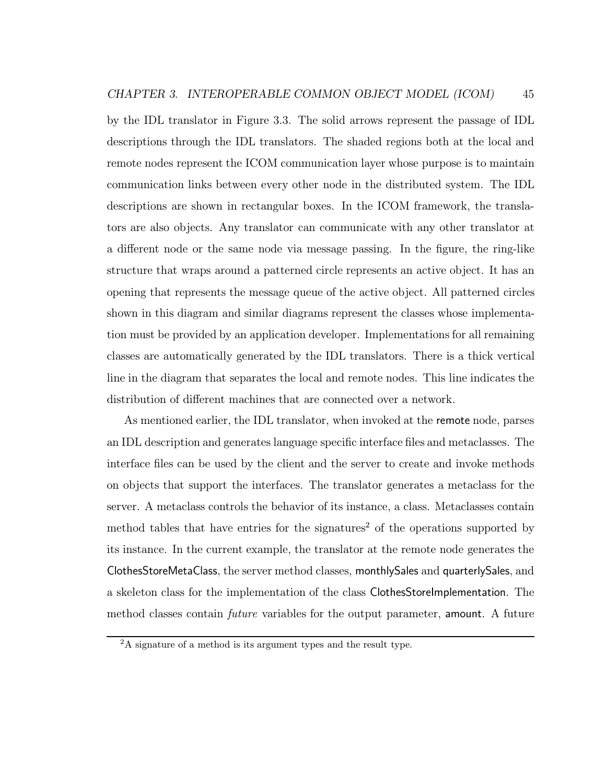by the IDL translator in Figure 3.3. The solid arrows represent the passage of IDL descriptions through the IDL translators. The shaded regions both at the local and remote nodes represent the ICOM communication layer whose purpose is to maintain communication links between every other node in the distributed system. The IDL descriptions are shown in rectangular boxes. In the ICOM framework, the translators are also objects. Any translator can communicate with any other translator at a different node or the same node via message passing. In the figure, the ring-like structure that wraps around a patterned circle represents an active object. It has an opening that represents the message queue of the active object. All patterned circles shown in this diagram and similar diagrams represent the classes whose implementation must be provided by an application developer. Implementations for all remaining classes are automatically generated by the IDL translators. There is a thick vertical line in the diagram that separates the local and remote nodes. This line indicates the distribution of different machines that are connected over a network.

As mentioned earlier, the IDL translator, when invoked at the remote node, parses an IDL description and generates language specific interface files and metaclasses. The interface files can be used by the client and the server to create and invoke methods on objects that support the interfaces. The translator generates a metaclass for the server. A metaclass controls the behavior of its instance, a class. Metaclasses contain method tables that have entries for the signatures<sup>2</sup> of the operations supported by its instance. In the current example, the translator at the remote node generates the ClothesStoreMetaClass, the server method classes, monthlySales and quarterlySales, and a skeleton class for the implementation of the class ClothesStoreImplementation. The method classes contain *future* variables for the output parameter, **amount**. A future

 ${}^{2}$ A signature of a method is its argument types and the result type.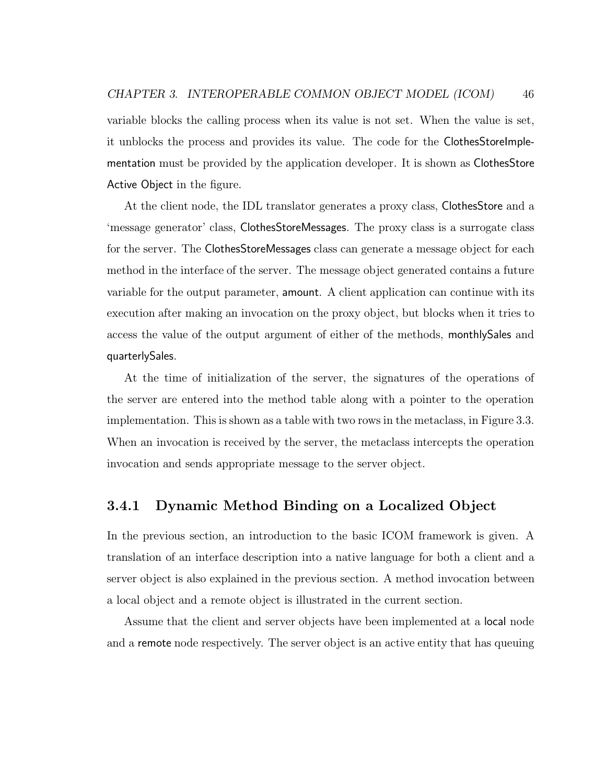variable blocks the calling process when its value is not set. When the value is set, it unblocks the process and provides its value. The code for the ClothesStoreImplementation must be provided by the application developer. It is shown as ClothesStore Active Object in the figure.

At the client node, the IDL translator generates a proxy class, ClothesStore and a 'message generator' class, ClothesStoreMessages. The proxy class is a surrogate class for the server. The ClothesStoreMessages class can generate a message object for each method in the interface of the server. The message object generated contains a future variable for the output parameter, amount. A client application can continue with its execution after making an invocation on the proxy object, but blocks when it tries to access the value of the output argument of either of the methods, monthlySales and quarterlySales.

At the time of initialization of the server, the signatures of the operations of the server are entered into the method table along with a pointer to the operation implementation. This is shown as a table with two rows in the metaclass, in Figure 3.3. When an invocation is received by the server, the metaclass intercepts the operation invocation and sends appropriate message to the server object.

#### 3.4.1 Dynamic Method Binding on a Localized Object

In the previous section, an introduction to the basic ICOM framework is given. A translation of an interface description into a native language for both a client and a server object is also explained in the previous section. A method invocation between a local object and a remote object is illustrated in the current section.

Assume that the client and server objects have been implemented at a local node and a remote node respectively. The server object is an active entity that has queuing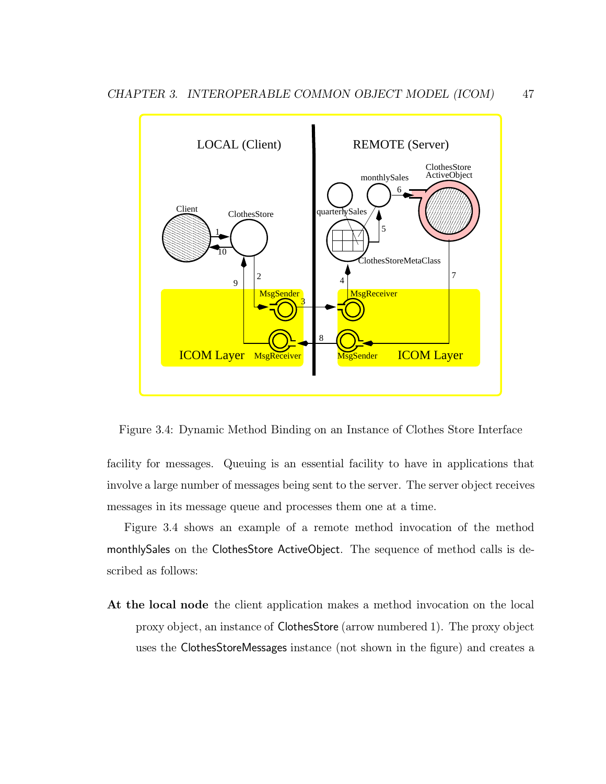

Figure 3.4: Dynamic Method Binding on an Instance of Clothes Store Interface

facility for messages. Queuing is an essential facility to have in applications that involve a large number of messages being sent to the server. The server object receives messages in its message queue and processes them one at a time.

Figure 3.4 shows an example of a remote method invocation of the method monthlySales on the ClothesStore ActiveObject. The sequence of method calls is described as follows:

At the local node the client application makes a method invocation on the local proxy object, an instance of ClothesStore (arrow numbered 1). The proxy object uses the ClothesStoreMessages instance (not shown in the figure) and creates a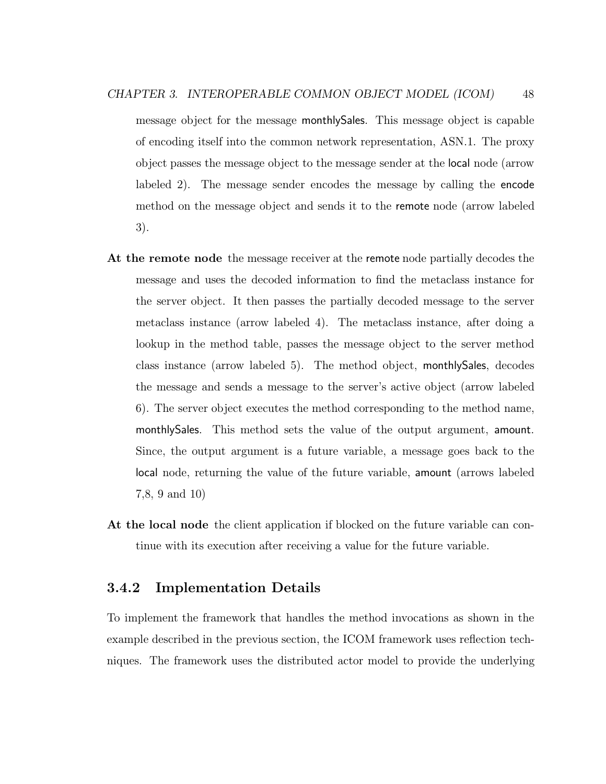message object for the message monthlySales. This message object is capable of encoding itself into the common network representation, ASN.1. The proxy object passes the message object to the message sender at the local node (arrow labeled 2). The message sender encodes the message by calling the encode method on the message object and sends it to the remote node (arrow labeled 3).

- At the remote node the message receiver at the remote node partially decodes the message and uses the decoded information to find the metaclass instance for the server object. It then passes the partially decoded message to the server metaclass instance (arrow labeled 4). The metaclass instance, after doing a lookup in the method table, passes the message object to the server method class instance (arrow labeled 5). The method object, monthlySales, decodes the message and sends a message to the server's active object (arrow labeled 6). The server object executes the method corresponding to the method name, monthlySales. This method sets the value of the output argument, amount. Since, the output argument is a future variable, a message goes back to the local node, returning the value of the future variable, amount (arrows labeled 7,8, 9 and 10)
- At the local node the client application if blocked on the future variable can continue with its execution after receiving a value for the future variable.

#### 3.4.2 Implementation Details

To implement the framework that handles the method invocations as shown in the example described in the previous section, the ICOM framework uses reflection techniques. The framework uses the distributed actor model to provide the underlying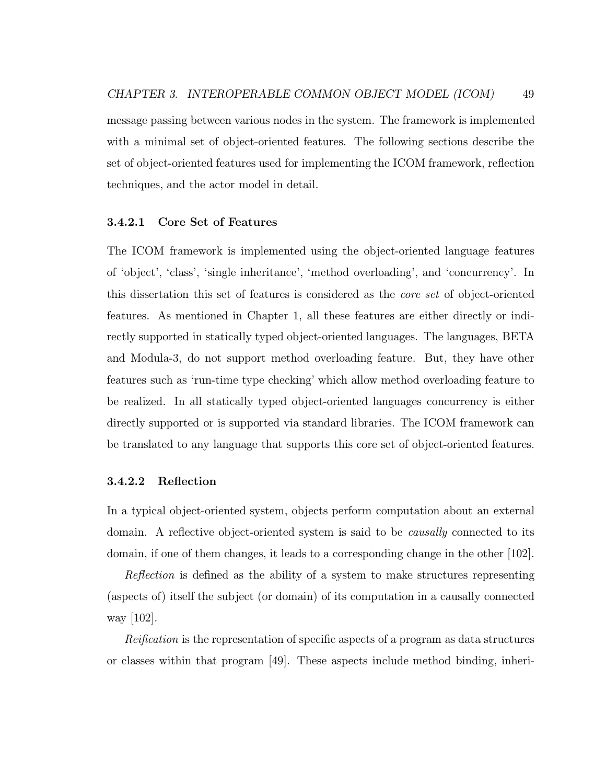message passing between various nodes in the system. The framework is implemented with a minimal set of object-oriented features. The following sections describe the set of object-oriented features used for implementing the ICOM framework, reflection techniques, and the actor model in detail.

#### 3.4.2.1 Core Set of Features

The ICOM framework is implemented using the object-oriented language features of 'object', 'class', 'single inheritance', 'method overloading', and 'concurrency'. In this dissertation this set of features is considered as the core set of object-oriented features. As mentioned in Chapter 1, all these features are either directly or indirectly supported in statically typed object-oriented languages. The languages, BETA and Modula-3, do not support method overloading feature. But, they have other features such as 'run-time type checking' which allow method overloading feature to be realized. In all statically typed object-oriented languages concurrency is either directly supported or is supported via standard libraries. The ICOM framework can be translated to any language that supports this core set of object-oriented features.

#### 3.4.2.2 Reflection

In a typical object-oriented system, objects perform computation about an external domain. A reflective object-oriented system is said to be *causally* connected to its domain, if one of them changes, it leads to a corresponding change in the other [102].

Reflection is defined as the ability of a system to make structures representing (aspects of) itself the subject (or domain) of its computation in a causally connected way [102].

Reification is the representation of specific aspects of a program as data structures or classes within that program [49]. These aspects include method binding, inheri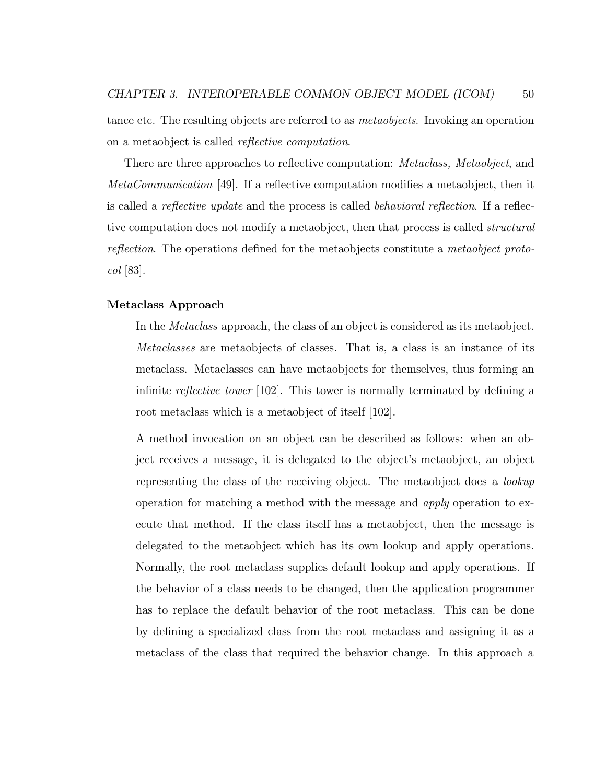tance etc. The resulting objects are referred to as metaobjects. Invoking an operation on a metaobject is called reflective computation.

There are three approaches to reflective computation: Metaclass, Metaobject, and MetaCommunication [49]. If a reflective computation modifies a metaobject, then it is called a *reflective update* and the process is called *behavioral reflection*. If a reflective computation does not modify a metaobject, then that process is called *structural* reflection. The operations defined for the metaobjects constitute a metaobject protocol [83].

#### Metaclass Approach

In the Metaclass approach, the class of an object is considered as its metaobject. Metaclasses are metaobjects of classes. That is, a class is an instance of its metaclass. Metaclasses can have metaobjects for themselves, thus forming an infinite reflective tower [102]. This tower is normally terminated by defining a root metaclass which is a metaobject of itself [102].

A method invocation on an object can be described as follows: when an object receives a message, it is delegated to the object's metaobject, an object representing the class of the receiving object. The metaobject does a lookup operation for matching a method with the message and apply operation to execute that method. If the class itself has a metaobject, then the message is delegated to the metaobject which has its own lookup and apply operations. Normally, the root metaclass supplies default lookup and apply operations. If the behavior of a class needs to be changed, then the application programmer has to replace the default behavior of the root metaclass. This can be done by defining a specialized class from the root metaclass and assigning it as a metaclass of the class that required the behavior change. In this approach a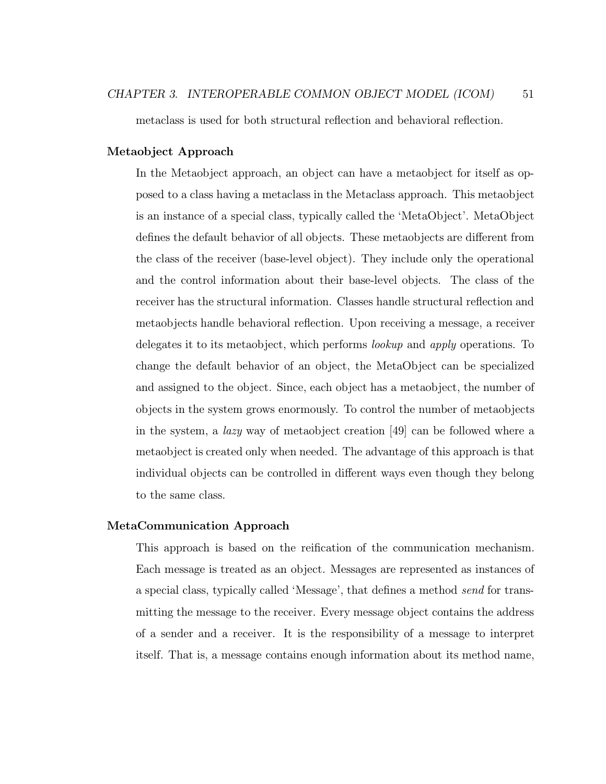metaclass is used for both structural reflection and behavioral reflection.

#### Metaobject Approach

In the Metaobject approach, an object can have a metaobject for itself as opposed to a class having a metaclass in the Metaclass approach. This metaobject is an instance of a special class, typically called the 'MetaObject'. MetaObject defines the default behavior of all objects. These metaobjects are different from the class of the receiver (base-level object). They include only the operational and the control information about their base-level objects. The class of the receiver has the structural information. Classes handle structural reflection and metaobjects handle behavioral reflection. Upon receiving a message, a receiver delegates it to its metaobject, which performs lookup and apply operations. To change the default behavior of an object, the MetaObject can be specialized and assigned to the object. Since, each object has a metaobject, the number of objects in the system grows enormously. To control the number of metaobjects in the system, a *lazy* way of metaobject creation [49] can be followed where a metaobject is created only when needed. The advantage of this approach is that individual objects can be controlled in different ways even though they belong to the same class.

#### MetaCommunication Approach

This approach is based on the reification of the communication mechanism. Each message is treated as an object. Messages are represented as instances of a special class, typically called 'Message', that defines a method send for transmitting the message to the receiver. Every message object contains the address of a sender and a receiver. It is the responsibility of a message to interpret itself. That is, a message contains enough information about its method name,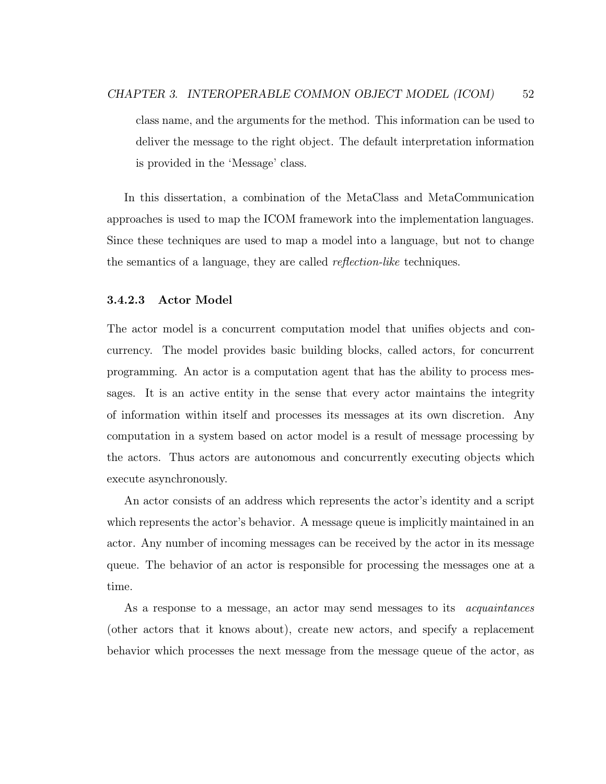class name, and the arguments for the method. This information can be used to deliver the message to the right object. The default interpretation information is provided in the 'Message' class.

In this dissertation, a combination of the MetaClass and MetaCommunication approaches is used to map the ICOM framework into the implementation languages. Since these techniques are used to map a model into a language, but not to change the semantics of a language, they are called reflection-like techniques.

#### 3.4.2.3 Actor Model

The actor model is a concurrent computation model that unifies objects and concurrency. The model provides basic building blocks, called actors, for concurrent programming. An actor is a computation agent that has the ability to process messages. It is an active entity in the sense that every actor maintains the integrity of information within itself and processes its messages at its own discretion. Any computation in a system based on actor model is a result of message processing by the actors. Thus actors are autonomous and concurrently executing objects which execute asynchronously.

An actor consists of an address which represents the actor's identity and a script which represents the actor's behavior. A message queue is implicitly maintained in an actor. Any number of incoming messages can be received by the actor in its message queue. The behavior of an actor is responsible for processing the messages one at a time.

As a response to a message, an actor may send messages to its *acquaintances* (other actors that it knows about), create new actors, and specify a replacement behavior which processes the next message from the message queue of the actor, as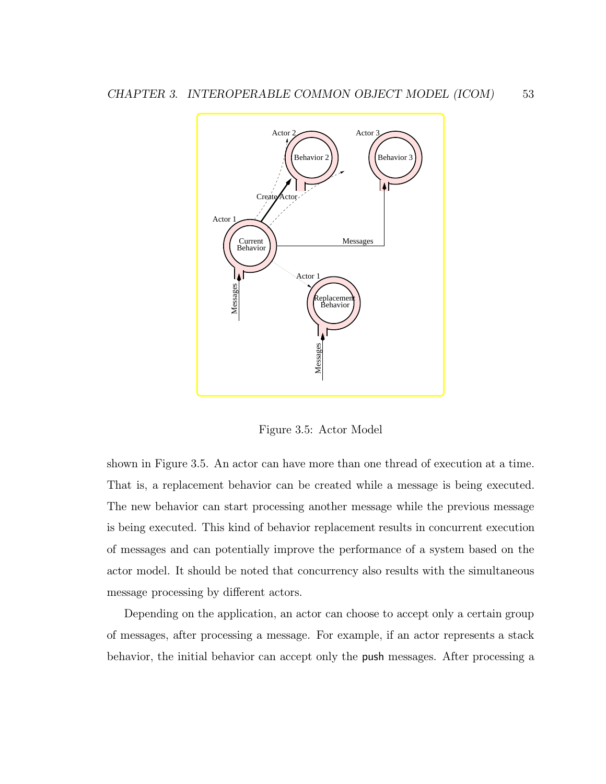

Figure 3.5: Actor Model

shown in Figure 3.5. An actor can have more than one thread of execution at a time. That is, a replacement behavior can be created while a message is being executed. The new behavior can start processing another message while the previous message is being executed. This kind of behavior replacement results in concurrent execution of messages and can potentially improve the performance of a system based on the actor model. It should be noted that concurrency also results with the simultaneous message processing by different actors.

Depending on the application, an actor can choose to accept only a certain group of messages, after processing a message. For example, if an actor represents a stack behavior, the initial behavior can accept only the push messages. After processing a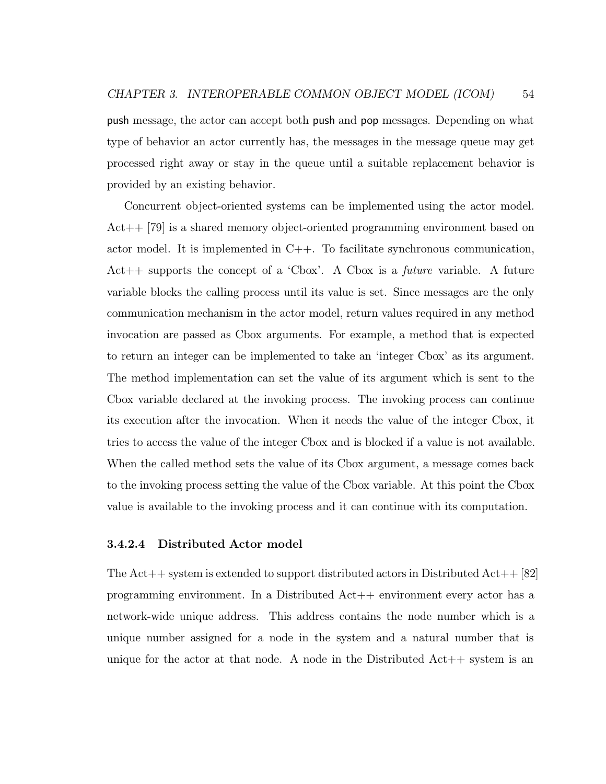push message, the actor can accept both push and pop messages. Depending on what type of behavior an actor currently has, the messages in the message queue may get processed right away or stay in the queue until a suitable replacement behavior is provided by an existing behavior.

Concurrent object-oriented systems can be implemented using the actor model. Act++ [79] is a shared memory object-oriented programming environment based on actor model. It is implemented in C++. To facilitate synchronous communication, Act $++$  supports the concept of a 'Cbox'. A Cbox is a *future* variable. A future variable blocks the calling process until its value is set. Since messages are the only communication mechanism in the actor model, return values required in any method invocation are passed as Cbox arguments. For example, a method that is expected to return an integer can be implemented to take an 'integer Cbox' as its argument. The method implementation can set the value of its argument which is sent to the Cbox variable declared at the invoking process. The invoking process can continue its execution after the invocation. When it needs the value of the integer Cbox, it tries to access the value of the integer Cbox and is blocked if a value is not available. When the called method sets the value of its Cbox argument, a message comes back to the invoking process setting the value of the Cbox variable. At this point the Cbox value is available to the invoking process and it can continue with its computation.

#### 3.4.2.4 Distributed Actor model

The  $Act++$  system is extended to support distributed actors in Distributed  $Act++$  [82] programming environment. In a Distributed Act++ environment every actor has a network-wide unique address. This address contains the node number which is a unique number assigned for a node in the system and a natural number that is unique for the actor at that node. A node in the Distributed  $Act++$  system is an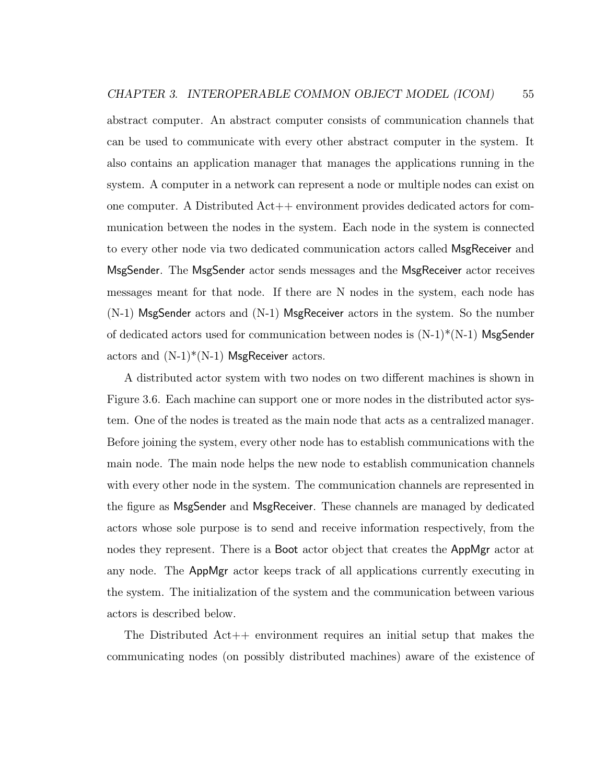abstract computer. An abstract computer consists of communication channels that can be used to communicate with every other abstract computer in the system. It also contains an application manager that manages the applications running in the system. A computer in a network can represent a node or multiple nodes can exist on one computer. A Distributed Act++ environment provides dedicated actors for communication between the nodes in the system. Each node in the system is connected to every other node via two dedicated communication actors called MsgReceiver and MsgSender. The MsgSender actor sends messages and the MsgReceiver actor receives messages meant for that node. If there are N nodes in the system, each node has  $(N-1)$  MsgSender actors and  $(N-1)$  MsgReceiver actors in the system. So the number of dedicated actors used for communication between nodes is  $(N-1)*(N-1)$  MsgSender actors and  $(N-1)*(N-1)$  MsgReceiver actors.

A distributed actor system with two nodes on two different machines is shown in Figure 3.6. Each machine can support one or more nodes in the distributed actor system. One of the nodes is treated as the main node that acts as a centralized manager. Before joining the system, every other node has to establish communications with the main node. The main node helps the new node to establish communication channels with every other node in the system. The communication channels are represented in the figure as MsgSender and MsgReceiver. These channels are managed by dedicated actors whose sole purpose is to send and receive information respectively, from the nodes they represent. There is a Boot actor object that creates the AppMgr actor at any node. The AppMgr actor keeps track of all applications currently executing in the system. The initialization of the system and the communication between various actors is described below.

The Distributed  $Act++$  environment requires an initial setup that makes the communicating nodes (on possibly distributed machines) aware of the existence of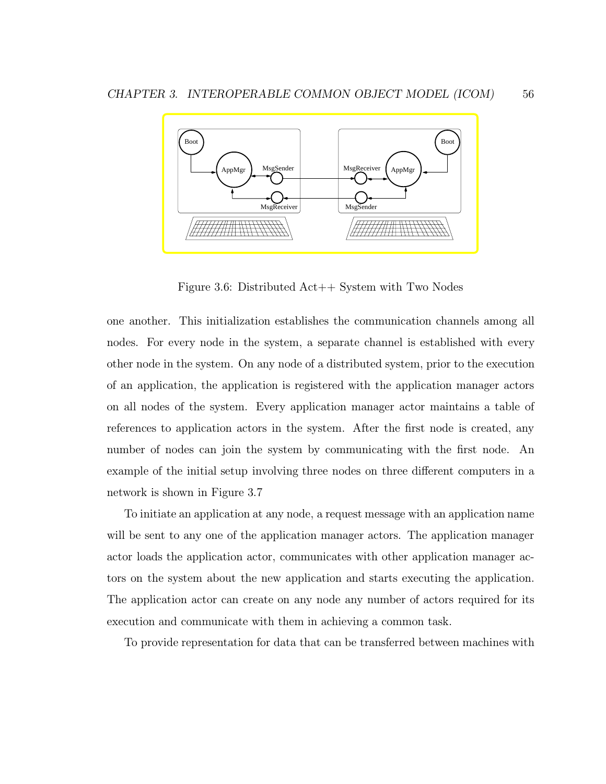

Figure 3.6: Distributed Act++ System with Two Nodes

one another. This initialization establishes the communication channels among all nodes. For every node in the system, a separate channel is established with every other node in the system. On any node of a distributed system, prior to the execution of an application, the application is registered with the application manager actors on all nodes of the system. Every application manager actor maintains a table of references to application actors in the system. After the first node is created, any number of nodes can join the system by communicating with the first node. An example of the initial setup involving three nodes on three different computers in a network is shown in Figure 3.7

To initiate an application at any node, a request message with an application name will be sent to any one of the application manager actors. The application manager actor loads the application actor, communicates with other application manager actors on the system about the new application and starts executing the application. The application actor can create on any node any number of actors required for its execution and communicate with them in achieving a common task.

To provide representation for data that can be transferred between machines with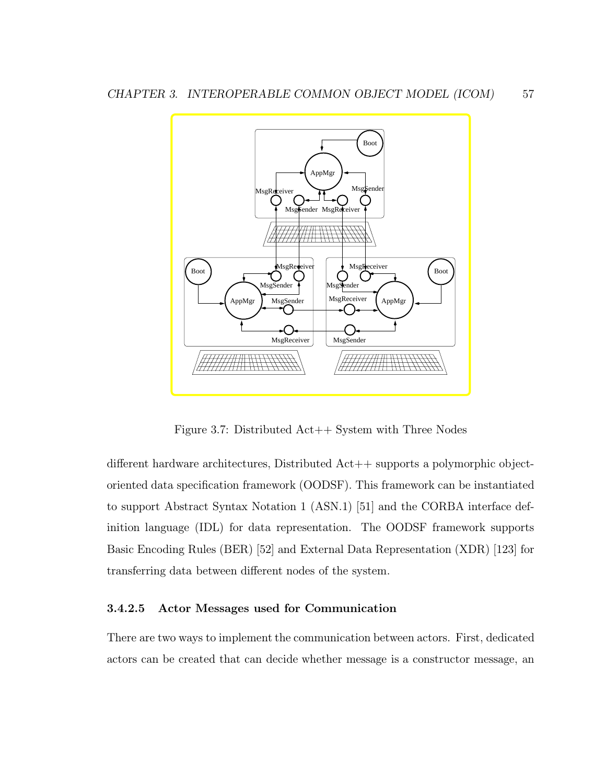

Figure 3.7: Distributed Act++ System with Three Nodes

different hardware architectures, Distributed Act++ supports a polymorphic objectoriented data specification framework (OODSF). This framework can be instantiated to support Abstract Syntax Notation 1 (ASN.1) [51] and the CORBA interface definition language (IDL) for data representation. The OODSF framework supports Basic Encoding Rules (BER) [52] and External Data Representation (XDR) [123] for transferring data between different nodes of the system.

#### 3.4.2.5 Actor Messages used for Communication

There are two ways to implement the communication between actors. First, dedicated actors can be created that can decide whether message is a constructor message, an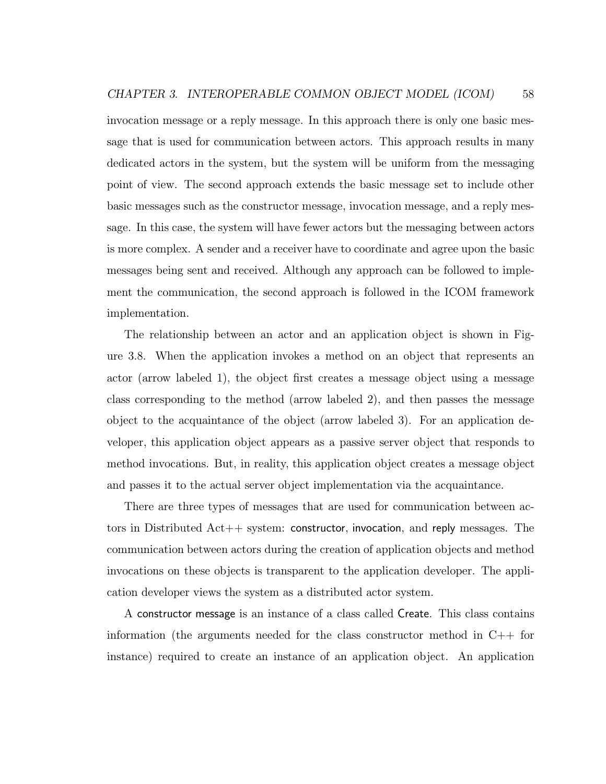invocation message or a reply message. In this approach there is only one basic message that is used for communication between actors. This approach results in many dedicated actors in the system, but the system will be uniform from the messaging point of view. The second approach extends the basic message set to include other basic messages such as the constructor message, invocation message, and a reply message. In this case, the system will have fewer actors but the messaging between actors is more complex. A sender and a receiver have to coordinate and agree upon the basic messages being sent and received. Although any approach can be followed to implement the communication, the second approach is followed in the ICOM framework implementation.

The relationship between an actor and an application object is shown in Figure 3.8. When the application invokes a method on an object that represents an actor (arrow labeled 1), the object first creates a message object using a message class corresponding to the method (arrow labeled 2), and then passes the message object to the acquaintance of the object (arrow labeled 3). For an application developer, this application object appears as a passive server object that responds to method invocations. But, in reality, this application object creates a message object and passes it to the actual server object implementation via the acquaintance.

There are three types of messages that are used for communication between actors in Distributed Act++ system: constructor, invocation, and reply messages. The communication between actors during the creation of application objects and method invocations on these objects is transparent to the application developer. The application developer views the system as a distributed actor system.

A constructor message is an instance of a class called Create. This class contains information (the arguments needed for the class constructor method in  $C_{++}$  for instance) required to create an instance of an application object. An application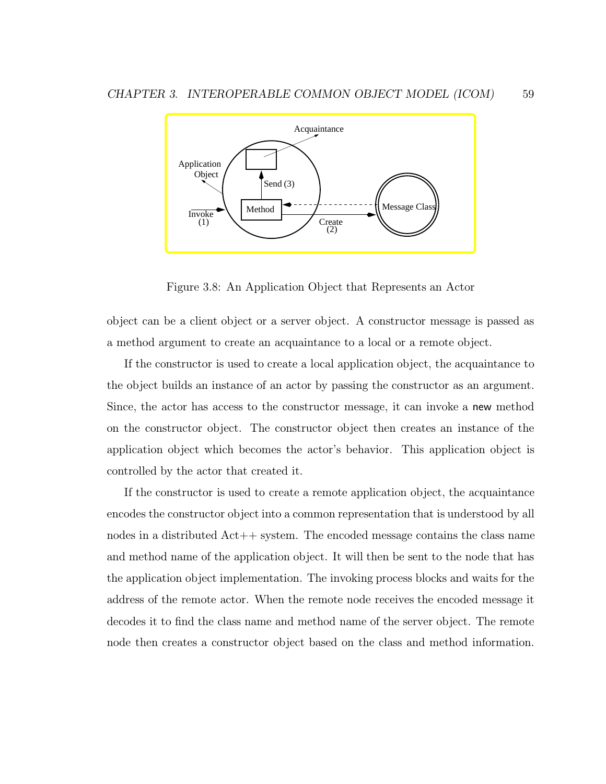

Figure 3.8: An Application Object that Represents an Actor

object can be a client object or a server object. A constructor message is passed as a method argument to create an acquaintance to a local or a remote object.

If the constructor is used to create a local application object, the acquaintance to the object builds an instance of an actor by passing the constructor as an argument. Since, the actor has access to the constructor message, it can invoke a new method on the constructor object. The constructor object then creates an instance of the application object which becomes the actor's behavior. This application object is controlled by the actor that created it.

If the constructor is used to create a remote application object, the acquaintance encodes the constructor object into a common representation that is understood by all nodes in a distributed Act++ system. The encoded message contains the class name and method name of the application object. It will then be sent to the node that has the application object implementation. The invoking process blocks and waits for the address of the remote actor. When the remote node receives the encoded message it decodes it to find the class name and method name of the server object. The remote node then creates a constructor object based on the class and method information.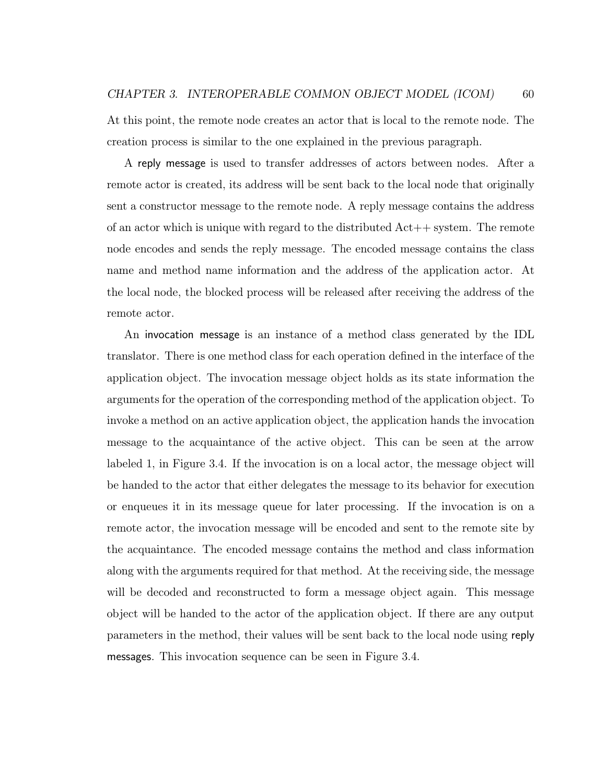At this point, the remote node creates an actor that is local to the remote node. The creation process is similar to the one explained in the previous paragraph.

A reply message is used to transfer addresses of actors between nodes. After a remote actor is created, its address will be sent back to the local node that originally sent a constructor message to the remote node. A reply message contains the address of an actor which is unique with regard to the distributed  $Act++$  system. The remote node encodes and sends the reply message. The encoded message contains the class name and method name information and the address of the application actor. At the local node, the blocked process will be released after receiving the address of the remote actor.

An invocation message is an instance of a method class generated by the IDL translator. There is one method class for each operation defined in the interface of the application object. The invocation message object holds as its state information the arguments for the operation of the corresponding method of the application object. To invoke a method on an active application object, the application hands the invocation message to the acquaintance of the active object. This can be seen at the arrow labeled 1, in Figure 3.4. If the invocation is on a local actor, the message object will be handed to the actor that either delegates the message to its behavior for execution or enqueues it in its message queue for later processing. If the invocation is on a remote actor, the invocation message will be encoded and sent to the remote site by the acquaintance. The encoded message contains the method and class information along with the arguments required for that method. At the receiving side, the message will be decoded and reconstructed to form a message object again. This message object will be handed to the actor of the application object. If there are any output parameters in the method, their values will be sent back to the local node using reply messages. This invocation sequence can be seen in Figure 3.4.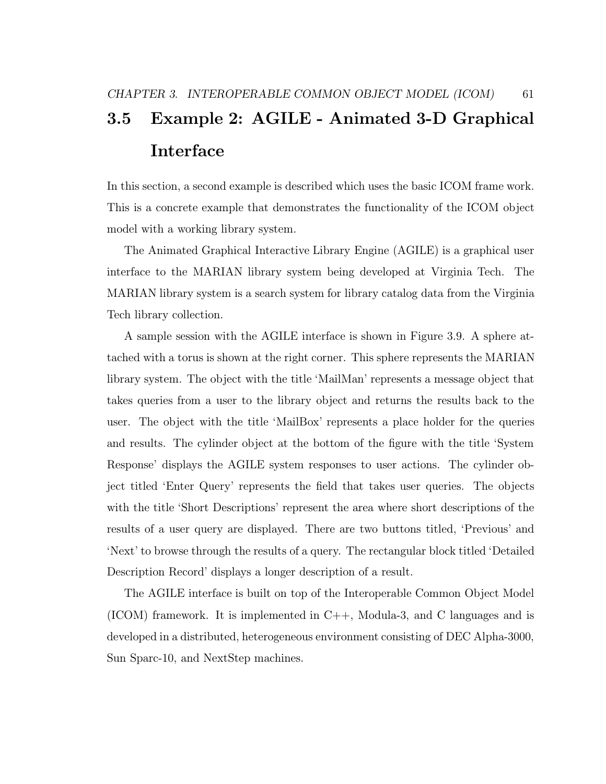# 3.5 Example 2: AGILE - Animated 3-D Graphical Interface

In this section, a second example is described which uses the basic ICOM frame work. This is a concrete example that demonstrates the functionality of the ICOM object model with a working library system.

The Animated Graphical Interactive Library Engine (AGILE) is a graphical user interface to the MARIAN library system being developed at Virginia Tech. The MARIAN library system is a search system for library catalog data from the Virginia Tech library collection.

A sample session with the AGILE interface is shown in Figure 3.9. A sphere attached with a torus is shown at the right corner. This sphere represents the MARIAN library system. The object with the title 'MailMan' represents a message object that takes queries from a user to the library object and returns the results back to the user. The object with the title 'MailBox' represents a place holder for the queries and results. The cylinder object at the bottom of the figure with the title 'System Response' displays the AGILE system responses to user actions. The cylinder object titled 'Enter Query' represents the field that takes user queries. The objects with the title 'Short Descriptions' represent the area where short descriptions of the results of a user query are displayed. There are two buttons titled, 'Previous' and 'Next' to browse through the results of a query. The rectangular block titled 'Detailed Description Record' displays a longer description of a result.

The AGILE interface is built on top of the Interoperable Common Object Model (ICOM) framework. It is implemented in  $C_{++}$ , Modula-3, and C languages and is developed in a distributed, heterogeneous environment consisting of DEC Alpha-3000, Sun Sparc-10, and NextStep machines.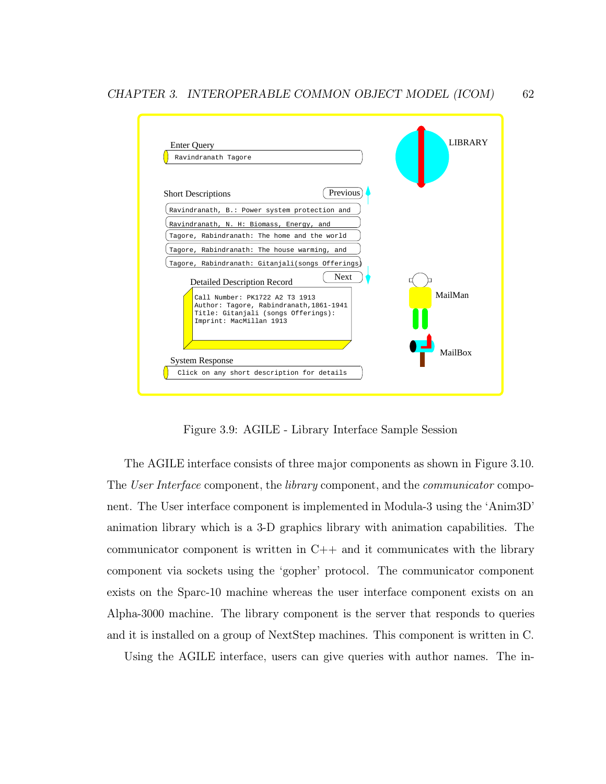

Figure 3.9: AGILE - Library Interface Sample Session

The AGILE interface consists of three major components as shown in Figure 3.10. The User Interface component, the library component, and the *communicator* component. The User interface component is implemented in Modula-3 using the 'Anim3D' animation library which is a 3-D graphics library with animation capabilities. The communicator component is written in  $C++$  and it communicates with the library component via sockets using the 'gopher' protocol. The communicator component exists on the Sparc-10 machine whereas the user interface component exists on an Alpha-3000 machine. The library component is the server that responds to queries and it is installed on a group of NextStep machines. This component is written in C.

Using the AGILE interface, users can give queries with author names. The in-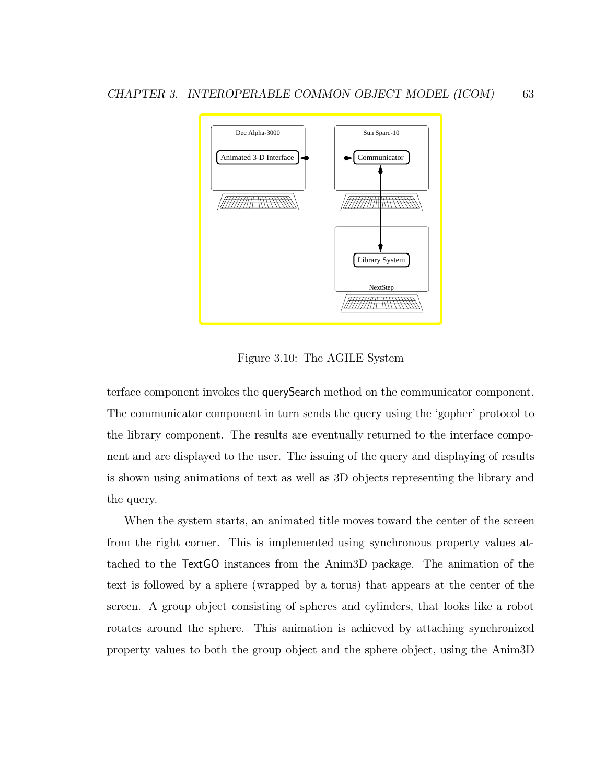

Figure 3.10: The AGILE System

terface component invokes the querySearch method on the communicator component. The communicator component in turn sends the query using the 'gopher' protocol to the library component. The results are eventually returned to the interface component and are displayed to the user. The issuing of the query and displaying of results is shown using animations of text as well as 3D objects representing the library and the query.

When the system starts, an animated title moves toward the center of the screen from the right corner. This is implemented using synchronous property values attached to the TextGO instances from the Anim3D package. The animation of the text is followed by a sphere (wrapped by a torus) that appears at the center of the screen. A group object consisting of spheres and cylinders, that looks like a robot rotates around the sphere. This animation is achieved by attaching synchronized property values to both the group object and the sphere object, using the Anim3D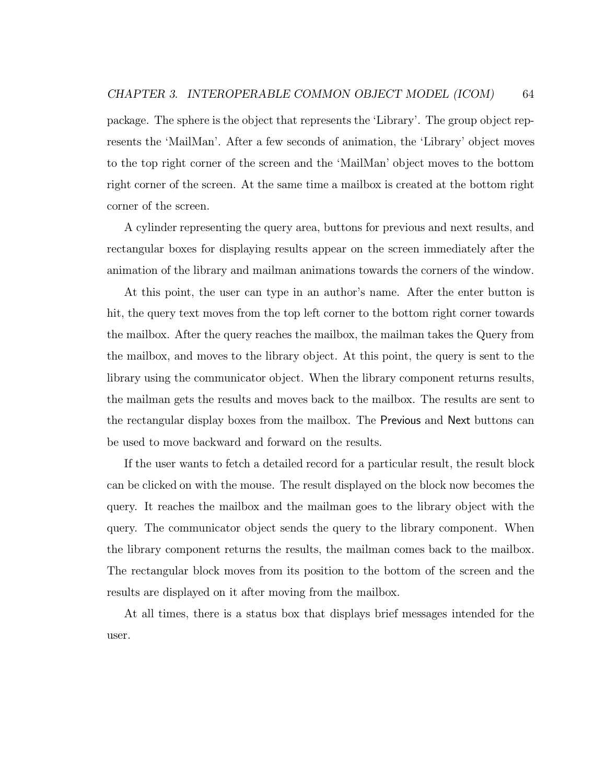package. The sphere is the object that represents the 'Library'. The group object represents the 'MailMan'. After a few seconds of animation, the 'Library' object moves to the top right corner of the screen and the 'MailMan' object moves to the bottom right corner of the screen. At the same time a mailbox is created at the bottom right corner of the screen.

A cylinder representing the query area, buttons for previous and next results, and rectangular boxes for displaying results appear on the screen immediately after the animation of the library and mailman animations towards the corners of the window.

At this point, the user can type in an author's name. After the enter button is hit, the query text moves from the top left corner to the bottom right corner towards the mailbox. After the query reaches the mailbox, the mailman takes the Query from the mailbox, and moves to the library object. At this point, the query is sent to the library using the communicator object. When the library component returns results, the mailman gets the results and moves back to the mailbox. The results are sent to the rectangular display boxes from the mailbox. The Previous and Next buttons can be used to move backward and forward on the results.

If the user wants to fetch a detailed record for a particular result, the result block can be clicked on with the mouse. The result displayed on the block now becomes the query. It reaches the mailbox and the mailman goes to the library object with the query. The communicator object sends the query to the library component. When the library component returns the results, the mailman comes back to the mailbox. The rectangular block moves from its position to the bottom of the screen and the results are displayed on it after moving from the mailbox.

At all times, there is a status box that displays brief messages intended for the user.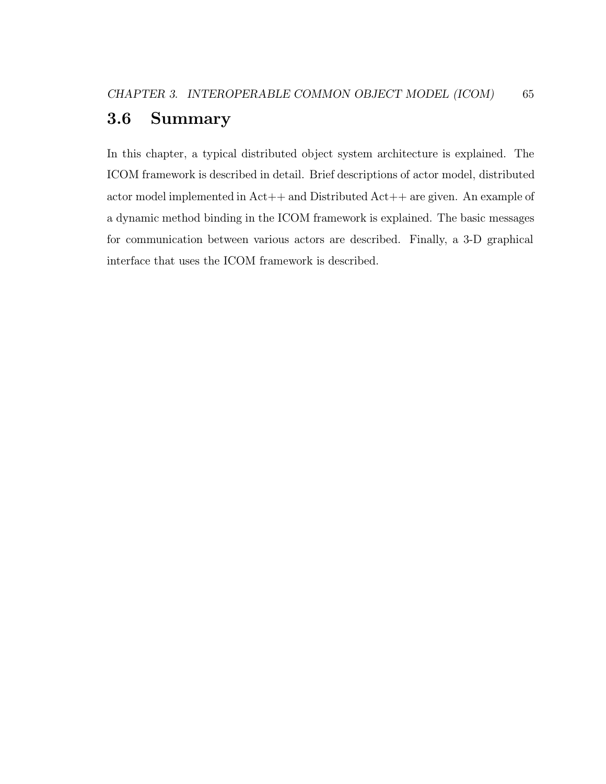### 3.6 Summary

In this chapter, a typical distributed object system architecture is explained. The ICOM framework is described in detail. Brief descriptions of actor model, distributed actor model implemented in Act++ and Distributed Act++ are given. An example of a dynamic method binding in the ICOM framework is explained. The basic messages for communication between various actors are described. Finally, a 3-D graphical interface that uses the ICOM framework is described.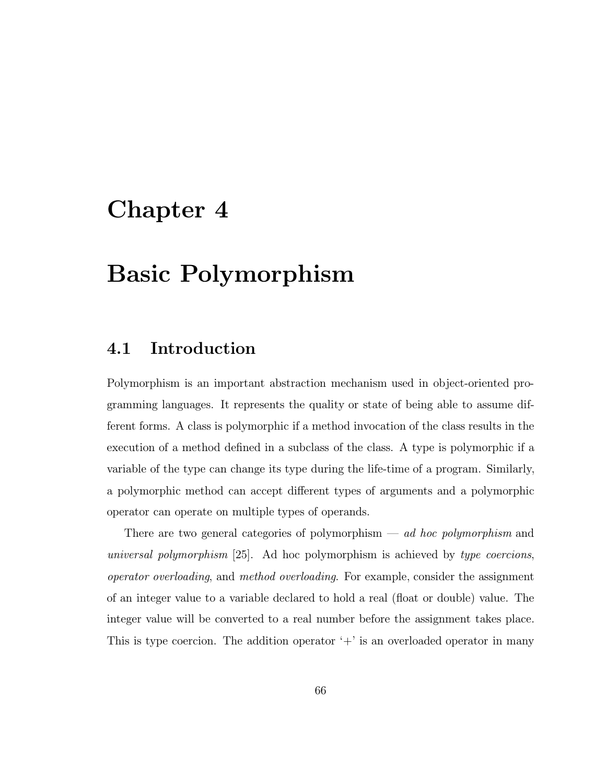# Chapter 4

# Basic Polymorphism

### 4.1 Introduction

Polymorphism is an important abstraction mechanism used in object-oriented programming languages. It represents the quality or state of being able to assume different forms. A class is polymorphic if a method invocation of the class results in the execution of a method defined in a subclass of the class. A type is polymorphic if a variable of the type can change its type during the life-time of a program. Similarly, a polymorphic method can accept different types of arguments and a polymorphic operator can operate on multiple types of operands.

There are two general categories of polymorphism  $-$  *ad hoc polymorphism* and universal polymorphism [25]. Ad hoc polymorphism is achieved by type coercions, operator overloading, and method overloading. For example, consider the assignment of an integer value to a variable declared to hold a real (float or double) value. The integer value will be converted to a real number before the assignment takes place. This is type coercion. The addition operator  $+$  is an overloaded operator in many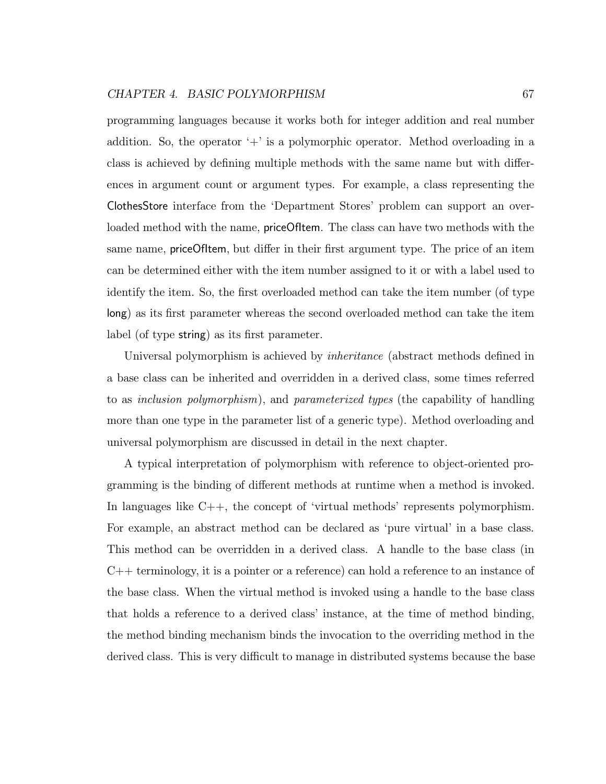programming languages because it works both for integer addition and real number addition. So, the operator  $+$  is a polymorphic operator. Method overloading in a class is achieved by defining multiple methods with the same name but with differences in argument count or argument types. For example, a class representing the ClothesStore interface from the 'Department Stores' problem can support an overloaded method with the name, **priceOfItem**. The class can have two methods with the same name, priceOfItem, but differ in their first argument type. The price of an item can be determined either with the item number assigned to it or with a label used to identify the item. So, the first overloaded method can take the item number (of type long) as its first parameter whereas the second overloaded method can take the item label (of type string) as its first parameter.

Universal polymorphism is achieved by inheritance (abstract methods defined in a base class can be inherited and overridden in a derived class, some times referred to as inclusion polymorphism), and parameterized types (the capability of handling more than one type in the parameter list of a generic type). Method overloading and universal polymorphism are discussed in detail in the next chapter.

A typical interpretation of polymorphism with reference to object-oriented programming is the binding of different methods at runtime when a method is invoked. In languages like C++, the concept of 'virtual methods' represents polymorphism. For example, an abstract method can be declared as 'pure virtual' in a base class. This method can be overridden in a derived class. A handle to the base class (in C++ terminology, it is a pointer or a reference) can hold a reference to an instance of the base class. When the virtual method is invoked using a handle to the base class that holds a reference to a derived class' instance, at the time of method binding, the method binding mechanism binds the invocation to the overriding method in the derived class. This is very difficult to manage in distributed systems because the base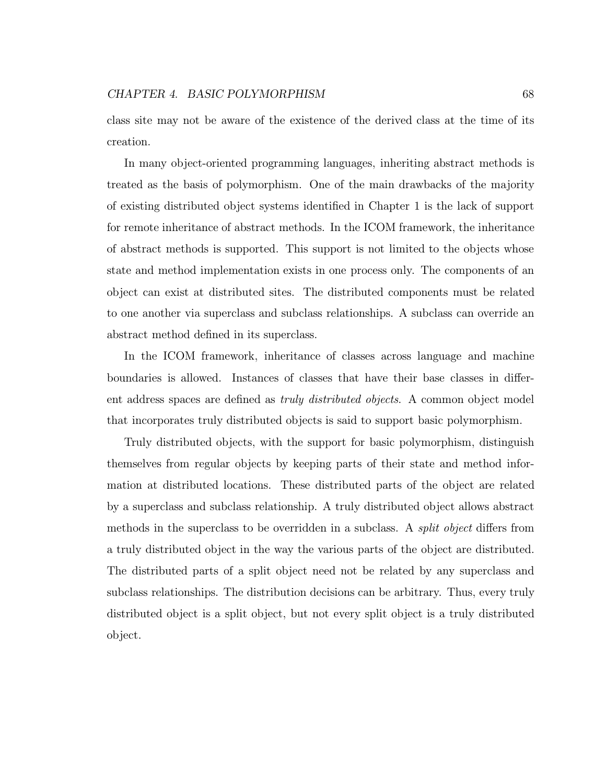class site may not be aware of the existence of the derived class at the time of its creation.

In many object-oriented programming languages, inheriting abstract methods is treated as the basis of polymorphism. One of the main drawbacks of the majority of existing distributed object systems identified in Chapter 1 is the lack of support for remote inheritance of abstract methods. In the ICOM framework, the inheritance of abstract methods is supported. This support is not limited to the objects whose state and method implementation exists in one process only. The components of an object can exist at distributed sites. The distributed components must be related to one another via superclass and subclass relationships. A subclass can override an abstract method defined in its superclass.

In the ICOM framework, inheritance of classes across language and machine boundaries is allowed. Instances of classes that have their base classes in different address spaces are defined as truly distributed objects. A common object model that incorporates truly distributed objects is said to support basic polymorphism.

Truly distributed objects, with the support for basic polymorphism, distinguish themselves from regular objects by keeping parts of their state and method information at distributed locations. These distributed parts of the object are related by a superclass and subclass relationship. A truly distributed object allows abstract methods in the superclass to be overridden in a subclass. A split object differs from a truly distributed object in the way the various parts of the object are distributed. The distributed parts of a split object need not be related by any superclass and subclass relationships. The distribution decisions can be arbitrary. Thus, every truly distributed object is a split object, but not every split object is a truly distributed object.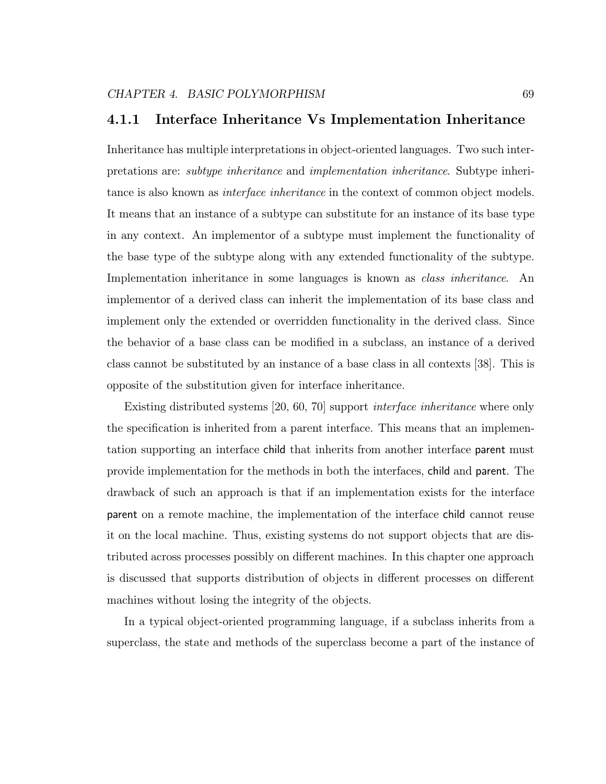### 4.1.1 Interface Inheritance Vs Implementation Inheritance

Inheritance has multiple interpretations in object-oriented languages. Two such interpretations are: subtype inheritance and implementation inheritance. Subtype inheritance is also known as *interface inheritance* in the context of common object models. It means that an instance of a subtype can substitute for an instance of its base type in any context. An implementor of a subtype must implement the functionality of the base type of the subtype along with any extended functionality of the subtype. Implementation inheritance in some languages is known as *class inheritance*. An implementor of a derived class can inherit the implementation of its base class and implement only the extended or overridden functionality in the derived class. Since the behavior of a base class can be modified in a subclass, an instance of a derived class cannot be substituted by an instance of a base class in all contexts [38]. This is opposite of the substitution given for interface inheritance.

Existing distributed systems [20, 60, 70] support interface inheritance where only the specification is inherited from a parent interface. This means that an implementation supporting an interface child that inherits from another interface parent must provide implementation for the methods in both the interfaces, child and parent. The drawback of such an approach is that if an implementation exists for the interface parent on a remote machine, the implementation of the interface child cannot reuse it on the local machine. Thus, existing systems do not support objects that are distributed across processes possibly on different machines. In this chapter one approach is discussed that supports distribution of objects in different processes on different machines without losing the integrity of the objects.

In a typical object-oriented programming language, if a subclass inherits from a superclass, the state and methods of the superclass become a part of the instance of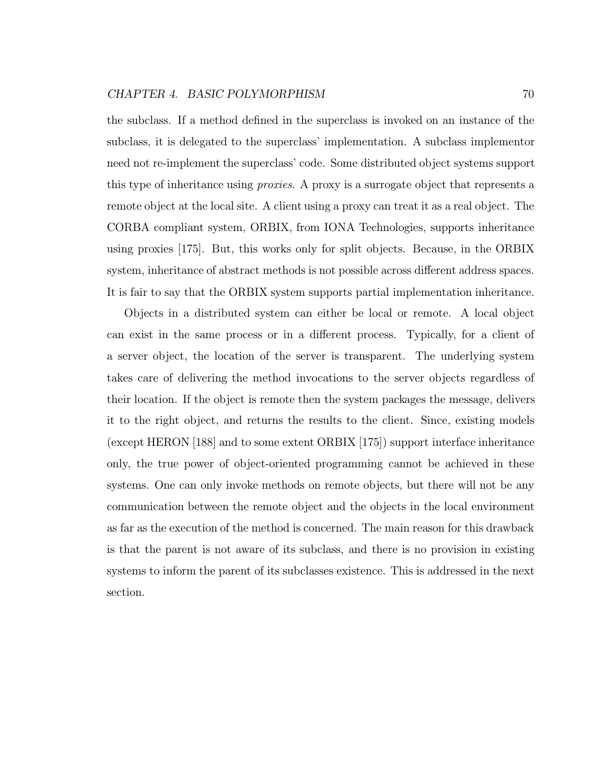the subclass. If a method defined in the superclass is invoked on an instance of the subclass, it is delegated to the superclass' implementation. A subclass implementor need not re-implement the superclass' code. Some distributed object systems support this type of inheritance using *proxies*. A proxy is a surrogate object that represents a remote object at the local site. A client using a proxy can treat it as a real object. The CORBA compliant system, ORBIX, from IONA Technologies, supports inheritance using proxies [175]. But, this works only for split objects. Because, in the ORBIX system, inheritance of abstract methods is not possible across different address spaces. It is fair to say that the ORBIX system supports partial implementation inheritance.

Objects in a distributed system can either be local or remote. A local object can exist in the same process or in a different process. Typically, for a client of a server object, the location of the server is transparent. The underlying system takes care of delivering the method invocations to the server objects regardless of their location. If the object is remote then the system packages the message, delivers it to the right object, and returns the results to the client. Since, existing models (except HERON [188] and to some extent ORBIX [175]) support interface inheritance only, the true power of object-oriented programming cannot be achieved in these systems. One can only invoke methods on remote objects, but there will not be any communication between the remote object and the objects in the local environment as far as the execution of the method is concerned. The main reason for this drawback is that the parent is not aware of its subclass, and there is no provision in existing systems to inform the parent of its subclasses existence. This is addressed in the next section.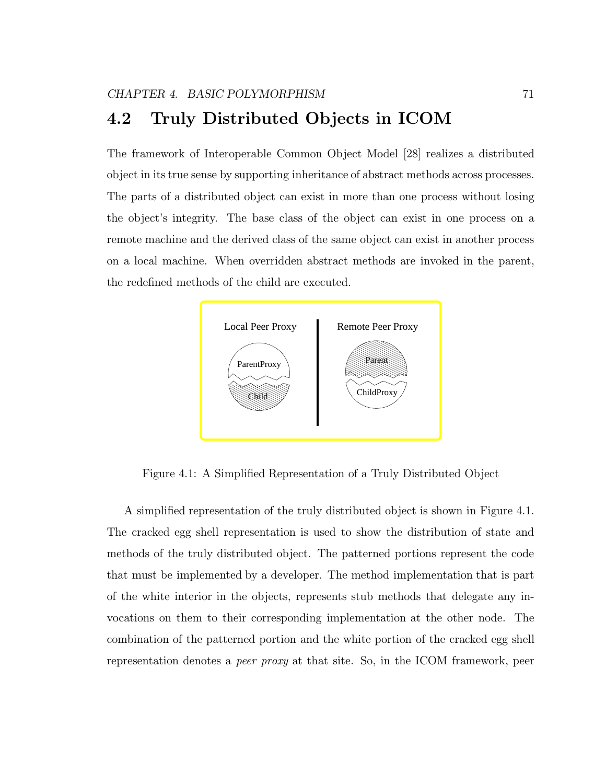The framework of Interoperable Common Object Model [28] realizes a distributed object in its true sense by supporting inheritance of abstract methods across processes. The parts of a distributed object can exist in more than one process without losing the object's integrity. The base class of the object can exist in one process on a remote machine and the derived class of the same object can exist in another process on a local machine. When overridden abstract methods are invoked in the parent, the redefined methods of the child are executed.



Figure 4.1: A Simplified Representation of a Truly Distributed Object

A simplified representation of the truly distributed object is shown in Figure 4.1. The cracked egg shell representation is used to show the distribution of state and methods of the truly distributed object. The patterned portions represent the code that must be implemented by a developer. The method implementation that is part of the white interior in the objects, represents stub methods that delegate any invocations on them to their corresponding implementation at the other node. The combination of the patterned portion and the white portion of the cracked egg shell representation denotes a peer proxy at that site. So, in the ICOM framework, peer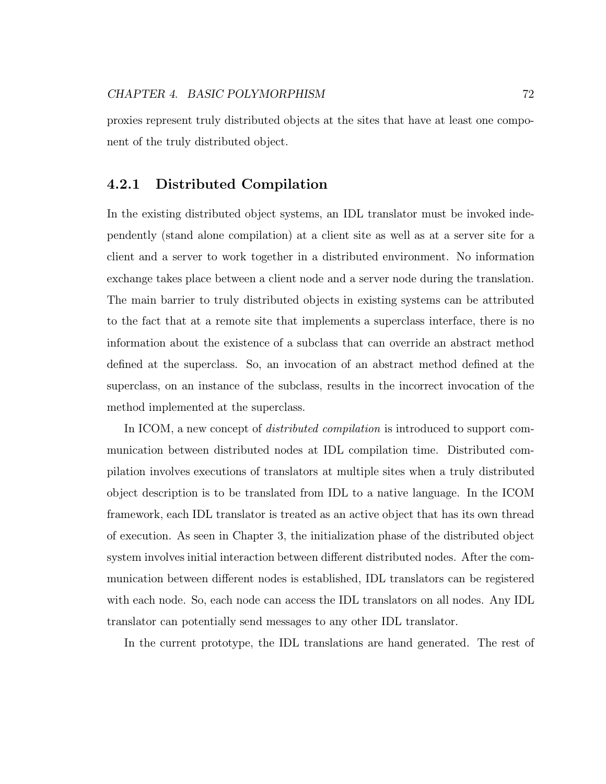proxies represent truly distributed objects at the sites that have at least one component of the truly distributed object.

#### 4.2.1 Distributed Compilation

In the existing distributed object systems, an IDL translator must be invoked independently (stand alone compilation) at a client site as well as at a server site for a client and a server to work together in a distributed environment. No information exchange takes place between a client node and a server node during the translation. The main barrier to truly distributed objects in existing systems can be attributed to the fact that at a remote site that implements a superclass interface, there is no information about the existence of a subclass that can override an abstract method defined at the superclass. So, an invocation of an abstract method defined at the superclass, on an instance of the subclass, results in the incorrect invocation of the method implemented at the superclass.

In ICOM, a new concept of *distributed compilation* is introduced to support communication between distributed nodes at IDL compilation time. Distributed compilation involves executions of translators at multiple sites when a truly distributed object description is to be translated from IDL to a native language. In the ICOM framework, each IDL translator is treated as an active object that has its own thread of execution. As seen in Chapter 3, the initialization phase of the distributed object system involves initial interaction between different distributed nodes. After the communication between different nodes is established, IDL translators can be registered with each node. So, each node can access the IDL translators on all nodes. Any IDL translator can potentially send messages to any other IDL translator.

In the current prototype, the IDL translations are hand generated. The rest of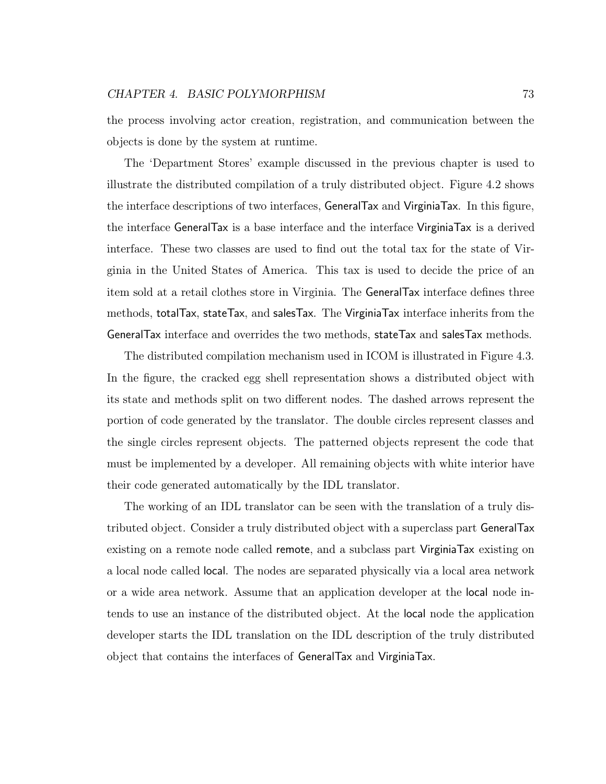the process involving actor creation, registration, and communication between the objects is done by the system at runtime.

The 'Department Stores' example discussed in the previous chapter is used to illustrate the distributed compilation of a truly distributed object. Figure 4.2 shows the interface descriptions of two interfaces, GeneralTax and VirginiaTax. In this figure, the interface GeneralTax is a base interface and the interface VirginiaTax is a derived interface. These two classes are used to find out the total tax for the state of Virginia in the United States of America. This tax is used to decide the price of an item sold at a retail clothes store in Virginia. The GeneralTax interface defines three methods, totalTax, stateTax, and salesTax. The VirginiaTax interface inherits from the GeneralTax interface and overrides the two methods, stateTax and salesTax methods.

The distributed compilation mechanism used in ICOM is illustrated in Figure 4.3. In the figure, the cracked egg shell representation shows a distributed object with its state and methods split on two different nodes. The dashed arrows represent the portion of code generated by the translator. The double circles represent classes and the single circles represent objects. The patterned objects represent the code that must be implemented by a developer. All remaining objects with white interior have their code generated automatically by the IDL translator.

The working of an IDL translator can be seen with the translation of a truly distributed object. Consider a truly distributed object with a superclass part GeneralTax existing on a remote node called remote, and a subclass part VirginiaTax existing on a local node called local. The nodes are separated physically via a local area network or a wide area network. Assume that an application developer at the local node intends to use an instance of the distributed object. At the local node the application developer starts the IDL translation on the IDL description of the truly distributed object that contains the interfaces of GeneralTax and VirginiaTax.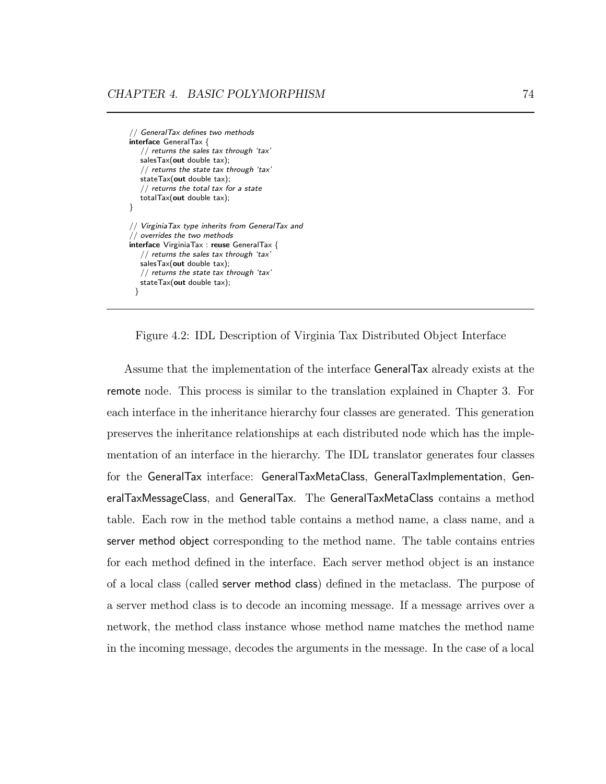// GeneralTax defines two methods interface GeneralTax { // returns the sales tax through 'tax' salesTax(out double tax); // returns the state tax through 'tax' stateTax(out double tax); // returns the total tax for a state totalTax(out double tax); } // VirginiaTax type inherits from GeneralTax and // overrides the two methods interface VirginiaTax : reuse GeneralTax { // returns the sales tax through 'tax' salesTax(out double tax); // returns the state tax through 'tax' stateTax(out double tax); }

Figure 4.2: IDL Description of Virginia Tax Distributed Object Interface

Assume that the implementation of the interface GeneralTax already exists at the remote node. This process is similar to the translation explained in Chapter 3. For each interface in the inheritance hierarchy four classes are generated. This generation preserves the inheritance relationships at each distributed node which has the implementation of an interface in the hierarchy. The IDL translator generates four classes for the GeneralTax interface: GeneralTaxMetaClass, GeneralTaxImplementation, GeneralTaxMessageClass, and GeneralTax. The GeneralTaxMetaClass contains a method table. Each row in the method table contains a method name, a class name, and a server method object corresponding to the method name. The table contains entries for each method defined in the interface. Each server method object is an instance of a local class (called server method class) defined in the metaclass. The purpose of a server method class is to decode an incoming message. If a message arrives over a network, the method class instance whose method name matches the method name in the incoming message, decodes the arguments in the message. In the case of a local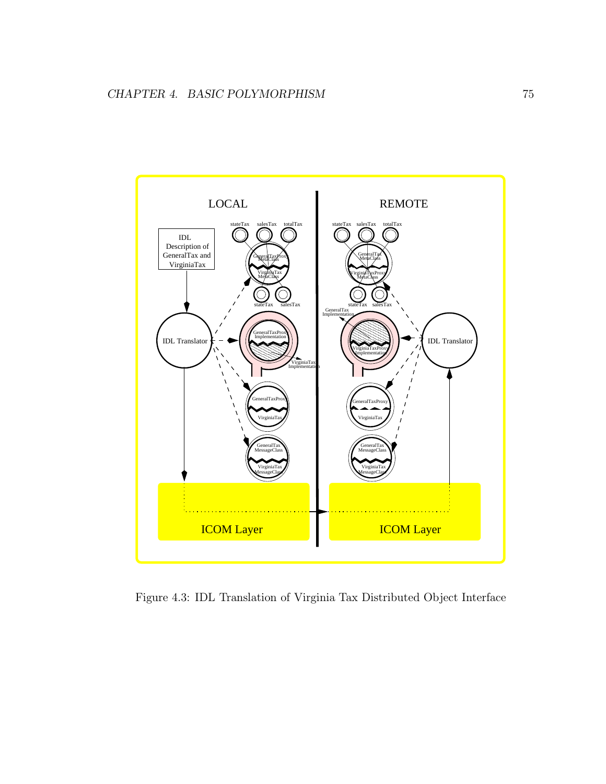

Figure 4.3: IDL Translation of Virginia Tax Distributed Object Interface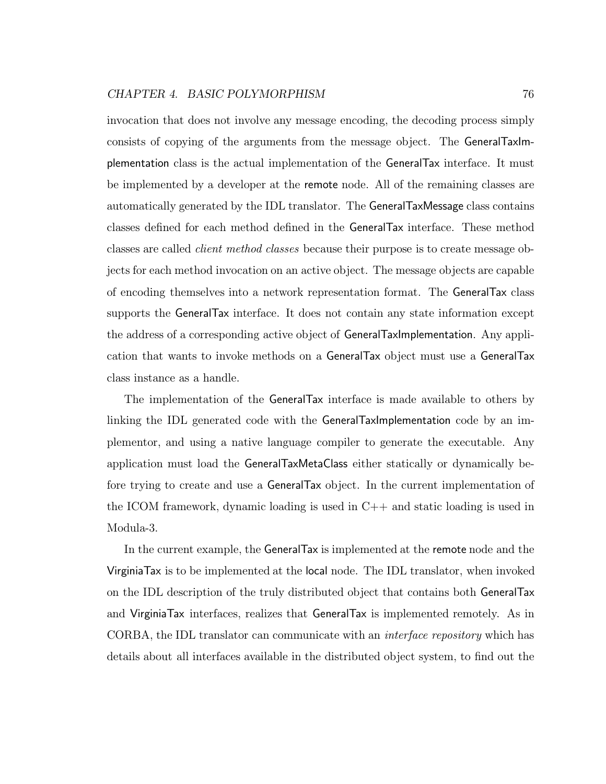invocation that does not involve any message encoding, the decoding process simply consists of copying of the arguments from the message object. The GeneralTaxImplementation class is the actual implementation of the GeneralTax interface. It must be implemented by a developer at the remote node. All of the remaining classes are automatically generated by the IDL translator. The GeneralTaxMessage class contains classes defined for each method defined in the GeneralTax interface. These method classes are called client method classes because their purpose is to create message objects for each method invocation on an active object. The message objects are capable of encoding themselves into a network representation format. The GeneralTax class supports the GeneralTax interface. It does not contain any state information except the address of a corresponding active object of GeneralTaxImplementation. Any application that wants to invoke methods on a GeneralTax object must use a GeneralTax class instance as a handle.

The implementation of the GeneralTax interface is made available to others by linking the IDL generated code with the GeneralTaxImplementation code by an implementor, and using a native language compiler to generate the executable. Any application must load the GeneralTaxMetaClass either statically or dynamically before trying to create and use a GeneralTax object. In the current implementation of the ICOM framework, dynamic loading is used in C++ and static loading is used in Modula-3.

In the current example, the GeneralTax is implemented at the remote node and the VirginiaTax is to be implemented at the local node. The IDL translator, when invoked on the IDL description of the truly distributed object that contains both GeneralTax and VirginiaTax interfaces, realizes that GeneralTax is implemented remotely. As in CORBA, the IDL translator can communicate with an interface repository which has details about all interfaces available in the distributed object system, to find out the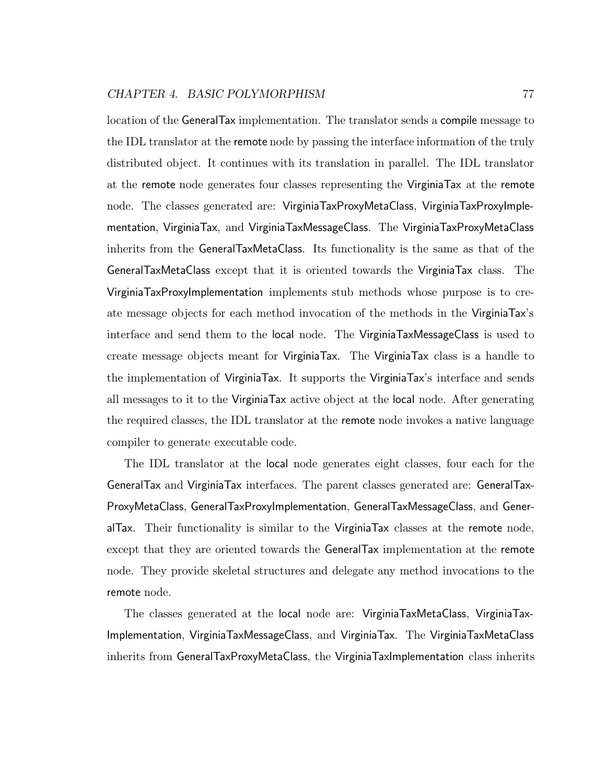location of the GeneralTax implementation. The translator sends a compile message to the IDL translator at the remote node by passing the interface information of the truly distributed object. It continues with its translation in parallel. The IDL translator at the remote node generates four classes representing the VirginiaTax at the remote node. The classes generated are: VirginiaTaxProxyMetaClass, VirginiaTaxProxyImplementation, VirginiaTax, and VirginiaTaxMessageClass. The VirginiaTaxProxyMetaClass inherits from the GeneralTaxMetaClass. Its functionality is the same as that of the GeneralTaxMetaClass except that it is oriented towards the VirginiaTax class. The VirginiaTaxProxyImplementation implements stub methods whose purpose is to create message objects for each method invocation of the methods in the VirginiaTax's interface and send them to the local node. The VirginiaTaxMessageClass is used to create message objects meant for VirginiaTax. The VirginiaTax class is a handle to the implementation of VirginiaTax. It supports the VirginiaTax's interface and sends all messages to it to the VirginiaTax active object at the local node. After generating the required classes, the IDL translator at the remote node invokes a native language compiler to generate executable code.

The IDL translator at the local node generates eight classes, four each for the GeneralTax and VirginiaTax interfaces. The parent classes generated are: GeneralTax-ProxyMetaClass, GeneralTaxProxyImplementation, GeneralTaxMessageClass, and GeneralTax. Their functionality is similar to the VirginiaTax classes at the remote node, except that they are oriented towards the GeneralTax implementation at the remote node. They provide skeletal structures and delegate any method invocations to the remote node.

The classes generated at the local node are: VirginiaTaxMetaClass, VirginiaTax-Implementation, VirginiaTaxMessageClass, and VirginiaTax. The VirginiaTaxMetaClass inherits from GeneralTaxProxyMetaClass, the VirginiaTaxImplementation class inherits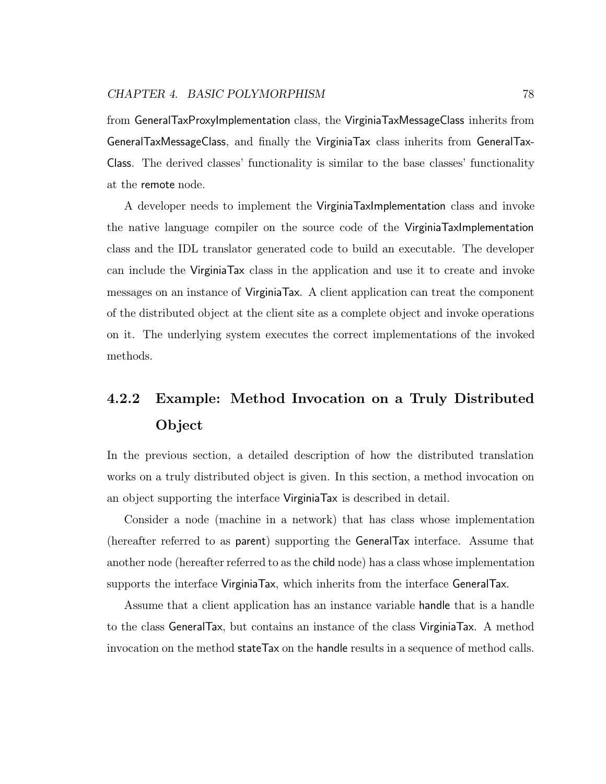from GeneralTaxProxyImplementation class, the VirginiaTaxMessageClass inherits from GeneralTaxMessageClass, and finally the VirginiaTax class inherits from GeneralTax-Class. The derived classes' functionality is similar to the base classes' functionality at the remote node.

A developer needs to implement the VirginiaTaxImplementation class and invoke the native language compiler on the source code of the VirginiaTaxImplementation class and the IDL translator generated code to build an executable. The developer can include the VirginiaTax class in the application and use it to create and invoke messages on an instance of VirginiaTax. A client application can treat the component of the distributed object at the client site as a complete object and invoke operations on it. The underlying system executes the correct implementations of the invoked methods.

## 4.2.2 Example: Method Invocation on a Truly Distributed Object

In the previous section, a detailed description of how the distributed translation works on a truly distributed object is given. In this section, a method invocation on an object supporting the interface VirginiaTax is described in detail.

Consider a node (machine in a network) that has class whose implementation (hereafter referred to as parent) supporting the GeneralTax interface. Assume that another node (hereafter referred to as the child node) has a class whose implementation supports the interface VirginiaTax, which inherits from the interface GeneralTax.

Assume that a client application has an instance variable handle that is a handle to the class GeneralTax, but contains an instance of the class VirginiaTax. A method invocation on the method stateTax on the handle results in a sequence of method calls.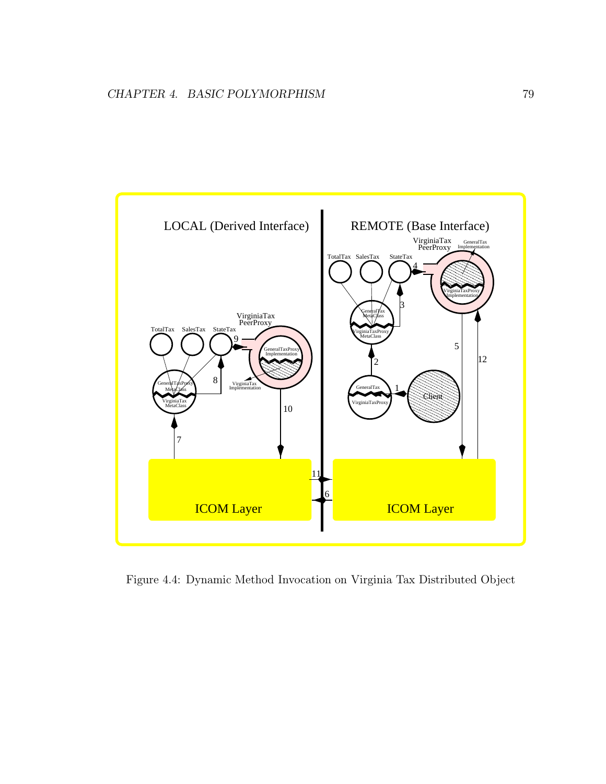

Figure 4.4: Dynamic Method Invocation on Virginia Tax Distributed Object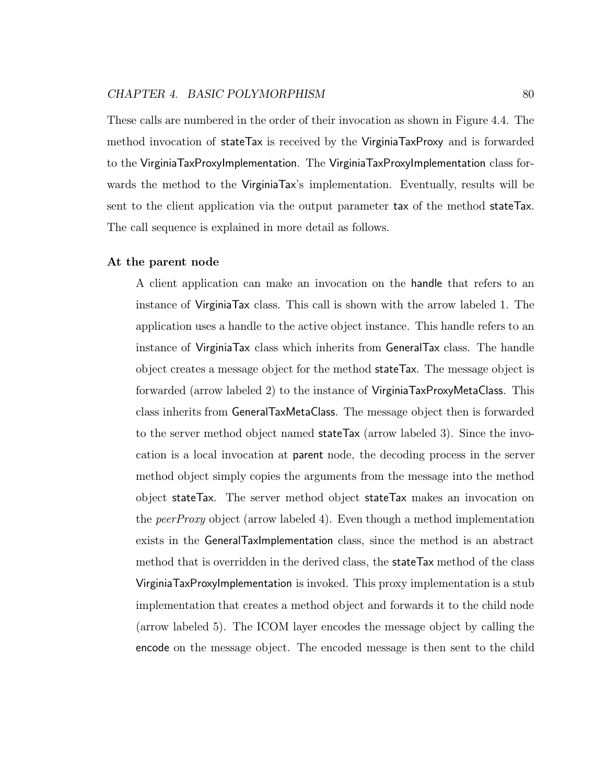These calls are numbered in the order of their invocation as shown in Figure 4.4. The method invocation of stateTax is received by the VirginiaTaxProxy and is forwarded to the VirginiaTaxProxyImplementation. The VirginiaTaxProxyImplementation class forwards the method to the VirginiaTax's implementation. Eventually, results will be sent to the client application via the output parameter tax of the method stateTax. The call sequence is explained in more detail as follows.

#### At the parent node

A client application can make an invocation on the handle that refers to an instance of VirginiaTax class. This call is shown with the arrow labeled 1. The application uses a handle to the active object instance. This handle refers to an instance of VirginiaTax class which inherits from GeneralTax class. The handle object creates a message object for the method stateTax. The message object is forwarded (arrow labeled 2) to the instance of VirginiaTaxProxyMetaClass. This class inherits from GeneralTaxMetaClass. The message object then is forwarded to the server method object named stateTax (arrow labeled 3). Since the invocation is a local invocation at parent node, the decoding process in the server method object simply copies the arguments from the message into the method object stateTax. The server method object stateTax makes an invocation on the peerProxy object (arrow labeled 4). Even though a method implementation exists in the GeneralTaxImplementation class, since the method is an abstract method that is overridden in the derived class, the stateTax method of the class VirginiaTaxProxyImplementation is invoked. This proxy implementation is a stub implementation that creates a method object and forwards it to the child node (arrow labeled 5). The ICOM layer encodes the message object by calling the encode on the message object. The encoded message is then sent to the child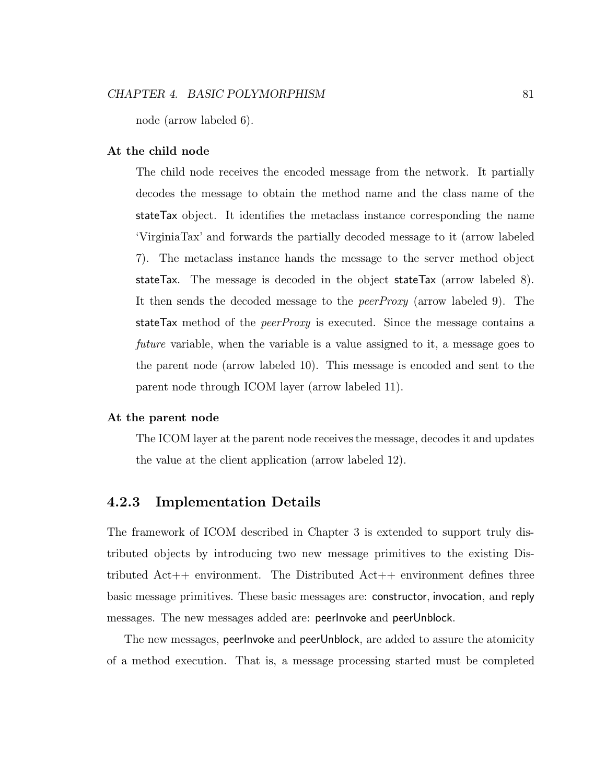node (arrow labeled 6).

#### At the child node

The child node receives the encoded message from the network. It partially decodes the message to obtain the method name and the class name of the stateTax object. It identifies the metaclass instance corresponding the name 'VirginiaTax' and forwards the partially decoded message to it (arrow labeled 7). The metaclass instance hands the message to the server method object stateTax. The message is decoded in the object stateTax (arrow labeled 8). It then sends the decoded message to the peerProxy (arrow labeled 9). The stateTax method of the *peerProxy* is executed. Since the message contains a future variable, when the variable is a value assigned to it, a message goes to the parent node (arrow labeled 10). This message is encoded and sent to the parent node through ICOM layer (arrow labeled 11).

#### At the parent node

The ICOM layer at the parent node receives the message, decodes it and updates the value at the client application (arrow labeled 12).

#### 4.2.3 Implementation Details

The framework of ICOM described in Chapter 3 is extended to support truly distributed objects by introducing two new message primitives to the existing Distributed Act++ environment. The Distributed Act++ environment defines three basic message primitives. These basic messages are: constructor, invocation, and reply messages. The new messages added are: peerInvoke and peerUnblock.

The new messages, peerInvoke and peerUnblock, are added to assure the atomicity of a method execution. That is, a message processing started must be completed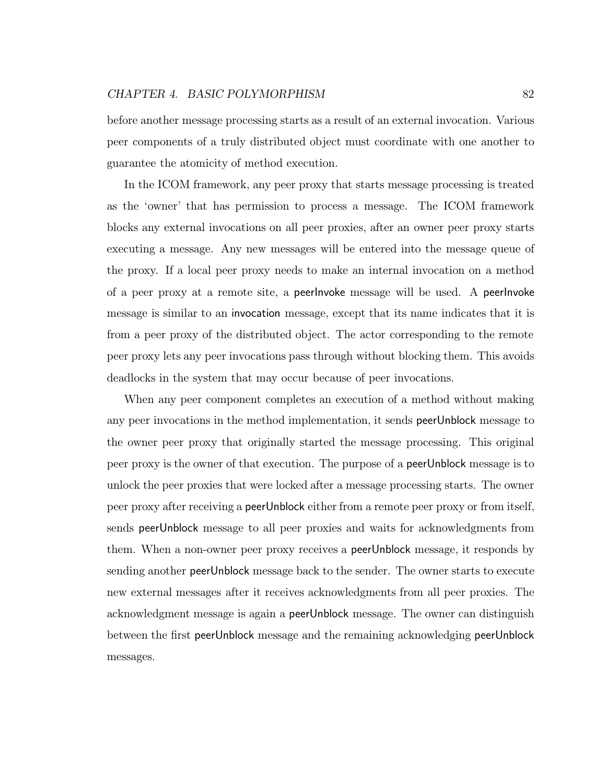before another message processing starts as a result of an external invocation. Various peer components of a truly distributed object must coordinate with one another to guarantee the atomicity of method execution.

In the ICOM framework, any peer proxy that starts message processing is treated as the 'owner' that has permission to process a message. The ICOM framework blocks any external invocations on all peer proxies, after an owner peer proxy starts executing a message. Any new messages will be entered into the message queue of the proxy. If a local peer proxy needs to make an internal invocation on a method of a peer proxy at a remote site, a peerInvoke message will be used. A peerInvoke message is similar to an invocation message, except that its name indicates that it is from a peer proxy of the distributed object. The actor corresponding to the remote peer proxy lets any peer invocations pass through without blocking them. This avoids deadlocks in the system that may occur because of peer invocations.

When any peer component completes an execution of a method without making any peer invocations in the method implementation, it sends peerUnblock message to the owner peer proxy that originally started the message processing. This original peer proxy is the owner of that execution. The purpose of a peerUnblock message is to unlock the peer proxies that were locked after a message processing starts. The owner peer proxy after receiving a peerUnblock either from a remote peer proxy or from itself, sends peerUnblock message to all peer proxies and waits for acknowledgments from them. When a non-owner peer proxy receives a peerUnblock message, it responds by sending another peerUnblock message back to the sender. The owner starts to execute new external messages after it receives acknowledgments from all peer proxies. The acknowledgment message is again a peerUnblock message. The owner can distinguish between the first peerUnblock message and the remaining acknowledging peerUnblock messages.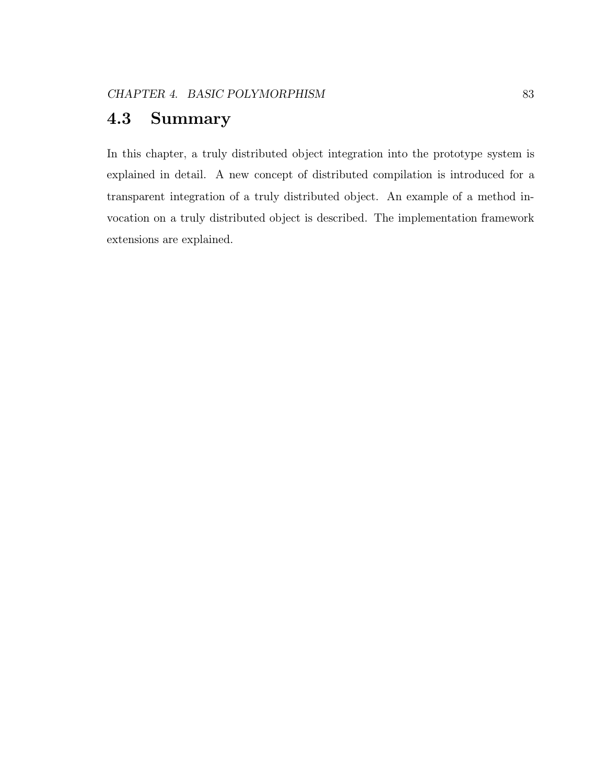### 4.3 Summary

In this chapter, a truly distributed object integration into the prototype system is explained in detail. A new concept of distributed compilation is introduced for a transparent integration of a truly distributed object. An example of a method invocation on a truly distributed object is described. The implementation framework extensions are explained.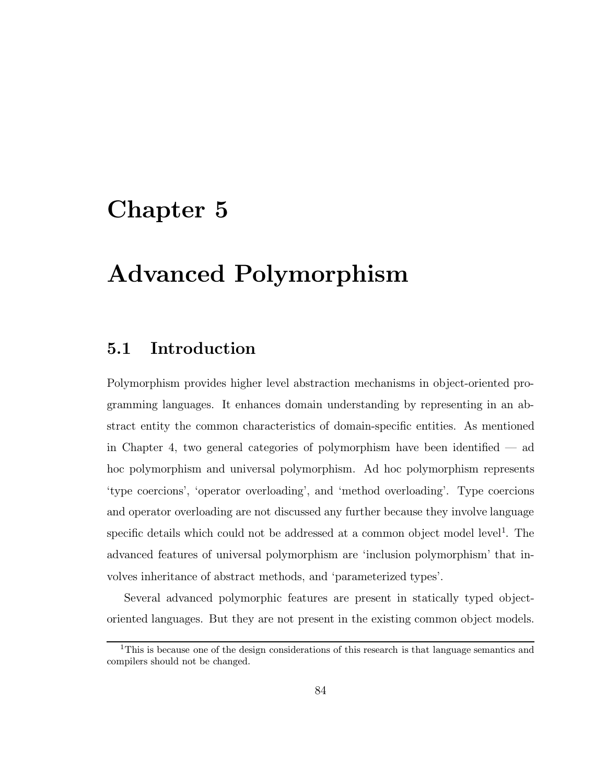# Chapter 5

# Advanced Polymorphism

### 5.1 Introduction

Polymorphism provides higher level abstraction mechanisms in object-oriented programming languages. It enhances domain understanding by representing in an abstract entity the common characteristics of domain-specific entities. As mentioned in Chapter 4, two general categories of polymorphism have been identified — ad hoc polymorphism and universal polymorphism. Ad hoc polymorphism represents 'type coercions', 'operator overloading', and 'method overloading'. Type coercions and operator overloading are not discussed any further because they involve language specific details which could not be addressed at a common object model level<sup>1</sup>. The advanced features of universal polymorphism are 'inclusion polymorphism' that involves inheritance of abstract methods, and 'parameterized types'.

Several advanced polymorphic features are present in statically typed objectoriented languages. But they are not present in the existing common object models.

<sup>1</sup>This is because one of the design considerations of this research is that language semantics and compilers should not be changed.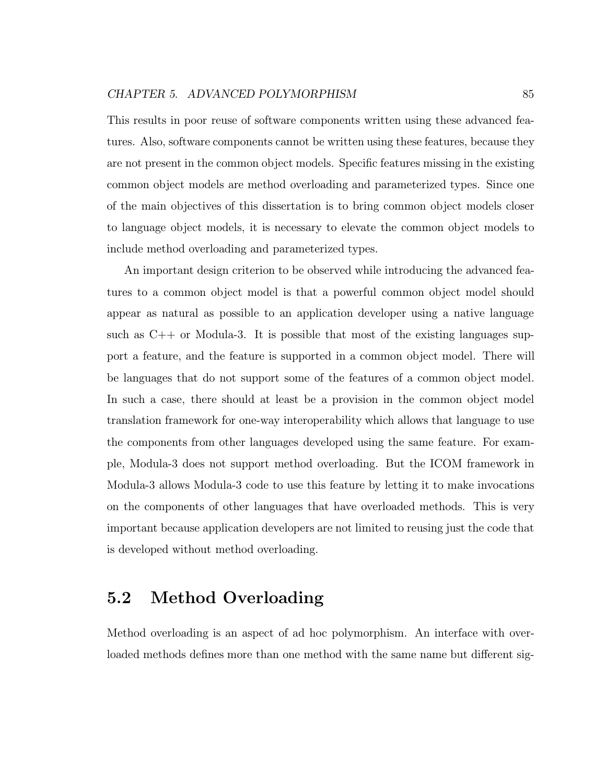This results in poor reuse of software components written using these advanced features. Also, software components cannot be written using these features, because they are not present in the common object models. Specific features missing in the existing common object models are method overloading and parameterized types. Since one of the main objectives of this dissertation is to bring common object models closer to language object models, it is necessary to elevate the common object models to include method overloading and parameterized types.

An important design criterion to be observed while introducing the advanced features to a common object model is that a powerful common object model should appear as natural as possible to an application developer using a native language such as C++ or Modula-3. It is possible that most of the existing languages support a feature, and the feature is supported in a common object model. There will be languages that do not support some of the features of a common object model. In such a case, there should at least be a provision in the common object model translation framework for one-way interoperability which allows that language to use the components from other languages developed using the same feature. For example, Modula-3 does not support method overloading. But the ICOM framework in Modula-3 allows Modula-3 code to use this feature by letting it to make invocations on the components of other languages that have overloaded methods. This is very important because application developers are not limited to reusing just the code that is developed without method overloading.

### 5.2 Method Overloading

Method overloading is an aspect of ad hoc polymorphism. An interface with overloaded methods defines more than one method with the same name but different sig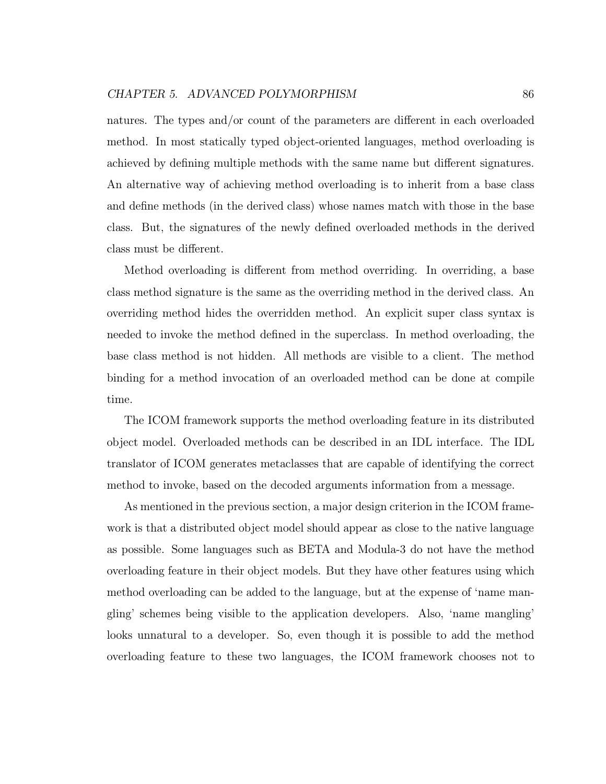natures. The types and/or count of the parameters are different in each overloaded method. In most statically typed object-oriented languages, method overloading is achieved by defining multiple methods with the same name but different signatures. An alternative way of achieving method overloading is to inherit from a base class and define methods (in the derived class) whose names match with those in the base class. But, the signatures of the newly defined overloaded methods in the derived class must be different.

Method overloading is different from method overriding. In overriding, a base class method signature is the same as the overriding method in the derived class. An overriding method hides the overridden method. An explicit super class syntax is needed to invoke the method defined in the superclass. In method overloading, the base class method is not hidden. All methods are visible to a client. The method binding for a method invocation of an overloaded method can be done at compile time.

The ICOM framework supports the method overloading feature in its distributed object model. Overloaded methods can be described in an IDL interface. The IDL translator of ICOM generates metaclasses that are capable of identifying the correct method to invoke, based on the decoded arguments information from a message.

As mentioned in the previous section, a major design criterion in the ICOM framework is that a distributed object model should appear as close to the native language as possible. Some languages such as BETA and Modula-3 do not have the method overloading feature in their object models. But they have other features using which method overloading can be added to the language, but at the expense of 'name mangling' schemes being visible to the application developers. Also, 'name mangling' looks unnatural to a developer. So, even though it is possible to add the method overloading feature to these two languages, the ICOM framework chooses not to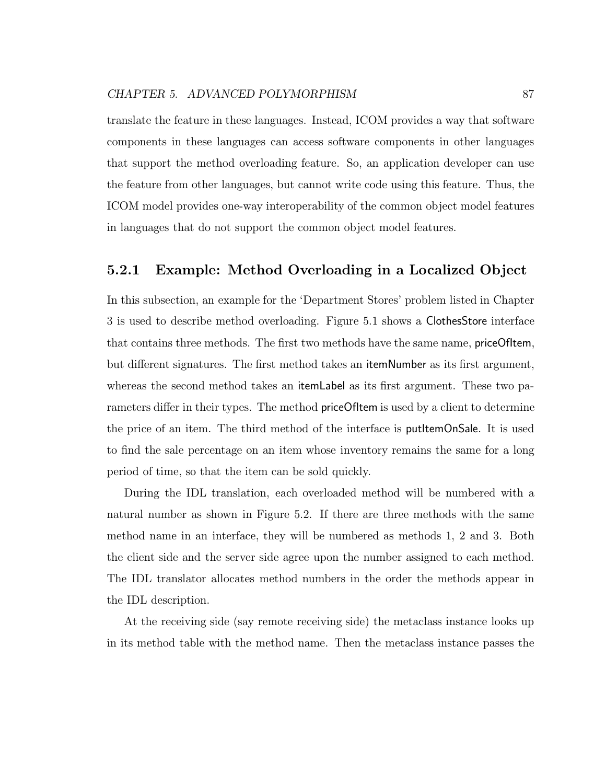translate the feature in these languages. Instead, ICOM provides a way that software components in these languages can access software components in other languages that support the method overloading feature. So, an application developer can use the feature from other languages, but cannot write code using this feature. Thus, the ICOM model provides one-way interoperability of the common object model features in languages that do not support the common object model features.

#### 5.2.1 Example: Method Overloading in a Localized Object

In this subsection, an example for the 'Department Stores' problem listed in Chapter 3 is used to describe method overloading. Figure 5.1 shows a ClothesStore interface that contains three methods. The first two methods have the same name, priceOfItem, but different signatures. The first method takes an itemNumber as its first argument, whereas the second method takes an itemLabel as its first argument. These two parameters differ in their types. The method **priceOfItem** is used by a client to determine the price of an item. The third method of the interface is putItemOnSale. It is used to find the sale percentage on an item whose inventory remains the same for a long period of time, so that the item can be sold quickly.

During the IDL translation, each overloaded method will be numbered with a natural number as shown in Figure 5.2. If there are three methods with the same method name in an interface, they will be numbered as methods 1, 2 and 3. Both the client side and the server side agree upon the number assigned to each method. The IDL translator allocates method numbers in the order the methods appear in the IDL description.

At the receiving side (say remote receiving side) the metaclass instance looks up in its method table with the method name. Then the metaclass instance passes the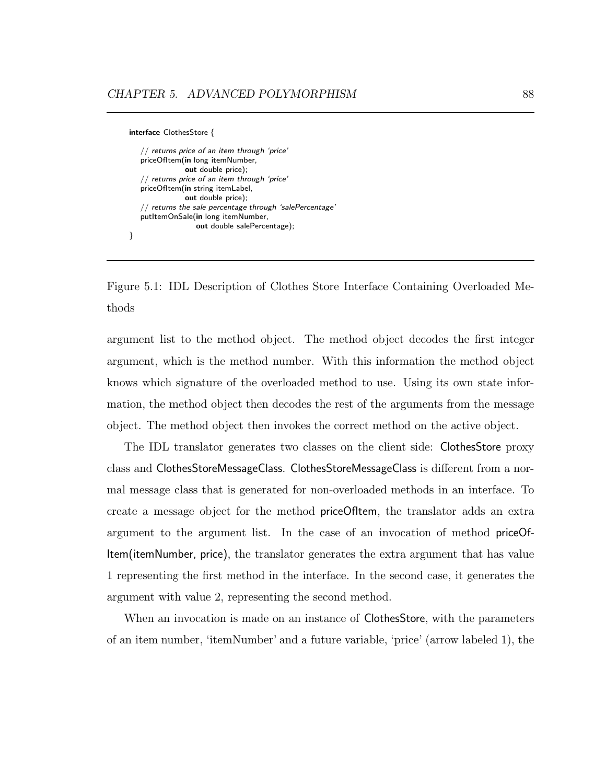```
interface ClothesStore {
   // returns price of an item through 'price'
   priceOfItem(in long itemNumber,
               out double price);
   // returns price of an item through 'price'
   priceOfItem(in string itemLabel,
               out double price);
   \sqrt{ } returns the sale percentage through 'salePercentage'
   putItemOnSale(in long itemNumber,
                   out double salePercentage);
}
```
Figure 5.1: IDL Description of Clothes Store Interface Containing Overloaded Methods

argument list to the method object. The method object decodes the first integer argument, which is the method number. With this information the method object knows which signature of the overloaded method to use. Using its own state information, the method object then decodes the rest of the arguments from the message object. The method object then invokes the correct method on the active object.

The IDL translator generates two classes on the client side: ClothesStore proxy class and ClothesStoreMessageClass. ClothesStoreMessageClass is different from a normal message class that is generated for non-overloaded methods in an interface. To create a message object for the method priceOfItem, the translator adds an extra argument to the argument list. In the case of an invocation of method priceOf-Item(itemNumber, price), the translator generates the extra argument that has value 1 representing the first method in the interface. In the second case, it generates the argument with value 2, representing the second method.

When an invocation is made on an instance of ClothesStore, with the parameters of an item number, 'itemNumber' and a future variable, 'price' (arrow labeled 1), the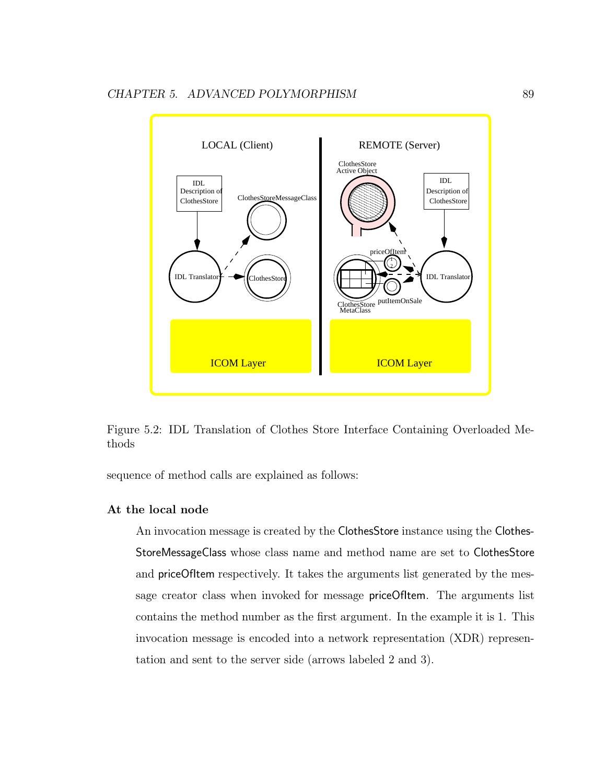

Figure 5.2: IDL Translation of Clothes Store Interface Containing Overloaded Methods

sequence of method calls are explained as follows:

#### At the local node

An invocation message is created by the ClothesStore instance using the Clothes-StoreMessageClass whose class name and method name are set to ClothesStore and priceOfItem respectively. It takes the arguments list generated by the message creator class when invoked for message **priceOfItem**. The arguments list contains the method number as the first argument. In the example it is 1. This invocation message is encoded into a network representation (XDR) representation and sent to the server side (arrows labeled 2 and 3).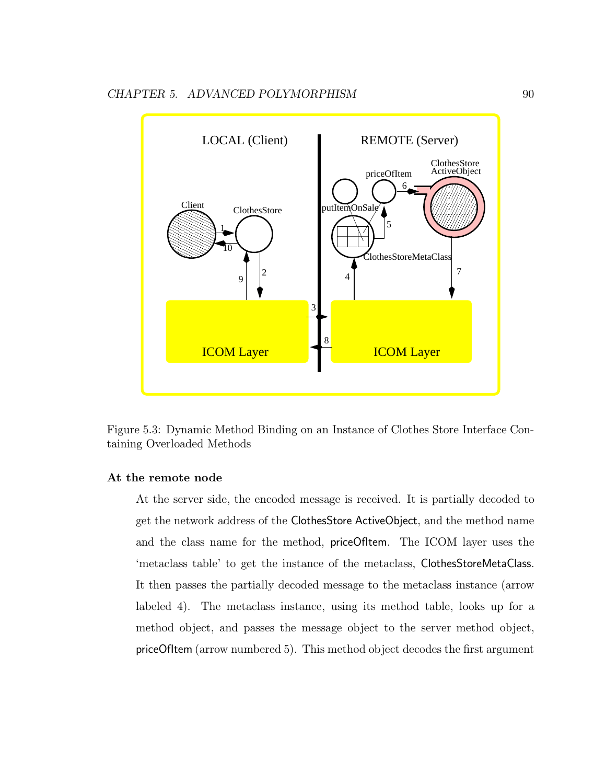

Figure 5.3: Dynamic Method Binding on an Instance of Clothes Store Interface Containing Overloaded Methods

#### At the remote node

At the server side, the encoded message is received. It is partially decoded to get the network address of the ClothesStore ActiveObject, and the method name and the class name for the method, priceOfItem. The ICOM layer uses the 'metaclass table' to get the instance of the metaclass, ClothesStoreMetaClass. It then passes the partially decoded message to the metaclass instance (arrow labeled 4). The metaclass instance, using its method table, looks up for a method object, and passes the message object to the server method object, priceOfItem (arrow numbered 5). This method object decodes the first argument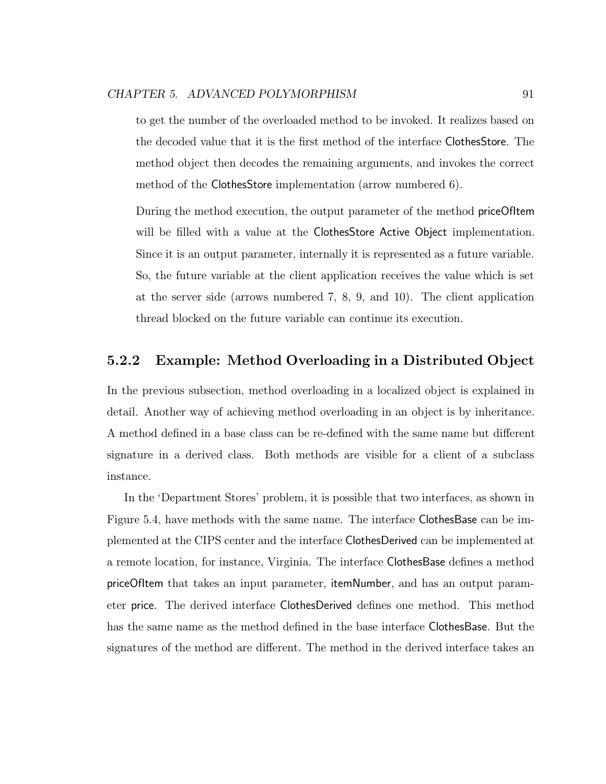to get the number of the overloaded method to be invoked. It realizes based on the decoded value that it is the first method of the interface ClothesStore. The method object then decodes the remaining arguments, and invokes the correct method of the ClothesStore implementation (arrow numbered 6).

During the method execution, the output parameter of the method priceOfItem will be filled with a value at the ClothesStore Active Object implementation. Since it is an output parameter, internally it is represented as a future variable. So, the future variable at the client application receives the value which is set at the server side (arrows numbered 7, 8, 9, and 10). The client application thread blocked on the future variable can continue its execution.

### 5.2.2 Example: Method Overloading in a Distributed Object

In the previous subsection, method overloading in a localized object is explained in detail. Another way of achieving method overloading in an object is by inheritance. A method defined in a base class can be re-defined with the same name but different signature in a derived class. Both methods are visible for a client of a subclass instance.

In the 'Department Stores' problem, it is possible that two interfaces, as shown in Figure 5.4, have methods with the same name. The interface ClothesBase can be implemented at the CIPS center and the interface ClothesDerived can be implemented at a remote location, for instance, Virginia. The interface ClothesBase defines a method priceOfItem that takes an input parameter, itemNumber, and has an output parameter price. The derived interface ClothesDerived defines one method. This method has the same name as the method defined in the base interface ClothesBase. But the signatures of the method are different. The method in the derived interface takes an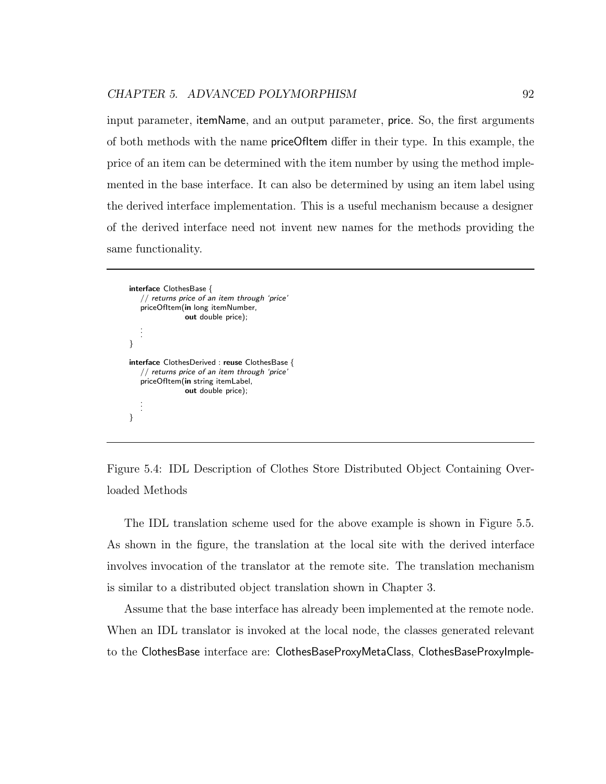input parameter, itemName, and an output parameter, price. So, the first arguments of both methods with the name priceOfItem differ in their type. In this example, the price of an item can be determined with the item number by using the method implemented in the base interface. It can also be determined by using an item label using the derived interface implementation. This is a useful mechanism because a designer of the derived interface need not invent new names for the methods providing the same functionality.

interface ClothesBase { // returns price of an item through 'price' priceOfItem(in long itemNumber, out double price); . . . } interface ClothesDerived : reuse ClothesBase {  $\sqrt{2}$  returns price of an item through 'price' priceOfItem(in string itemLabel, out double price); . . . }

Figure 5.4: IDL Description of Clothes Store Distributed Object Containing Overloaded Methods

The IDL translation scheme used for the above example is shown in Figure 5.5. As shown in the figure, the translation at the local site with the derived interface involves invocation of the translator at the remote site. The translation mechanism is similar to a distributed object translation shown in Chapter 3.

Assume that the base interface has already been implemented at the remote node. When an IDL translator is invoked at the local node, the classes generated relevant to the ClothesBase interface are: ClothesBaseProxyMetaClass, ClothesBaseProxyImple-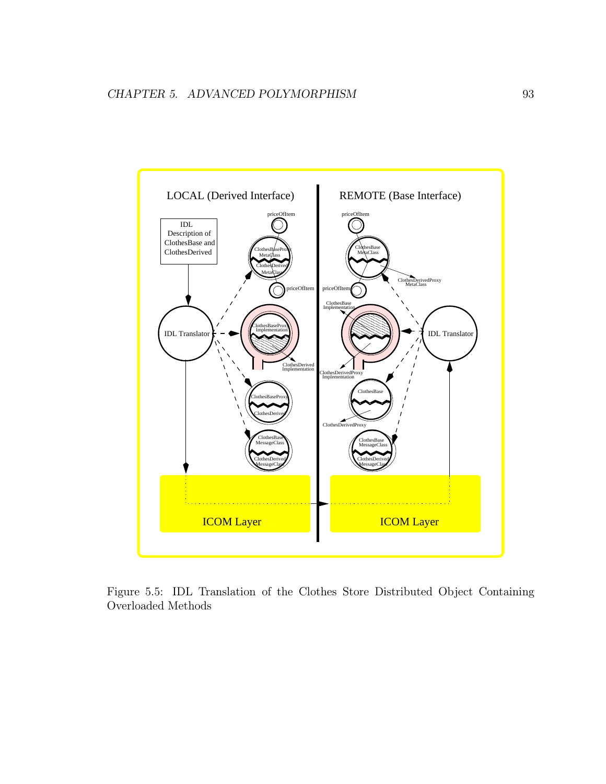

Figure 5.5: IDL Translation of the Clothes Store Distributed Object Containing Overloaded Methods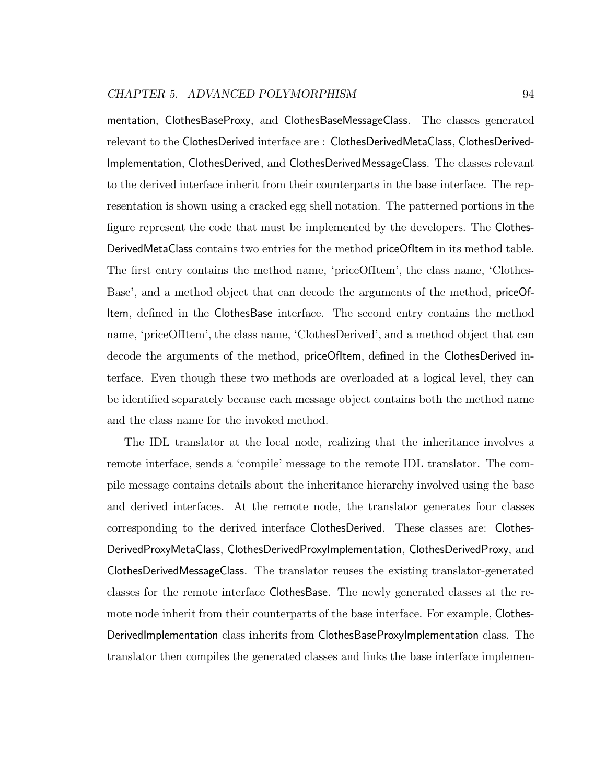mentation, ClothesBaseProxy, and ClothesBaseMessageClass. The classes generated relevant to the ClothesDerived interface are : ClothesDerivedMetaClass, ClothesDerived-Implementation, ClothesDerived, and ClothesDerivedMessageClass. The classes relevant to the derived interface inherit from their counterparts in the base interface. The representation is shown using a cracked egg shell notation. The patterned portions in the figure represent the code that must be implemented by the developers. The Clothes-DerivedMetaClass contains two entries for the method priceOfItem in its method table. The first entry contains the method name, 'priceOfItem', the class name, 'Clothes-Base', and a method object that can decode the arguments of the method, priceOf-Item, defined in the ClothesBase interface. The second entry contains the method name, 'priceOfItem', the class name, 'ClothesDerived', and a method object that can decode the arguments of the method, priceOfItem, defined in the ClothesDerived interface. Even though these two methods are overloaded at a logical level, they can be identified separately because each message object contains both the method name and the class name for the invoked method.

The IDL translator at the local node, realizing that the inheritance involves a remote interface, sends a 'compile' message to the remote IDL translator. The compile message contains details about the inheritance hierarchy involved using the base and derived interfaces. At the remote node, the translator generates four classes corresponding to the derived interface ClothesDerived. These classes are: Clothes-DerivedProxyMetaClass, ClothesDerivedProxyImplementation, ClothesDerivedProxy, and ClothesDerivedMessageClass. The translator reuses the existing translator-generated classes for the remote interface ClothesBase. The newly generated classes at the remote node inherit from their counterparts of the base interface. For example, Clothes-DerivedImplementation class inherits from ClothesBaseProxyImplementation class. The translator then compiles the generated classes and links the base interface implemen-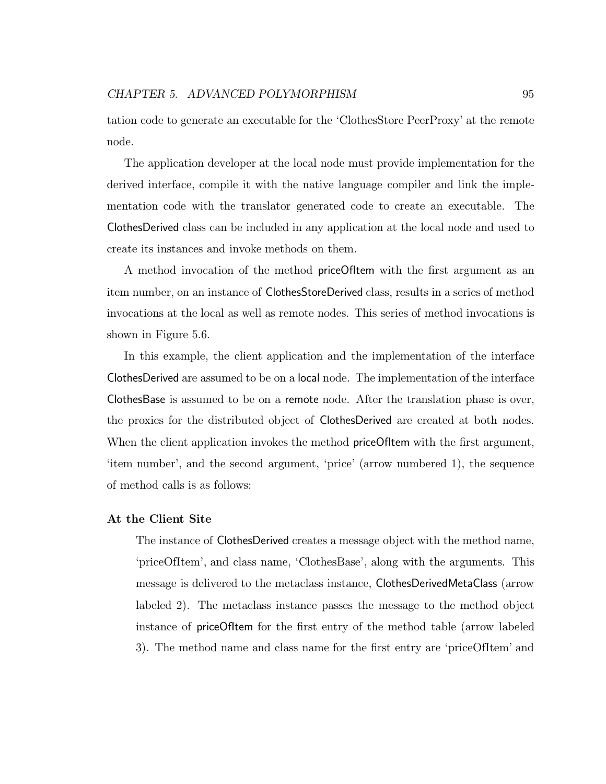tation code to generate an executable for the 'ClothesStore PeerProxy' at the remote node.

The application developer at the local node must provide implementation for the derived interface, compile it with the native language compiler and link the implementation code with the translator generated code to create an executable. The ClothesDerived class can be included in any application at the local node and used to create its instances and invoke methods on them.

A method invocation of the method priceOfItem with the first argument as an item number, on an instance of ClothesStoreDerived class, results in a series of method invocations at the local as well as remote nodes. This series of method invocations is shown in Figure 5.6.

In this example, the client application and the implementation of the interface ClothesDerived are assumed to be on a local node. The implementation of the interface ClothesBase is assumed to be on a remote node. After the translation phase is over, the proxies for the distributed object of ClothesDerived are created at both nodes. When the client application invokes the method **priceOfitem** with the first argument, 'item number', and the second argument, 'price' (arrow numbered 1), the sequence of method calls is as follows:

#### At the Client Site

The instance of ClothesDerived creates a message object with the method name, 'priceOfItem', and class name, 'ClothesBase', along with the arguments. This message is delivered to the metaclass instance, ClothesDerivedMetaClass (arrow labeled 2). The metaclass instance passes the message to the method object instance of priceOfItem for the first entry of the method table (arrow labeled 3). The method name and class name for the first entry are 'priceOfItem' and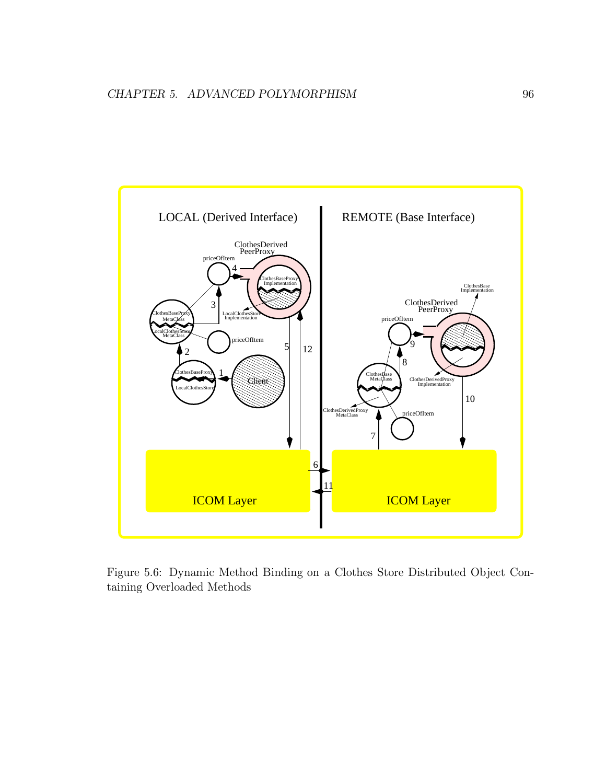

Figure 5.6: Dynamic Method Binding on a Clothes Store Distributed Object Containing Overloaded Methods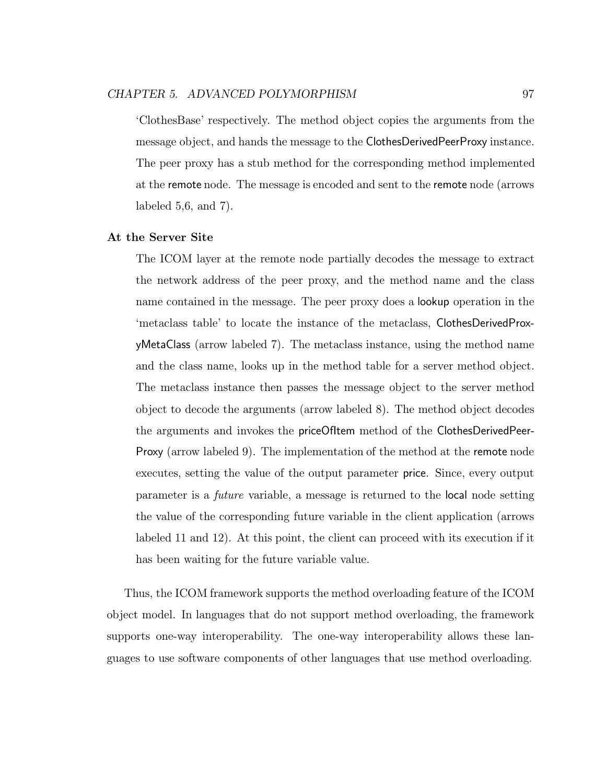'ClothesBase' respectively. The method object copies the arguments from the message object, and hands the message to the ClothesDerivedPeerProxy instance. The peer proxy has a stub method for the corresponding method implemented at the remote node. The message is encoded and sent to the remote node (arrows labeled 5,6, and 7).

#### At the Server Site

The ICOM layer at the remote node partially decodes the message to extract the network address of the peer proxy, and the method name and the class name contained in the message. The peer proxy does a lookup operation in the 'metaclass table' to locate the instance of the metaclass, ClothesDerivedProxyMetaClass (arrow labeled 7). The metaclass instance, using the method name and the class name, looks up in the method table for a server method object. The metaclass instance then passes the message object to the server method object to decode the arguments (arrow labeled 8). The method object decodes the arguments and invokes the priceOfItem method of the ClothesDerivedPeer-Proxy (arrow labeled 9). The implementation of the method at the remote node executes, setting the value of the output parameter price. Since, every output parameter is a future variable, a message is returned to the local node setting the value of the corresponding future variable in the client application (arrows labeled 11 and 12). At this point, the client can proceed with its execution if it has been waiting for the future variable value.

Thus, the ICOM framework supports the method overloading feature of the ICOM object model. In languages that do not support method overloading, the framework supports one-way interoperability. The one-way interoperability allows these languages to use software components of other languages that use method overloading.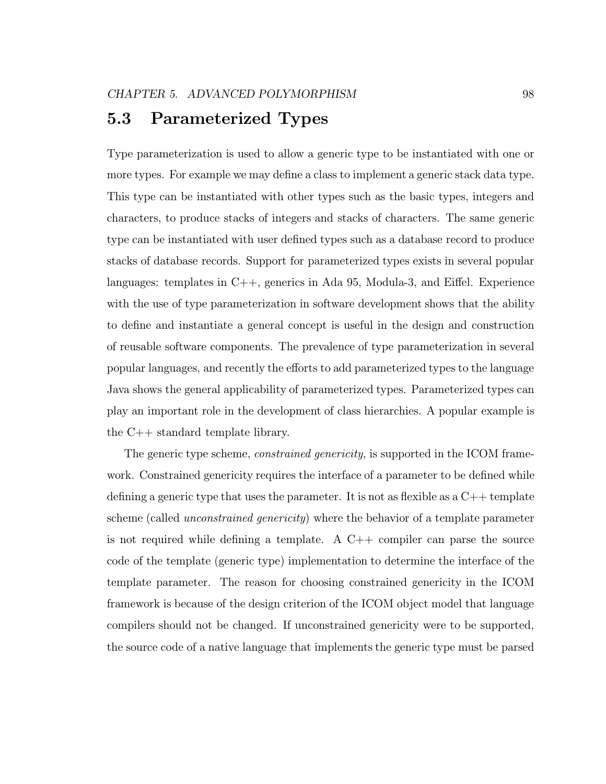# 5.3 Parameterized Types

Type parameterization is used to allow a generic type to be instantiated with one or more types. For example we may define a class to implement a generic stack data type. This type can be instantiated with other types such as the basic types, integers and characters, to produce stacks of integers and stacks of characters. The same generic type can be instantiated with user defined types such as a database record to produce stacks of database records. Support for parameterized types exists in several popular languages: templates in C++, generics in Ada 95, Modula-3, and Eiffel. Experience with the use of type parameterization in software development shows that the ability to define and instantiate a general concept is useful in the design and construction of reusable software components. The prevalence of type parameterization in several popular languages, and recently the efforts to add parameterized types to the language Java shows the general applicability of parameterized types. Parameterized types can play an important role in the development of class hierarchies. A popular example is the C++ standard template library.

The generic type scheme, *constrained genericity*, is supported in the ICOM framework. Constrained genericity requires the interface of a parameter to be defined while defining a generic type that uses the parameter. It is not as flexible as a  $C_{++}$  template scheme (called unconstrained genericity) where the behavior of a template parameter is not required while defining a template. A  $C++$  compiler can parse the source code of the template (generic type) implementation to determine the interface of the template parameter. The reason for choosing constrained genericity in the ICOM framework is because of the design criterion of the ICOM object model that language compilers should not be changed. If unconstrained genericity were to be supported, the source code of a native language that implements the generic type must be parsed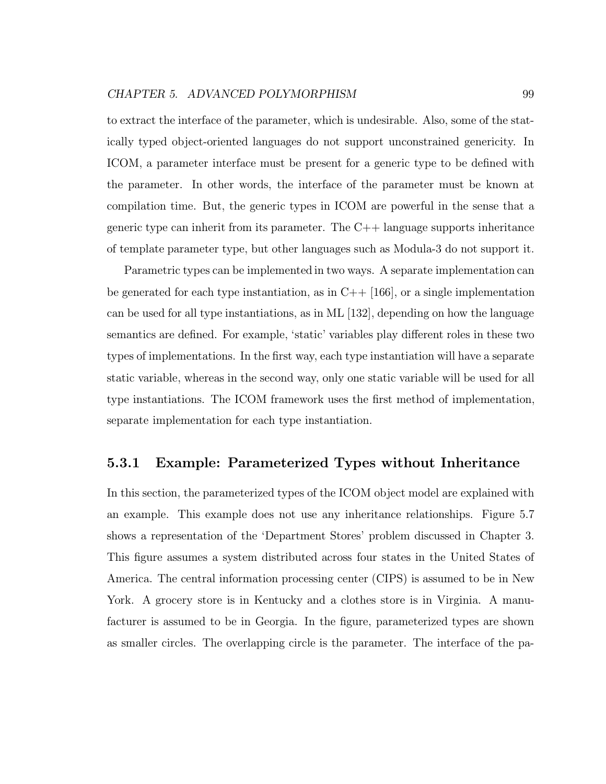to extract the interface of the parameter, which is undesirable. Also, some of the statically typed object-oriented languages do not support unconstrained genericity. In ICOM, a parameter interface must be present for a generic type to be defined with the parameter. In other words, the interface of the parameter must be known at compilation time. But, the generic types in ICOM are powerful in the sense that a generic type can inherit from its parameter. The  $C++$  language supports inheritance of template parameter type, but other languages such as Modula-3 do not support it.

Parametric types can be implemented in two ways. A separate implementation can be generated for each type instantiation, as in  $C++$  [166], or a single implementation can be used for all type instantiations, as in ML [132], depending on how the language semantics are defined. For example, 'static' variables play different roles in these two types of implementations. In the first way, each type instantiation will have a separate static variable, whereas in the second way, only one static variable will be used for all type instantiations. The ICOM framework uses the first method of implementation, separate implementation for each type instantiation.

### 5.3.1 Example: Parameterized Types without Inheritance

In this section, the parameterized types of the ICOM object model are explained with an example. This example does not use any inheritance relationships. Figure 5.7 shows a representation of the 'Department Stores' problem discussed in Chapter 3. This figure assumes a system distributed across four states in the United States of America. The central information processing center (CIPS) is assumed to be in New York. A grocery store is in Kentucky and a clothes store is in Virginia. A manufacturer is assumed to be in Georgia. In the figure, parameterized types are shown as smaller circles. The overlapping circle is the parameter. The interface of the pa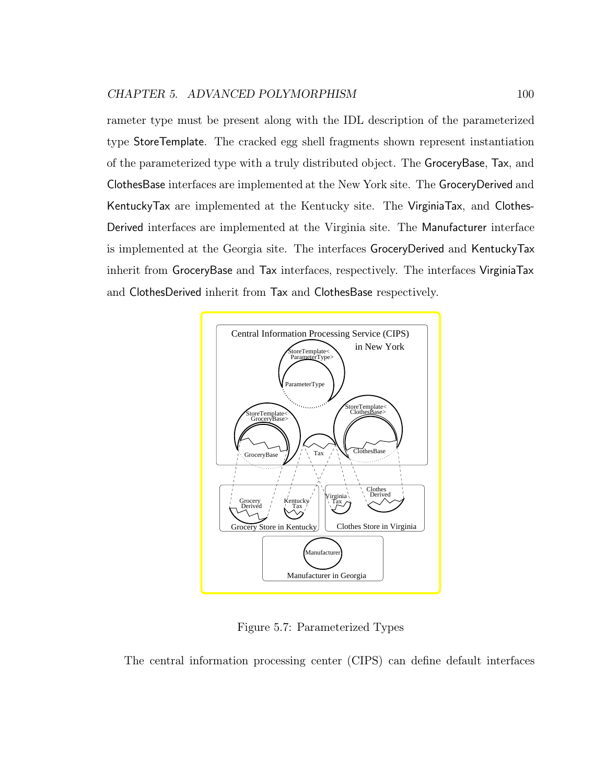rameter type must be present along with the IDL description of the parameterized type StoreTemplate. The cracked egg shell fragments shown represent instantiation of the parameterized type with a truly distributed object. The GroceryBase, Tax, and ClothesBase interfaces are implemented at the New York site. The GroceryDerived and KentuckyTax are implemented at the Kentucky site. The VirginiaTax, and Clothes-Derived interfaces are implemented at the Virginia site. The Manufacturer interface is implemented at the Georgia site. The interfaces GroceryDerived and KentuckyTax inherit from GroceryBase and Tax interfaces, respectively. The interfaces VirginiaTax and ClothesDerived inherit from Tax and ClothesBase respectively.



Figure 5.7: Parameterized Types

The central information processing center (CIPS) can define default interfaces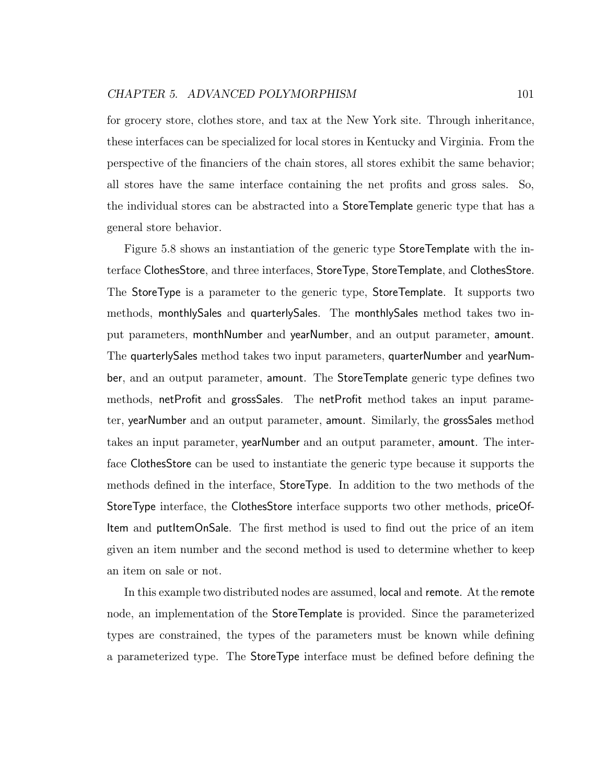for grocery store, clothes store, and tax at the New York site. Through inheritance, these interfaces can be specialized for local stores in Kentucky and Virginia. From the perspective of the financiers of the chain stores, all stores exhibit the same behavior; all stores have the same interface containing the net profits and gross sales. So, the individual stores can be abstracted into a StoreTemplate generic type that has a general store behavior.

Figure 5.8 shows an instantiation of the generic type StoreTemplate with the interface ClothesStore, and three interfaces, StoreType, StoreTemplate, and ClothesStore. The StoreType is a parameter to the generic type, StoreTemplate. It supports two methods, monthlySales and quarterlySales. The monthlySales method takes two input parameters, monthNumber and yearNumber, and an output parameter, amount. The quarterlySales method takes two input parameters, quarterNumber and yearNumber, and an output parameter, amount. The StoreTemplate generic type defines two methods, netProfit and grossSales. The netProfit method takes an input parameter, yearNumber and an output parameter, amount. Similarly, the grossSales method takes an input parameter, yearNumber and an output parameter, amount. The interface ClothesStore can be used to instantiate the generic type because it supports the methods defined in the interface, StoreType. In addition to the two methods of the StoreType interface, the ClothesStore interface supports two other methods, priceOf-Item and putItemOnSale. The first method is used to find out the price of an item given an item number and the second method is used to determine whether to keep an item on sale or not.

In this example two distributed nodes are assumed, local and remote. At the remote node, an implementation of the StoreTemplate is provided. Since the parameterized types are constrained, the types of the parameters must be known while defining a parameterized type. The StoreType interface must be defined before defining the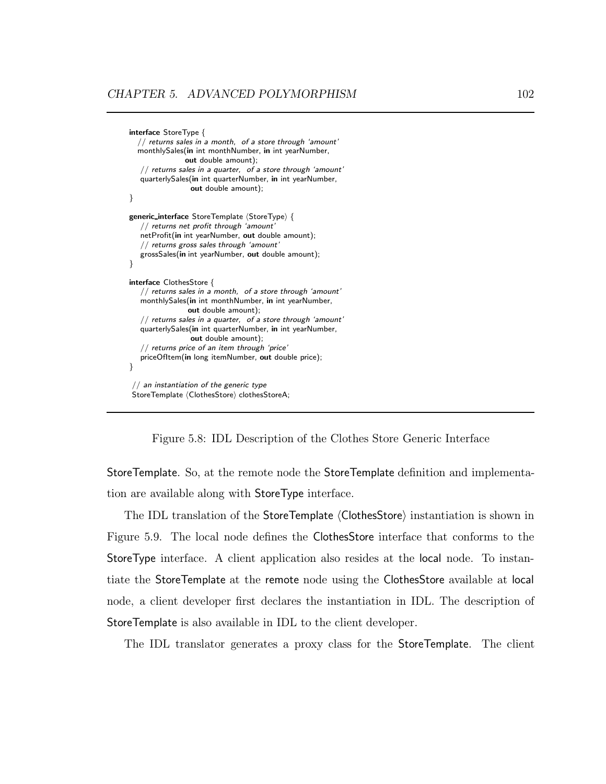```
interface StoreType {
  // returns sales in a month, of a store through 'amount'
  monthlySales(in int monthNumber, in int yearNumber,
               out double amount);
   // returns sales in a quarter, of a store through 'amount'
  quarterlySales(in int quarterNumber, in int yearNumber,
                 out double amount);
}
generic_interface StoreTemplate (StoreType) {
   // returns net profit through 'amount'
   netProfit(in int yearNumber, out double amount);
   // returns gross sales through 'amount'
   grossSales(in int yearNumber, out double amount);
}
interface ClothesStore {
   // returns sales in a month, of a store through 'amount'
  monthlySales(in int monthNumber, in int yearNumber,
                out double amount);
   // returns sales in a quarter, of a store through 'amount'
   quarterlySales(in int quarterNumber, in int yearNumber,
                 out double amount);
   // returns price of an item through 'price'
   priceOfItem(in long itemNumber, out double price);
}
 // an instantiation of the generic type
StoreTemplate (ClothesStore) clothesStoreA;
```
Figure 5.8: IDL Description of the Clothes Store Generic Interface

StoreTemplate. So, at the remote node the StoreTemplate definition and implementation are available along with StoreType interface.

The IDL translation of the StoreTemplate  $\langle ClothesStore\rangle$  instantiation is shown in Figure 5.9. The local node defines the ClothesStore interface that conforms to the StoreType interface. A client application also resides at the local node. To instantiate the StoreTemplate at the remote node using the ClothesStore available at local node, a client developer first declares the instantiation in IDL. The description of StoreTemplate is also available in IDL to the client developer.

The IDL translator generates a proxy class for the StoreTemplate. The client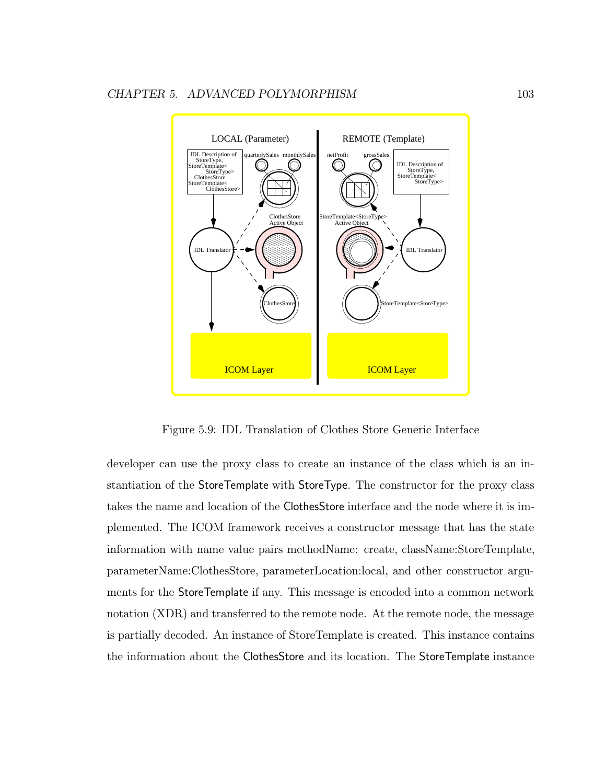

Figure 5.9: IDL Translation of Clothes Store Generic Interface

developer can use the proxy class to create an instance of the class which is an instantiation of the StoreTemplate with StoreType. The constructor for the proxy class takes the name and location of the ClothesStore interface and the node where it is implemented. The ICOM framework receives a constructor message that has the state information with name value pairs methodName: create, className:StoreTemplate, parameterName:ClothesStore, parameterLocation:local, and other constructor arguments for the StoreTemplate if any. This message is encoded into a common network notation (XDR) and transferred to the remote node. At the remote node, the message is partially decoded. An instance of StoreTemplate is created. This instance contains the information about the ClothesStore and its location. The StoreTemplate instance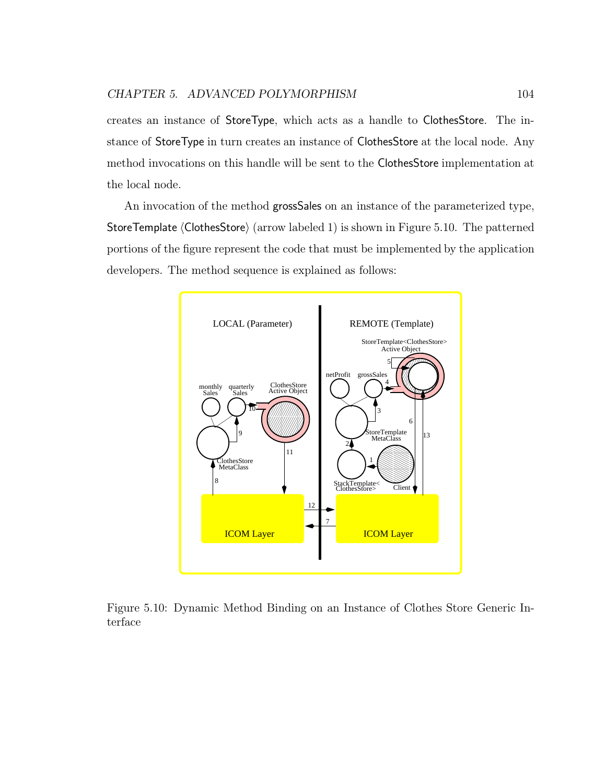creates an instance of StoreType, which acts as a handle to ClothesStore. The instance of StoreType in turn creates an instance of ClothesStore at the local node. Any method invocations on this handle will be sent to the ClothesStore implementation at the local node.

An invocation of the method grossSales on an instance of the parameterized type, StoreTemplate  $\langle$ ClothesStore $\rangle$  (arrow labeled 1) is shown in Figure 5.10. The patterned portions of the figure represent the code that must be implemented by the application developers. The method sequence is explained as follows:



Figure 5.10: Dynamic Method Binding on an Instance of Clothes Store Generic Interface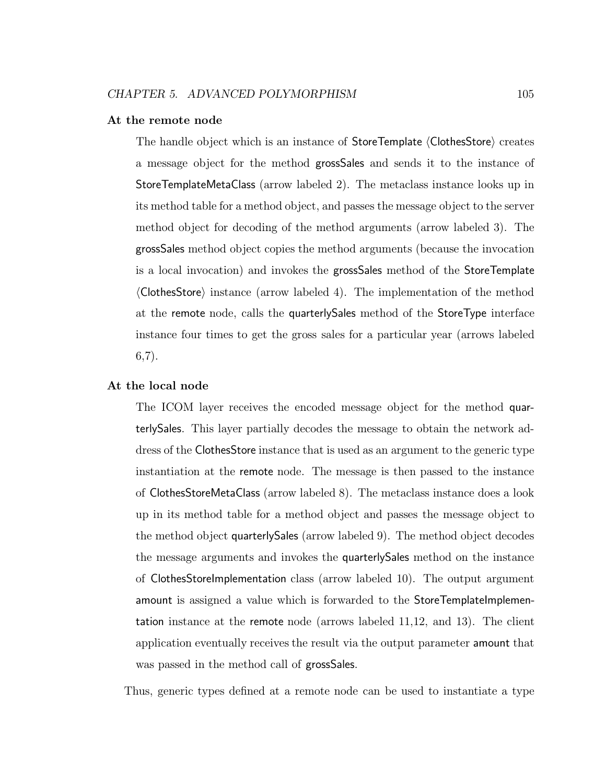#### At the remote node

The handle object which is an instance of StoreTemplate (ClothesStore) creates a message object for the method grossSales and sends it to the instance of StoreTemplateMetaClass (arrow labeled 2). The metaclass instance looks up in its method table for a method object, and passes the message object to the server method object for decoding of the method arguments (arrow labeled 3). The grossSales method object copies the method arguments (because the invocation is a local invocation) and invokes the grossSales method of the StoreTemplate  $\langle$ ClothesStore $\rangle$  instance (arrow labeled 4). The implementation of the method at the remote node, calls the quarterlySales method of the StoreType interface instance four times to get the gross sales for a particular year (arrows labeled 6,7).

#### At the local node

The ICOM layer receives the encoded message object for the method quarterlySales. This layer partially decodes the message to obtain the network address of the ClothesStore instance that is used as an argument to the generic type instantiation at the remote node. The message is then passed to the instance of ClothesStoreMetaClass (arrow labeled 8). The metaclass instance does a look up in its method table for a method object and passes the message object to the method object quarterlySales (arrow labeled 9). The method object decodes the message arguments and invokes the quarterlySales method on the instance of ClothesStoreImplementation class (arrow labeled 10). The output argument amount is assigned a value which is forwarded to the StoreTemplateImplementation instance at the remote node (arrows labeled 11,12, and 13). The client application eventually receives the result via the output parameter amount that was passed in the method call of grossSales.

Thus, generic types defined at a remote node can be used to instantiate a type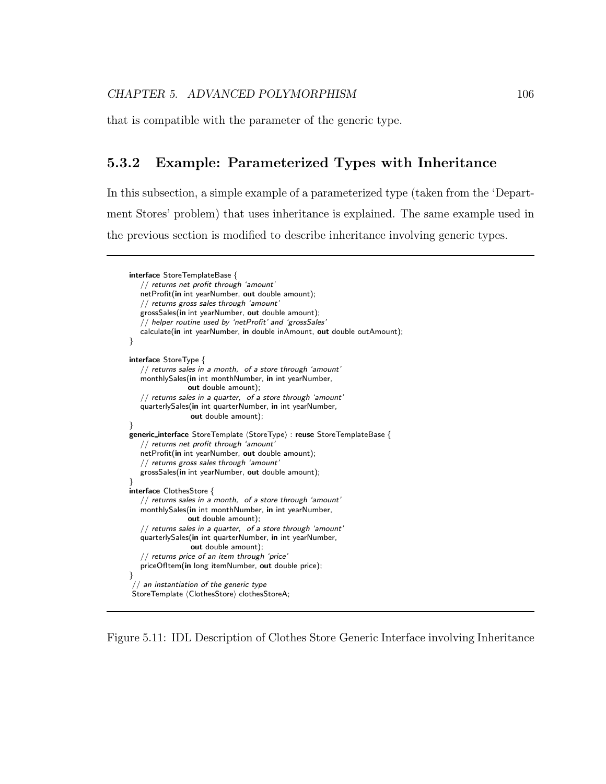that is compatible with the parameter of the generic type.

## 5.3.2 Example: Parameterized Types with Inheritance

In this subsection, a simple example of a parameterized type (taken from the 'Department Stores' problem) that uses inheritance is explained. The same example used in the previous section is modified to describe inheritance involving generic types.

```
interface StoreTemplateBase {
   // returns net profit through 'amount'
  netProfit(in int yearNumber, out double amount);
   // returns gross sales through 'amount'
   grossSales(in int yearNumber, out double amount);
   // helper routine used by 'netProfit' and 'grossSales'
   calculate(in int yearNumber, in double inAmount, out double outAmount);
}
interface StoreType {
   // returns sales in a month, of a store through 'amount'
   monthlySales(in int monthNumber, in int yearNumber,
                out double amount);
   // returns sales in a quarter, of a store through 'amount'
   quarterlySales(in int quarterNumber, in int yearNumber,
                 out double amount);
}
generic_interface StoreTemplate (StoreType) : reuse StoreTemplateBase {
   // returns net profit through 'amount'
   netProfit(in int yearNumber, out double amount);
   // returns gross sales through 'amount'
   grossSales(in int yearNumber, out double amount);
}
interface ClothesStore {
   // returns sales in a month, of a store through 'amount'
   monthlySales(in int monthNumber, in int yearNumber,
                out double amount);
   // returns sales in a quarter, of a store through 'amount'
   quarterlySales(in int quarterNumber, in int yearNumber,
                 out double amount);
   // returns price of an item through 'price'
   priceOfItem(in long itemNumber, out double price);
}
 // an instantiation of the generic type
StoreTemplate \langle ClothesStore\rangle clothesStoreA;
```
Figure 5.11: IDL Description of Clothes Store Generic Interface involving Inheritance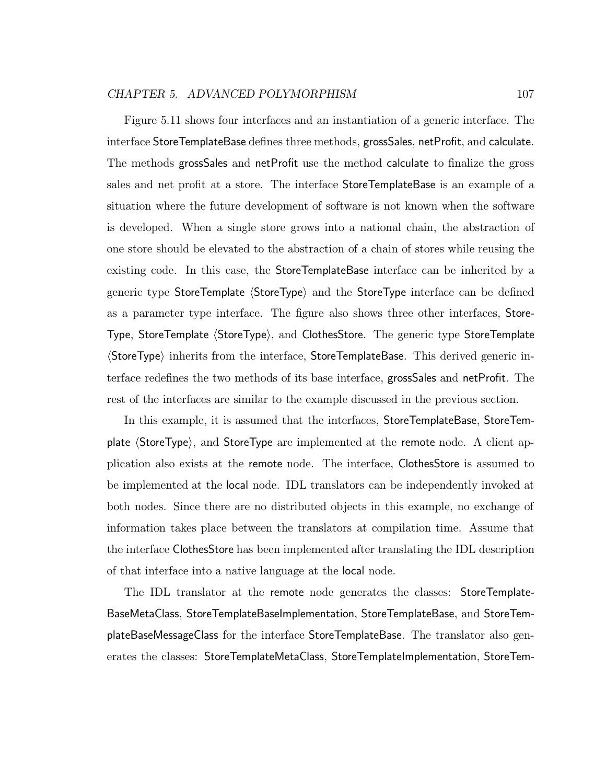Figure 5.11 shows four interfaces and an instantiation of a generic interface. The interface StoreTemplateBase defines three methods, grossSales, netProfit, and calculate. The methods grossSales and netProfit use the method calculate to finalize the gross sales and net profit at a store. The interface StoreTemplateBase is an example of a situation where the future development of software is not known when the software is developed. When a single store grows into a national chain, the abstraction of one store should be elevated to the abstraction of a chain of stores while reusing the existing code. In this case, the StoreTemplateBase interface can be inherited by a generic type StoreTemplate (StoreType) and the StoreType interface can be defined as a parameter type interface. The figure also shows three other interfaces, Store-Type, StoreTemplate (StoreType), and ClothesStore. The generic type StoreTemplate  $\langle$ StoreType $\rangle$  inherits from the interface, StoreTemplateBase. This derived generic interface redefines the two methods of its base interface, grossSales and netProfit. The rest of the interfaces are similar to the example discussed in the previous section.

In this example, it is assumed that the interfaces, StoreTemplateBase, StoreTemplate  $\langle$  StoreType $\rangle$ , and StoreType are implemented at the remote node. A client application also exists at the remote node. The interface, ClothesStore is assumed to be implemented at the local node. IDL translators can be independently invoked at both nodes. Since there are no distributed objects in this example, no exchange of information takes place between the translators at compilation time. Assume that the interface ClothesStore has been implemented after translating the IDL description of that interface into a native language at the local node.

The IDL translator at the remote node generates the classes: StoreTemplate-BaseMetaClass, StoreTemplateBaseImplementation, StoreTemplateBase, and StoreTemplateBaseMessageClass for the interface StoreTemplateBase. The translator also generates the classes: StoreTemplateMetaClass, StoreTemplateImplementation, StoreTem-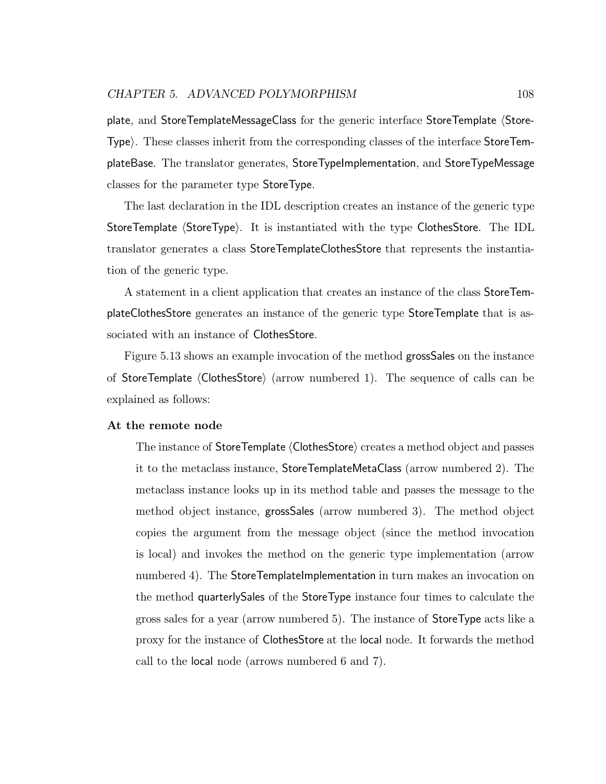plate, and StoreTemplateMessageClass for the generic interface StoreTemplate (Store-Type). These classes inherit from the corresponding classes of the interface StoreTemplateBase. The translator generates, StoreTypeImplementation, and StoreTypeMessage classes for the parameter type StoreType.

The last declaration in the IDL description creates an instance of the generic type StoreTemplate (StoreType). It is instantiated with the type ClothesStore. The IDL translator generates a class StoreTemplateClothesStore that represents the instantiation of the generic type.

A statement in a client application that creates an instance of the class StoreTemplateClothesStore generates an instance of the generic type StoreTemplate that is associated with an instance of ClothesStore.

Figure 5.13 shows an example invocation of the method grossSales on the instance of StoreTemplate  $\langle$ ClothesStore $\rangle$  (arrow numbered 1). The sequence of calls can be explained as follows:

#### At the remote node

The instance of StoreTemplate (ClothesStore) creates a method object and passes it to the metaclass instance, StoreTemplateMetaClass (arrow numbered 2). The metaclass instance looks up in its method table and passes the message to the method object instance, grossSales (arrow numbered 3). The method object copies the argument from the message object (since the method invocation is local) and invokes the method on the generic type implementation (arrow numbered 4). The StoreTemplateImplementation in turn makes an invocation on the method quarterlySales of the StoreType instance four times to calculate the gross sales for a year (arrow numbered 5). The instance of StoreType acts like a proxy for the instance of ClothesStore at the local node. It forwards the method call to the local node (arrows numbered 6 and 7).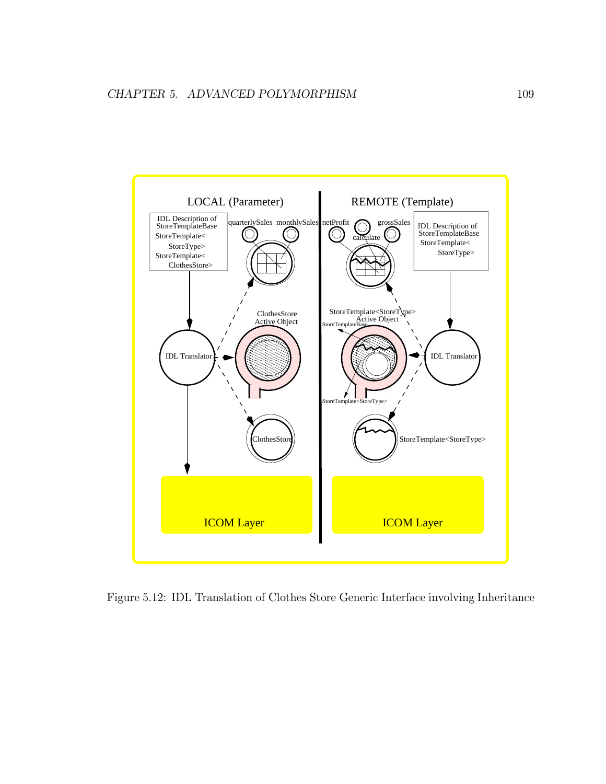

Figure 5.12: IDL Translation of Clothes Store Generic Interface involving Inheritance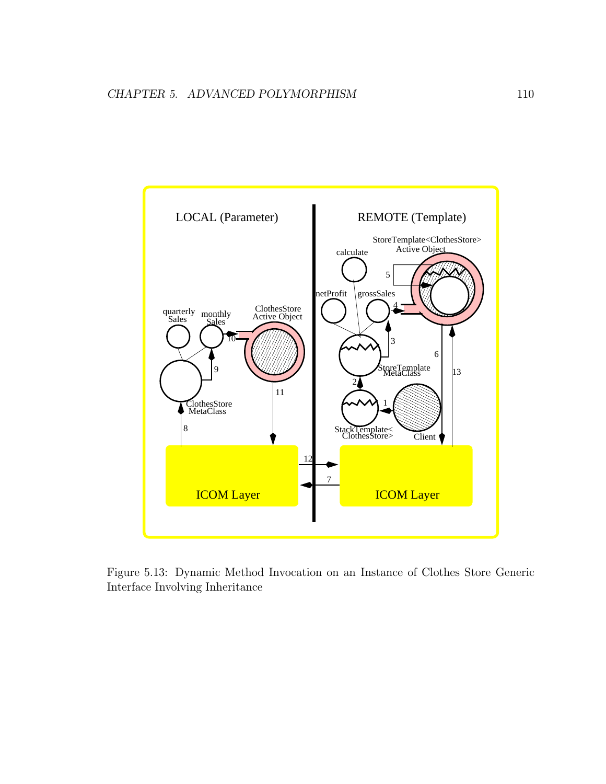

Figure 5.13: Dynamic Method Invocation on an Instance of Clothes Store Generic Interface Involving Inheritance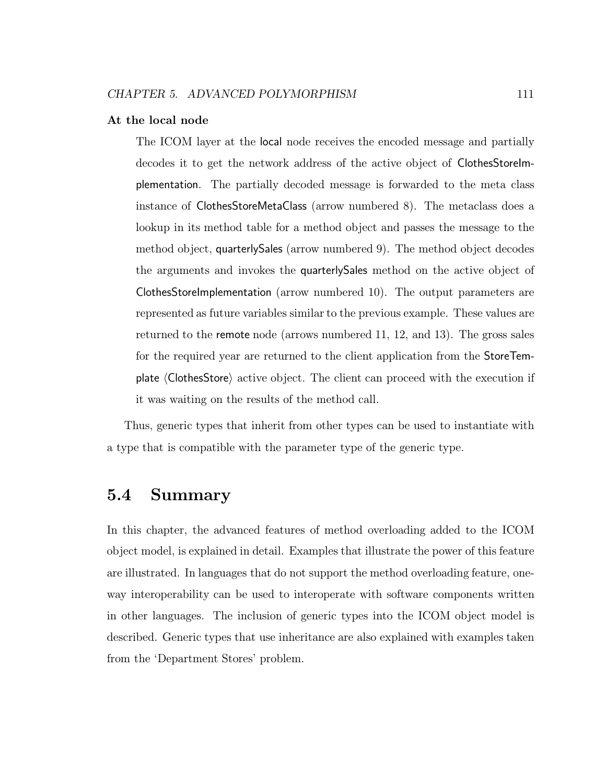#### At the local node

The ICOM layer at the local node receives the encoded message and partially decodes it to get the network address of the active object of ClothesStoreImplementation. The partially decoded message is forwarded to the meta class instance of ClothesStoreMetaClass (arrow numbered 8). The metaclass does a lookup in its method table for a method object and passes the message to the method object, quarterlySales (arrow numbered 9). The method object decodes the arguments and invokes the quarterlySales method on the active object of ClothesStoreImplementation (arrow numbered 10). The output parameters are represented as future variables similar to the previous example. These values are returned to the remote node (arrows numbered 11, 12, and 13). The gross sales for the required year are returned to the client application from the StoreTemplate  $\langle$  ClothesStore $\rangle$  active object. The client can proceed with the execution if it was waiting on the results of the method call.

Thus, generic types that inherit from other types can be used to instantiate with a type that is compatible with the parameter type of the generic type.

## 5.4 Summary

In this chapter, the advanced features of method overloading added to the ICOM object model, is explained in detail. Examples that illustrate the power of this feature are illustrated. In languages that do not support the method overloading feature, oneway interoperability can be used to interoperate with software components written in other languages. The inclusion of generic types into the ICOM object model is described. Generic types that use inheritance are also explained with examples taken from the 'Department Stores' problem.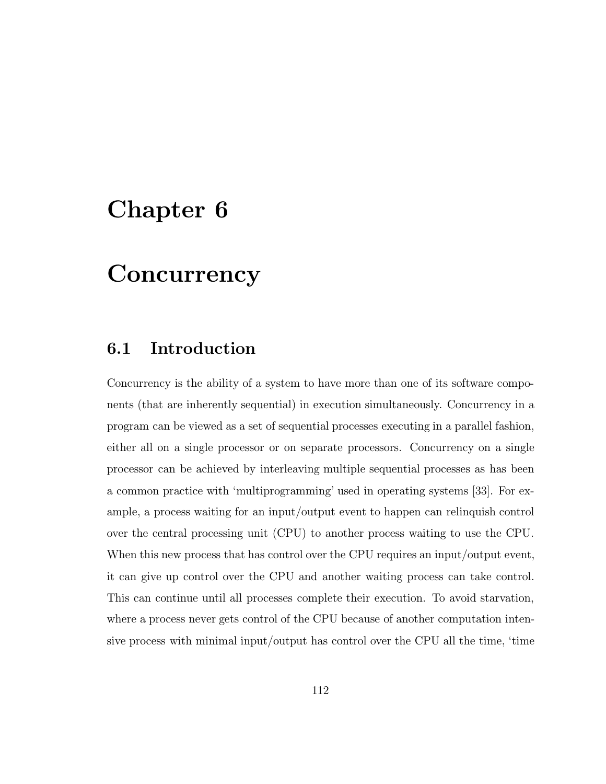# Chapter 6

# **Concurrency**

## 6.1 Introduction

Concurrency is the ability of a system to have more than one of its software components (that are inherently sequential) in execution simultaneously. Concurrency in a program can be viewed as a set of sequential processes executing in a parallel fashion, either all on a single processor or on separate processors. Concurrency on a single processor can be achieved by interleaving multiple sequential processes as has been a common practice with 'multiprogramming' used in operating systems [33]. For example, a process waiting for an input/output event to happen can relinquish control over the central processing unit (CPU) to another process waiting to use the CPU. When this new process that has control over the CPU requires an input/output event, it can give up control over the CPU and another waiting process can take control. This can continue until all processes complete their execution. To avoid starvation, where a process never gets control of the CPU because of another computation intensive process with minimal input/output has control over the CPU all the time, 'time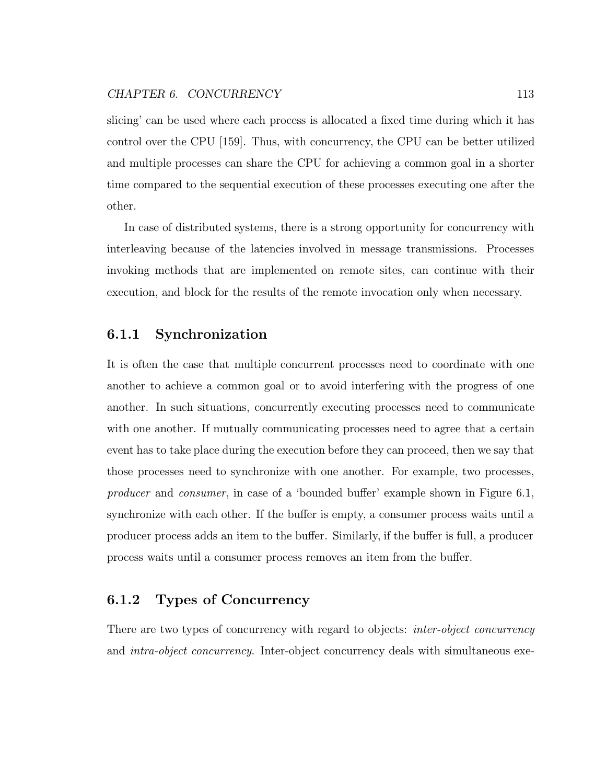slicing' can be used where each process is allocated a fixed time during which it has control over the CPU [159]. Thus, with concurrency, the CPU can be better utilized and multiple processes can share the CPU for achieving a common goal in a shorter time compared to the sequential execution of these processes executing one after the other.

In case of distributed systems, there is a strong opportunity for concurrency with interleaving because of the latencies involved in message transmissions. Processes invoking methods that are implemented on remote sites, can continue with their execution, and block for the results of the remote invocation only when necessary.

## 6.1.1 Synchronization

It is often the case that multiple concurrent processes need to coordinate with one another to achieve a common goal or to avoid interfering with the progress of one another. In such situations, concurrently executing processes need to communicate with one another. If mutually communicating processes need to agree that a certain event has to take place during the execution before they can proceed, then we say that those processes need to synchronize with one another. For example, two processes, producer and consumer, in case of a 'bounded buffer' example shown in Figure 6.1, synchronize with each other. If the buffer is empty, a consumer process waits until a producer process adds an item to the buffer. Similarly, if the buffer is full, a producer process waits until a consumer process removes an item from the buffer.

## 6.1.2 Types of Concurrency

There are two types of concurrency with regard to objects: *inter-object concurrency* and *intra-object concurrency*. Inter-object concurrency deals with simultaneous exe-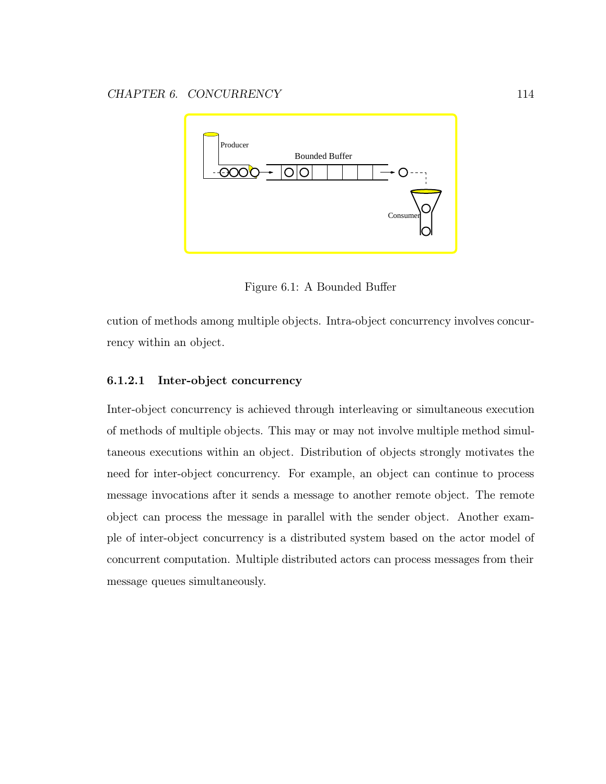

Figure 6.1: A Bounded Buffer

cution of methods among multiple objects. Intra-object concurrency involves concurrency within an object.

### 6.1.2.1 Inter-object concurrency

Inter-object concurrency is achieved through interleaving or simultaneous execution of methods of multiple objects. This may or may not involve multiple method simultaneous executions within an object. Distribution of objects strongly motivates the need for inter-object concurrency. For example, an object can continue to process message invocations after it sends a message to another remote object. The remote object can process the message in parallel with the sender object. Another example of inter-object concurrency is a distributed system based on the actor model of concurrent computation. Multiple distributed actors can process messages from their message queues simultaneously.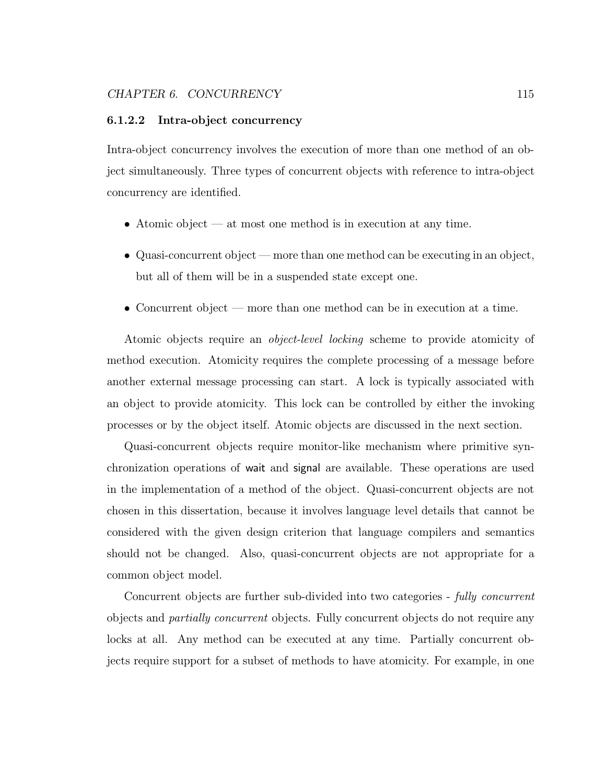#### 6.1.2.2 Intra-object concurrency

Intra-object concurrency involves the execution of more than one method of an object simultaneously. Three types of concurrent objects with reference to intra-object concurrency are identified.

- Atomic object at most one method is in execution at any time.
- Quasi-concurrent object more than one method can be executing in an object, but all of them will be in a suspended state except one.
- Concurrent object more than one method can be in execution at a time.

Atomic objects require an object-level locking scheme to provide atomicity of method execution. Atomicity requires the complete processing of a message before another external message processing can start. A lock is typically associated with an object to provide atomicity. This lock can be controlled by either the invoking processes or by the object itself. Atomic objects are discussed in the next section.

Quasi-concurrent objects require monitor-like mechanism where primitive synchronization operations of wait and signal are available. These operations are used in the implementation of a method of the object. Quasi-concurrent objects are not chosen in this dissertation, because it involves language level details that cannot be considered with the given design criterion that language compilers and semantics should not be changed. Also, quasi-concurrent objects are not appropriate for a common object model.

Concurrent objects are further sub-divided into two categories - fully concurrent objects and partially concurrent objects. Fully concurrent objects do not require any locks at all. Any method can be executed at any time. Partially concurrent objects require support for a subset of methods to have atomicity. For example, in one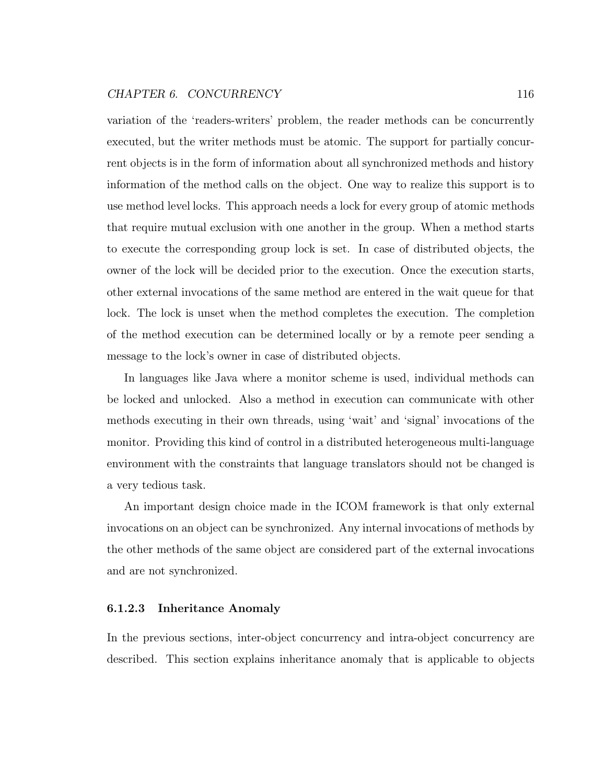#### CHAPTER 6. CONCURRENCY 116

variation of the 'readers-writers' problem, the reader methods can be concurrently executed, but the writer methods must be atomic. The support for partially concurrent objects is in the form of information about all synchronized methods and history information of the method calls on the object. One way to realize this support is to use method level locks. This approach needs a lock for every group of atomic methods that require mutual exclusion with one another in the group. When a method starts to execute the corresponding group lock is set. In case of distributed objects, the owner of the lock will be decided prior to the execution. Once the execution starts, other external invocations of the same method are entered in the wait queue for that lock. The lock is unset when the method completes the execution. The completion of the method execution can be determined locally or by a remote peer sending a message to the lock's owner in case of distributed objects.

In languages like Java where a monitor scheme is used, individual methods can be locked and unlocked. Also a method in execution can communicate with other methods executing in their own threads, using 'wait' and 'signal' invocations of the monitor. Providing this kind of control in a distributed heterogeneous multi-language environment with the constraints that language translators should not be changed is a very tedious task.

An important design choice made in the ICOM framework is that only external invocations on an object can be synchronized. Any internal invocations of methods by the other methods of the same object are considered part of the external invocations and are not synchronized.

#### 6.1.2.3 Inheritance Anomaly

In the previous sections, inter-object concurrency and intra-object concurrency are described. This section explains inheritance anomaly that is applicable to objects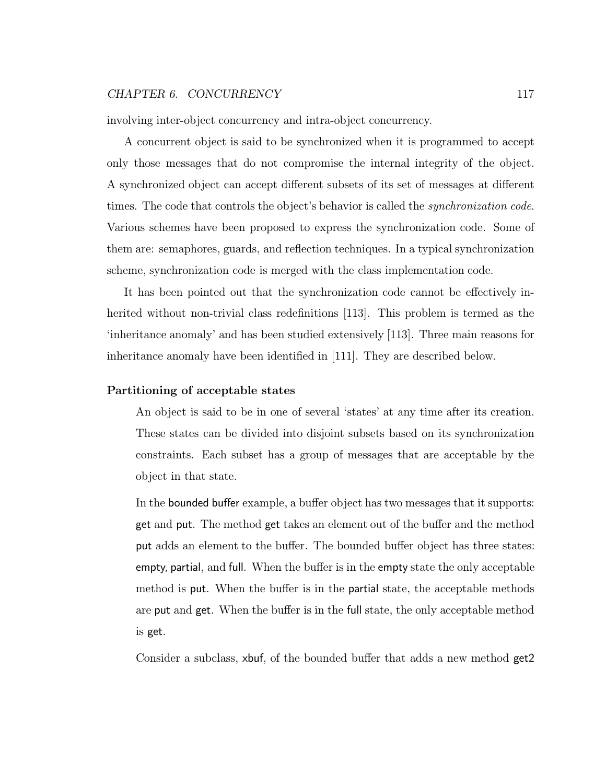#### CHAPTER 6. CONCURRENCY 117

involving inter-object concurrency and intra-object concurrency.

A concurrent object is said to be synchronized when it is programmed to accept only those messages that do not compromise the internal integrity of the object. A synchronized object can accept different subsets of its set of messages at different times. The code that controls the object's behavior is called the *synchronization code*. Various schemes have been proposed to express the synchronization code. Some of them are: semaphores, guards, and reflection techniques. In a typical synchronization scheme, synchronization code is merged with the class implementation code.

It has been pointed out that the synchronization code cannot be effectively inherited without non-trivial class redefinitions [113]. This problem is termed as the 'inheritance anomaly' and has been studied extensively [113]. Three main reasons for inheritance anomaly have been identified in [111]. They are described below.

#### Partitioning of acceptable states

An object is said to be in one of several 'states' at any time after its creation. These states can be divided into disjoint subsets based on its synchronization constraints. Each subset has a group of messages that are acceptable by the object in that state.

In the bounded buffer example, a buffer object has two messages that it supports: get and put. The method get takes an element out of the buffer and the method put adds an element to the buffer. The bounded buffer object has three states: empty, partial, and full. When the buffer is in the empty state the only acceptable method is put. When the buffer is in the partial state, the acceptable methods are put and get. When the buffer is in the full state, the only acceptable method is get.

Consider a subclass, xbuf, of the bounded buffer that adds a new method get2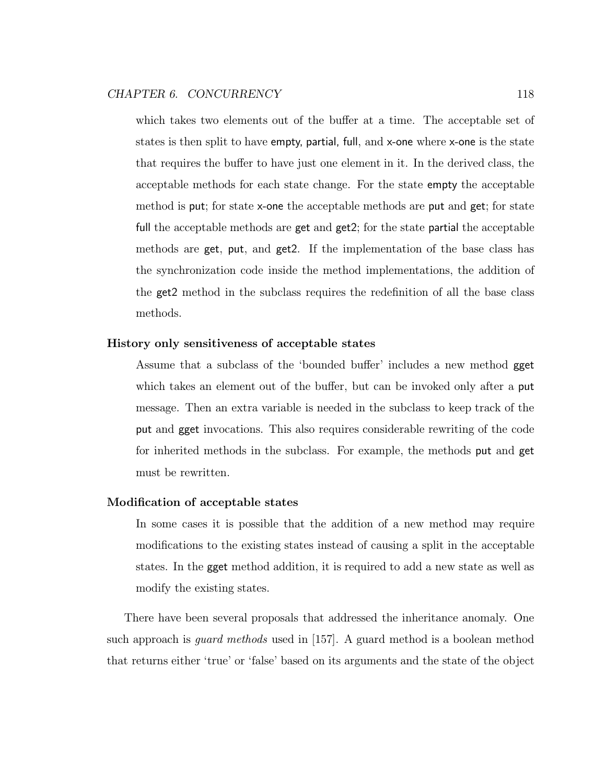which takes two elements out of the buffer at a time. The acceptable set of states is then split to have empty, partial, full, and x-one where x-one is the state that requires the buffer to have just one element in it. In the derived class, the acceptable methods for each state change. For the state empty the acceptable method is put; for state x-one the acceptable methods are put and get; for state full the acceptable methods are get and get2; for the state partial the acceptable methods are get, put, and get2. If the implementation of the base class has the synchronization code inside the method implementations, the addition of the get2 method in the subclass requires the redefinition of all the base class methods.

#### History only sensitiveness of acceptable states

Assume that a subclass of the 'bounded buffer' includes a new method gget which takes an element out of the buffer, but can be invoked only after a put message. Then an extra variable is needed in the subclass to keep track of the put and gget invocations. This also requires considerable rewriting of the code for inherited methods in the subclass. For example, the methods put and get must be rewritten.

#### Modification of acceptable states

In some cases it is possible that the addition of a new method may require modifications to the existing states instead of causing a split in the acceptable states. In the gget method addition, it is required to add a new state as well as modify the existing states.

There have been several proposals that addressed the inheritance anomaly. One such approach is guard methods used in [157]. A guard method is a boolean method that returns either 'true' or 'false' based on its arguments and the state of the object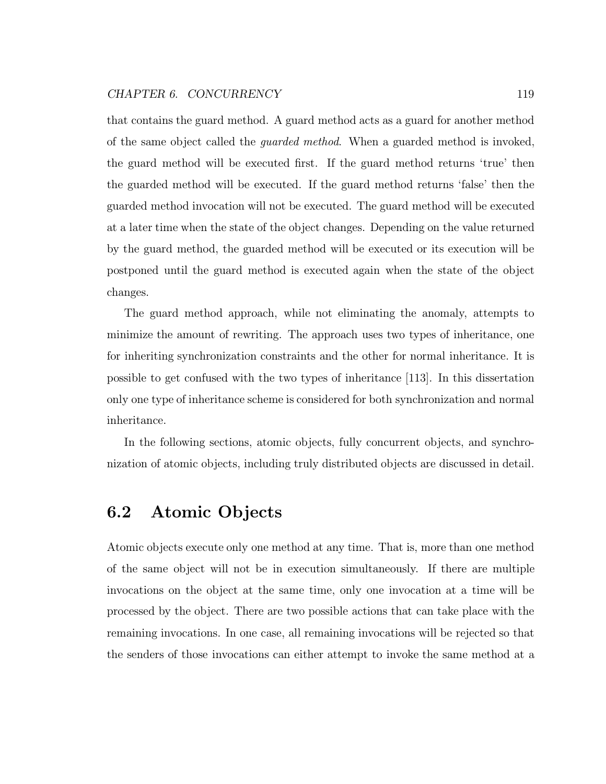#### CHAPTER 6. CONCURRENCY 119

that contains the guard method. A guard method acts as a guard for another method of the same object called the guarded method. When a guarded method is invoked, the guard method will be executed first. If the guard method returns 'true' then the guarded method will be executed. If the guard method returns 'false' then the guarded method invocation will not be executed. The guard method will be executed at a later time when the state of the object changes. Depending on the value returned by the guard method, the guarded method will be executed or its execution will be postponed until the guard method is executed again when the state of the object changes.

The guard method approach, while not eliminating the anomaly, attempts to minimize the amount of rewriting. The approach uses two types of inheritance, one for inheriting synchronization constraints and the other for normal inheritance. It is possible to get confused with the two types of inheritance [113]. In this dissertation only one type of inheritance scheme is considered for both synchronization and normal inheritance.

In the following sections, atomic objects, fully concurrent objects, and synchronization of atomic objects, including truly distributed objects are discussed in detail.

# 6.2 Atomic Objects

Atomic objects execute only one method at any time. That is, more than one method of the same object will not be in execution simultaneously. If there are multiple invocations on the object at the same time, only one invocation at a time will be processed by the object. There are two possible actions that can take place with the remaining invocations. In one case, all remaining invocations will be rejected so that the senders of those invocations can either attempt to invoke the same method at a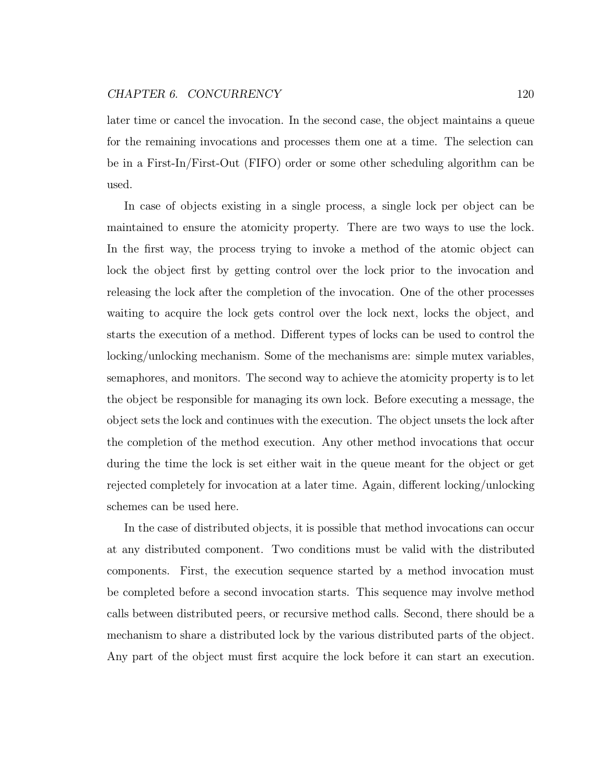#### CHAPTER 6. CONCURRENCY 120

later time or cancel the invocation. In the second case, the object maintains a queue for the remaining invocations and processes them one at a time. The selection can be in a First-In/First-Out (FIFO) order or some other scheduling algorithm can be used.

In case of objects existing in a single process, a single lock per object can be maintained to ensure the atomicity property. There are two ways to use the lock. In the first way, the process trying to invoke a method of the atomic object can lock the object first by getting control over the lock prior to the invocation and releasing the lock after the completion of the invocation. One of the other processes waiting to acquire the lock gets control over the lock next, locks the object, and starts the execution of a method. Different types of locks can be used to control the locking/unlocking mechanism. Some of the mechanisms are: simple mutex variables, semaphores, and monitors. The second way to achieve the atomicity property is to let the object be responsible for managing its own lock. Before executing a message, the object sets the lock and continues with the execution. The object unsets the lock after the completion of the method execution. Any other method invocations that occur during the time the lock is set either wait in the queue meant for the object or get rejected completely for invocation at a later time. Again, different locking/unlocking schemes can be used here.

In the case of distributed objects, it is possible that method invocations can occur at any distributed component. Two conditions must be valid with the distributed components. First, the execution sequence started by a method invocation must be completed before a second invocation starts. This sequence may involve method calls between distributed peers, or recursive method calls. Second, there should be a mechanism to share a distributed lock by the various distributed parts of the object. Any part of the object must first acquire the lock before it can start an execution.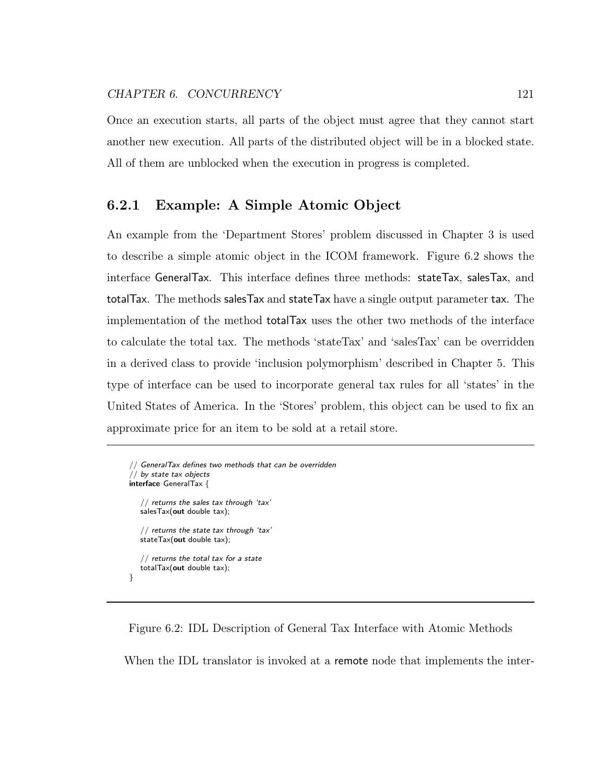Once an execution starts, all parts of the object must agree that they cannot start another new execution. All parts of the distributed object will be in a blocked state. All of them are unblocked when the execution in progress is completed.

## 6.2.1 Example: A Simple Atomic Object

An example from the 'Department Stores' problem discussed in Chapter 3 is used to describe a simple atomic object in the ICOM framework. Figure 6.2 shows the interface GeneralTax. This interface defines three methods: stateTax, salesTax, and totalTax. The methods salesTax and stateTax have a single output parameter tax. The implementation of the method totalTax uses the other two methods of the interface to calculate the total tax. The methods 'stateTax' and 'salesTax' can be overridden in a derived class to provide 'inclusion polymorphism' described in Chapter 5. This type of interface can be used to incorporate general tax rules for all 'states' in the United States of America. In the 'Stores' problem, this object can be used to fix an approximate price for an item to be sold at a retail store.

```
// GeneralTax defines two methods that can be overridden
1/ by state tax objects
interface GeneralTax {
   // returns the sales tax through 'tax'
   salesTax(out double tax);
   // returns the state tax through 'tax'
   stateTax(out double tax);
   // returns the total tax for a state
   totalTax(out double tax);
}
```
Figure 6.2: IDL Description of General Tax Interface with Atomic Methods

When the IDL translator is invoked at a remote node that implements the inter-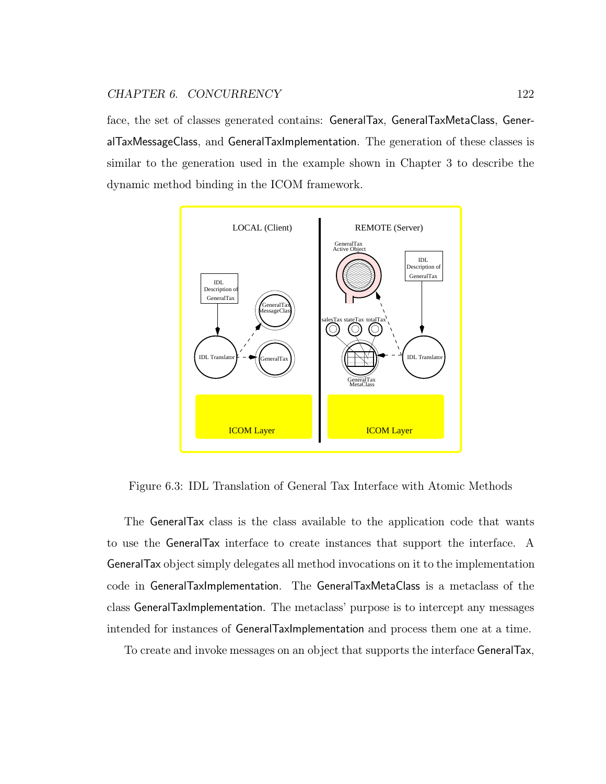face, the set of classes generated contains: GeneralTax, GeneralTaxMetaClass, GeneralTaxMessageClass, and GeneralTaxImplementation. The generation of these classes is similar to the generation used in the example shown in Chapter 3 to describe the dynamic method binding in the ICOM framework.



Figure 6.3: IDL Translation of General Tax Interface with Atomic Methods

The GeneralTax class is the class available to the application code that wants to use the GeneralTax interface to create instances that support the interface. A GeneralTax object simply delegates all method invocations on it to the implementation code in GeneralTaxImplementation. The GeneralTaxMetaClass is a metaclass of the class GeneralTaxImplementation. The metaclass' purpose is to intercept any messages intended for instances of GeneralTaxImplementation and process them one at a time.

To create and invoke messages on an object that supports the interface GeneralTax,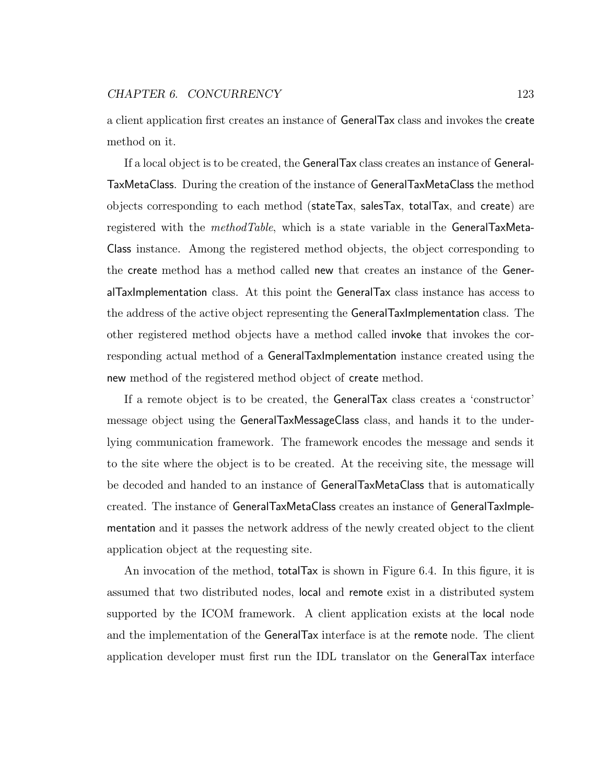a client application first creates an instance of GeneralTax class and invokes the create method on it.

If a local object is to be created, the GeneralTax class creates an instance of General-TaxMetaClass. During the creation of the instance of GeneralTaxMetaClass the method objects corresponding to each method (stateTax, salesTax, totalTax, and create) are registered with the *methodTable*, which is a state variable in the GeneralTaxMeta-Class instance. Among the registered method objects, the object corresponding to the create method has a method called new that creates an instance of the GeneralTaxImplementation class. At this point the GeneralTax class instance has access to the address of the active object representing the GeneralTaxImplementation class. The other registered method objects have a method called invoke that invokes the corresponding actual method of a GeneralTaxImplementation instance created using the new method of the registered method object of create method.

If a remote object is to be created, the GeneralTax class creates a 'constructor' message object using the GeneralTaxMessageClass class, and hands it to the underlying communication framework. The framework encodes the message and sends it to the site where the object is to be created. At the receiving site, the message will be decoded and handed to an instance of GeneralTaxMetaClass that is automatically created. The instance of GeneralTaxMetaClass creates an instance of GeneralTaxImplementation and it passes the network address of the newly created object to the client application object at the requesting site.

An invocation of the method, totalTax is shown in Figure 6.4. In this figure, it is assumed that two distributed nodes, local and remote exist in a distributed system supported by the ICOM framework. A client application exists at the local node and the implementation of the GeneralTax interface is at the remote node. The client application developer must first run the IDL translator on the GeneralTax interface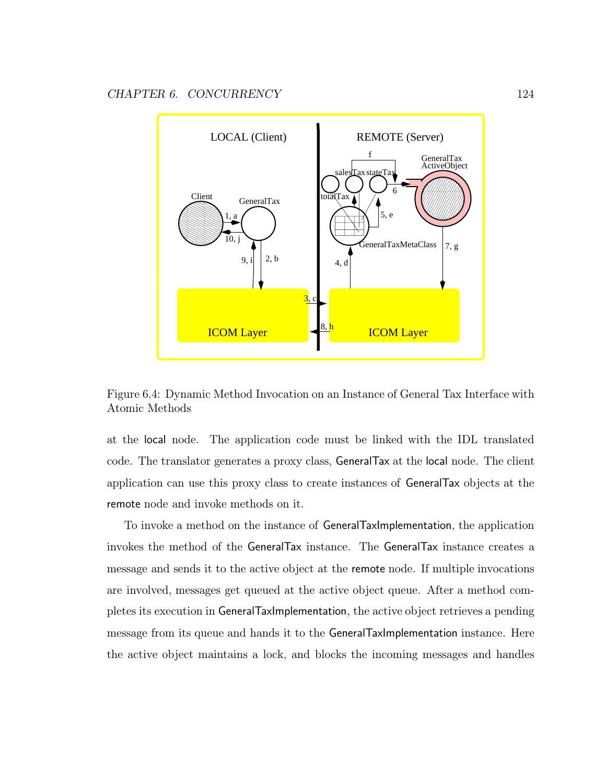

Figure 6.4: Dynamic Method Invocation on an Instance of General Tax Interface with Atomic Methods

at the local node. The application code must be linked with the IDL translated code. The translator generates a proxy class, GeneralTax at the local node. The client application can use this proxy class to create instances of GeneralTax objects at the remote node and invoke methods on it.

To invoke a method on the instance of GeneralTaxImplementation, the application invokes the method of the GeneralTax instance. The GeneralTax instance creates a message and sends it to the active object at the remote node. If multiple invocations are involved, messages get queued at the active object queue. After a method completes its execution in GeneralTaxImplementation, the active object retrieves a pending message from its queue and hands it to the GeneralTaxImplementation instance. Here the active object maintains a lock, and blocks the incoming messages and handles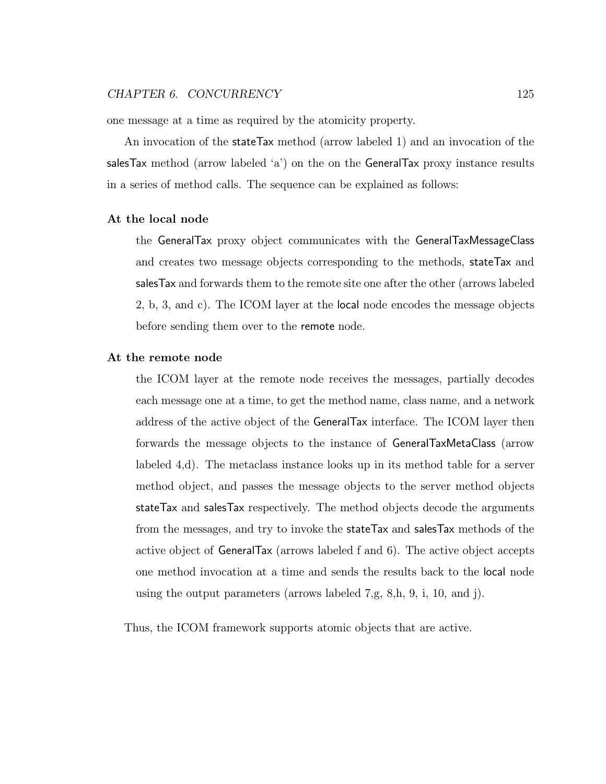one message at a time as required by the atomicity property.

An invocation of the stateTax method (arrow labeled 1) and an invocation of the salesTax method (arrow labeled 'a') on the on the GeneralTax proxy instance results in a series of method calls. The sequence can be explained as follows:

#### At the local node

the GeneralTax proxy object communicates with the GeneralTaxMessageClass and creates two message objects corresponding to the methods, stateTax and salesTax and forwards them to the remote site one after the other (arrows labeled 2, b, 3, and c). The ICOM layer at the local node encodes the message objects before sending them over to the remote node.

#### At the remote node

the ICOM layer at the remote node receives the messages, partially decodes each message one at a time, to get the method name, class name, and a network address of the active object of the GeneralTax interface. The ICOM layer then forwards the message objects to the instance of GeneralTaxMetaClass (arrow labeled 4,d). The metaclass instance looks up in its method table for a server method object, and passes the message objects to the server method objects stateTax and salesTax respectively. The method objects decode the arguments from the messages, and try to invoke the stateTax and salesTax methods of the active object of GeneralTax (arrows labeled f and 6). The active object accepts one method invocation at a time and sends the results back to the local node using the output parameters (arrows labeled 7,g, 8,h, 9, i, 10, and j).

Thus, the ICOM framework supports atomic objects that are active.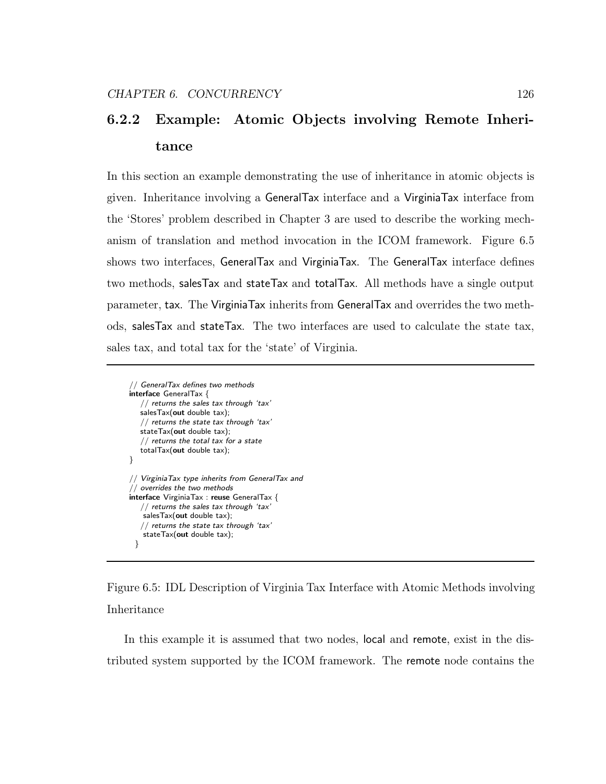# 6.2.2 Example: Atomic Objects involving Remote Inheritance

In this section an example demonstrating the use of inheritance in atomic objects is given. Inheritance involving a GeneralTax interface and a VirginiaTax interface from the 'Stores' problem described in Chapter 3 are used to describe the working mechanism of translation and method invocation in the ICOM framework. Figure 6.5 shows two interfaces, GeneralTax and VirginiaTax. The GeneralTax interface defines two methods, salesTax and stateTax and totalTax. All methods have a single output parameter, tax. The VirginiaTax inherits from GeneralTax and overrides the two methods, salesTax and stateTax. The two interfaces are used to calculate the state tax, sales tax, and total tax for the 'state' of Virginia.

// GeneralTax defines two methods interface GeneralTax { // returns the sales tax through 'tax' salesTax(out double tax); // returns the state tax through 'tax' stateTax(out double tax);  $//$  returns the total tax for a state totalTax(out double tax); } // VirginiaTax type inherits from GeneralTax and // overrides the two methods interface VirginiaTax : reuse GeneralTax { // returns the sales tax through 'tax' salesTax(out double tax); // returns the state tax through 'tax' stateTax(out double tax); }

Figure 6.5: IDL Description of Virginia Tax Interface with Atomic Methods involving Inheritance

In this example it is assumed that two nodes, local and remote, exist in the distributed system supported by the ICOM framework. The remote node contains the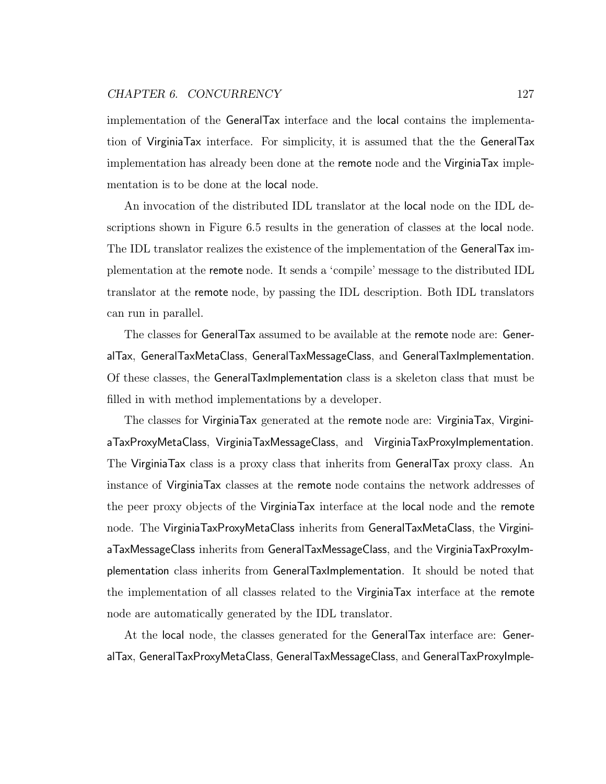#### CHAPTER 6. CONCURRENCY 127

implementation of the GeneralTax interface and the local contains the implementation of VirginiaTax interface. For simplicity, it is assumed that the the GeneralTax implementation has already been done at the remote node and the VirginiaTax implementation is to be done at the local node.

An invocation of the distributed IDL translator at the local node on the IDL descriptions shown in Figure 6.5 results in the generation of classes at the local node. The IDL translator realizes the existence of the implementation of the GeneralTax implementation at the remote node. It sends a 'compile' message to the distributed IDL translator at the remote node, by passing the IDL description. Both IDL translators can run in parallel.

The classes for GeneralTax assumed to be available at the remote node are: GeneralTax, GeneralTaxMetaClass, GeneralTaxMessageClass, and GeneralTaxImplementation. Of these classes, the GeneralTaxImplementation class is a skeleton class that must be filled in with method implementations by a developer.

The classes for VirginiaTax generated at the remote node are: VirginiaTax, VirginiaTaxProxyMetaClass, VirginiaTaxMessageClass, and VirginiaTaxProxyImplementation. The VirginiaTax class is a proxy class that inherits from GeneralTax proxy class. An instance of VirginiaTax classes at the remote node contains the network addresses of the peer proxy objects of the VirginiaTax interface at the local node and the remote node. The VirginiaTaxProxyMetaClass inherits from GeneralTaxMetaClass, the VirginiaTaxMessageClass inherits from GeneralTaxMessageClass, and the VirginiaTaxProxyImplementation class inherits from GeneralTaxImplementation. It should be noted that the implementation of all classes related to the VirginiaTax interface at the remote node are automatically generated by the IDL translator.

At the local node, the classes generated for the GeneralTax interface are: GeneralTax, GeneralTaxProxyMetaClass, GeneralTaxMessageClass, and GeneralTaxProxyImple-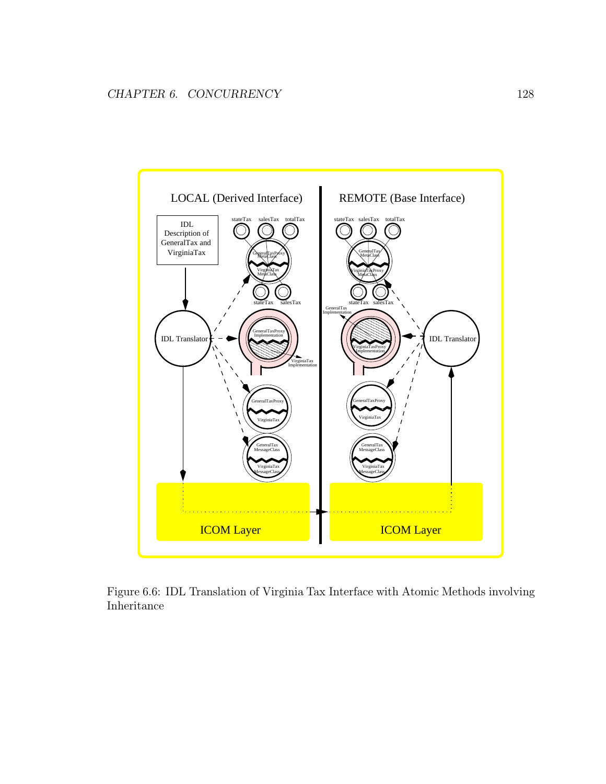

Figure 6.6: IDL Translation of Virginia Tax Interface with Atomic Methods involving Inheritance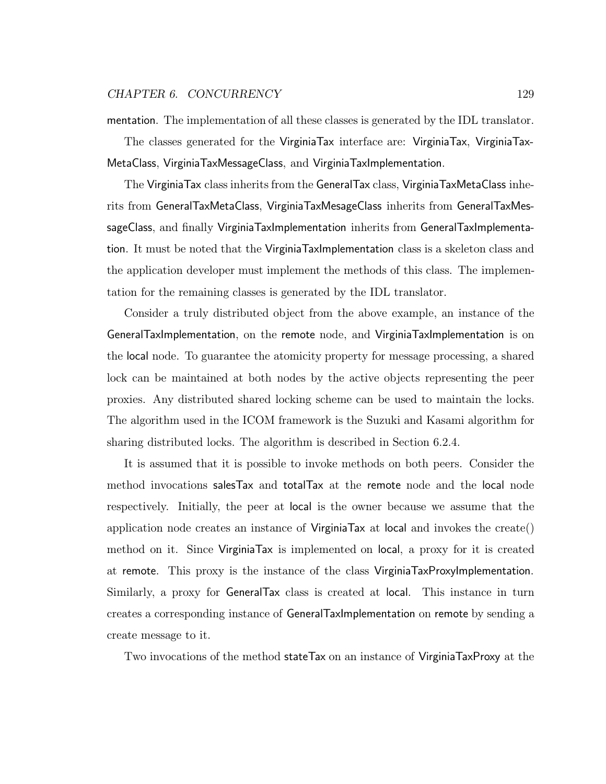#### CHAPTER 6. CONCURRENCY 129

mentation. The implementation of all these classes is generated by the IDL translator.

The classes generated for the VirginiaTax interface are: VirginiaTax, VirginiaTax-MetaClass, VirginiaTaxMessageClass, and VirginiaTaxImplementation.

The VirginiaTax class inherits from the GeneralTax class, VirginiaTaxMetaClass inherits from GeneralTaxMetaClass, VirginiaTaxMesageClass inherits from GeneralTaxMessageClass, and finally VirginiaTaxImplementation inherits from GeneralTaxImplementation. It must be noted that the VirginiaTaxImplementation class is a skeleton class and the application developer must implement the methods of this class. The implementation for the remaining classes is generated by the IDL translator.

Consider a truly distributed object from the above example, an instance of the GeneralTaxImplementation, on the remote node, and VirginiaTaxImplementation is on the local node. To guarantee the atomicity property for message processing, a shared lock can be maintained at both nodes by the active objects representing the peer proxies. Any distributed shared locking scheme can be used to maintain the locks. The algorithm used in the ICOM framework is the Suzuki and Kasami algorithm for sharing distributed locks. The algorithm is described in Section 6.2.4.

It is assumed that it is possible to invoke methods on both peers. Consider the method invocations salesTax and totalTax at the remote node and the local node respectively. Initially, the peer at local is the owner because we assume that the application node creates an instance of VirginiaTax at local and invokes the create() method on it. Since VirginiaTax is implemented on local, a proxy for it is created at remote. This proxy is the instance of the class VirginiaTaxProxyImplementation. Similarly, a proxy for GeneralTax class is created at local. This instance in turn creates a corresponding instance of GeneralTaxImplementation on remote by sending a create message to it.

Two invocations of the method stateTax on an instance of VirginiaTaxProxy at the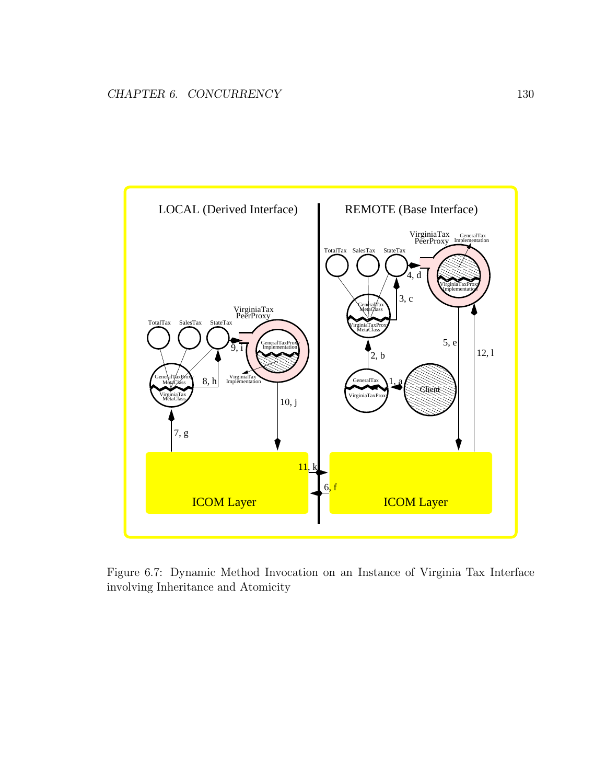

Figure 6.7: Dynamic Method Invocation on an Instance of Virginia Tax Interface involving Inheritance and Atomicity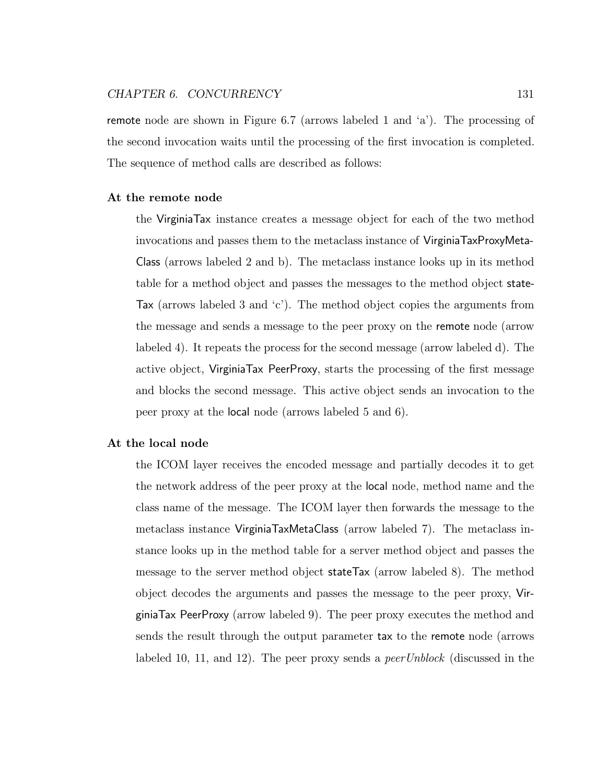remote node are shown in Figure 6.7 (arrows labeled 1 and 'a'). The processing of the second invocation waits until the processing of the first invocation is completed. The sequence of method calls are described as follows:

#### At the remote node

the VirginiaTax instance creates a message object for each of the two method invocations and passes them to the metaclass instance of VirginiaTaxProxyMeta-Class (arrows labeled 2 and b). The metaclass instance looks up in its method table for a method object and passes the messages to the method object state-Tax (arrows labeled 3 and 'c'). The method object copies the arguments from the message and sends a message to the peer proxy on the remote node (arrow labeled 4). It repeats the process for the second message (arrow labeled d). The active object, VirginiaTax PeerProxy, starts the processing of the first message and blocks the second message. This active object sends an invocation to the peer proxy at the local node (arrows labeled 5 and 6).

### At the local node

the ICOM layer receives the encoded message and partially decodes it to get the network address of the peer proxy at the local node, method name and the class name of the message. The ICOM layer then forwards the message to the metaclass instance VirginiaTaxMetaClass (arrow labeled 7). The metaclass instance looks up in the method table for a server method object and passes the message to the server method object stateTax (arrow labeled 8). The method object decodes the arguments and passes the message to the peer proxy, VirginiaTax PeerProxy (arrow labeled 9). The peer proxy executes the method and sends the result through the output parameter tax to the remote node (arrows labeled 10, 11, and 12). The peer proxy sends a *peer Unblock* (discussed in the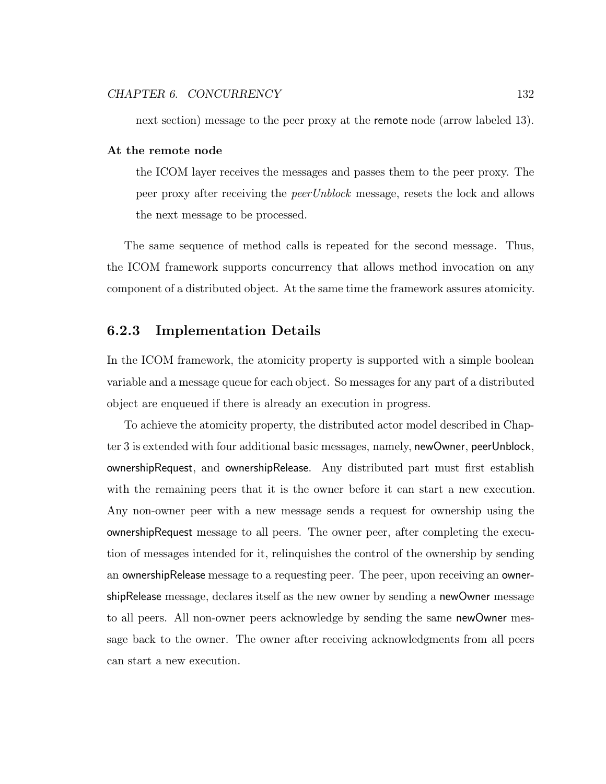next section) message to the peer proxy at the remote node (arrow labeled 13).

### At the remote node

the ICOM layer receives the messages and passes them to the peer proxy. The peer proxy after receiving the peerUnblock message, resets the lock and allows the next message to be processed.

The same sequence of method calls is repeated for the second message. Thus, the ICOM framework supports concurrency that allows method invocation on any component of a distributed object. At the same time the framework assures atomicity.

# 6.2.3 Implementation Details

In the ICOM framework, the atomicity property is supported with a simple boolean variable and a message queue for each object. So messages for any part of a distributed object are enqueued if there is already an execution in progress.

To achieve the atomicity property, the distributed actor model described in Chapter 3 is extended with four additional basic messages, namely, newOwner, peerUnblock, ownershipRequest, and ownershipRelease. Any distributed part must first establish with the remaining peers that it is the owner before it can start a new execution. Any non-owner peer with a new message sends a request for ownership using the ownershipRequest message to all peers. The owner peer, after completing the execution of messages intended for it, relinquishes the control of the ownership by sending an ownershipRelease message to a requesting peer. The peer, upon receiving an ownershipRelease message, declares itself as the new owner by sending a newOwner message to all peers. All non-owner peers acknowledge by sending the same newOwner message back to the owner. The owner after receiving acknowledgments from all peers can start a new execution.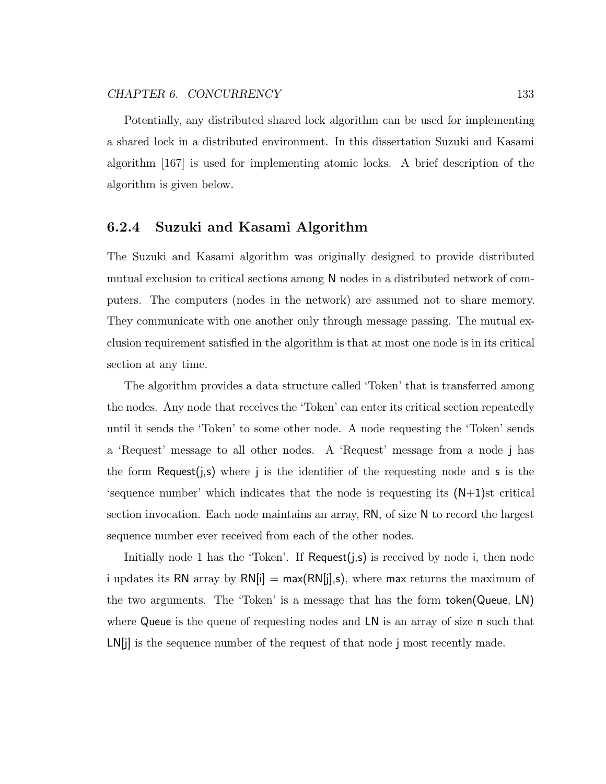Potentially, any distributed shared lock algorithm can be used for implementing a shared lock in a distributed environment. In this dissertation Suzuki and Kasami algorithm [167] is used for implementing atomic locks. A brief description of the algorithm is given below.

## 6.2.4 Suzuki and Kasami Algorithm

The Suzuki and Kasami algorithm was originally designed to provide distributed mutual exclusion to critical sections among N nodes in a distributed network of computers. The computers (nodes in the network) are assumed not to share memory. They communicate with one another only through message passing. The mutual exclusion requirement satisfied in the algorithm is that at most one node is in its critical section at any time.

The algorithm provides a data structure called 'Token' that is transferred among the nodes. Any node that receives the 'Token' can enter its critical section repeatedly until it sends the 'Token' to some other node. A node requesting the 'Token' sends a 'Request' message to all other nodes. A 'Request' message from a node j has the form Request(*j*,s) where *j* is the identifier of the requesting node and **s** is the 'sequence number' which indicates that the node is requesting its (N+1)st critical section invocation. Each node maintains an array, RN, of size N to record the largest sequence number ever received from each of the other nodes.

Initially node 1 has the 'Token'. If Request(j,s) is received by node i, then node i updates its RN array by  $RN[i] = max(RN[j], s)$ , where max returns the maximum of the two arguments. The 'Token' is a message that has the form token(Queue, LN) where Queue is the queue of requesting nodes and LN is an array of size n such that LN[j] is the sequence number of the request of that node j most recently made.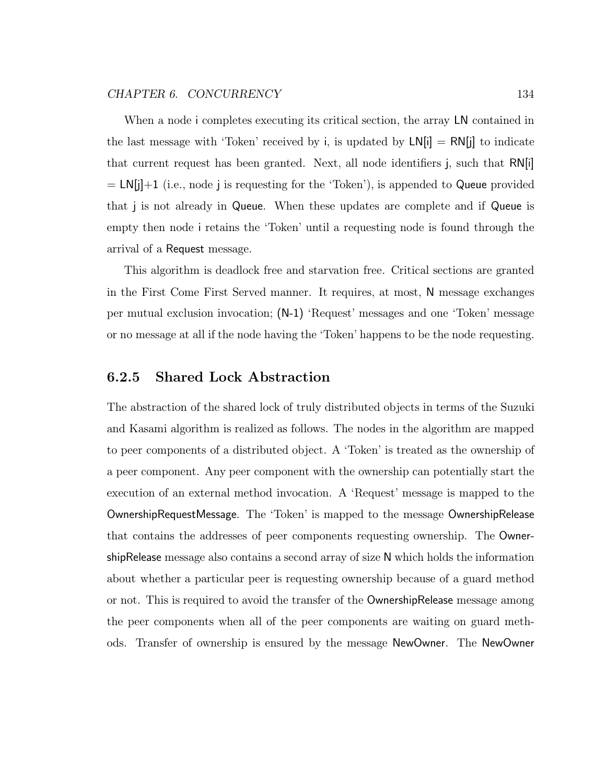When a node i completes executing its critical section, the array LN contained in the last message with 'Token' received by i, is updated by  $LN[i] = RN[j]$  to indicate that current request has been granted. Next, all node identifiers j, such that RN[i]  $= L[N[j]+1$  (i.e., node j is requesting for the 'Token'), is appended to Queue provided that j is not already in Queue. When these updates are complete and if Queue is empty then node i retains the 'Token' until a requesting node is found through the arrival of a Request message.

This algorithm is deadlock free and starvation free. Critical sections are granted in the First Come First Served manner. It requires, at most, N message exchanges per mutual exclusion invocation; (N-1) 'Request' messages and one 'Token' message or no message at all if the node having the 'Token' happens to be the node requesting.

## 6.2.5 Shared Lock Abstraction

The abstraction of the shared lock of truly distributed objects in terms of the Suzuki and Kasami algorithm is realized as follows. The nodes in the algorithm are mapped to peer components of a distributed object. A 'Token' is treated as the ownership of a peer component. Any peer component with the ownership can potentially start the execution of an external method invocation. A 'Request' message is mapped to the OwnershipRequestMessage. The 'Token' is mapped to the message OwnershipRelease that contains the addresses of peer components requesting ownership. The OwnershipRelease message also contains a second array of size N which holds the information about whether a particular peer is requesting ownership because of a guard method or not. This is required to avoid the transfer of the OwnershipRelease message among the peer components when all of the peer components are waiting on guard methods. Transfer of ownership is ensured by the message NewOwner. The NewOwner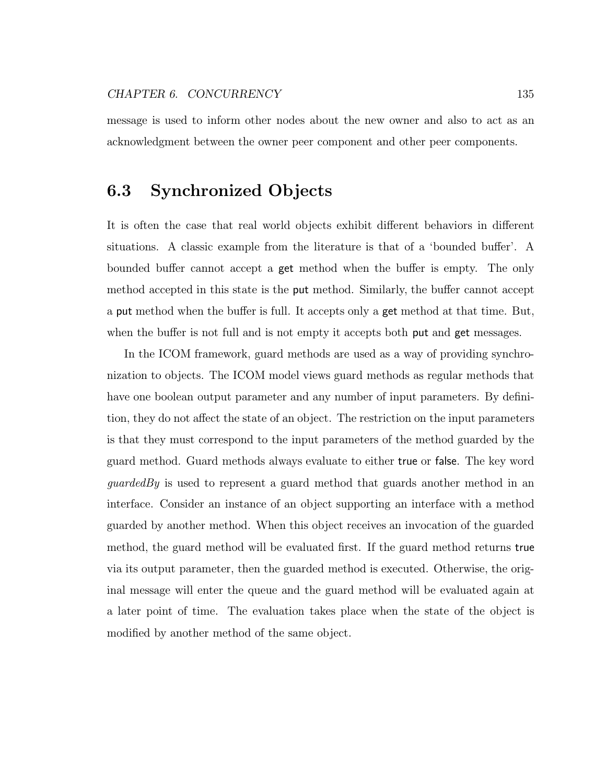message is used to inform other nodes about the new owner and also to act as an acknowledgment between the owner peer component and other peer components.

# 6.3 Synchronized Objects

It is often the case that real world objects exhibit different behaviors in different situations. A classic example from the literature is that of a 'bounded buffer'. A bounded buffer cannot accept a get method when the buffer is empty. The only method accepted in this state is the put method. Similarly, the buffer cannot accept a put method when the buffer is full. It accepts only a get method at that time. But, when the buffer is not full and is not empty it accepts both put and get messages.

In the ICOM framework, guard methods are used as a way of providing synchronization to objects. The ICOM model views guard methods as regular methods that have one boolean output parameter and any number of input parameters. By definition, they do not affect the state of an object. The restriction on the input parameters is that they must correspond to the input parameters of the method guarded by the guard method. Guard methods always evaluate to either true or false. The key word guardedBy is used to represent a guard method that guards another method in an interface. Consider an instance of an object supporting an interface with a method guarded by another method. When this object receives an invocation of the guarded method, the guard method will be evaluated first. If the guard method returns true via its output parameter, then the guarded method is executed. Otherwise, the original message will enter the queue and the guard method will be evaluated again at a later point of time. The evaluation takes place when the state of the object is modified by another method of the same object.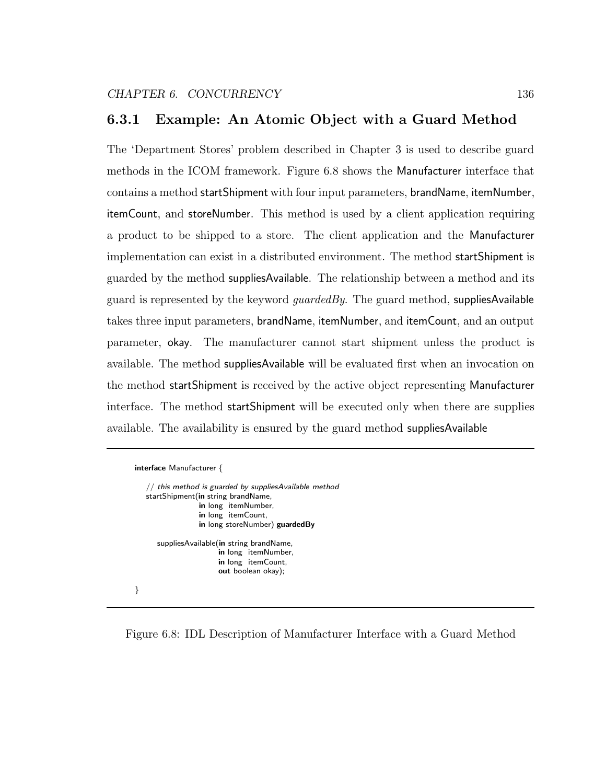## 6.3.1 Example: An Atomic Object with a Guard Method

The 'Department Stores' problem described in Chapter 3 is used to describe guard methods in the ICOM framework. Figure 6.8 shows the Manufacturer interface that contains a method startShipment with four input parameters, brandName, itemNumber, itemCount, and storeNumber. This method is used by a client application requiring a product to be shipped to a store. The client application and the Manufacturer implementation can exist in a distributed environment. The method startShipment is guarded by the method suppliesAvailable. The relationship between a method and its guard is represented by the keyword *quardedBy*. The guard method, suppliesAvailable takes three input parameters, brandName, itemNumber, and itemCount, and an output parameter, okay. The manufacturer cannot start shipment unless the product is available. The method suppliesAvailable will be evaluated first when an invocation on the method startShipment is received by the active object representing Manufacturer interface. The method startShipment will be executed only when there are supplies available. The availability is ensured by the guard method suppliesAvailable

| interface Manufacturer {           |                                                                                                                                      |
|------------------------------------|--------------------------------------------------------------------------------------------------------------------------------------|
| startShipment(in string brandName, | // this method is guarded by suppliesAvailable method<br>in long itemNumber,<br>in long itemCount.<br>in long storeNumber) guardedBy |
|                                    | suppliesAvailable(in string brandName,<br>in long itemNumber,<br>in long itemCount.<br>out boolean okay);                            |
|                                    |                                                                                                                                      |

Figure 6.8: IDL Description of Manufacturer Interface with a Guard Method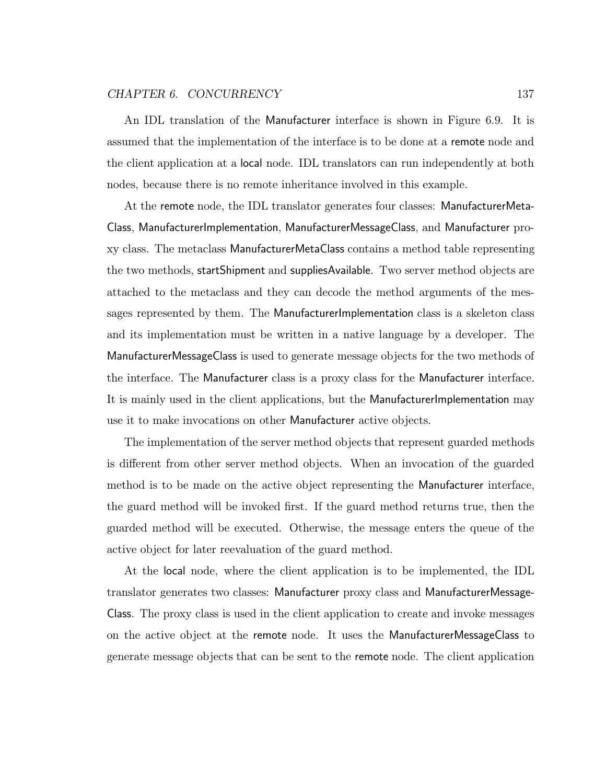#### CHAPTER 6. CONCURRENCY 137

An IDL translation of the Manufacturer interface is shown in Figure 6.9. It is assumed that the implementation of the interface is to be done at a remote node and the client application at a local node. IDL translators can run independently at both nodes, because there is no remote inheritance involved in this example.

At the remote node, the IDL translator generates four classes: ManufacturerMeta-Class, ManufacturerImplementation, ManufacturerMessageClass, and Manufacturer proxy class. The metaclass ManufacturerMetaClass contains a method table representing the two methods, startShipment and suppliesAvailable. Two server method objects are attached to the metaclass and they can decode the method arguments of the messages represented by them. The ManufacturerImplementation class is a skeleton class and its implementation must be written in a native language by a developer. The ManufacturerMessageClass is used to generate message objects for the two methods of the interface. The Manufacturer class is a proxy class for the Manufacturer interface. It is mainly used in the client applications, but the ManufacturerImplementation may use it to make invocations on other Manufacturer active objects.

The implementation of the server method objects that represent guarded methods is different from other server method objects. When an invocation of the guarded method is to be made on the active object representing the Manufacturer interface, the guard method will be invoked first. If the guard method returns true, then the guarded method will be executed. Otherwise, the message enters the queue of the active object for later reevaluation of the guard method.

At the local node, where the client application is to be implemented, the IDL translator generates two classes: Manufacturer proxy class and ManufacturerMessage-Class. The proxy class is used in the client application to create and invoke messages on the active object at the remote node. It uses the ManufacturerMessageClass to generate message objects that can be sent to the remote node. The client application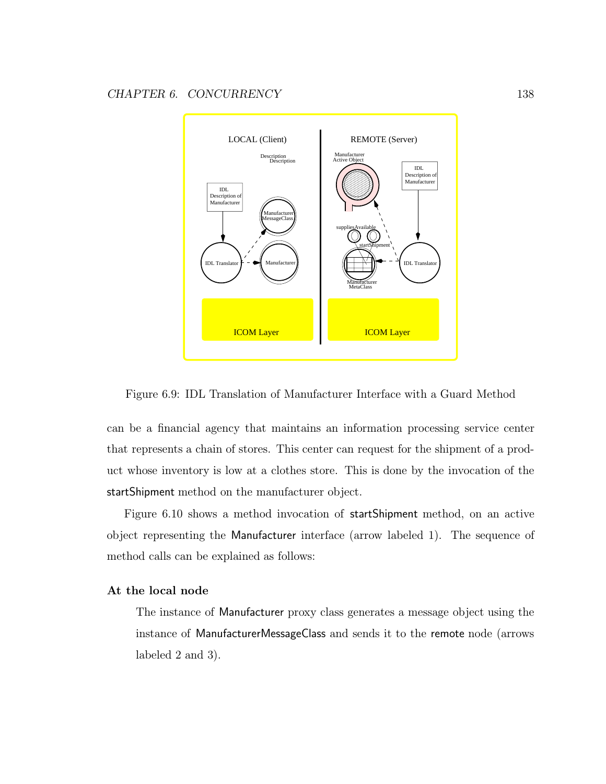

Figure 6.9: IDL Translation of Manufacturer Interface with a Guard Method

can be a financial agency that maintains an information processing service center that represents a chain of stores. This center can request for the shipment of a product whose inventory is low at a clothes store. This is done by the invocation of the startShipment method on the manufacturer object.

Figure 6.10 shows a method invocation of startShipment method, on an active object representing the Manufacturer interface (arrow labeled 1). The sequence of method calls can be explained as follows:

### At the local node

The instance of Manufacturer proxy class generates a message object using the instance of ManufacturerMessageClass and sends it to the remote node (arrows labeled 2 and 3).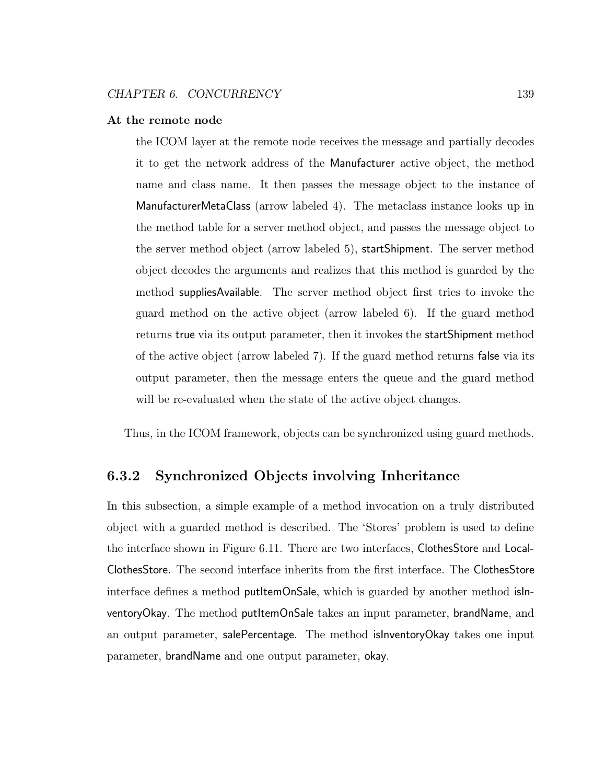#### At the remote node

the ICOM layer at the remote node receives the message and partially decodes it to get the network address of the Manufacturer active object, the method name and class name. It then passes the message object to the instance of ManufacturerMetaClass (arrow labeled 4). The metaclass instance looks up in the method table for a server method object, and passes the message object to the server method object (arrow labeled 5), startShipment. The server method object decodes the arguments and realizes that this method is guarded by the method suppliesAvailable. The server method object first tries to invoke the guard method on the active object (arrow labeled 6). If the guard method returns true via its output parameter, then it invokes the startShipment method of the active object (arrow labeled 7). If the guard method returns false via its output parameter, then the message enters the queue and the guard method will be re-evaluated when the state of the active object changes.

Thus, in the ICOM framework, objects can be synchronized using guard methods.

# 6.3.2 Synchronized Objects involving Inheritance

In this subsection, a simple example of a method invocation on a truly distributed object with a guarded method is described. The 'Stores' problem is used to define the interface shown in Figure 6.11. There are two interfaces, ClothesStore and Local-ClothesStore. The second interface inherits from the first interface. The ClothesStore interface defines a method putItemOnSale, which is guarded by another method isInventoryOkay. The method putItemOnSale takes an input parameter, brandName, and an output parameter, salePercentage. The method isInventoryOkay takes one input parameter, brandName and one output parameter, okay.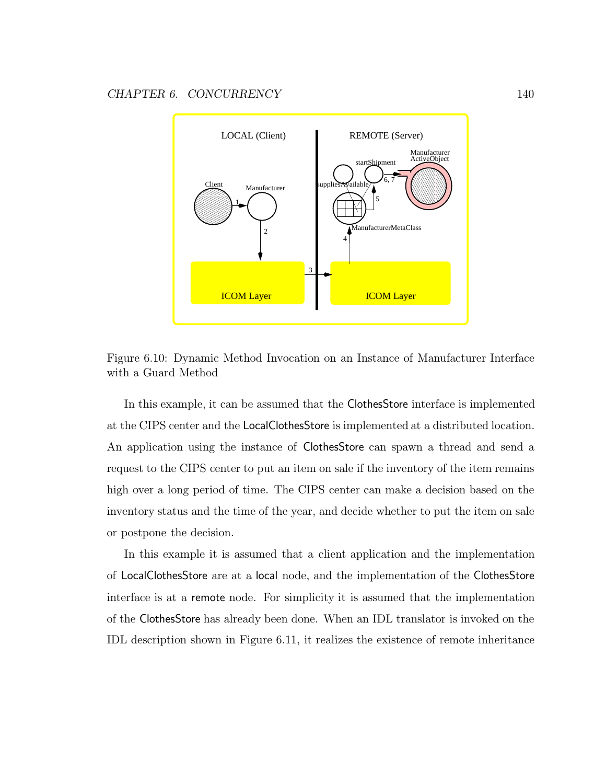

Figure 6.10: Dynamic Method Invocation on an Instance of Manufacturer Interface with a Guard Method

In this example, it can be assumed that the ClothesStore interface is implemented at the CIPS center and the LocalClothesStore is implemented at a distributed location. An application using the instance of ClothesStore can spawn a thread and send a request to the CIPS center to put an item on sale if the inventory of the item remains high over a long period of time. The CIPS center can make a decision based on the inventory status and the time of the year, and decide whether to put the item on sale or postpone the decision.

In this example it is assumed that a client application and the implementation of LocalClothesStore are at a local node, and the implementation of the ClothesStore interface is at a remote node. For simplicity it is assumed that the implementation of the ClothesStore has already been done. When an IDL translator is invoked on the IDL description shown in Figure 6.11, it realizes the existence of remote inheritance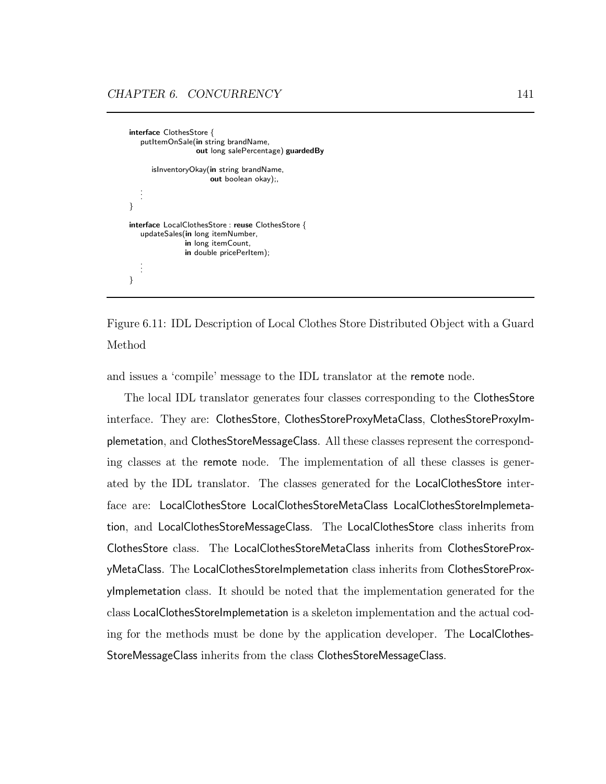interface ClothesStore { putItemOnSale(in string brandName, out long salePercentage) guardedBy isInventoryOkay(in string brandName, out boolean okay);, . . . } interface LocalClothesStore : reuse ClothesStore { updateSales(in long itemNumber, in long itemCount, in double pricePerItem); . . . }



and issues a 'compile' message to the IDL translator at the remote node.

The local IDL translator generates four classes corresponding to the ClothesStore interface. They are: ClothesStore, ClothesStoreProxyMetaClass, ClothesStoreProxyImplemetation, and ClothesStoreMessageClass. All these classes represent the corresponding classes at the remote node. The implementation of all these classes is generated by the IDL translator. The classes generated for the LocalClothesStore interface are: LocalClothesStore LocalClothesStoreMetaClass LocalClothesStoreImplemetation, and LocalClothesStoreMessageClass. The LocalClothesStore class inherits from ClothesStore class. The LocalClothesStoreMetaClass inherits from ClothesStoreProxyMetaClass. The LocalClothesStoreImplemetation class inherits from ClothesStoreProxyImplemetation class. It should be noted that the implementation generated for the class LocalClothesStoreImplemetation is a skeleton implementation and the actual coding for the methods must be done by the application developer. The LocalClothes-StoreMessageClass inherits from the class ClothesStoreMessageClass.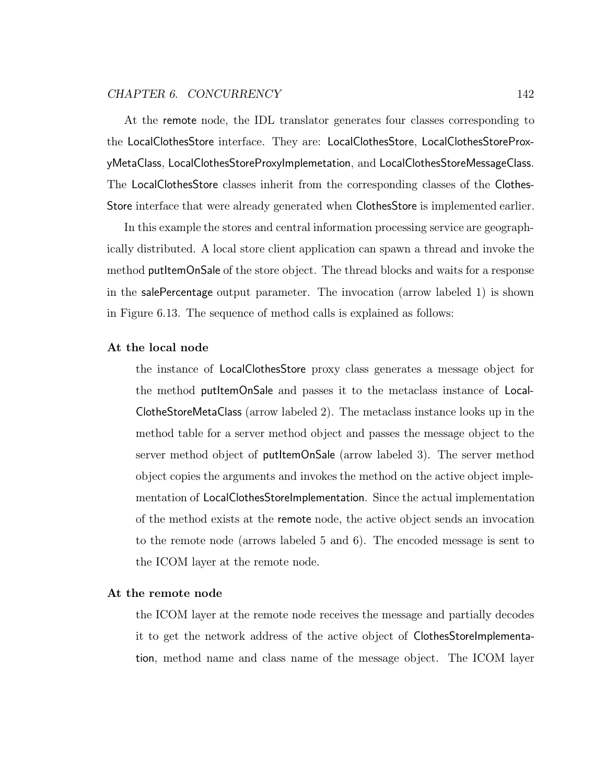### CHAPTER 6. CONCURRENCY 142

At the remote node, the IDL translator generates four classes corresponding to the LocalClothesStore interface. They are: LocalClothesStore, LocalClothesStoreProxyMetaClass, LocalClothesStoreProxyImplemetation, and LocalClothesStoreMessageClass. The LocalClothesStore classes inherit from the corresponding classes of the Clothes-Store interface that were already generated when ClothesStore is implemented earlier.

In this example the stores and central information processing service are geographically distributed. A local store client application can spawn a thread and invoke the method putItemOnSale of the store object. The thread blocks and waits for a response in the salePercentage output parameter. The invocation (arrow labeled 1) is shown in Figure 6.13. The sequence of method calls is explained as follows:

#### At the local node

the instance of LocalClothesStore proxy class generates a message object for the method putItemOnSale and passes it to the metaclass instance of Local-ClotheStoreMetaClass (arrow labeled 2). The metaclass instance looks up in the method table for a server method object and passes the message object to the server method object of putItemOnSale (arrow labeled 3). The server method object copies the arguments and invokes the method on the active object implementation of LocalClothesStoreImplementation. Since the actual implementation of the method exists at the remote node, the active object sends an invocation to the remote node (arrows labeled 5 and 6). The encoded message is sent to the ICOM layer at the remote node.

### At the remote node

the ICOM layer at the remote node receives the message and partially decodes it to get the network address of the active object of ClothesStoreImplementation, method name and class name of the message object. The ICOM layer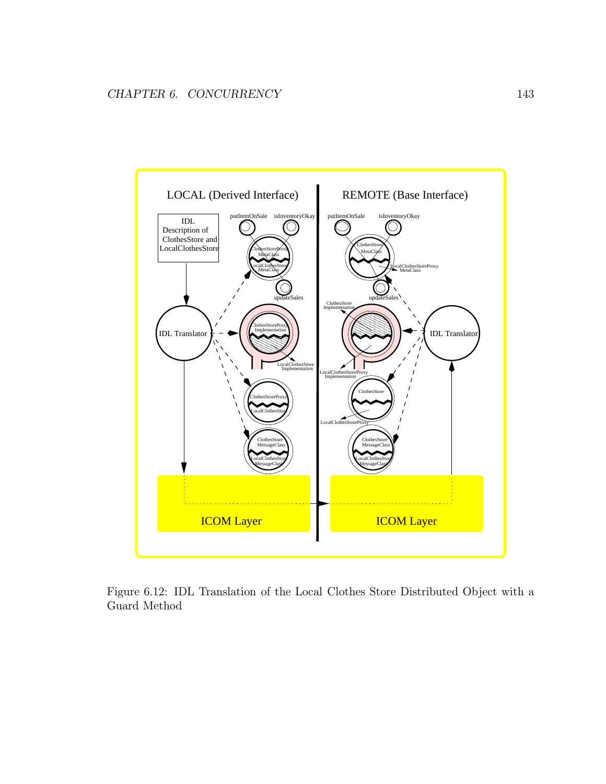

Figure 6.12: IDL Translation of the Local Clothes Store Distributed Object with a Guard Method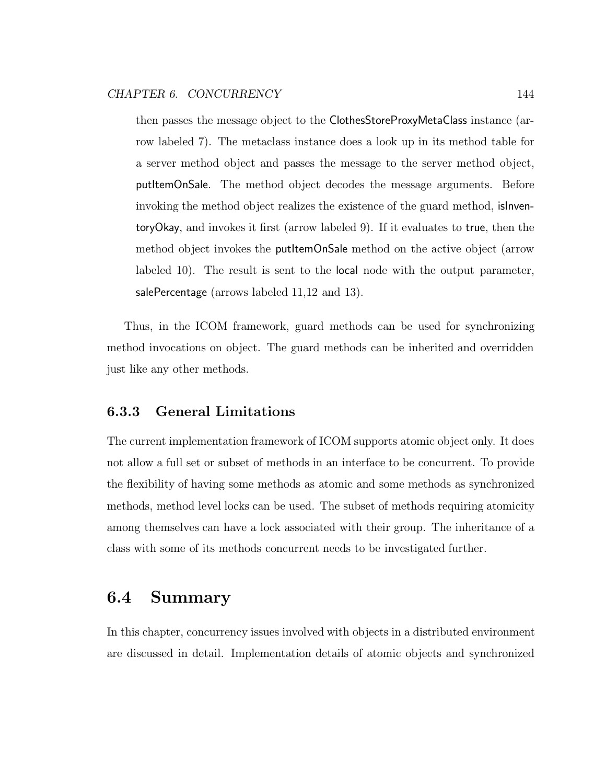then passes the message object to the ClothesStoreProxyMetaClass instance (arrow labeled 7). The metaclass instance does a look up in its method table for a server method object and passes the message to the server method object, putItemOnSale. The method object decodes the message arguments. Before invoking the method object realizes the existence of the guard method, isInventoryOkay, and invokes it first (arrow labeled 9). If it evaluates to true, then the method object invokes the putItemOnSale method on the active object (arrow labeled 10). The result is sent to the local node with the output parameter, salePercentage (arrows labeled 11,12 and 13).

Thus, in the ICOM framework, guard methods can be used for synchronizing method invocations on object. The guard methods can be inherited and overridden just like any other methods.

## 6.3.3 General Limitations

The current implementation framework of ICOM supports atomic object only. It does not allow a full set or subset of methods in an interface to be concurrent. To provide the flexibility of having some methods as atomic and some methods as synchronized methods, method level locks can be used. The subset of methods requiring atomicity among themselves can have a lock associated with their group. The inheritance of a class with some of its methods concurrent needs to be investigated further.

# 6.4 Summary

In this chapter, concurrency issues involved with objects in a distributed environment are discussed in detail. Implementation details of atomic objects and synchronized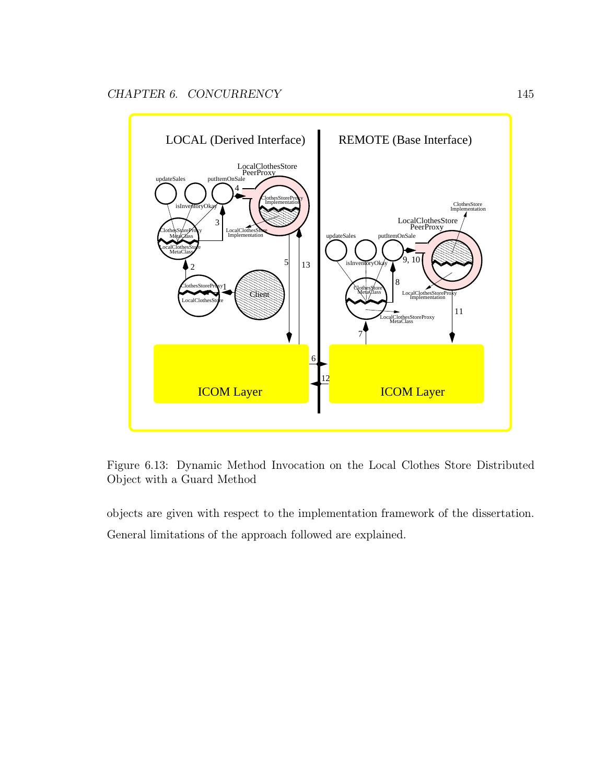

Figure 6.13: Dynamic Method Invocation on the Local Clothes Store Distributed Object with a Guard Method

objects are given with respect to the implementation framework of the dissertation. General limitations of the approach followed are explained.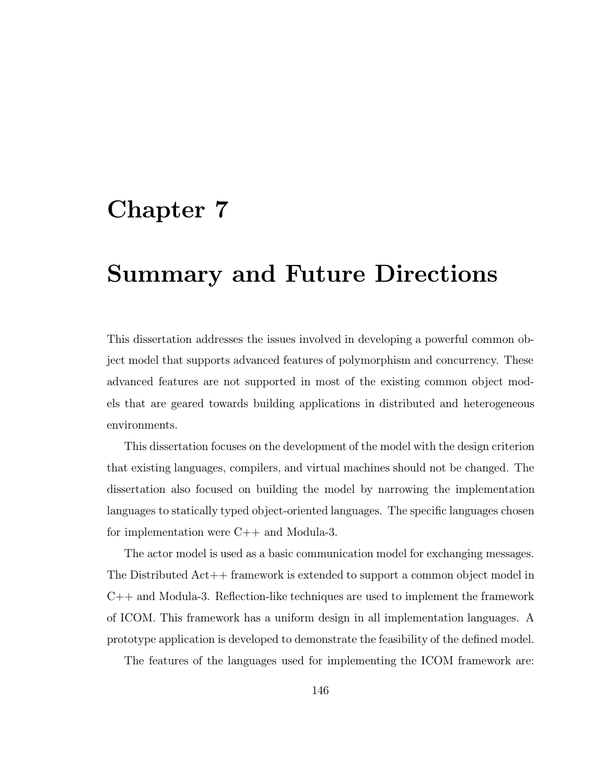# Chapter 7

# Summary and Future Directions

This dissertation addresses the issues involved in developing a powerful common object model that supports advanced features of polymorphism and concurrency. These advanced features are not supported in most of the existing common object models that are geared towards building applications in distributed and heterogeneous environments.

This dissertation focuses on the development of the model with the design criterion that existing languages, compilers, and virtual machines should not be changed. The dissertation also focused on building the model by narrowing the implementation languages to statically typed object-oriented languages. The specific languages chosen for implementation were C++ and Modula-3.

The actor model is used as a basic communication model for exchanging messages. The Distributed Act++ framework is extended to support a common object model in  $C++$  and Modula-3. Reflection-like techniques are used to implement the framework of ICOM. This framework has a uniform design in all implementation languages. A prototype application is developed to demonstrate the feasibility of the defined model.

The features of the languages used for implementing the ICOM framework are: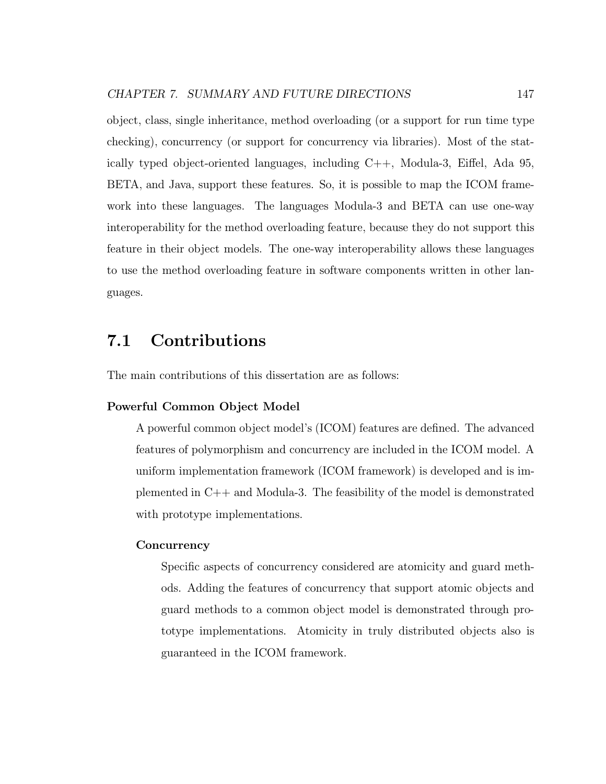object, class, single inheritance, method overloading (or a support for run time type checking), concurrency (or support for concurrency via libraries). Most of the statically typed object-oriented languages, including C++, Modula-3, Eiffel, Ada 95, BETA, and Java, support these features. So, it is possible to map the ICOM framework into these languages. The languages Modula-3 and BETA can use one-way interoperability for the method overloading feature, because they do not support this feature in their object models. The one-way interoperability allows these languages to use the method overloading feature in software components written in other languages.

# 7.1 Contributions

The main contributions of this dissertation are as follows:

### Powerful Common Object Model

A powerful common object model's (ICOM) features are defined. The advanced features of polymorphism and concurrency are included in the ICOM model. A uniform implementation framework (ICOM framework) is developed and is implemented in C++ and Modula-3. The feasibility of the model is demonstrated with prototype implementations.

### **Concurrency**

Specific aspects of concurrency considered are atomicity and guard methods. Adding the features of concurrency that support atomic objects and guard methods to a common object model is demonstrated through prototype implementations. Atomicity in truly distributed objects also is guaranteed in the ICOM framework.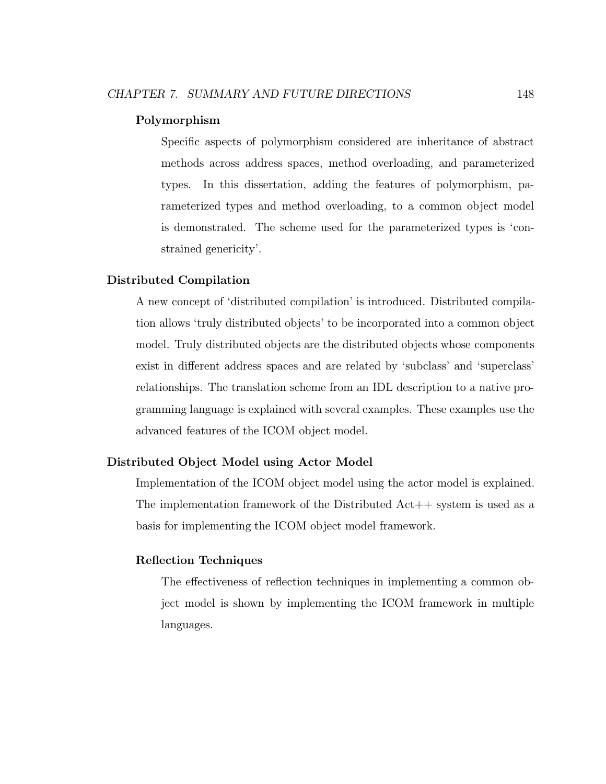### Polymorphism

Specific aspects of polymorphism considered are inheritance of abstract methods across address spaces, method overloading, and parameterized types. In this dissertation, adding the features of polymorphism, parameterized types and method overloading, to a common object model is demonstrated. The scheme used for the parameterized types is 'constrained genericity'.

### Distributed Compilation

A new concept of 'distributed compilation' is introduced. Distributed compilation allows 'truly distributed objects' to be incorporated into a common object model. Truly distributed objects are the distributed objects whose components exist in different address spaces and are related by 'subclass' and 'superclass' relationships. The translation scheme from an IDL description to a native programming language is explained with several examples. These examples use the advanced features of the ICOM object model.

### Distributed Object Model using Actor Model

Implementation of the ICOM object model using the actor model is explained. The implementation framework of the Distributed Act++ system is used as a basis for implementing the ICOM object model framework.

### Reflection Techniques

The effectiveness of reflection techniques in implementing a common object model is shown by implementing the ICOM framework in multiple languages.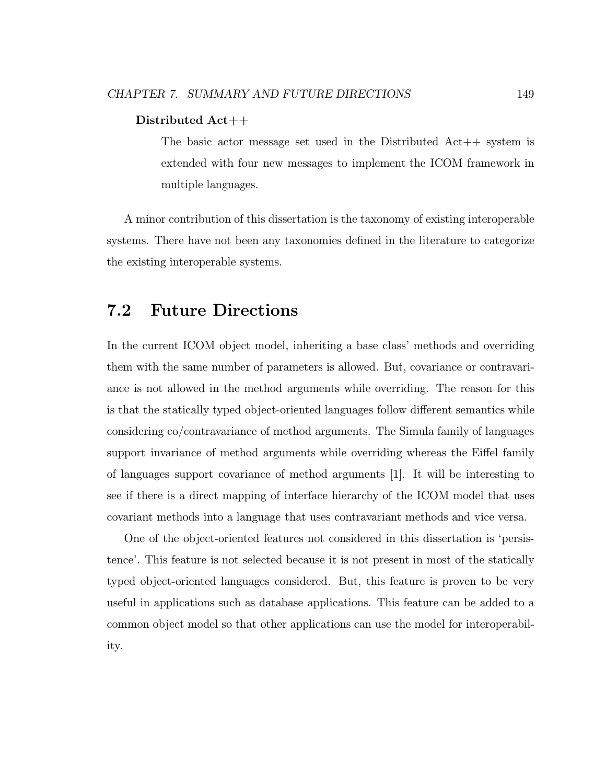### Distributed Act++

The basic actor message set used in the Distributed Act++ system is extended with four new messages to implement the ICOM framework in multiple languages.

A minor contribution of this dissertation is the taxonomy of existing interoperable systems. There have not been any taxonomies defined in the literature to categorize the existing interoperable systems.

# 7.2 Future Directions

In the current ICOM object model, inheriting a base class' methods and overriding them with the same number of parameters is allowed. But, covariance or contravariance is not allowed in the method arguments while overriding. The reason for this is that the statically typed object-oriented languages follow different semantics while considering co/contravariance of method arguments. The Simula family of languages support invariance of method arguments while overriding whereas the Eiffel family of languages support covariance of method arguments [1]. It will be interesting to see if there is a direct mapping of interface hierarchy of the ICOM model that uses covariant methods into a language that uses contravariant methods and vice versa.

One of the object-oriented features not considered in this dissertation is 'persistence'. This feature is not selected because it is not present in most of the statically typed object-oriented languages considered. But, this feature is proven to be very useful in applications such as database applications. This feature can be added to a common object model so that other applications can use the model for interoperability.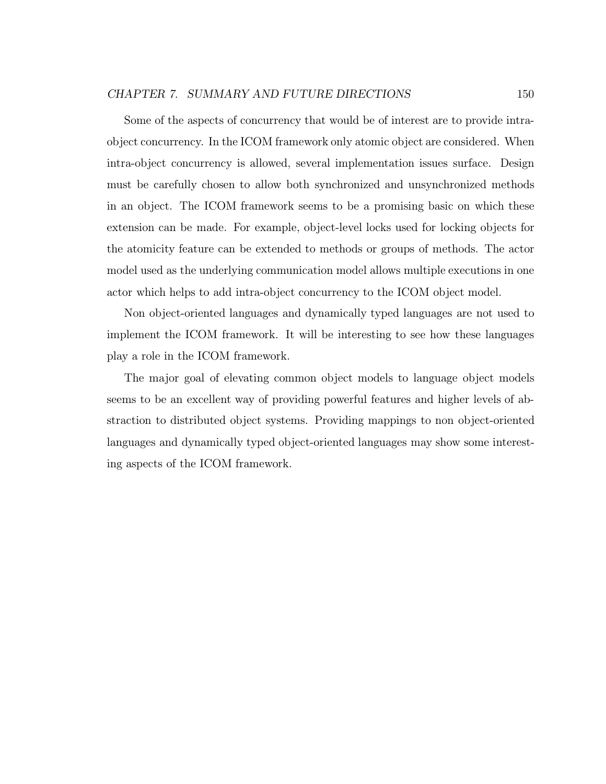### CHAPTER 7. SUMMARY AND FUTURE DIRECTIONS 150

Some of the aspects of concurrency that would be of interest are to provide intraobject concurrency. In the ICOM framework only atomic object are considered. When intra-object concurrency is allowed, several implementation issues surface. Design must be carefully chosen to allow both synchronized and unsynchronized methods in an object. The ICOM framework seems to be a promising basic on which these extension can be made. For example, object-level locks used for locking objects for the atomicity feature can be extended to methods or groups of methods. The actor model used as the underlying communication model allows multiple executions in one actor which helps to add intra-object concurrency to the ICOM object model.

Non object-oriented languages and dynamically typed languages are not used to implement the ICOM framework. It will be interesting to see how these languages play a role in the ICOM framework.

The major goal of elevating common object models to language object models seems to be an excellent way of providing powerful features and higher levels of abstraction to distributed object systems. Providing mappings to non object-oriented languages and dynamically typed object-oriented languages may show some interesting aspects of the ICOM framework.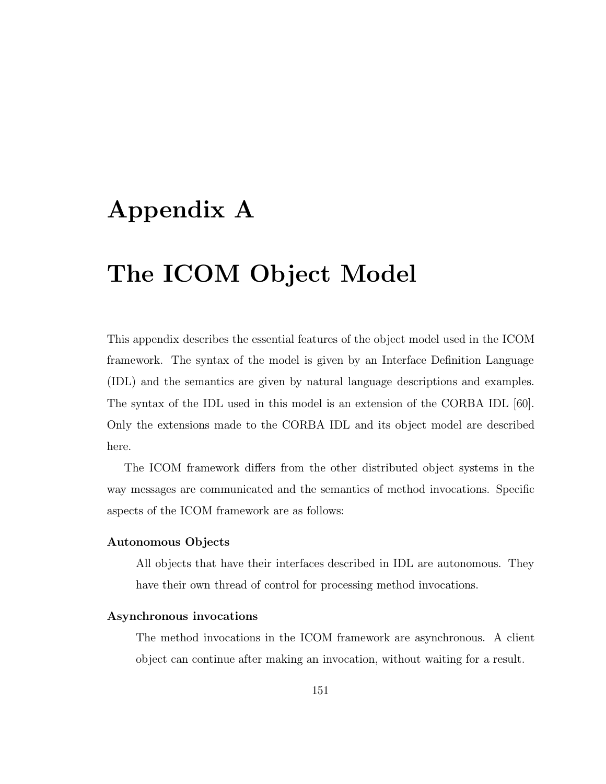# Appendix A

# The ICOM Object Model

This appendix describes the essential features of the object model used in the ICOM framework. The syntax of the model is given by an Interface Definition Language (IDL) and the semantics are given by natural language descriptions and examples. The syntax of the IDL used in this model is an extension of the CORBA IDL [60]. Only the extensions made to the CORBA IDL and its object model are described here.

The ICOM framework differs from the other distributed object systems in the way messages are communicated and the semantics of method invocations. Specific aspects of the ICOM framework are as follows:

### Autonomous Objects

All objects that have their interfaces described in IDL are autonomous. They have their own thread of control for processing method invocations.

### Asynchronous invocations

The method invocations in the ICOM framework are asynchronous. A client object can continue after making an invocation, without waiting for a result.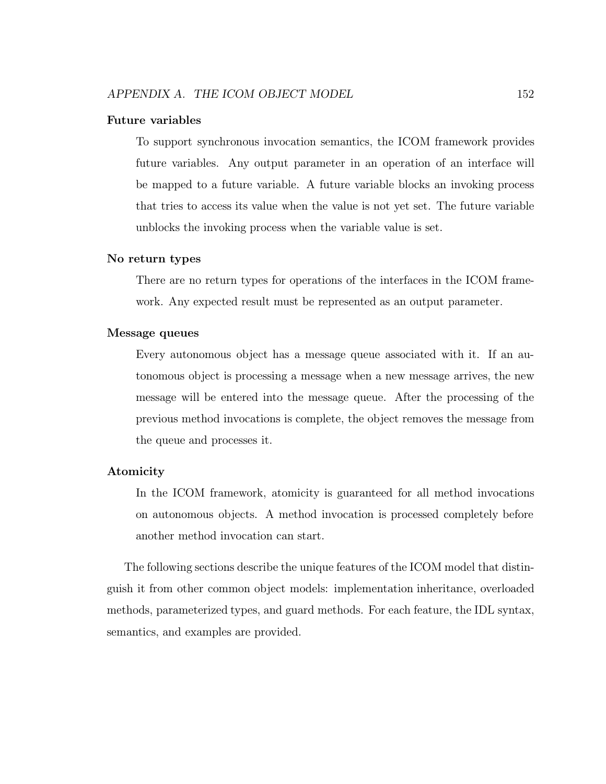### Future variables

To support synchronous invocation semantics, the ICOM framework provides future variables. Any output parameter in an operation of an interface will be mapped to a future variable. A future variable blocks an invoking process that tries to access its value when the value is not yet set. The future variable unblocks the invoking process when the variable value is set.

### No return types

There are no return types for operations of the interfaces in the ICOM framework. Any expected result must be represented as an output parameter.

### Message queues

Every autonomous object has a message queue associated with it. If an autonomous object is processing a message when a new message arrives, the new message will be entered into the message queue. After the processing of the previous method invocations is complete, the object removes the message from the queue and processes it.

### Atomicity

In the ICOM framework, atomicity is guaranteed for all method invocations on autonomous objects. A method invocation is processed completely before another method invocation can start.

The following sections describe the unique features of the ICOM model that distinguish it from other common object models: implementation inheritance, overloaded methods, parameterized types, and guard methods. For each feature, the IDL syntax, semantics, and examples are provided.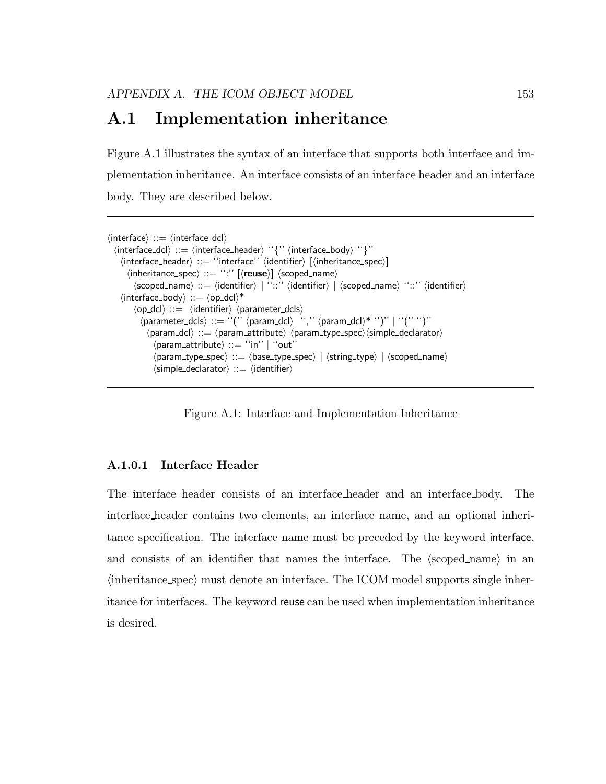# A.1 Implementation inheritance

Figure A.1 illustrates the syntax of an interface that supports both interface and implementation inheritance. An interface consists of an interface header and an interface body. They are described below.

```
\langle interface\rangle ::= \langle interface_dcl\rangle\langle interface_dcl\rangle ::= \langle interface_header\rangle ''\langle'' \langle interface_body\rangle ''\rangle'''
      \langleinterface_header\rangle ::= "interface" \langleidentifier\rangle [\langleinheritance_spec\rangle]\langleinheritance_spec\rangle ::= ":'' [\langle \text{reuse} \rangle] \langlescoped_name\rangle\langlescoped_name\rangle ::= \langleidentifier\rangle | ''::'' \langleidentifier\rangle | \langlescoped_name\rangle ''::'' \langleidentifier\rangle\langle interface_body\rangle ::= \langleop_dcl\rangle^*\langleop_dcl\rangle ::= \langleidentifier\rangle \langle parameter_dcls\rangle\langle \mathsf{parameter\_dcls} \rangle \ ::= \ \text{``(''} \ \langle \mathsf{param\_dcl} \rangle \quad \text{``,''} \ \langle \mathsf{param\_dcl} \rangle \text{* ``)''} \ | \ \text{``('')}\text{''}\langle param_dcl\rangle ::= \langle param_attribute\rangle \langle param_type_spec\rangle \langlesimple_declarator\rangle\langleparam_attribute\rangle ::= "in" | "out"
                     \langle param_type_spec\rangle ::= \langle base_type_spec\rangle | \langlestring_type\rangle | \langle scoped_name\rangle\langlesimple declarator\rangle ::= \langleidentifier\rangle
```
Figure A.1: Interface and Implementation Inheritance

### A.1.0.1 Interface Header

The interface header consists of an interface header and an interface body. The interface header contains two elements, an interface name, and an optional inheritance specification. The interface name must be preceded by the keyword interface, and consists of an identifier that names the interface. The  $\langle$ scoped\_name $\rangle$  in an  $\langle$ inheritance spec $\rangle$  must denote an interface. The ICOM model supports single inheritance for interfaces. The keyword reuse can be used when implementation inheritance is desired.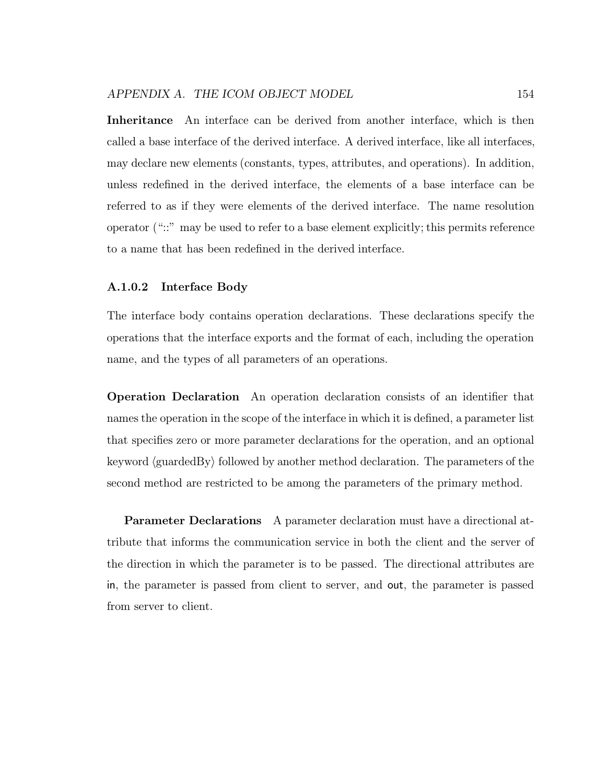Inheritance An interface can be derived from another interface, which is then called a base interface of the derived interface. A derived interface, like all interfaces, may declare new elements (constants, types, attributes, and operations). In addition, unless redefined in the derived interface, the elements of a base interface can be referred to as if they were elements of the derived interface. The name resolution operator ("::" may be used to refer to a base element explicitly; this permits reference to a name that has been redefined in the derived interface.

### A.1.0.2 Interface Body

The interface body contains operation declarations. These declarations specify the operations that the interface exports and the format of each, including the operation name, and the types of all parameters of an operations.

Operation Declaration An operation declaration consists of an identifier that names the operation in the scope of the interface in which it is defined, a parameter list that specifies zero or more parameter declarations for the operation, and an optional keyword  $\langle$  guardedBy $\rangle$  followed by another method declaration. The parameters of the second method are restricted to be among the parameters of the primary method.

Parameter Declarations A parameter declaration must have a directional attribute that informs the communication service in both the client and the server of the direction in which the parameter is to be passed. The directional attributes are in, the parameter is passed from client to server, and out, the parameter is passed from server to client.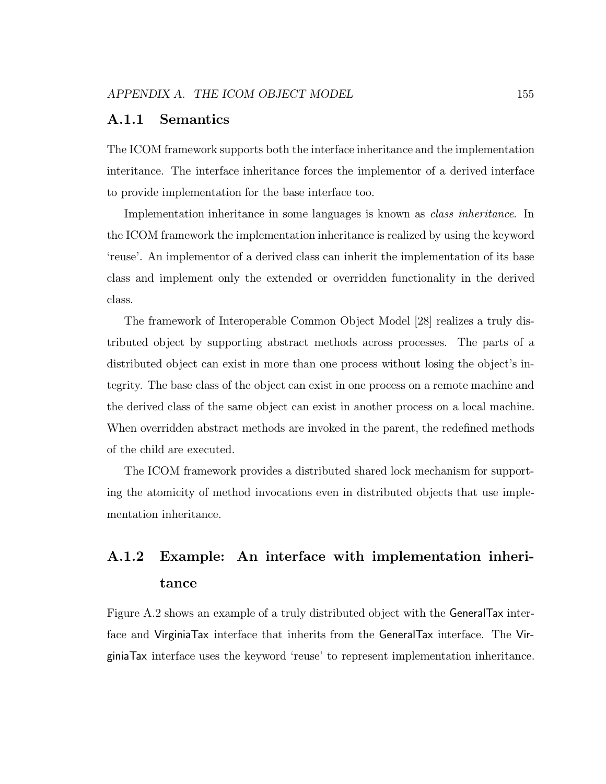## A.1.1 Semantics

The ICOM framework supports both the interface inheritance and the implementation interitance. The interface inheritance forces the implementor of a derived interface to provide implementation for the base interface too.

Implementation inheritance in some languages is known as class inheritance. In the ICOM framework the implementation inheritance is realized by using the keyword 'reuse'. An implementor of a derived class can inherit the implementation of its base class and implement only the extended or overridden functionality in the derived class.

The framework of Interoperable Common Object Model [28] realizes a truly distributed object by supporting abstract methods across processes. The parts of a distributed object can exist in more than one process without losing the object's integrity. The base class of the object can exist in one process on a remote machine and the derived class of the same object can exist in another process on a local machine. When overridden abstract methods are invoked in the parent, the redefined methods of the child are executed.

The ICOM framework provides a distributed shared lock mechanism for supporting the atomicity of method invocations even in distributed objects that use implementation inheritance.

# A.1.2 Example: An interface with implementation inheritance

Figure A.2 shows an example of a truly distributed object with the GeneralTax interface and VirginiaTax interface that inherits from the GeneralTax interface. The VirginiaTax interface uses the keyword 'reuse' to represent implementation inheritance.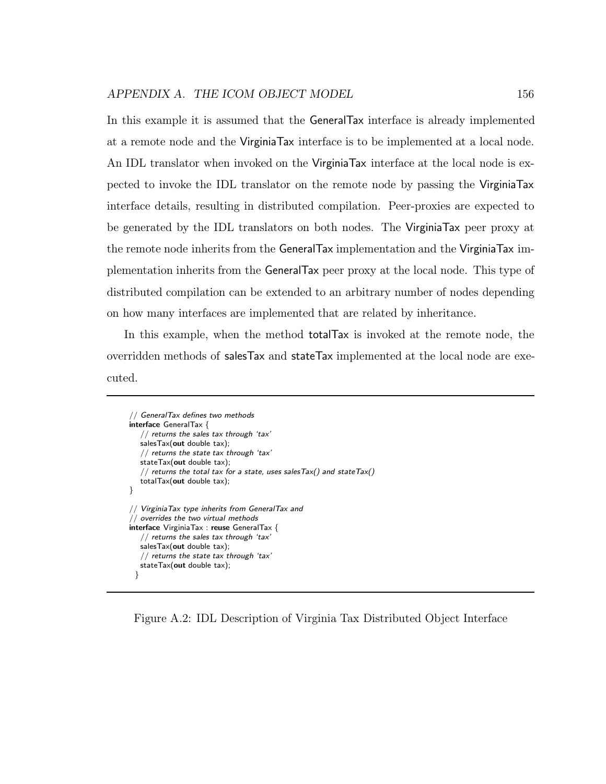In this example it is assumed that the GeneralTax interface is already implemented at a remote node and the VirginiaTax interface is to be implemented at a local node. An IDL translator when invoked on the VirginiaTax interface at the local node is expected to invoke the IDL translator on the remote node by passing the VirginiaTax interface details, resulting in distributed compilation. Peer-proxies are expected to be generated by the IDL translators on both nodes. The VirginiaTax peer proxy at the remote node inherits from the GeneralTax implementation and the VirginiaTax implementation inherits from the GeneralTax peer proxy at the local node. This type of distributed compilation can be extended to an arbitrary number of nodes depending on how many interfaces are implemented that are related by inheritance.

In this example, when the method totalTax is invoked at the remote node, the overridden methods of salesTax and stateTax implemented at the local node are executed.

```
// GeneralTax defines two methods
interface GeneralTax {
  // returns the sales tax through 'tax'
  salesTax(out double tax);
   // returns the state tax through 'tax'
  stateTax(out double tax);
   // returns the total tax for a state, uses sales Tax() and state Tax()totalTax(out double tax);
}
// VirginiaTax type inherits from GeneralTax and
// overrides the two virtual methods
interface VirginiaTax : reuse GeneralTax {
   // returns the sales tax through 'tax'
  salesTax(out double tax);
  // returns the state tax through 'tax'
  stateTax(out double tax);
 }
```
Figure A.2: IDL Description of Virginia Tax Distributed Object Interface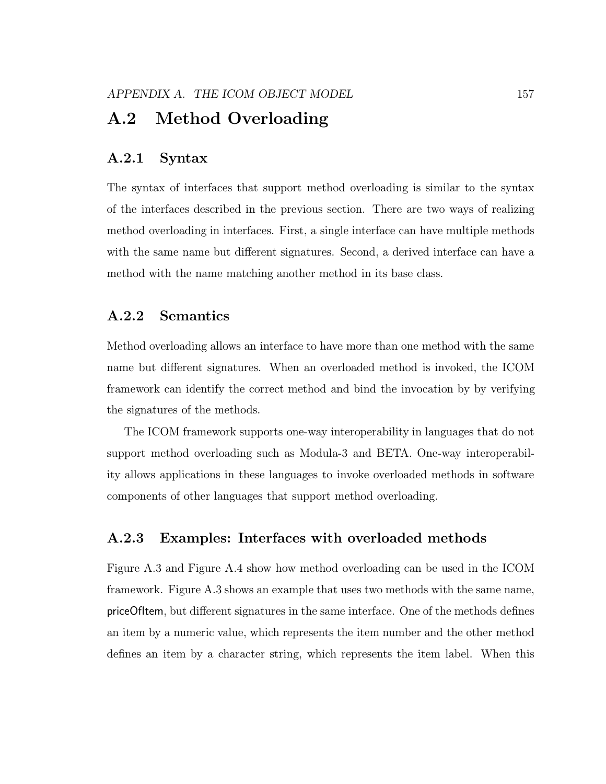# A.2 Method Overloading

# A.2.1 Syntax

The syntax of interfaces that support method overloading is similar to the syntax of the interfaces described in the previous section. There are two ways of realizing method overloading in interfaces. First, a single interface can have multiple methods with the same name but different signatures. Second, a derived interface can have a method with the name matching another method in its base class.

# A.2.2 Semantics

Method overloading allows an interface to have more than one method with the same name but different signatures. When an overloaded method is invoked, the ICOM framework can identify the correct method and bind the invocation by by verifying the signatures of the methods.

The ICOM framework supports one-way interoperability in languages that do not support method overloading such as Modula-3 and BETA. One-way interoperability allows applications in these languages to invoke overloaded methods in software components of other languages that support method overloading.

# A.2.3 Examples: Interfaces with overloaded methods

Figure A.3 and Figure A.4 show how method overloading can be used in the ICOM framework. Figure A.3 shows an example that uses two methods with the same name, priceOfItem, but different signatures in the same interface. One of the methods defines an item by a numeric value, which represents the item number and the other method defines an item by a character string, which represents the item label. When this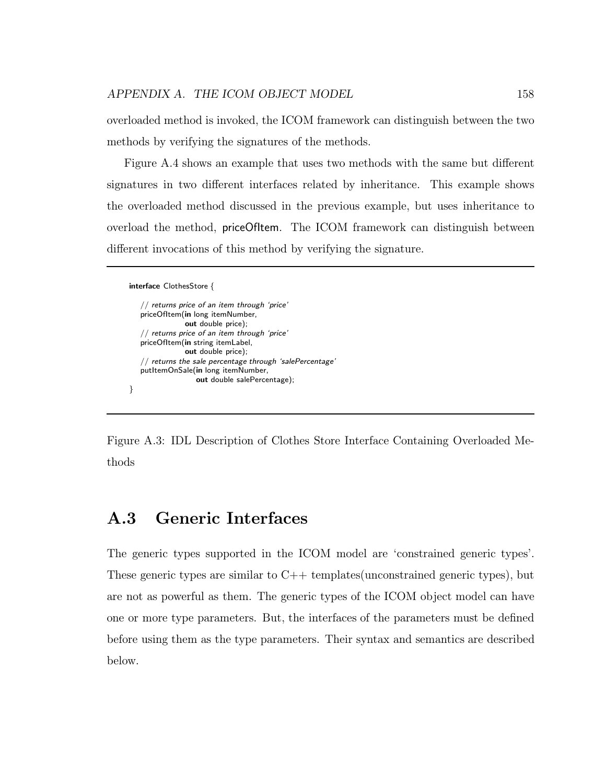overloaded method is invoked, the ICOM framework can distinguish between the two methods by verifying the signatures of the methods.

Figure A.4 shows an example that uses two methods with the same but different signatures in two different interfaces related by inheritance. This example shows the overloaded method discussed in the previous example, but uses inheritance to overload the method, priceOfItem. The ICOM framework can distinguish between different invocations of this method by verifying the signature.

```
interface ClothesStore {
```
}

```
// returns price of an item through 'price'
priceOfItem(in long itemNumber,
            out double price);
// returns price of an item through 'price'
priceOfItem(in string itemLabel,
            out double price);
// returns the sale percentage through 'salePercentage'
putItemOnSale(in long itemNumber,
               out double salePercentage);
```
Figure A.3: IDL Description of Clothes Store Interface Containing Overloaded Methods

# A.3 Generic Interfaces

The generic types supported in the ICOM model are 'constrained generic types'. These generic types are similar to C++ templates(unconstrained generic types), but are not as powerful as them. The generic types of the ICOM object model can have one or more type parameters. But, the interfaces of the parameters must be defined before using them as the type parameters. Their syntax and semantics are described below.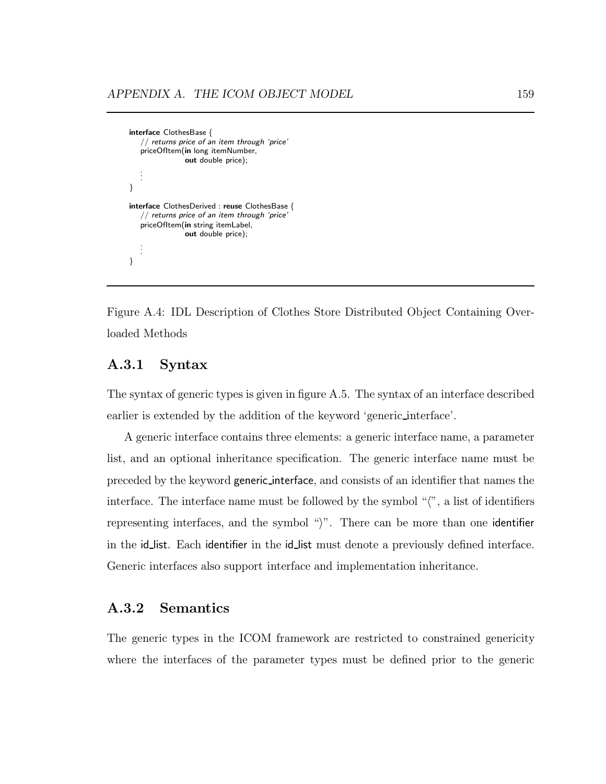```
interface ClothesBase {
   // returns price of an item through 'price'
   priceOfItem(in long itemNumber,
                out double price);
   .
   .
   .
}
interface ClothesDerived : reuse ClothesBase {
   // returns price of an item through 'price'
   priceOfItem(in string itemLabel,
                out double price);
   .
   .
   .
}
```
Figure A.4: IDL Description of Clothes Store Distributed Object Containing Overloaded Methods

# A.3.1 Syntax

The syntax of generic types is given in figure A.5. The syntax of an interface described earlier is extended by the addition of the keyword 'generic interface'.

A generic interface contains three elements: a generic interface name, a parameter list, and an optional inheritance specification. The generic interface name must be preceded by the keyword generic interface, and consists of an identifier that names the interface. The interface name must be followed by the symbol  $\sqrt{\ }$ , a list of identifiers representing interfaces, and the symbol " $\rangle$ ". There can be more than one identifier in the id list. Each identifier in the id list must denote a previously defined interface. Generic interfaces also support interface and implementation inheritance.

# A.3.2 Semantics

The generic types in the ICOM framework are restricted to constrained genericity where the interfaces of the parameter types must be defined prior to the generic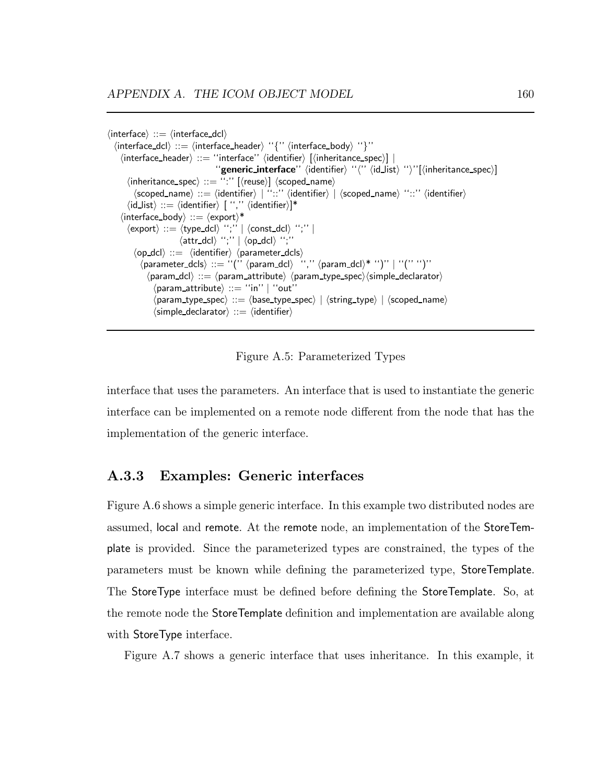```
\langle interface\rangle ::= \langle interface dcl\rangle\langle interface_dcl\rangle ::= \langle interface_header\rangle ''\langle'' \langle interface_body\rangle ''\rangle''\langleinterface_header\rangle ::= "interface" \langleidentifier\rangle [\langleinheritance_spec\rangle] |
                                              ''generic_interface'' \identifier\ ''\''\id_list\ ''\''[\inheritance_spec\]
        \langleinheritance_spec\rangle ::= ":'' [\langle \text{reuse} \rangle] \langle \text{scope} \rangle\langlescoped_name\rangle ::= \langleidentifier\rangle | ''::'' \langleidentifier\rangle | \langlescoped_name\rangle ''::'' \langleidentifier\rangle\langleid_list\rangle ::= \langleidentifier\rangle [ '','' \langleidentifier\rangle]*
      \langleinterface_body\rangle ::= \langleexport\rangle^*\langle \text{export} \rangle ::= \langle \text{type\_dcl} \rangle '';' || \langle \text{const\_dcl} \rangle '';' ||\langleattr_dcl\rangle'';'' |\langleop_dcl\rangle'';''
           \langleop_dcl\rangle ::= \langleidentifier\rangle \langle parameter_dcls\rangle\langle parameter_dcls\rangle ::= "('' \langle param_dcl\rangle '','' \langle param_dcl\rangle^* '')'' | "('' '')''
                 \langle param dcl\rangle ::= \langle param attribute\rangle \langle param type spec\rangle\langle simple declarator\rangle\langleparam_attribute\rangle ::= "in'' | "out"
                   \langle param_type_spec\rangle ::= \langle base_type_spec\rangle | \langlestring_type\rangle | \langle scoped_name\rangle\langlesimple declarator\rangle ::= \langleidentifier\rangle
```
Figure A.5: Parameterized Types

interface that uses the parameters. An interface that is used to instantiate the generic interface can be implemented on a remote node different from the node that has the implementation of the generic interface.

# A.3.3 Examples: Generic interfaces

Figure A.6 shows a simple generic interface. In this example two distributed nodes are assumed, local and remote. At the remote node, an implementation of the StoreTemplate is provided. Since the parameterized types are constrained, the types of the parameters must be known while defining the parameterized type, StoreTemplate. The StoreType interface must be defined before defining the StoreTemplate. So, at the remote node the StoreTemplate definition and implementation are available along with StoreType interface.

Figure A.7 shows a generic interface that uses inheritance. In this example, it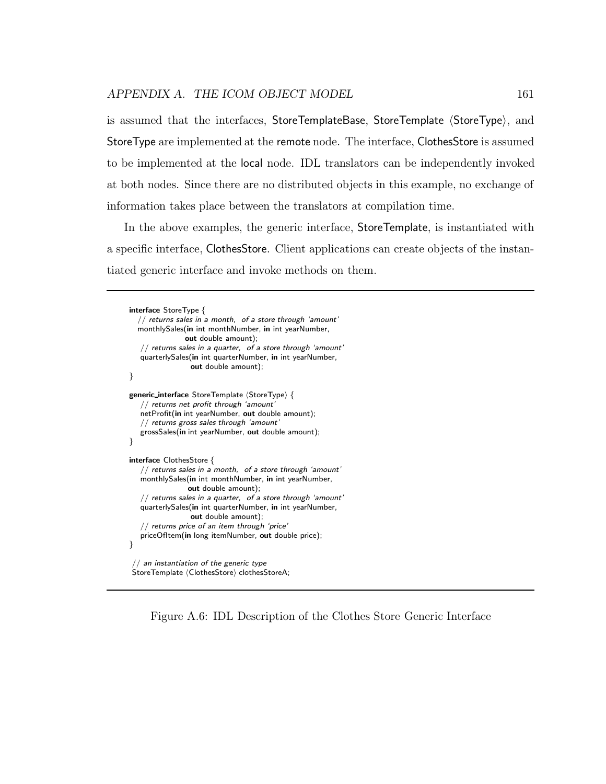is assumed that the interfaces, StoreTemplateBase, StoreTemplate  $\langle StoreType \rangle$ , and StoreType are implemented at the remote node. The interface, ClothesStore is assumed to be implemented at the local node. IDL translators can be independently invoked at both nodes. Since there are no distributed objects in this example, no exchange of information takes place between the translators at compilation time.

In the above examples, the generic interface, StoreTemplate, is instantiated with a specific interface, ClothesStore. Client applications can create objects of the instantiated generic interface and invoke methods on them.

```
interface StoreType {
  \sqrt{2} returns sales in a month, of a store through 'amount'
  monthlySales(in int monthNumber, in int yearNumber,
               out double amount);
   // returns sales in a quarter, of a store through 'amount'
   quarterlySales(in int quarterNumber, in int yearNumber,
                 out double amount);
}
generic_interface StoreTemplate (StoreType) {
   // returns net profit through 'amount'
   netProfit(in int yearNumber, out double amount);
   // returns gross sales through 'amount'
   grossSales(in int yearNumber, out double amount);
}
interface ClothesStore {
   // returns sales in a month, of a store through 'amount'
   monthlySales(in int monthNumber, in int yearNumber,
                out double amount);
   // returns sales in a quarter, of a store through 'amount'
   quarterlySales(in int quarterNumber, in int yearNumber,
                 out double amount);
   // returns price of an item through 'price'
   priceOfItem(in long itemNumber, out double price);
}
 // an instantiation of the generic type
StoreTemplate (ClothesStore) clothesStoreA;
```
Figure A.6: IDL Description of the Clothes Store Generic Interface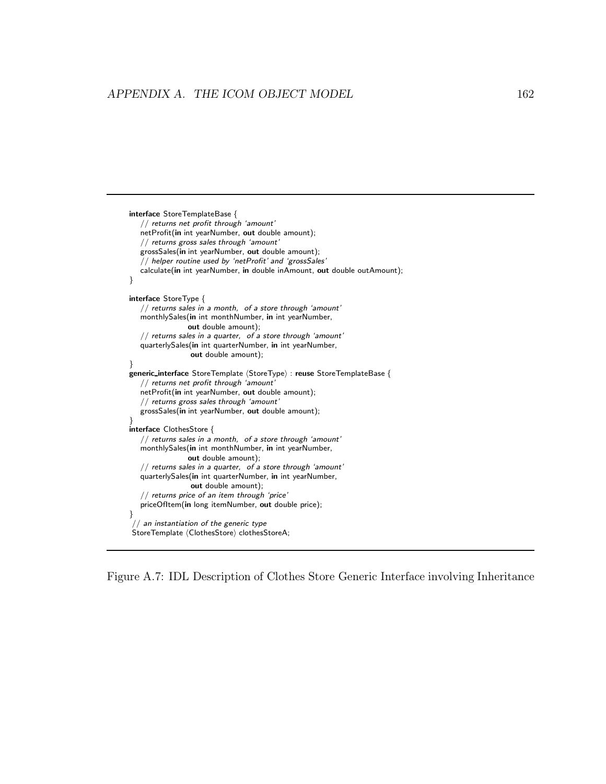```
interface StoreTemplateBase {
   // returns net profit through 'amount'
   netProfit(in int yearNumber, out double amount);
   // returns gross sales through 'amount'
   grossSales(in int yearNumber, out double amount);
   // helper routine used by 'netProfit' and 'grossSales'
  calculate(in int yearNumber, in double inAmount, out double outAmount);
}
interface StoreType {
   // returns sales in a month, of a store through 'amount'
  monthlySales(in int monthNumber, in int yearNumber,
                out double amount);
   // returns sales in a quarter, of a store through 'amount'
   quarterlySales(in int quarterNumber, in int yearNumber,
                 out double amount);
}
generic_interface StoreTemplate \langleStoreType\rangle : reuse StoreTemplateBase {
   // returns net profit through 'amount'
  netProfit(in int yearNumber, out double amount);
   // returns gross sales through 'amount'
   grossSales(in int yearNumber, out double amount);
}
interface ClothesStore {
   // returns sales in a month, of a store through 'amount'
   monthlySales(in int monthNumber, in int yearNumber,
                out double amount);
   // returns sales in a quarter, of a store through 'amount'
   quarterlySales(in int quarterNumber, in int yearNumber,
                 out double amount);
   // returns price of an item through 'price'
   priceOfItem(in long itemNumber, out double price);
}
  / an instantiation of the generic type
StoreTemplate (ClothesStore) clothesStoreA;
```
Figure A.7: IDL Description of Clothes Store Generic Interface involving Inheritance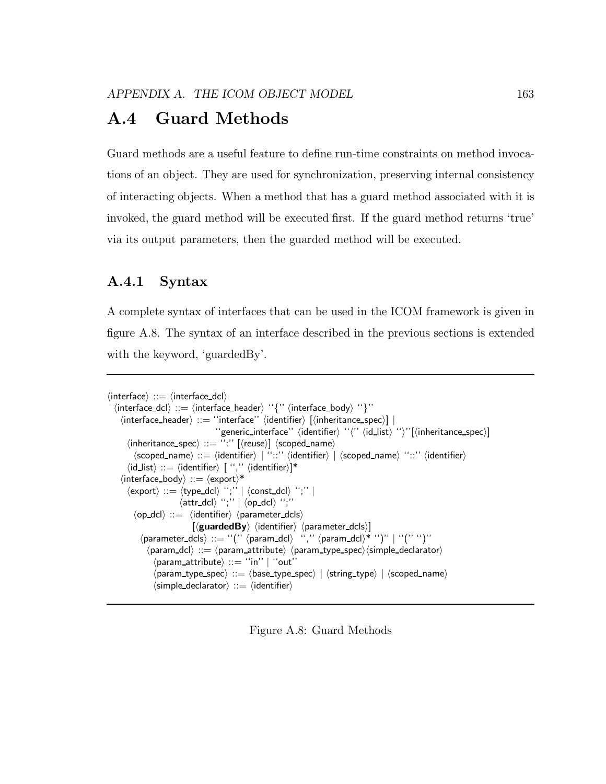# A.4 Guard Methods

Guard methods are a useful feature to define run-time constraints on method invocations of an object. They are used for synchronization, preserving internal consistency of interacting objects. When a method that has a guard method associated with it is invoked, the guard method will be executed first. If the guard method returns 'true' via its output parameters, then the guarded method will be executed.

# A.4.1 Syntax

A complete syntax of interfaces that can be used in the ICOM framework is given in figure A.8. The syntax of an interface described in the previous sections is extended with the keyword, 'guardedBy'.

```
\langle interface\rangle ::= \langle interface dcl\rangle\langle interface_dcl\rangle ::= \langle interface_header\rangle ''\langle'' \langle interface_body\rangle ''\rangle''\langle interface_header\rangle ::= "interface" \langle identifier\rangle [\langle inheritance_spec\rangle] |
                                              ''generic_interface'' (identifier) ''('' (id_list) '')''[(inheritance_spec)]
        \langleinheritance_spec\rangle ::= ":" [\langle \text{reuse} \rangle] \langlescoped_name\rangle\langlescoped_name\rangle ::= \langleidentifier\rangle | ''::'' \langleidentifier\rangle | \langlescoped_name\rangle ''::'' \langleidentifier\rangle\langleid_list\rangle ::= \langleidentifier\rangle [ '','' \langleidentifier\rangle]*
     \langle interface_body\rangle ::= \langleexport\rangle^*\langle \textsf{export} \rangle ::= \langle \textsf{type\_dcl} \rangle '';' \mid \langle \textsf{const\_dcl} \rangle '';' \mid\langleattr_dcl\rangle'';'' | \langleop_dcl\rangle'';''
           \langleop_dcl\rangle ::= \langleidentifier\rangle \langle parameter_dcls\rangle\vert(guardedBy) (identifier) (parameter_dcls)]
             \langle parameter_dcls\rangle ::= "("\langle \param_dcl) \langle "," \langle param_dcl\rangle^* ")" | "(''')"
                \langle param_dcl\rangle ::= \langle param_attribute\rangle \langle param_type_spec\rangle\langlesimple_declarator\rangle\langle param_attribute\rangle ::= "in'' | "out"
                   \langle param_type_spec\rangle ::= \langle base_type_spec\rangle | \langlestring_type\rangle | \langle scoped_name\rangle\langlesimple declarator\rangle ::= \langleidentifier\rangle
```
Figure A.8: Guard Methods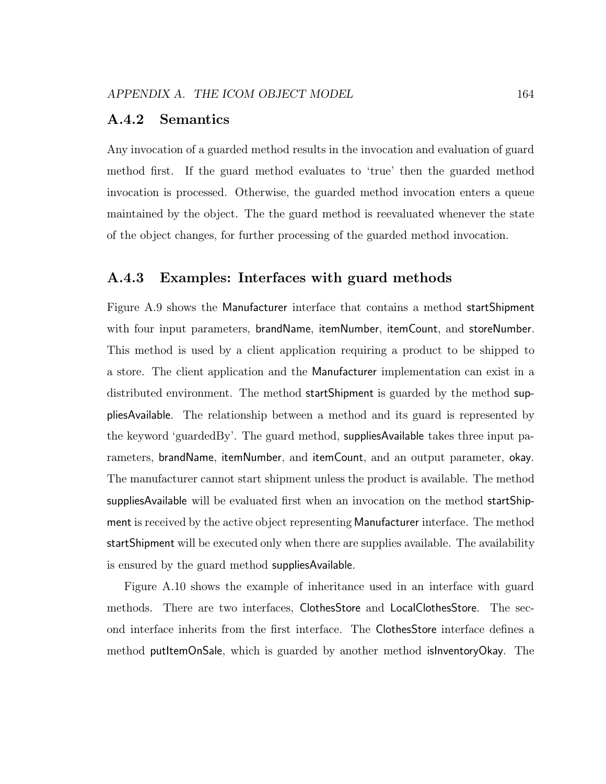## A.4.2 Semantics

Any invocation of a guarded method results in the invocation and evaluation of guard method first. If the guard method evaluates to 'true' then the guarded method invocation is processed. Otherwise, the guarded method invocation enters a queue maintained by the object. The the guard method is reevaluated whenever the state of the object changes, for further processing of the guarded method invocation.

## A.4.3 Examples: Interfaces with guard methods

Figure A.9 shows the Manufacturer interface that contains a method startShipment with four input parameters, brandName, itemNumber, itemCount, and storeNumber. This method is used by a client application requiring a product to be shipped to a store. The client application and the Manufacturer implementation can exist in a distributed environment. The method startShipment is guarded by the method suppliesAvailable. The relationship between a method and its guard is represented by the keyword 'guardedBy'. The guard method, suppliesAvailable takes three input parameters, brandName, itemNumber, and itemCount, and an output parameter, okay. The manufacturer cannot start shipment unless the product is available. The method suppliesAvailable will be evaluated first when an invocation on the method startShipment is received by the active object representing Manufacturer interface. The method startShipment will be executed only when there are supplies available. The availability is ensured by the guard method suppliesAvailable.

Figure A.10 shows the example of inheritance used in an interface with guard methods. There are two interfaces, ClothesStore and LocalClothesStore. The second interface inherits from the first interface. The ClothesStore interface defines a method putItemOnSale, which is guarded by another method isInventoryOkay. The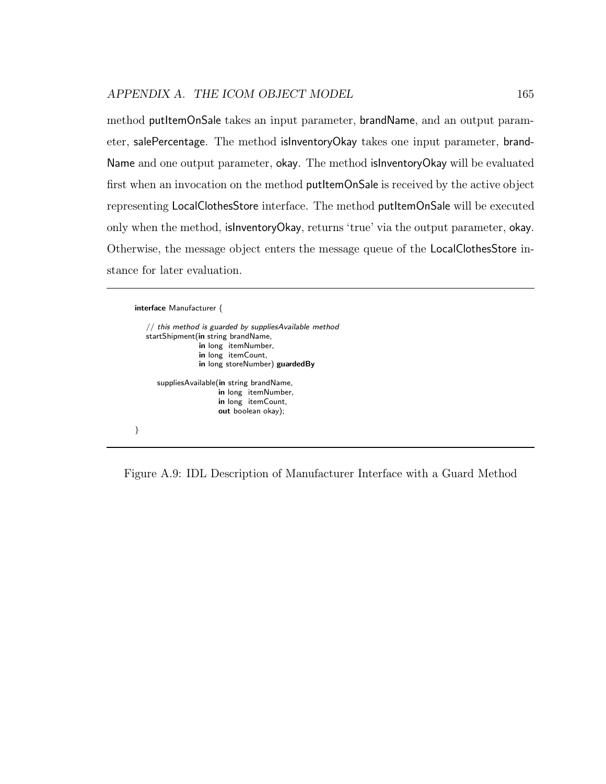method putItemOnSale takes an input parameter, brandName, and an output parameter, salePercentage. The method isInventoryOkay takes one input parameter, brand-Name and one output parameter, okay. The method isInventoryOkay will be evaluated first when an invocation on the method putItemOnSale is received by the active object representing LocalClothesStore interface. The method putItemOnSale will be executed only when the method, isInventoryOkay, returns 'true' via the output parameter, okay. Otherwise, the message object enters the message queue of the LocalClothesStore instance for later evaluation.

```
interface Manufacturer {
   // this method is guarded by suppliesAvailable method
   startShipment(in string brandName,
                 in long itemNumber,
                 in long itemCount,
                 in long storeNumber) guardedBy
      suppliesAvailable(in string brandName,
                       in long itemNumber,
                       in long itemCount,
                      out boolean okay);
}
```
Figure A.9: IDL Description of Manufacturer Interface with a Guard Method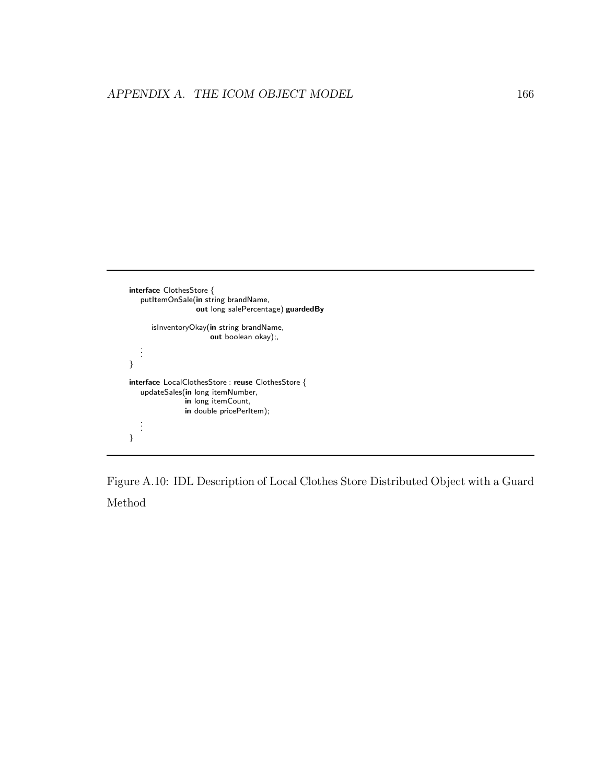```
interface ClothesStore {
   putItemOnSale(in string brandName,
                    out long salePercentage) guardedBy
       isInventoryOkay(in string brandName,
                        \overline{\mathbf{u}} out boolean okay);
    .
.
.
}
interface LocalClothesStore : reuse ClothesStore {
    updateSales(in long itemNumber,
                  in long itemCount,
                 in double pricePerItem);
    .
.
.
}
```
Figure A.10: IDL Description of Local Clothes Store Distributed Object with a Guard Method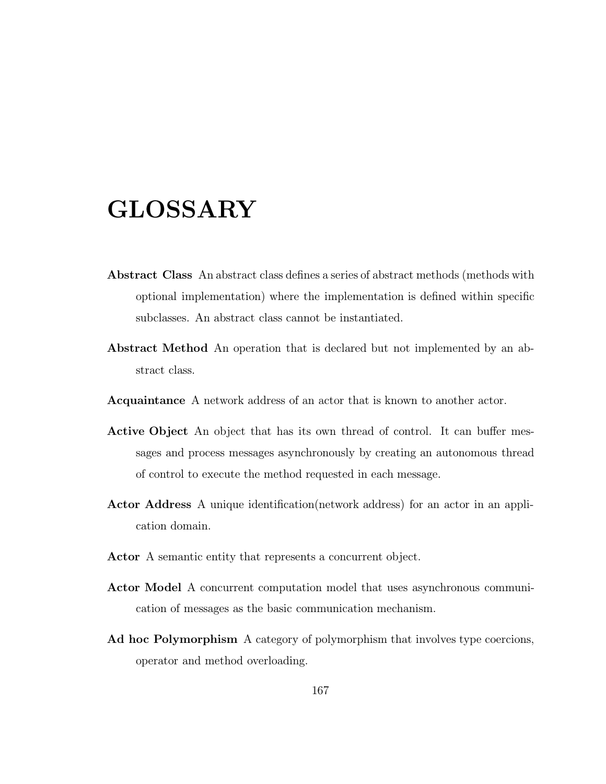# GLOSSARY

- Abstract Class An abstract class defines a series of abstract methods (methods with optional implementation) where the implementation is defined within specific subclasses. An abstract class cannot be instantiated.
- Abstract Method An operation that is declared but not implemented by an abstract class.
- Acquaintance A network address of an actor that is known to another actor.
- Active Object An object that has its own thread of control. It can buffer messages and process messages asynchronously by creating an autonomous thread of control to execute the method requested in each message.
- Actor Address A unique identification(network address) for an actor in an application domain.
- Actor A semantic entity that represents a concurrent object.
- Actor Model A concurrent computation model that uses asynchronous communication of messages as the basic communication mechanism.
- Ad hoc Polymorphism A category of polymorphism that involves type coercions, operator and method overloading.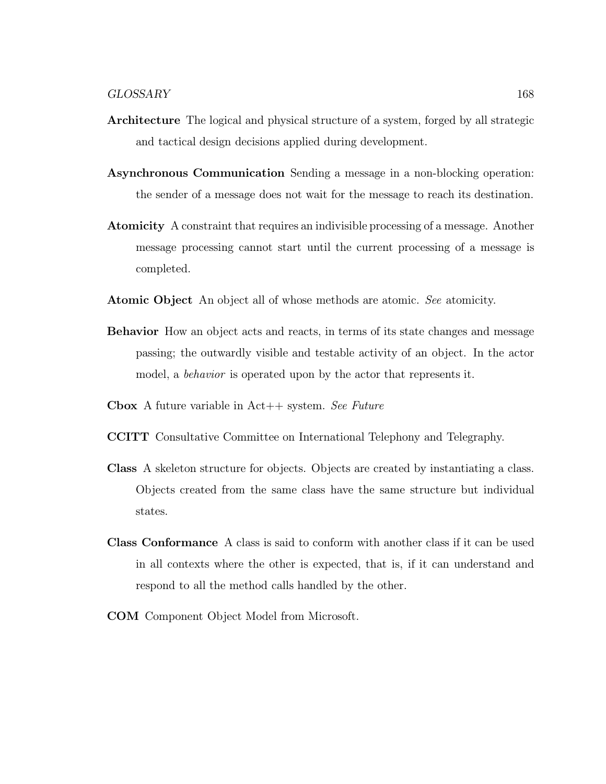- Architecture The logical and physical structure of a system, forged by all strategic and tactical design decisions applied during development.
- Asynchronous Communication Sending a message in a non-blocking operation: the sender of a message does not wait for the message to reach its destination.
- Atomicity A constraint that requires an indivisible processing of a message. Another message processing cannot start until the current processing of a message is completed.
- Atomic Object An object all of whose methods are atomic. See atomicity.
- Behavior How an object acts and reacts, in terms of its state changes and message passing; the outwardly visible and testable activity of an object. In the actor model, a behavior is operated upon by the actor that represents it.
- **Cbox** A future variable in  $Act++$  system. See Future
- CCITT Consultative Committee on International Telephony and Telegraphy.
- Class A skeleton structure for objects. Objects are created by instantiating a class. Objects created from the same class have the same structure but individual states.
- Class Conformance A class is said to conform with another class if it can be used in all contexts where the other is expected, that is, if it can understand and respond to all the method calls handled by the other.
- COM Component Object Model from Microsoft.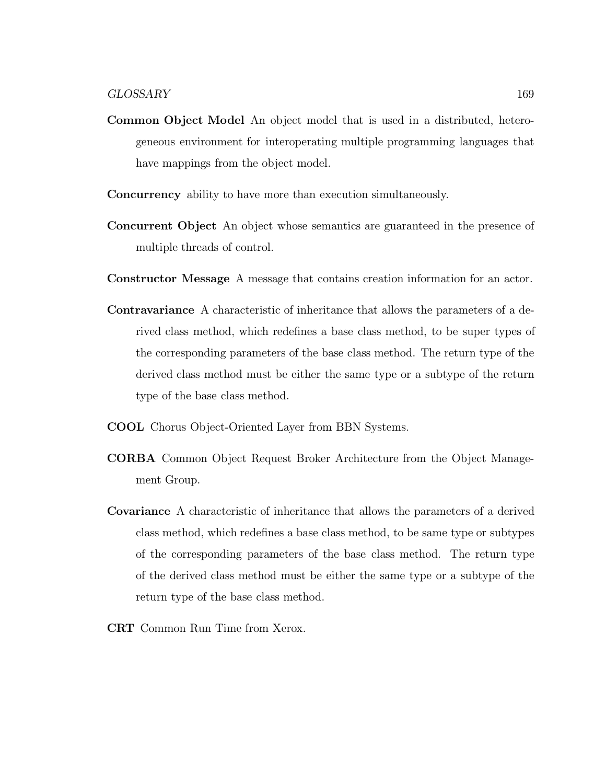- Common Object Model An object model that is used in a distributed, heterogeneous environment for interoperating multiple programming languages that have mappings from the object model.
- Concurrency ability to have more than execution simultaneously.
- Concurrent Object An object whose semantics are guaranteed in the presence of multiple threads of control.
- Constructor Message A message that contains creation information for an actor.
- Contravariance A characteristic of inheritance that allows the parameters of a derived class method, which redefines a base class method, to be super types of the corresponding parameters of the base class method. The return type of the derived class method must be either the same type or a subtype of the return type of the base class method.
- COOL Chorus Object-Oriented Layer from BBN Systems.
- CORBA Common Object Request Broker Architecture from the Object Management Group.
- Covariance A characteristic of inheritance that allows the parameters of a derived class method, which redefines a base class method, to be same type or subtypes of the corresponding parameters of the base class method. The return type of the derived class method must be either the same type or a subtype of the return type of the base class method.
- CRT Common Run Time from Xerox.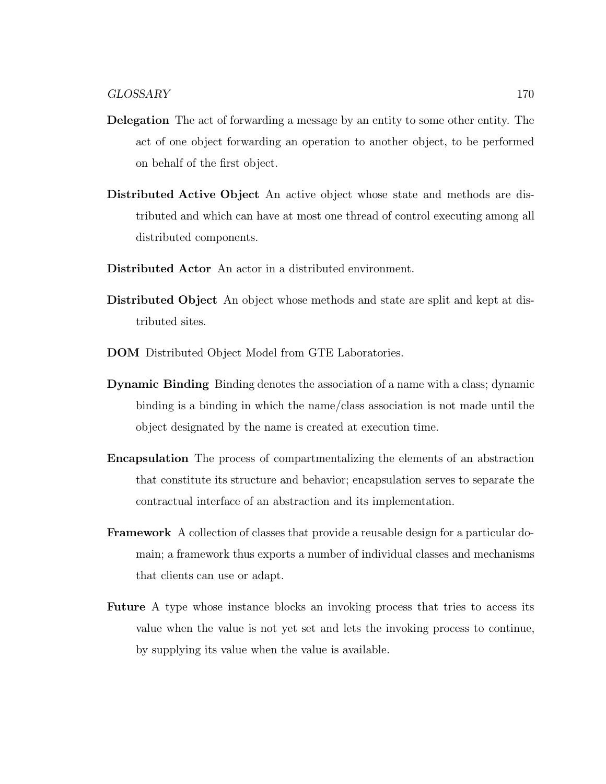- Delegation The act of forwarding a message by an entity to some other entity. The act of one object forwarding an operation to another object, to be performed on behalf of the first object.
- Distributed Active Object An active object whose state and methods are distributed and which can have at most one thread of control executing among all distributed components.
- Distributed Actor An actor in a distributed environment.
- Distributed Object An object whose methods and state are split and kept at distributed sites.
- DOM Distributed Object Model from GTE Laboratories.
- Dynamic Binding Binding denotes the association of a name with a class; dynamic binding is a binding in which the name/class association is not made until the object designated by the name is created at execution time.
- Encapsulation The process of compartmentalizing the elements of an abstraction that constitute its structure and behavior; encapsulation serves to separate the contractual interface of an abstraction and its implementation.
- Framework A collection of classes that provide a reusable design for a particular domain; a framework thus exports a number of individual classes and mechanisms that clients can use or adapt.
- Future A type whose instance blocks an invoking process that tries to access its value when the value is not yet set and lets the invoking process to continue, by supplying its value when the value is available.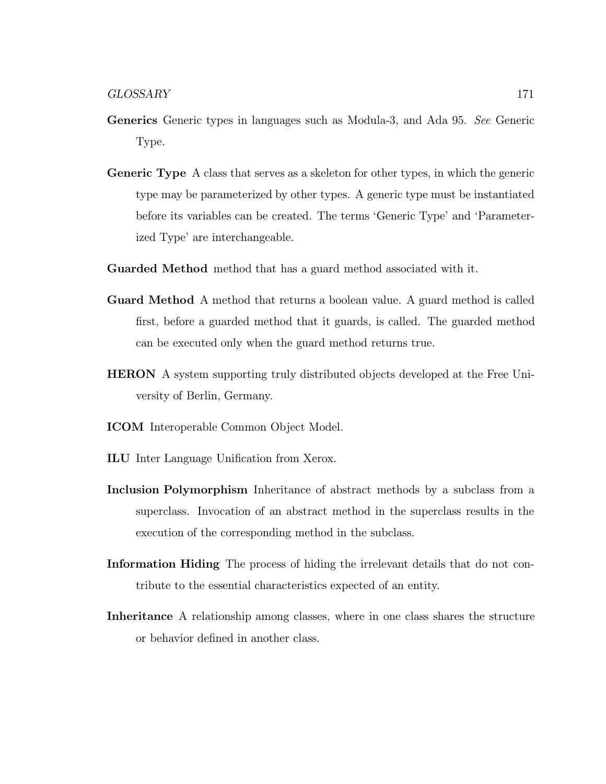- Generics Generic types in languages such as Modula-3, and Ada 95. See Generic Type.
- Generic Type A class that serves as a skeleton for other types, in which the generic type may be parameterized by other types. A generic type must be instantiated before its variables can be created. The terms 'Generic Type' and 'Parameterized Type' are interchangeable.
- Guarded Method method that has a guard method associated with it.
- Guard Method A method that returns a boolean value. A guard method is called first, before a guarded method that it guards, is called. The guarded method can be executed only when the guard method returns true.
- HERON A system supporting truly distributed objects developed at the Free University of Berlin, Germany.
- ICOM Interoperable Common Object Model.
- ILU Inter Language Unification from Xerox.
- Inclusion Polymorphism Inheritance of abstract methods by a subclass from a superclass. Invocation of an abstract method in the superclass results in the execution of the corresponding method in the subclass.
- Information Hiding The process of hiding the irrelevant details that do not contribute to the essential characteristics expected of an entity.
- Inheritance A relationship among classes, where in one class shares the structure or behavior defined in another class.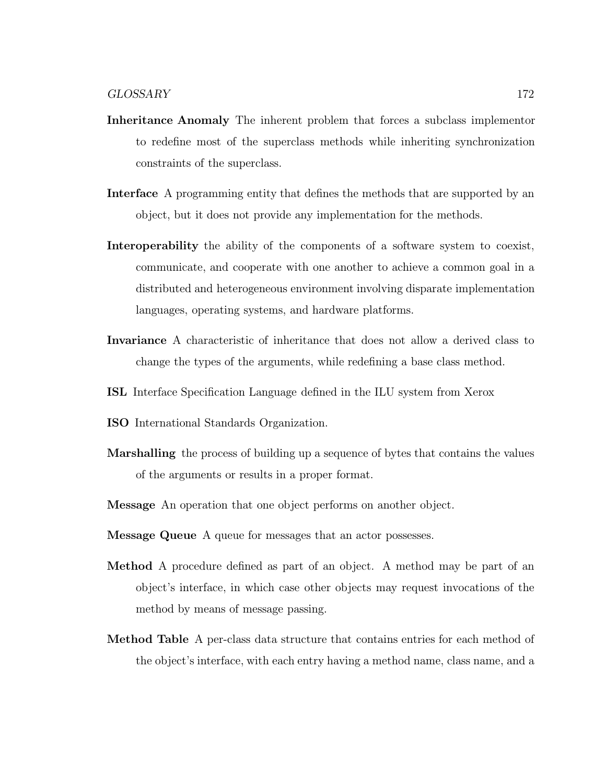- Inheritance Anomaly The inherent problem that forces a subclass implementor to redefine most of the superclass methods while inheriting synchronization constraints of the superclass.
- Interface A programming entity that defines the methods that are supported by an object, but it does not provide any implementation for the methods.
- Interoperability the ability of the components of a software system to coexist, communicate, and cooperate with one another to achieve a common goal in a distributed and heterogeneous environment involving disparate implementation languages, operating systems, and hardware platforms.
- Invariance A characteristic of inheritance that does not allow a derived class to change the types of the arguments, while redefining a base class method.
- ISL Interface Specification Language defined in the ILU system from Xerox
- ISO International Standards Organization.
- Marshalling the process of building up a sequence of bytes that contains the values of the arguments or results in a proper format.
- Message An operation that one object performs on another object.
- Message Queue A queue for messages that an actor possesses.
- Method A procedure defined as part of an object. A method may be part of an object's interface, in which case other objects may request invocations of the method by means of message passing.
- Method Table A per-class data structure that contains entries for each method of the object's interface, with each entry having a method name, class name, and a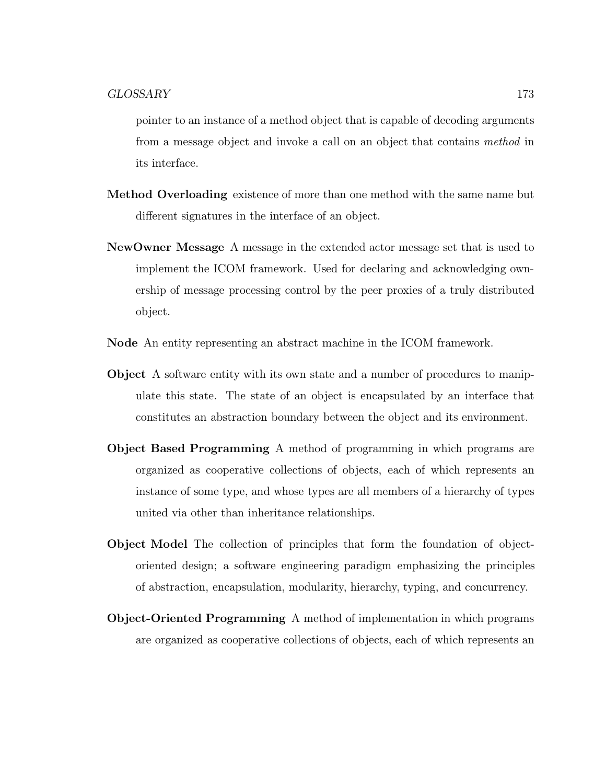pointer to an instance of a method object that is capable of decoding arguments from a message object and invoke a call on an object that contains method in its interface.

- Method Overloading existence of more than one method with the same name but different signatures in the interface of an object.
- NewOwner Message A message in the extended actor message set that is used to implement the ICOM framework. Used for declaring and acknowledging ownership of message processing control by the peer proxies of a truly distributed object.
- Node An entity representing an abstract machine in the ICOM framework.
- Object A software entity with its own state and a number of procedures to manipulate this state. The state of an object is encapsulated by an interface that constitutes an abstraction boundary between the object and its environment.
- Object Based Programming A method of programming in which programs are organized as cooperative collections of objects, each of which represents an instance of some type, and whose types are all members of a hierarchy of types united via other than inheritance relationships.
- Object Model The collection of principles that form the foundation of objectoriented design; a software engineering paradigm emphasizing the principles of abstraction, encapsulation, modularity, hierarchy, typing, and concurrency.
- Object-Oriented Programming A method of implementation in which programs are organized as cooperative collections of objects, each of which represents an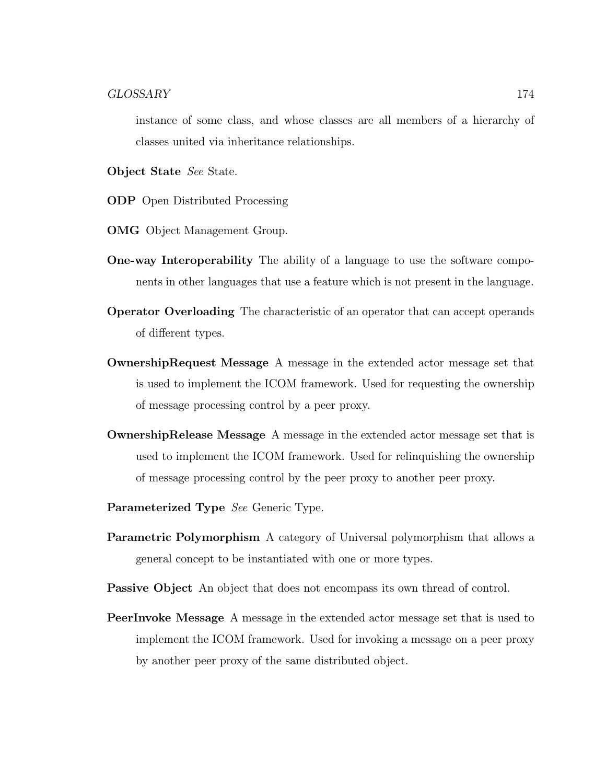instance of some class, and whose classes are all members of a hierarchy of classes united via inheritance relationships.

Object State See State.

ODP Open Distributed Processing

- OMG Object Management Group.
- One-way Interoperability The ability of a language to use the software components in other languages that use a feature which is not present in the language.
- Operator Overloading The characteristic of an operator that can accept operands of different types.
- OwnershipRequest Message A message in the extended actor message set that is used to implement the ICOM framework. Used for requesting the ownership of message processing control by a peer proxy.
- OwnershipRelease Message A message in the extended actor message set that is used to implement the ICOM framework. Used for relinquishing the ownership of message processing control by the peer proxy to another peer proxy.
- Parameterized Type See Generic Type.
- Parametric Polymorphism A category of Universal polymorphism that allows a general concept to be instantiated with one or more types.

Passive Object An object that does not encompass its own thread of control.

PeerInvoke Message A message in the extended actor message set that is used to implement the ICOM framework. Used for invoking a message on a peer proxy by another peer proxy of the same distributed object.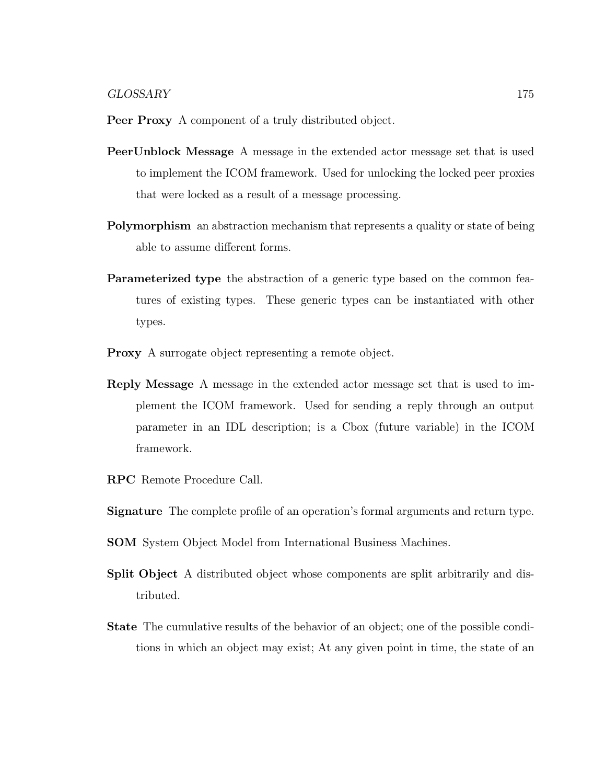- Peer Proxy A component of a truly distributed object.
- PeerUnblock Message A message in the extended actor message set that is used to implement the ICOM framework. Used for unlocking the locked peer proxies that were locked as a result of a message processing.
- Polymorphism an abstraction mechanism that represents a quality or state of being able to assume different forms.
- Parameterized type the abstraction of a generic type based on the common features of existing types. These generic types can be instantiated with other types.
- Proxy A surrogate object representing a remote object.
- Reply Message A message in the extended actor message set that is used to implement the ICOM framework. Used for sending a reply through an output parameter in an IDL description; is a Cbox (future variable) in the ICOM framework.
- RPC Remote Procedure Call.
- Signature The complete profile of an operation's formal arguments and return type.
- SOM System Object Model from International Business Machines.
- Split Object A distributed object whose components are split arbitrarily and distributed.
- State The cumulative results of the behavior of an object; one of the possible conditions in which an object may exist; At any given point in time, the state of an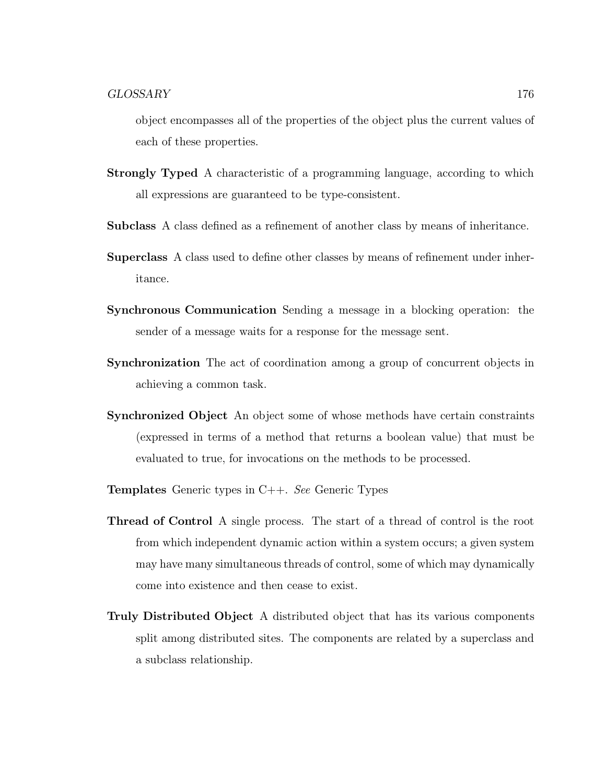object encompasses all of the properties of the object plus the current values of each of these properties.

- Strongly Typed A characteristic of a programming language, according to which all expressions are guaranteed to be type-consistent.
- Subclass A class defined as a refinement of another class by means of inheritance.
- Superclass A class used to define other classes by means of refinement under inheritance.
- Synchronous Communication Sending a message in a blocking operation: the sender of a message waits for a response for the message sent.
- Synchronization The act of coordination among a group of concurrent objects in achieving a common task.
- Synchronized Object An object some of whose methods have certain constraints (expressed in terms of a method that returns a boolean value) that must be evaluated to true, for invocations on the methods to be processed.
- Templates Generic types in C++. See Generic Types
- Thread of Control A single process. The start of a thread of control is the root from which independent dynamic action within a system occurs; a given system may have many simultaneous threads of control, some of which may dynamically come into existence and then cease to exist.
- Truly Distributed Object A distributed object that has its various components split among distributed sites. The components are related by a superclass and a subclass relationship.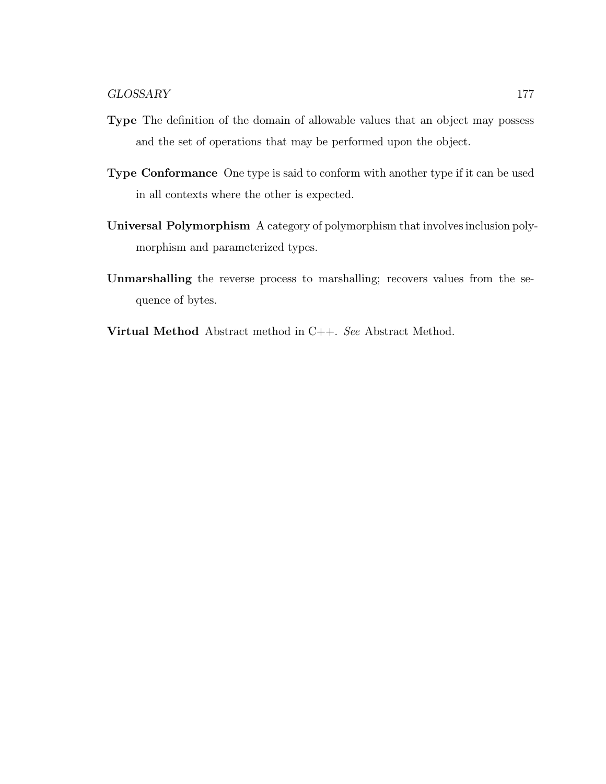- Type The definition of the domain of allowable values that an object may possess and the set of operations that may be performed upon the object.
- Type Conformance One type is said to conform with another type if it can be used in all contexts where the other is expected.
- Universal Polymorphism A category of polymorphism that involves inclusion polymorphism and parameterized types.
- Unmarshalling the reverse process to marshalling; recovers values from the sequence of bytes.
- Virtual Method Abstract method in C++. See Abstract Method.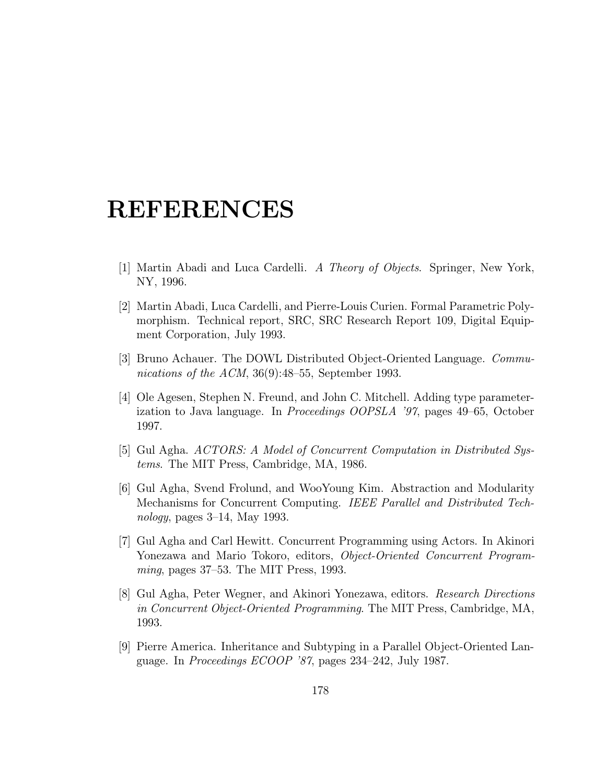- [1] Martin Abadi and Luca Cardelli. A Theory of Objects. Springer, New York, NY, 1996.
- [2] Martin Abadi, Luca Cardelli, and Pierre-Louis Curien. Formal Parametric Polymorphism. Technical report, SRC, SRC Research Report 109, Digital Equipment Corporation, July 1993.
- [3] Bruno Achauer. The DOWL Distributed Object-Oriented Language. Communications of the ACM,  $36(9):48-55$ , September 1993.
- [4] Ole Agesen, Stephen N. Freund, and John C. Mitchell. Adding type parameterization to Java language. In Proceedings OOPSLA '97, pages 49–65, October 1997.
- [5] Gul Agha. ACTORS: A Model of Concurrent Computation in Distributed Systems. The MIT Press, Cambridge, MA, 1986.
- [6] Gul Agha, Svend Frolund, and WooYoung Kim. Abstraction and Modularity Mechanisms for Concurrent Computing. IEEE Parallel and Distributed Technology, pages 3–14, May 1993.
- [7] Gul Agha and Carl Hewitt. Concurrent Programming using Actors. In Akinori Yonezawa and Mario Tokoro, editors, Object-Oriented Concurrent Programming, pages 37–53. The MIT Press, 1993.
- [8] Gul Agha, Peter Wegner, and Akinori Yonezawa, editors. Research Directions in Concurrent Object-Oriented Programming. The MIT Press, Cambridge, MA, 1993.
- [9] Pierre America. Inheritance and Subtyping in a Parallel Object-Oriented Language. In Proceedings ECOOP '87, pages 234–242, July 1987.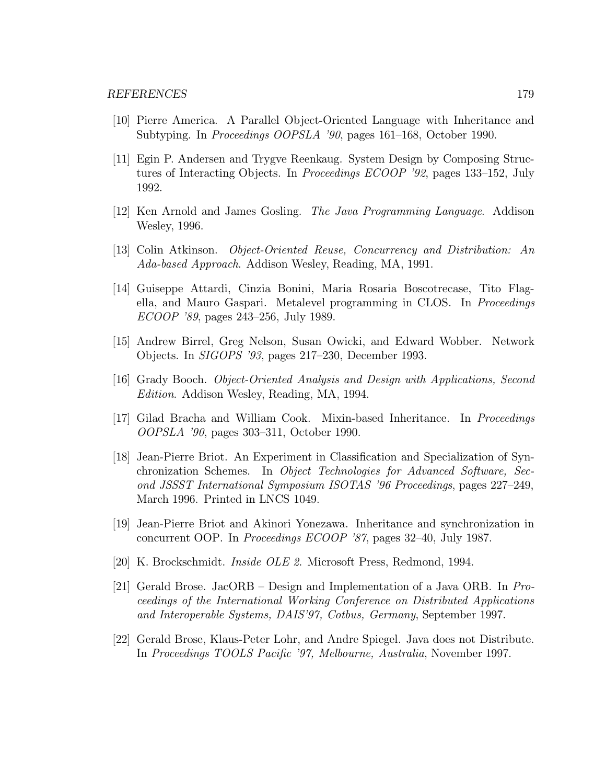- [10] Pierre America. A Parallel Object-Oriented Language with Inheritance and Subtyping. In Proceedings OOPSLA '90, pages 161–168, October 1990.
- [11] Egin P. Andersen and Trygve Reenkaug. System Design by Composing Structures of Interacting Objects. In Proceedings ECOOP '92, pages 133–152, July 1992.
- [12] Ken Arnold and James Gosling. The Java Programming Language. Addison Wesley, 1996.
- [13] Colin Atkinson. Object-Oriented Reuse, Concurrency and Distribution: An Ada-based Approach. Addison Wesley, Reading, MA, 1991.
- [14] Guiseppe Attardi, Cinzia Bonini, Maria Rosaria Boscotrecase, Tito Flagella, and Mauro Gaspari. Metalevel programming in CLOS. In Proceedings ECOOP '89, pages 243–256, July 1989.
- [15] Andrew Birrel, Greg Nelson, Susan Owicki, and Edward Wobber. Network Objects. In SIGOPS '93, pages 217–230, December 1993.
- [16] Grady Booch. Object-Oriented Analysis and Design with Applications, Second Edition. Addison Wesley, Reading, MA, 1994.
- [17] Gilad Bracha and William Cook. Mixin-based Inheritance. In Proceedings OOPSLA '90, pages 303–311, October 1990.
- [18] Jean-Pierre Briot. An Experiment in Classification and Specialization of Synchronization Schemes. In Object Technologies for Advanced Software, Second JSSST International Symposium ISOTAS '96 Proceedings, pages 227–249, March 1996. Printed in LNCS 1049.
- [19] Jean-Pierre Briot and Akinori Yonezawa. Inheritance and synchronization in concurrent OOP. In Proceedings ECOOP '87, pages 32–40, July 1987.
- [20] K. Brockschmidt. Inside OLE 2. Microsoft Press, Redmond, 1994.
- [21] Gerald Brose. JacORB Design and Implementation of a Java ORB. In Proceedings of the International Working Conference on Distributed Applications and Interoperable Systems, DAIS'97, Cotbus, Germany, September 1997.
- [22] Gerald Brose, Klaus-Peter Lohr, and Andre Spiegel. Java does not Distribute. In Proceedings TOOLS Pacific '97, Melbourne, Australia, November 1997.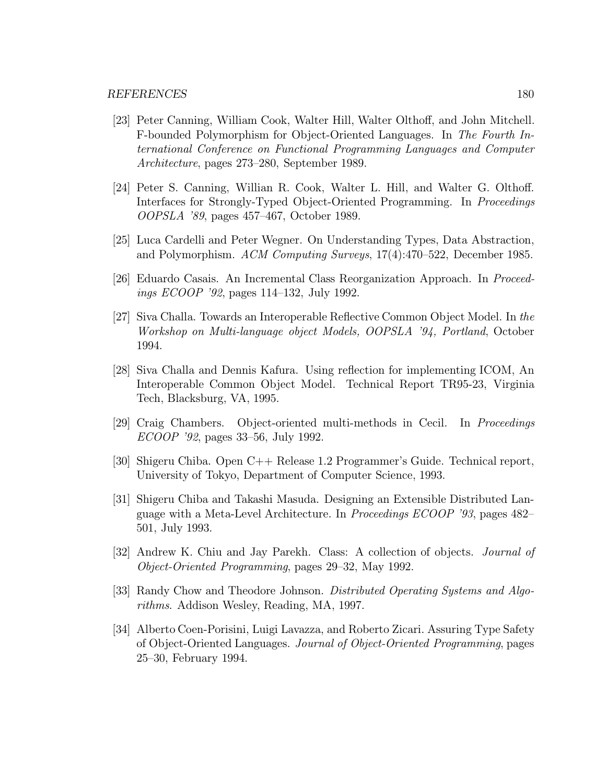- [23] Peter Canning, William Cook, Walter Hill, Walter Olthoff, and John Mitchell. F-bounded Polymorphism for Object-Oriented Languages. In The Fourth International Conference on Functional Programming Languages and Computer Architecture, pages 273–280, September 1989.
- [24] Peter S. Canning, Willian R. Cook, Walter L. Hill, and Walter G. Olthoff. Interfaces for Strongly-Typed Object-Oriented Programming. In Proceedings OOPSLA '89, pages 457–467, October 1989.
- [25] Luca Cardelli and Peter Wegner. On Understanding Types, Data Abstraction, and Polymorphism. ACM Computing Surveys, 17(4):470–522, December 1985.
- [26] Eduardo Casais. An Incremental Class Reorganization Approach. In Proceedings ECOOP '92, pages 114–132, July 1992.
- [27] Siva Challa. Towards an Interoperable Reflective Common Object Model. In the Workshop on Multi-language object Models, OOPSLA '94, Portland, October 1994.
- [28] Siva Challa and Dennis Kafura. Using reflection for implementing ICOM, An Interoperable Common Object Model. Technical Report TR95-23, Virginia Tech, Blacksburg, VA, 1995.
- [29] Craig Chambers. Object-oriented multi-methods in Cecil. In Proceedings ECOOP '92, pages 33–56, July 1992.
- [30] Shigeru Chiba. Open C++ Release 1.2 Programmer's Guide. Technical report, University of Tokyo, Department of Computer Science, 1993.
- [31] Shigeru Chiba and Takashi Masuda. Designing an Extensible Distributed Language with a Meta-Level Architecture. In Proceedings ECOOP '93, pages 482– 501, July 1993.
- [32] Andrew K. Chiu and Jay Parekh. Class: A collection of objects. Journal of Object-Oriented Programming, pages 29–32, May 1992.
- [33] Randy Chow and Theodore Johnson. Distributed Operating Systems and Algorithms. Addison Wesley, Reading, MA, 1997.
- [34] Alberto Coen-Porisini, Luigi Lavazza, and Roberto Zicari. Assuring Type Safety of Object-Oriented Languages. Journal of Object-Oriented Programming, pages 25–30, February 1994.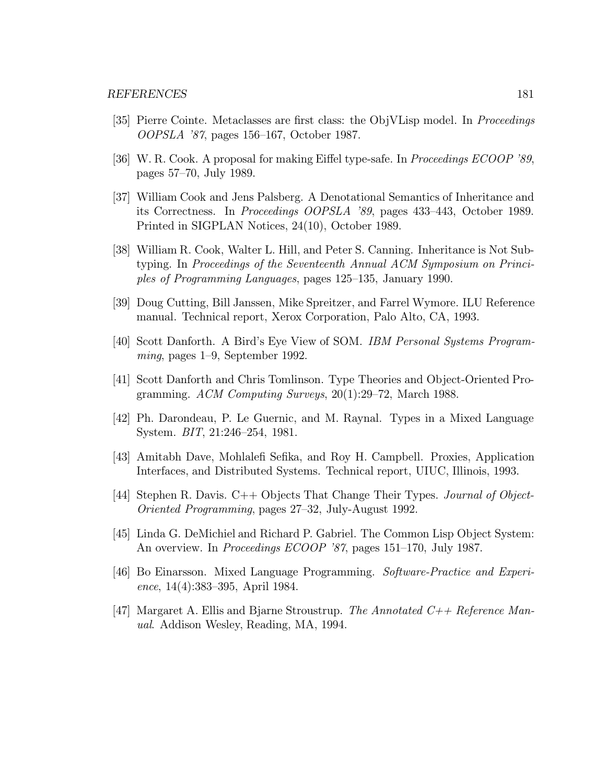- [35] Pierre Cointe. Metaclasses are first class: the ObjVLisp model. In Proceedings OOPSLA '87, pages 156–167, October 1987.
- [36] W. R. Cook. A proposal for making Eiffel type-safe. In Proceedings ECOOP '89, pages 57–70, July 1989.
- [37] William Cook and Jens Palsberg. A Denotational Semantics of Inheritance and its Correctness. In Proceedings OOPSLA '89, pages 433–443, October 1989. Printed in SIGPLAN Notices, 24(10), October 1989.
- [38] William R. Cook, Walter L. Hill, and Peter S. Canning. Inheritance is Not Subtyping. In Proceedings of the Seventeenth Annual ACM Symposium on Principles of Programming Languages, pages 125–135, January 1990.
- [39] Doug Cutting, Bill Janssen, Mike Spreitzer, and Farrel Wymore. ILU Reference manual. Technical report, Xerox Corporation, Palo Alto, CA, 1993.
- [40] Scott Danforth. A Bird's Eye View of SOM. IBM Personal Systems Programming, pages 1–9, September 1992.
- [41] Scott Danforth and Chris Tomlinson. Type Theories and Object-Oriented Programming. ACM Computing Surveys, 20(1):29–72, March 1988.
- [42] Ph. Darondeau, P. Le Guernic, and M. Raynal. Types in a Mixed Language System. BIT, 21:246–254, 1981.
- [43] Amitabh Dave, Mohlalefi Sefika, and Roy H. Campbell. Proxies, Application Interfaces, and Distributed Systems. Technical report, UIUC, Illinois, 1993.
- [44] Stephen R. Davis. C++ Objects That Change Their Types. Journal of Object-Oriented Programming, pages 27–32, July-August 1992.
- [45] Linda G. DeMichiel and Richard P. Gabriel. The Common Lisp Object System: An overview. In *Proceedings ECOOP '87*, pages 151–170, July 1987.
- [46] Bo Einarsson. Mixed Language Programming. Software-Practice and Experience, 14(4):383–395, April 1984.
- [47] Margaret A. Ellis and Bjarne Stroustrup. The Annotated  $C_{++}$  Reference Manual. Addison Wesley, Reading, MA, 1994.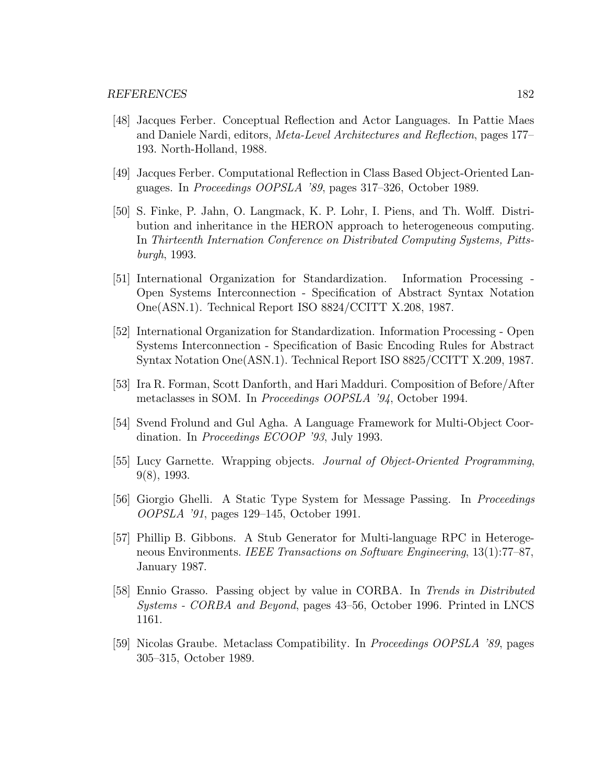- [48] Jacques Ferber. Conceptual Reflection and Actor Languages. In Pattie Maes and Daniele Nardi, editors, Meta-Level Architectures and Reflection, pages 177– 193. North-Holland, 1988.
- [49] Jacques Ferber. Computational Reflection in Class Based Object-Oriented Languages. In Proceedings OOPSLA '89, pages 317–326, October 1989.
- [50] S. Finke, P. Jahn, O. Langmack, K. P. Lohr, I. Piens, and Th. Wolff. Distribution and inheritance in the HERON approach to heterogeneous computing. In Thirteenth Internation Conference on Distributed Computing Systems, Pittsburgh, 1993.
- [51] International Organization for Standardization. Information Processing Open Systems Interconnection - Specification of Abstract Syntax Notation One(ASN.1). Technical Report ISO 8824/CCITT X.208, 1987.
- [52] International Organization for Standardization. Information Processing Open Systems Interconnection - Specification of Basic Encoding Rules for Abstract Syntax Notation One(ASN.1). Technical Report ISO 8825/CCITT X.209, 1987.
- [53] Ira R. Forman, Scott Danforth, and Hari Madduri. Composition of Before/After metaclasses in SOM. In Proceedings OOPSLA '94, October 1994.
- [54] Svend Frolund and Gul Agha. A Language Framework for Multi-Object Coordination. In Proceedings ECOOP '93, July 1993.
- [55] Lucy Garnette. Wrapping objects. Journal of Object-Oriented Programming, 9(8), 1993.
- [56] Giorgio Ghelli. A Static Type System for Message Passing. In Proceedings OOPSLA '91, pages 129–145, October 1991.
- [57] Phillip B. Gibbons. A Stub Generator for Multi-language RPC in Heterogeneous Environments. IEEE Transactions on Software Engineering, 13(1):77–87, January 1987.
- [58] Ennio Grasso. Passing object by value in CORBA. In Trends in Distributed Systems - CORBA and Beyond, pages 43–56, October 1996. Printed in LNCS 1161.
- [59] Nicolas Graube. Metaclass Compatibility. In Proceedings OOPSLA '89, pages 305–315, October 1989.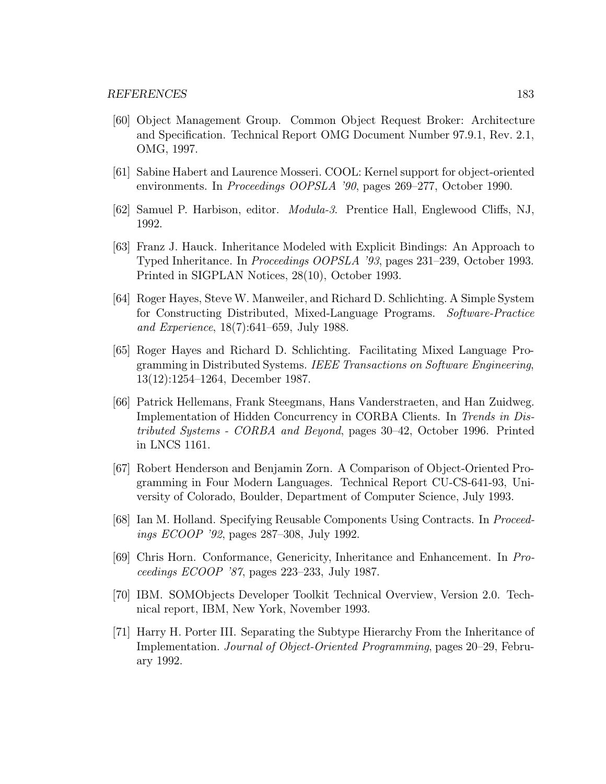- [60] Object Management Group. Common Object Request Broker: Architecture and Specification. Technical Report OMG Document Number 97.9.1, Rev. 2.1, OMG, 1997.
- [61] Sabine Habert and Laurence Mosseri. COOL: Kernel support for object-oriented environments. In Proceedings OOPSLA '90, pages 269–277, October 1990.
- [62] Samuel P. Harbison, editor. Modula-3. Prentice Hall, Englewood Cliffs, NJ, 1992.
- [63] Franz J. Hauck. Inheritance Modeled with Explicit Bindings: An Approach to Typed Inheritance. In Proceedings OOPSLA '93, pages 231–239, October 1993. Printed in SIGPLAN Notices, 28(10), October 1993.
- [64] Roger Hayes, Steve W. Manweiler, and Richard D. Schlichting. A Simple System for Constructing Distributed, Mixed-Language Programs. Software-Practice and Experience, 18(7):641–659, July 1988.
- [65] Roger Hayes and Richard D. Schlichting. Facilitating Mixed Language Programming in Distributed Systems. IEEE Transactions on Software Engineering, 13(12):1254–1264, December 1987.
- [66] Patrick Hellemans, Frank Steegmans, Hans Vanderstraeten, and Han Zuidweg. Implementation of Hidden Concurrency in CORBA Clients. In Trends in Distributed Systems - CORBA and Beyond, pages 30–42, October 1996. Printed in LNCS 1161.
- [67] Robert Henderson and Benjamin Zorn. A Comparison of Object-Oriented Programming in Four Modern Languages. Technical Report CU-CS-641-93, University of Colorado, Boulder, Department of Computer Science, July 1993.
- [68] Ian M. Holland. Specifying Reusable Components Using Contracts. In Proceedings ECOOP '92, pages 287–308, July 1992.
- [69] Chris Horn. Conformance, Genericity, Inheritance and Enhancement. In Proceedings ECOOP '87, pages 223–233, July 1987.
- [70] IBM. SOMObjects Developer Toolkit Technical Overview, Version 2.0. Technical report, IBM, New York, November 1993.
- [71] Harry H. Porter III. Separating the Subtype Hierarchy From the Inheritance of Implementation. Journal of Object-Oriented Programming, pages 20–29, February 1992.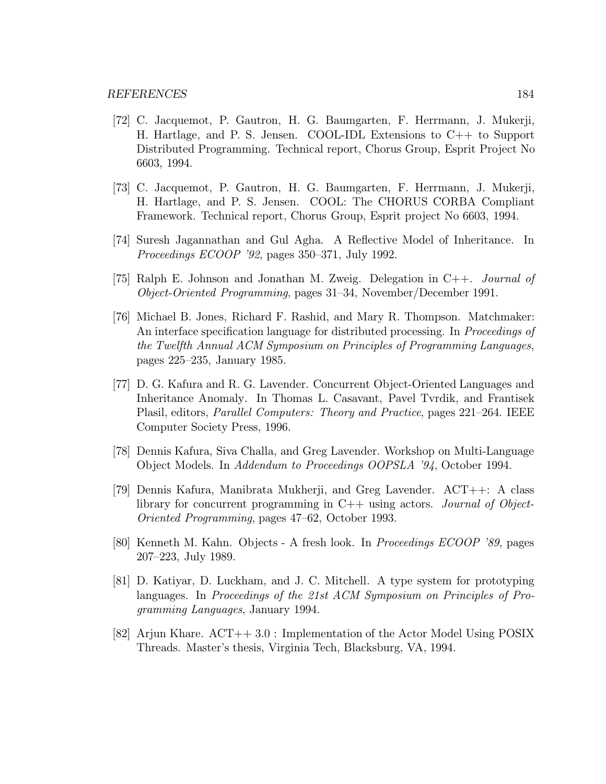- [72] C. Jacquemot, P. Gautron, H. G. Baumgarten, F. Herrmann, J. Mukerji, H. Hartlage, and P. S. Jensen. COOL-IDL Extensions to C++ to Support Distributed Programming. Technical report, Chorus Group, Esprit Project No 6603, 1994.
- [73] C. Jacquemot, P. Gautron, H. G. Baumgarten, F. Herrmann, J. Mukerji, H. Hartlage, and P. S. Jensen. COOL: The CHORUS CORBA Compliant Framework. Technical report, Chorus Group, Esprit project No 6603, 1994.
- [74] Suresh Jagannathan and Gul Agha. A Reflective Model of Inheritance. In Proceedings ECOOP '92, pages 350–371, July 1992.
- [75] Ralph E. Johnson and Jonathan M. Zweig. Delegation in C++. Journal of Object-Oriented Programming, pages 31–34, November/December 1991.
- [76] Michael B. Jones, Richard F. Rashid, and Mary R. Thompson. Matchmaker: An interface specification language for distributed processing. In Proceedings of the Twelfth Annual ACM Symposium on Principles of Programming Languages, pages 225–235, January 1985.
- [77] D. G. Kafura and R. G. Lavender. Concurrent Object-Oriented Languages and Inheritance Anomaly. In Thomas L. Casavant, Pavel Tvrdik, and Frantisek Plasil, editors, Parallel Computers: Theory and Practice, pages 221–264. IEEE Computer Society Press, 1996.
- [78] Dennis Kafura, Siva Challa, and Greg Lavender. Workshop on Multi-Language Object Models. In Addendum to Proceedings OOPSLA '94, October 1994.
- [79] Dennis Kafura, Manibrata Mukherji, and Greg Lavender. ACT++: A class library for concurrent programming in  $C++$  using actors. *Journal of Object*-Oriented Programming, pages 47–62, October 1993.
- [80] Kenneth M. Kahn. Objects A fresh look. In Proceedings ECOOP '89, pages 207–223, July 1989.
- [81] D. Katiyar, D. Luckham, and J. C. Mitchell. A type system for prototyping languages. In Proceedings of the 21st ACM Symposium on Principles of Programming Languages, January 1994.
- [82] Arjun Khare. ACT++ 3.0 : Implementation of the Actor Model Using POSIX Threads. Master's thesis, Virginia Tech, Blacksburg, VA, 1994.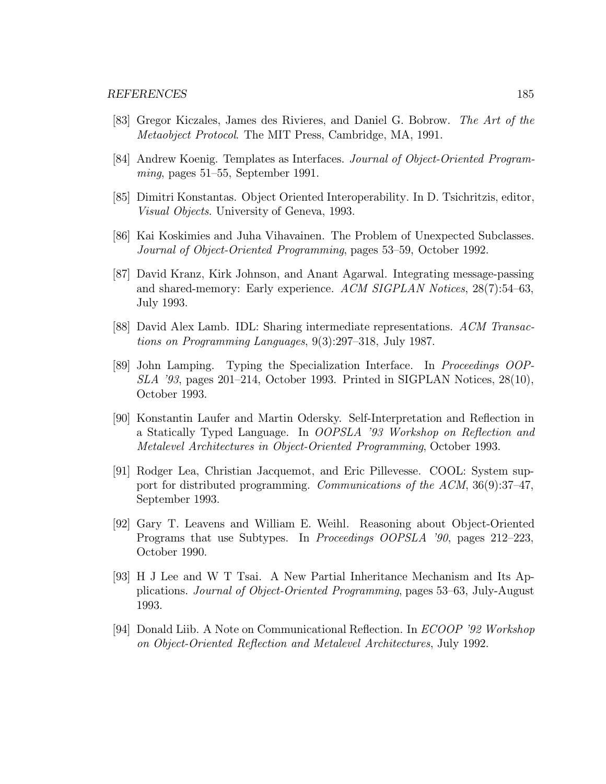- [83] Gregor Kiczales, James des Rivieres, and Daniel G. Bobrow. The Art of the Metaobject Protocol. The MIT Press, Cambridge, MA, 1991.
- [84] Andrew Koenig. Templates as Interfaces. Journal of Object-Oriented Programming, pages 51–55, September 1991.
- [85] Dimitri Konstantas. Object Oriented Interoperability. In D. Tsichritzis, editor, Visual Objects. University of Geneva, 1993.
- [86] Kai Koskimies and Juha Vihavainen. The Problem of Unexpected Subclasses. Journal of Object-Oriented Programming, pages 53–59, October 1992.
- [87] David Kranz, Kirk Johnson, and Anant Agarwal. Integrating message-passing and shared-memory: Early experience. ACM SIGPLAN Notices, 28(7):54–63, July 1993.
- [88] David Alex Lamb. IDL: Sharing intermediate representations. ACM Transactions on Programming Languages, 9(3):297–318, July 1987.
- [89] John Lamping. Typing the Specialization Interface. In Proceedings OOP- $SLA$  '93, pages 201–214, October 1993. Printed in SIGPLAN Notices, 28(10), October 1993.
- [90] Konstantin Laufer and Martin Odersky. Self-Interpretation and Reflection in a Statically Typed Language. In OOPSLA '93 Workshop on Reflection and Metalevel Architectures in Object-Oriented Programming, October 1993.
- [91] Rodger Lea, Christian Jacquemot, and Eric Pillevesse. COOL: System support for distributed programming. Communications of the ACM, 36(9):37–47, September 1993.
- [92] Gary T. Leavens and William E. Weihl. Reasoning about Object-Oriented Programs that use Subtypes. In Proceedings OOPSLA '90, pages 212–223, October 1990.
- [93] H J Lee and W T Tsai. A New Partial Inheritance Mechanism and Its Applications. Journal of Object-Oriented Programming, pages 53–63, July-August 1993.
- [94] Donald Liib. A Note on Communicational Reflection. In ECOOP '92 Workshop on Object-Oriented Reflection and Metalevel Architectures, July 1992.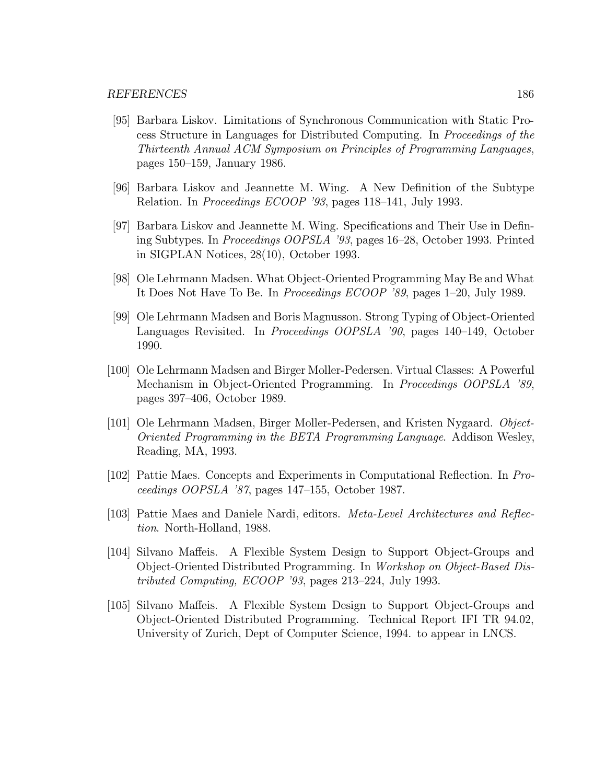- [95] Barbara Liskov. Limitations of Synchronous Communication with Static Process Structure in Languages for Distributed Computing. In Proceedings of the Thirteenth Annual ACM Symposium on Principles of Programming Languages, pages 150–159, January 1986.
- [96] Barbara Liskov and Jeannette M. Wing. A New Definition of the Subtype Relation. In Proceedings ECOOP '93, pages 118–141, July 1993.
- [97] Barbara Liskov and Jeannette M. Wing. Specifications and Their Use in Defining Subtypes. In Proceedings OOPSLA '93, pages 16–28, October 1993. Printed in SIGPLAN Notices, 28(10), October 1993.
- [98] Ole Lehrmann Madsen. What Object-Oriented Programming May Be and What It Does Not Have To Be. In Proceedings ECOOP '89, pages 1–20, July 1989.
- [99] Ole Lehrmann Madsen and Boris Magnusson. Strong Typing of Object-Oriented Languages Revisited. In Proceedings OOPSLA '90, pages 140–149, October 1990.
- [100] Ole Lehrmann Madsen and Birger Moller-Pedersen. Virtual Classes: A Powerful Mechanism in Object-Oriented Programming. In Proceedings OOPSLA '89, pages 397–406, October 1989.
- [101] Ole Lehrmann Madsen, Birger Moller-Pedersen, and Kristen Nygaard. Object-Oriented Programming in the BETA Programming Language. Addison Wesley, Reading, MA, 1993.
- [102] Pattie Maes. Concepts and Experiments in Computational Reflection. In Proceedings OOPSLA '87, pages 147–155, October 1987.
- [103] Pattie Maes and Daniele Nardi, editors. Meta-Level Architectures and Reflection. North-Holland, 1988.
- [104] Silvano Maffeis. A Flexible System Design to Support Object-Groups and Object-Oriented Distributed Programming. In Workshop on Object-Based Distributed Computing, ECOOP '93, pages 213–224, July 1993.
- [105] Silvano Maffeis. A Flexible System Design to Support Object-Groups and Object-Oriented Distributed Programming. Technical Report IFI TR 94.02, University of Zurich, Dept of Computer Science, 1994. to appear in LNCS.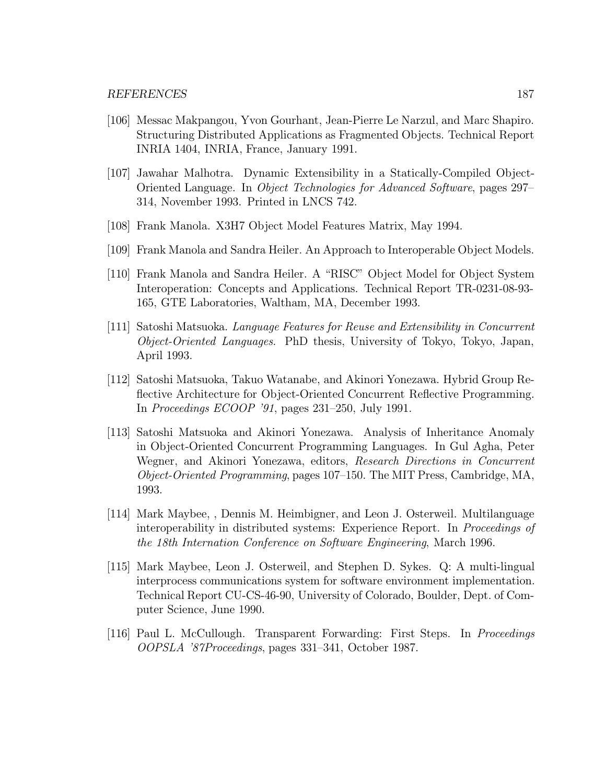- [106] Messac Makpangou, Yvon Gourhant, Jean-Pierre Le Narzul, and Marc Shapiro. Structuring Distributed Applications as Fragmented Objects. Technical Report INRIA 1404, INRIA, France, January 1991.
- [107] Jawahar Malhotra. Dynamic Extensibility in a Statically-Compiled Object-Oriented Language. In Object Technologies for Advanced Software, pages 297– 314, November 1993. Printed in LNCS 742.
- [108] Frank Manola. X3H7 Object Model Features Matrix, May 1994.
- [109] Frank Manola and Sandra Heiler. An Approach to Interoperable Object Models.
- [110] Frank Manola and Sandra Heiler. A "RISC" Object Model for Object System Interoperation: Concepts and Applications. Technical Report TR-0231-08-93- 165, GTE Laboratories, Waltham, MA, December 1993.
- [111] Satoshi Matsuoka. Language Features for Reuse and Extensibility in Concurrent Object-Oriented Languages. PhD thesis, University of Tokyo, Tokyo, Japan, April 1993.
- [112] Satoshi Matsuoka, Takuo Watanabe, and Akinori Yonezawa. Hybrid Group Reflective Architecture for Object-Oriented Concurrent Reflective Programming. In Proceedings ECOOP '91, pages 231–250, July 1991.
- [113] Satoshi Matsuoka and Akinori Yonezawa. Analysis of Inheritance Anomaly in Object-Oriented Concurrent Programming Languages. In Gul Agha, Peter Wegner, and Akinori Yonezawa, editors, Research Directions in Concurrent Object-Oriented Programming, pages 107–150. The MIT Press, Cambridge, MA, 1993.
- [114] Mark Maybee, , Dennis M. Heimbigner, and Leon J. Osterweil. Multilanguage interoperability in distributed systems: Experience Report. In Proceedings of the 18th Internation Conference on Software Engineering, March 1996.
- [115] Mark Maybee, Leon J. Osterweil, and Stephen D. Sykes. Q: A multi-lingual interprocess communications system for software environment implementation. Technical Report CU-CS-46-90, University of Colorado, Boulder, Dept. of Computer Science, June 1990.
- [116] Paul L. McCullough. Transparent Forwarding: First Steps. In Proceedings OOPSLA '87Proceedings, pages 331–341, October 1987.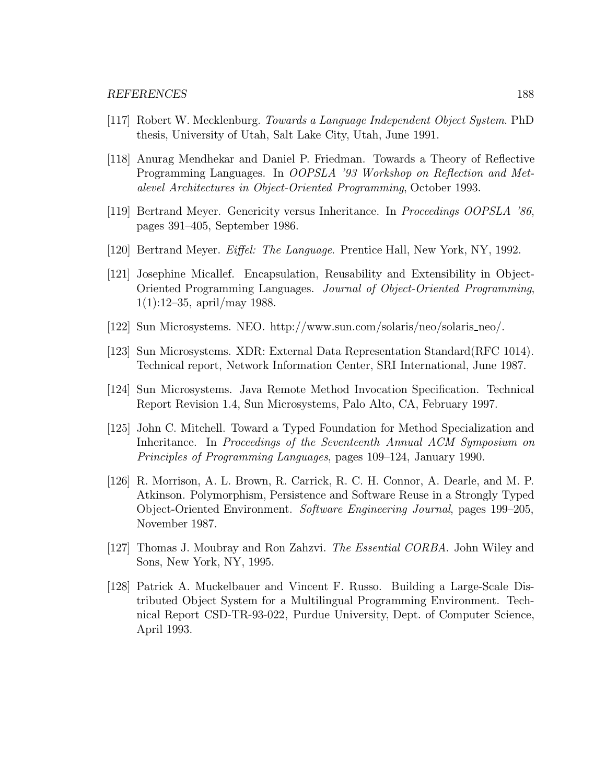- [117] Robert W. Mecklenburg. Towards a Language Independent Object System. PhD thesis, University of Utah, Salt Lake City, Utah, June 1991.
- [118] Anurag Mendhekar and Daniel P. Friedman. Towards a Theory of Reflective Programming Languages. In OOPSLA '93 Workshop on Reflection and Metalevel Architectures in Object-Oriented Programming, October 1993.
- [119] Bertrand Meyer. Genericity versus Inheritance. In Proceedings OOPSLA '86, pages 391–405, September 1986.
- [120] Bertrand Meyer. Eiffel: The Language. Prentice Hall, New York, NY, 1992.
- [121] Josephine Micallef. Encapsulation, Reusability and Extensibility in Object-Oriented Programming Languages. Journal of Object-Oriented Programming, 1(1):12–35, april/may 1988.
- [122] Sun Microsystems. NEO. http://www.sun.com/solaris/neo/solaris neo/.
- [123] Sun Microsystems. XDR: External Data Representation Standard(RFC 1014). Technical report, Network Information Center, SRI International, June 1987.
- [124] Sun Microsystems. Java Remote Method Invocation Specification. Technical Report Revision 1.4, Sun Microsystems, Palo Alto, CA, February 1997.
- [125] John C. Mitchell. Toward a Typed Foundation for Method Specialization and Inheritance. In Proceedings of the Seventeenth Annual ACM Symposium on Principles of Programming Languages, pages 109–124, January 1990.
- [126] R. Morrison, A. L. Brown, R. Carrick, R. C. H. Connor, A. Dearle, and M. P. Atkinson. Polymorphism, Persistence and Software Reuse in a Strongly Typed Object-Oriented Environment. Software Engineering Journal, pages 199–205, November 1987.
- [127] Thomas J. Moubray and Ron Zahzvi. *The Essential CORBA*. John Wiley and Sons, New York, NY, 1995.
- [128] Patrick A. Muckelbauer and Vincent F. Russo. Building a Large-Scale Distributed Object System for a Multilingual Programming Environment. Technical Report CSD-TR-93-022, Purdue University, Dept. of Computer Science, April 1993.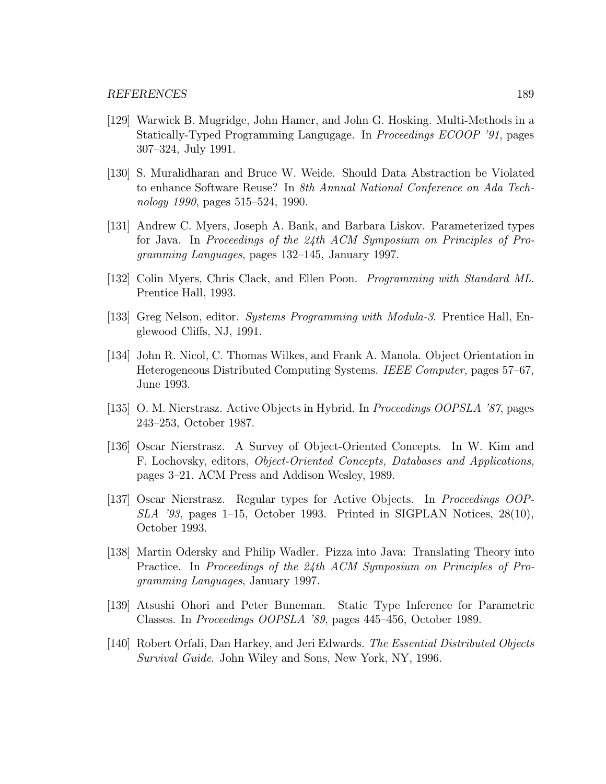- [129] Warwick B. Mugridge, John Hamer, and John G. Hosking. Multi-Methods in a Statically-Typed Programming Langugage. In Proceedings ECOOP '91, pages 307–324, July 1991.
- [130] S. Muralidharan and Bruce W. Weide. Should Data Abstraction be Violated to enhance Software Reuse? In 8th Annual National Conference on Ada Technology 1990, pages 515–524, 1990.
- [131] Andrew C. Myers, Joseph A. Bank, and Barbara Liskov. Parameterized types for Java. In Proceedings of the 24th ACM Symposium on Principles of Programming Languages, pages 132–145, January 1997.
- [132] Colin Myers, Chris Clack, and Ellen Poon. Programming with Standard ML. Prentice Hall, 1993.
- [133] Greg Nelson, editor. Systems Programming with Modula-3. Prentice Hall, Englewood Cliffs, NJ, 1991.
- [134] John R. Nicol, C. Thomas Wilkes, and Frank A. Manola. Object Orientation in Heterogeneous Distributed Computing Systems. IEEE Computer, pages 57–67, June 1993.
- [135] O. M. Nierstrasz. Active Objects in Hybrid. In Proceedings OOPSLA '87, pages 243–253, October 1987.
- [136] Oscar Nierstrasz. A Survey of Object-Oriented Concepts. In W. Kim and F. Lochovsky, editors, Object-Oriented Concepts, Databases and Applications, pages 3–21. ACM Press and Addison Wesley, 1989.
- [137] Oscar Nierstrasz. Regular types for Active Objects. In Proceedings OOP-SLA '93, pages 1–15, October 1993. Printed in SIGPLAN Notices, 28(10), October 1993.
- [138] Martin Odersky and Philip Wadler. Pizza into Java: Translating Theory into Practice. In Proceedings of the 24th ACM Symposium on Principles of Programming Languages, January 1997.
- [139] Atsushi Ohori and Peter Buneman. Static Type Inference for Parametric Classes. In Proceedings OOPSLA '89, pages 445–456, October 1989.
- [140] Robert Orfali, Dan Harkey, and Jeri Edwards. The Essential Distributed Objects Survival Guide. John Wiley and Sons, New York, NY, 1996.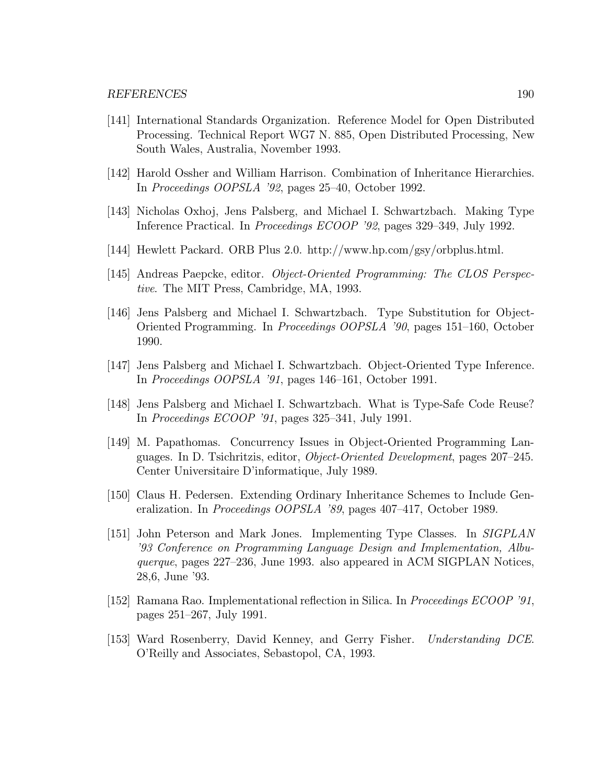- [141] International Standards Organization. Reference Model for Open Distributed Processing. Technical Report WG7 N. 885, Open Distributed Processing, New South Wales, Australia, November 1993.
- [142] Harold Ossher and William Harrison. Combination of Inheritance Hierarchies. In Proceedings OOPSLA '92, pages 25–40, October 1992.
- [143] Nicholas Oxhoj, Jens Palsberg, and Michael I. Schwartzbach. Making Type Inference Practical. In Proceedings ECOOP '92, pages 329–349, July 1992.
- [144] Hewlett Packard. ORB Plus 2.0. http://www.hp.com/gsy/orbplus.html.
- [145] Andreas Paepcke, editor. Object-Oriented Programming: The CLOS Perspective. The MIT Press, Cambridge, MA, 1993.
- [146] Jens Palsberg and Michael I. Schwartzbach. Type Substitution for Object-Oriented Programming. In Proceedings OOPSLA '90, pages 151–160, October 1990.
- [147] Jens Palsberg and Michael I. Schwartzbach. Object-Oriented Type Inference. In Proceedings OOPSLA '91, pages 146–161, October 1991.
- [148] Jens Palsberg and Michael I. Schwartzbach. What is Type-Safe Code Reuse? In Proceedings ECOOP '91, pages 325–341, July 1991.
- [149] M. Papathomas. Concurrency Issues in Object-Oriented Programming Languages. In D. Tsichritzis, editor, Object-Oriented Development, pages 207–245. Center Universitaire D'informatique, July 1989.
- [150] Claus H. Pedersen. Extending Ordinary Inheritance Schemes to Include Generalization. In Proceedings OOPSLA '89, pages 407–417, October 1989.
- [151] John Peterson and Mark Jones. Implementing Type Classes. In SIGPLAN '93 Conference on Programming Language Design and Implementation, Albuquerque, pages 227–236, June 1993. also appeared in ACM SIGPLAN Notices, 28,6, June '93.
- [152] Ramana Rao. Implementational reflection in Silica. In Proceedings ECOOP '91, pages 251–267, July 1991.
- [153] Ward Rosenberry, David Kenney, and Gerry Fisher. Understanding DCE. O'Reilly and Associates, Sebastopol, CA, 1993.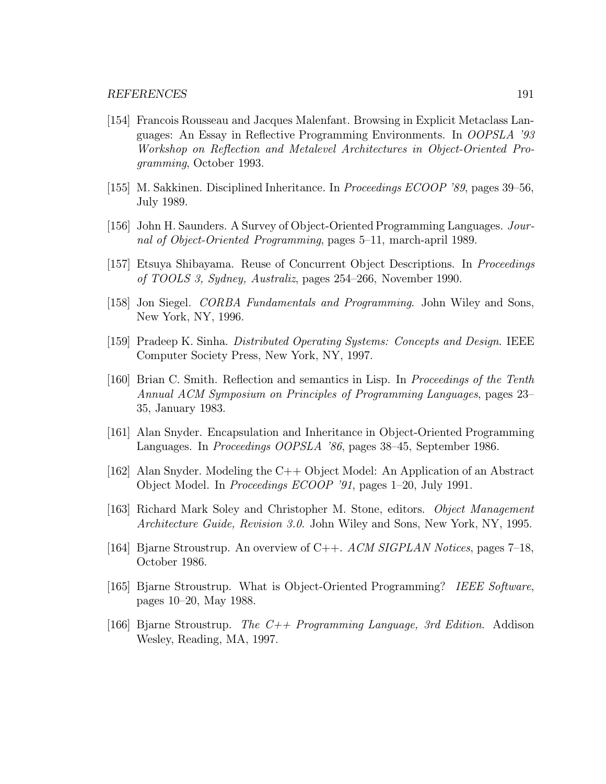- [154] Francois Rousseau and Jacques Malenfant. Browsing in Explicit Metaclass Languages: An Essay in Reflective Programming Environments. In OOPSLA '93 Workshop on Reflection and Metalevel Architectures in Object-Oriented Programming, October 1993.
- [155] M. Sakkinen. Disciplined Inheritance. In Proceedings ECOOP '89, pages 39–56, July 1989.
- [156] John H. Saunders. A Survey of Object-Oriented Programming Languages. Journal of Object-Oriented Programming, pages 5–11, march-april 1989.
- [157] Etsuya Shibayama. Reuse of Concurrent Object Descriptions. In Proceedings of TOOLS 3, Sydney, Australiz, pages 254–266, November 1990.
- [158] Jon Siegel. CORBA Fundamentals and Programming. John Wiley and Sons, New York, NY, 1996.
- [159] Pradeep K. Sinha. Distributed Operating Systems: Concepts and Design. IEEE Computer Society Press, New York, NY, 1997.
- [160] Brian C. Smith. Reflection and semantics in Lisp. In Proceedings of the Tenth Annual ACM Symposium on Principles of Programming Languages, pages 23– 35, January 1983.
- [161] Alan Snyder. Encapsulation and Inheritance in Object-Oriented Programming Languages. In Proceedings OOPSLA '86, pages 38–45, September 1986.
- [162] Alan Snyder. Modeling the C++ Object Model: An Application of an Abstract Object Model. In Proceedings ECOOP '91, pages 1–20, July 1991.
- [163] Richard Mark Soley and Christopher M. Stone, editors. Object Management Architecture Guide, Revision 3.0. John Wiley and Sons, New York, NY, 1995.
- [164] Bjarne Stroustrup. An overview of C++. ACM SIGPLAN Notices, pages 7–18, October 1986.
- [165] Bjarne Stroustrup. What is Object-Oriented Programming? IEEE Software, pages 10–20, May 1988.
- [166] Bjarne Stroustrup. The  $C++$  Programming Language, 3rd Edition. Addison Wesley, Reading, MA, 1997.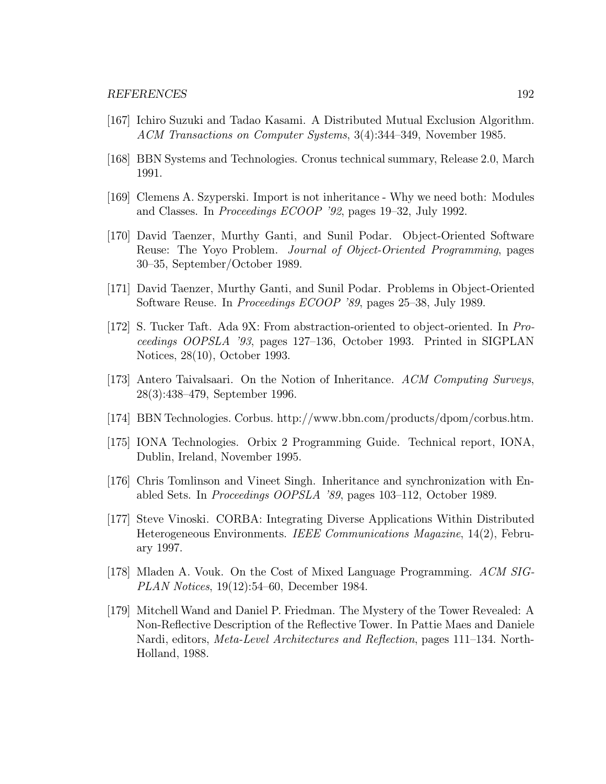- [167] Ichiro Suzuki and Tadao Kasami. A Distributed Mutual Exclusion Algorithm. ACM Transactions on Computer Systems, 3(4):344–349, November 1985.
- [168] BBN Systems and Technologies. Cronus technical summary, Release 2.0, March 1991.
- [169] Clemens A. Szyperski. Import is not inheritance Why we need both: Modules and Classes. In Proceedings ECOOP '92, pages 19–32, July 1992.
- [170] David Taenzer, Murthy Ganti, and Sunil Podar. Object-Oriented Software Reuse: The Yoyo Problem. Journal of Object-Oriented Programming, pages 30–35, September/October 1989.
- [171] David Taenzer, Murthy Ganti, and Sunil Podar. Problems in Object-Oriented Software Reuse. In Proceedings ECOOP '89, pages 25–38, July 1989.
- [172] S. Tucker Taft. Ada 9X: From abstraction-oriented to object-oriented. In Proceedings OOPSLA '93, pages 127–136, October 1993. Printed in SIGPLAN Notices, 28(10), October 1993.
- [173] Antero Taivalsaari. On the Notion of Inheritance. ACM Computing Surveys, 28(3):438–479, September 1996.
- [174] BBN Technologies. Corbus. http://www.bbn.com/products/dpom/corbus.htm.
- [175] IONA Technologies. Orbix 2 Programming Guide. Technical report, IONA, Dublin, Ireland, November 1995.
- [176] Chris Tomlinson and Vineet Singh. Inheritance and synchronization with Enabled Sets. In Proceedings OOPSLA '89, pages 103–112, October 1989.
- [177] Steve Vinoski. CORBA: Integrating Diverse Applications Within Distributed Heterogeneous Environments. IEEE Communications Magazine, 14(2), February 1997.
- [178] Mladen A. Vouk. On the Cost of Mixed Language Programming. ACM SIG-PLAN Notices, 19(12):54–60, December 1984.
- [179] Mitchell Wand and Daniel P. Friedman. The Mystery of the Tower Revealed: A Non-Reflective Description of the Reflective Tower. In Pattie Maes and Daniele Nardi, editors, Meta-Level Architectures and Reflection, pages 111–134. North-Holland, 1988.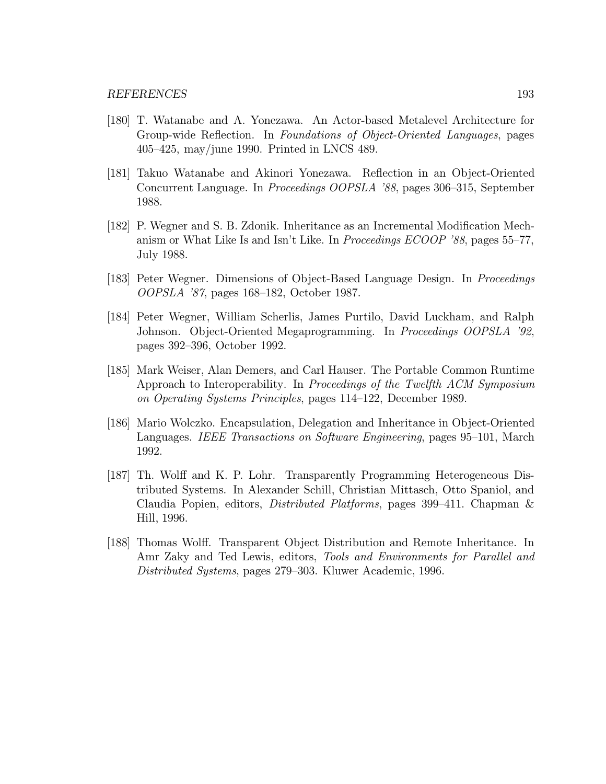- [180] T. Watanabe and A. Yonezawa. An Actor-based Metalevel Architecture for Group-wide Reflection. In Foundations of Object-Oriented Languages, pages 405–425, may/june 1990. Printed in LNCS 489.
- [181] Takuo Watanabe and Akinori Yonezawa. Reflection in an Object-Oriented Concurrent Language. In Proceedings OOPSLA '88, pages 306–315, September 1988.
- [182] P. Wegner and S. B. Zdonik. Inheritance as an Incremental Modification Mechanism or What Like Is and Isn't Like. In Proceedings ECOOP '88, pages 55–77, July 1988.
- [183] Peter Wegner. Dimensions of Object-Based Language Design. In Proceedings OOPSLA '87, pages 168–182, October 1987.
- [184] Peter Wegner, William Scherlis, James Purtilo, David Luckham, and Ralph Johnson. Object-Oriented Megaprogramming. In Proceedings OOPSLA '92, pages 392–396, October 1992.
- [185] Mark Weiser, Alan Demers, and Carl Hauser. The Portable Common Runtime Approach to Interoperability. In Proceedings of the Twelfth ACM Symposium on Operating Systems Principles, pages 114–122, December 1989.
- [186] Mario Wolczko. Encapsulation, Delegation and Inheritance in Object-Oriented Languages. IEEE Transactions on Software Engineering, pages 95–101, March 1992.
- [187] Th. Wolff and K. P. Lohr. Transparently Programming Heterogeneous Distributed Systems. In Alexander Schill, Christian Mittasch, Otto Spaniol, and Claudia Popien, editors, Distributed Platforms, pages 399–411. Chapman & Hill, 1996.
- [188] Thomas Wolff. Transparent Object Distribution and Remote Inheritance. In Amr Zaky and Ted Lewis, editors, Tools and Environments for Parallel and Distributed Systems, pages 279–303. Kluwer Academic, 1996.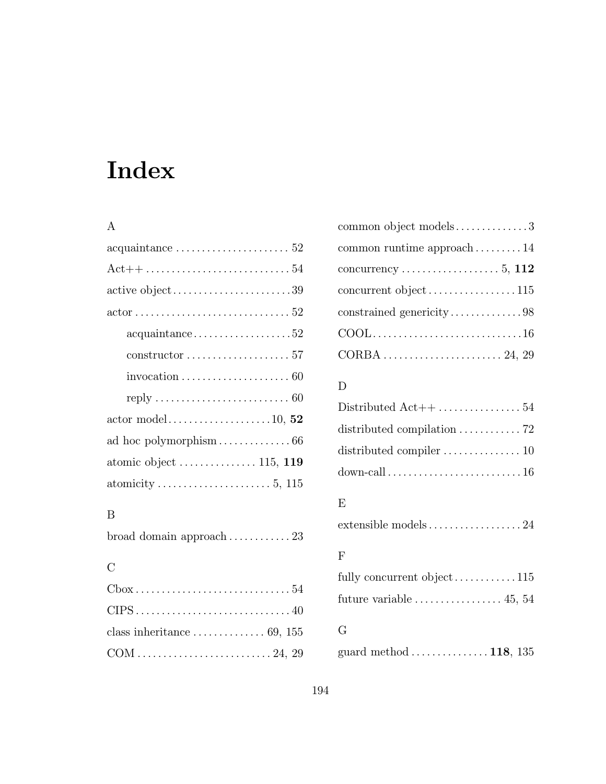# Index

#### A

| $acquaintance \ldots \ldots \ldots \ldots \ldots \ldots 52$               |
|---------------------------------------------------------------------------|
| $Act++ \ldots \ldots \ldots \ldots \ldots \ldots \ldots 54$               |
| active object39                                                           |
| $actor \ldots \ldots \ldots \ldots \ldots \ldots \ldots \ldots \ldots 52$ |
| $acquaintance \ldots \ldots \ldots \ldots \ldots 52$                      |
| $constructor \ldots \ldots \ldots \ldots \ldots \ldots 57$                |
| invocation $\ldots \ldots \ldots \ldots \ldots \ldots \ldots 60$          |
| reply $\ldots \ldots \ldots \ldots \ldots \ldots \ldots \ldots \ldots 60$ |
|                                                                           |
|                                                                           |
|                                                                           |
|                                                                           |
|                                                                           |

#### B

|  | broad domain approach $\ldots \ldots \ldots 23$ |
|--|-------------------------------------------------|
|  |                                                 |

#### $\mathbf C$

| $Cbox \ldots \ldots \ldots \ldots \ldots \ldots \ldots \ldots \ldots 54$ |
|--------------------------------------------------------------------------|
|                                                                          |
| class inheritance $\ldots \ldots \ldots \ldots 69$ , 155                 |
| $COM \dots \dots \dots \dots \dots \dots \dots \dots \dots 24, 29$       |

| common object models3                          |
|------------------------------------------------|
| common runtime approach $\dots \dots \dots 14$ |
|                                                |
| concurrent object115                           |
|                                                |
|                                                |
|                                                |

## D

| distributed compilation $\ldots \ldots \ldots$ 72   |  |
|-----------------------------------------------------|--|
| distributed compiler $\dots\dots\dots\dots\dots$ 10 |  |
|                                                     |  |
|                                                     |  |

## E

extensible models.................. 24

#### F

| future variable $\dots\dots\dots\dots\dots 45, 54$ |  |
|----------------------------------------------------|--|
| G                                                  |  |
| guard method $\dots \dots \dots \dots 118$ , 135   |  |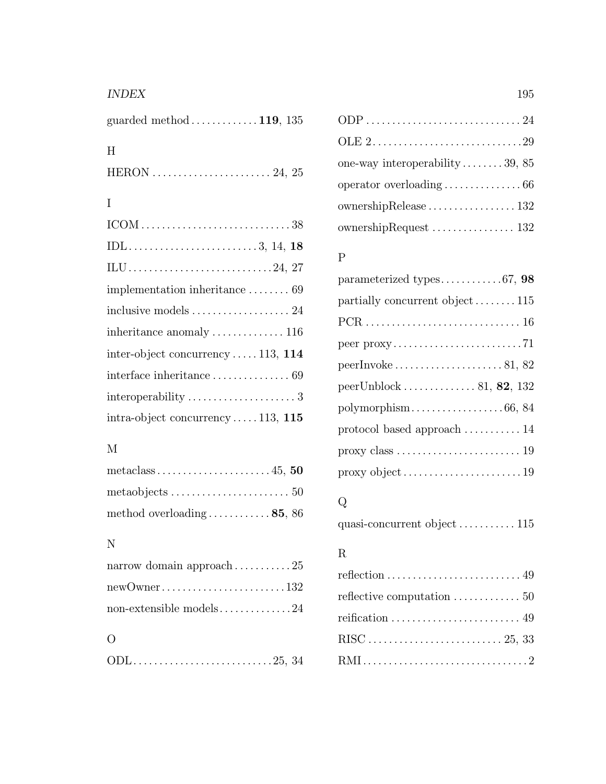#### INDEX 195

| guarded method $119, 135$                                                        |
|----------------------------------------------------------------------------------|
| H                                                                                |
| HERON $\ldots$ $\ldots$ $\ldots$ $\ldots$ $\ldots$ $\ldots$ $\ldots$ $24$ , $25$ |
| I                                                                                |
|                                                                                  |
|                                                                                  |
|                                                                                  |
| implementation inheritance  69                                                   |
| inclusive models  24                                                             |
| inheritance anomaly $\dots \dots \dots \dots 116$                                |
| inter-object concurrency $\dots$ 113, 114                                        |
| interface inheritance $\dots\dots\dots\dots\dots 69$                             |
|                                                                                  |
| $intra\text{-object concurrency} \ldots$ . 113, 115                              |

### $\mathbf M$

| metaobjects $\ldots \ldots \ldots \ldots \ldots \ldots \ldots 50$ |  |
|-------------------------------------------------------------------|--|
| method overloading $\ldots \ldots \ldots 85$ , 86                 |  |

#### N

| $newOwner \ldots \ldots \ldots \ldots \ldots \ldots \ldots 132$ |  |
|-----------------------------------------------------------------|--|
| non-extensible models24                                         |  |
|                                                                 |  |

## O

|--|--|--|--|

| one-way interoperability $\dots \dots 39, 85$                |
|--------------------------------------------------------------|
| operator overloading $\ldots \ldots \ldots \ldots \ldots 66$ |
|                                                              |
| ownership $\text{Request} \dots \dots \dots \dots \dots 132$ |

## P

| parameterized types67, $98$                                           |
|-----------------------------------------------------------------------|
| partially concurrent object115                                        |
|                                                                       |
| peer $proxy \dots \dots \dots \dots \dots \dots \dots \dots \dots 71$ |
| $peer Invoke \ldots \ldots \ldots \ldots \ldots \ldots \ldots 81, 82$ |
| peerUnblock81, 82, 132                                                |
|                                                                       |
| protocol based approach $\ldots \ldots \ldots 14$                     |
|                                                                       |
|                                                                       |

## $\bf Q$

```
quasi-concurrent object ........... 115
```
## R

| reflective computation $\dots\dots\dots\dots \dots 50$ |
|--------------------------------------------------------|
|                                                        |
|                                                        |
|                                                        |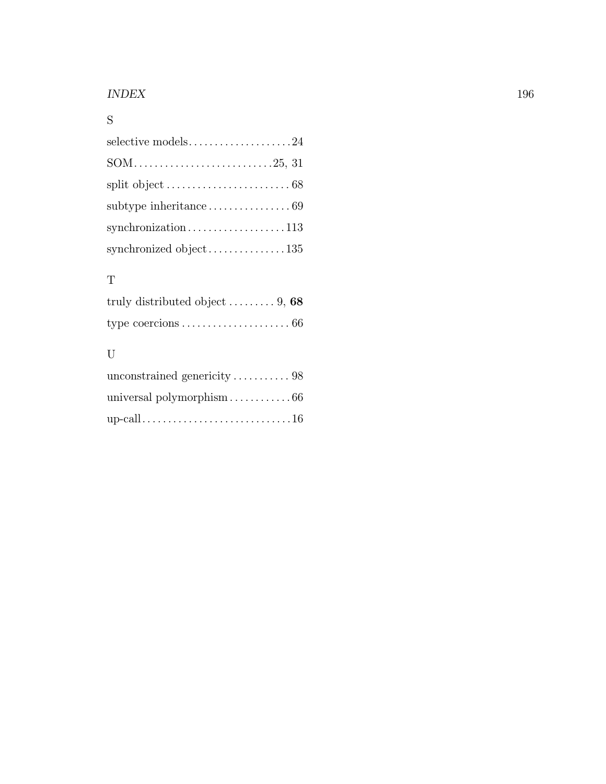#### INDEX 196

## S

| selective models24     |
|------------------------|
|                        |
|                        |
|                        |
| synchronization113     |
| synchronized object135 |

### T

| truly distributed object $\ldots \ldots \ldots 9$ , 68 |  |
|--------------------------------------------------------|--|
|                                                        |  |

### ${\rm U}$